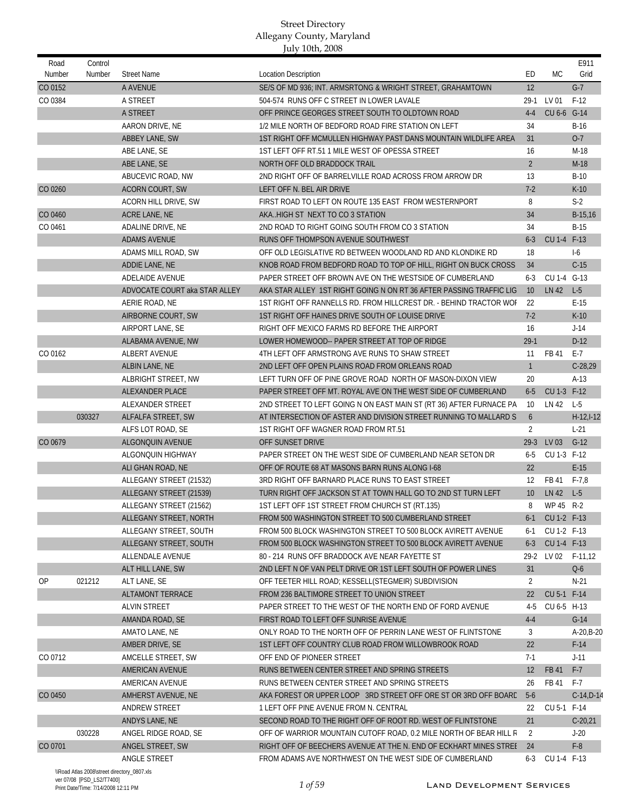| Road<br>Number | Control<br>Number | <b>Street Name</b>                         | <b>Location Description</b>                                         | ED             | <b>MC</b>   | E911<br>Grid |
|----------------|-------------------|--------------------------------------------|---------------------------------------------------------------------|----------------|-------------|--------------|
| CO 0152        |                   | A AVENUE                                   | SE/S OF MD 936; INT. ARMSRTONG & WRIGHT STREET, GRAHAMTOWN          | 12             |             | $G-7$        |
| CO 0384        |                   | A STREET                                   | 504-574 RUNS OFF C STREET IN LOWER LAVALE                           | $29-1$         | LV 01       | $F-12$       |
|                |                   | A STREET                                   | OFF PRINCE GEORGES STREET SOUTH TO OLDTOWN ROAD                     | $4 - 4$        | CU 6-6      | $G-14$       |
|                |                   | AARON DRIVE, NE                            | 1/2 MILE NORTH OF BEDFORD ROAD FIRE STATION ON LEFT                 | 34             |             | $B-16$       |
|                |                   | ABBEY LANE, SW                             | 1ST RIGHT OFF MCMULLEN HIGHWAY PAST DANS MOUNTAIN WILDLIFE AREA     | 31             |             | $0-7$        |
|                |                   | ABE LANE, SE                               | 1ST LEFT OFF RT.51 1 MILE WEST OF OPESSA STREET                     | 16             |             | M-18         |
|                |                   | ABE LANE, SE                               | NORTH OFF OLD BRADDOCK TRAIL                                        | $\overline{2}$ |             | $M-18$       |
|                |                   | ABUCEVIC ROAD, NW                          | 2ND RIGHT OFF OF BARRELVILLE ROAD ACROSS FROM ARROW DR              | 13             |             | $B-10$       |
| CO 0260        |                   | <b>ACORN COURT, SW</b>                     | LEFT OFF N. BEL AIR DRIVE                                           | $7-2$          |             | $K-10$       |
|                |                   | ACORN HILL DRIVE, SW                       | FIRST ROAD TO LEFT ON ROUTE 135 EAST FROM WESTERNPORT               | 8              |             | $S-2$        |
| CO 0460        |                   | ACRE LANE, NE                              | AKAHIGH ST NEXT TO CO 3 STATION                                     | 34             |             | B-15,16      |
| CO 0461        |                   | ADALINE DRIVE, NE                          | 2ND ROAD TO RIGHT GOING SOUTH FROM CO 3 STATION                     | 34             |             | $B-15$       |
|                |                   | <b>ADAMS AVENUE</b>                        | RUNS OFF THOMPSON AVENUE SOUTHWEST                                  | $6 - 3$        | CU 1-4 F-13 |              |
|                |                   | ADAMS MILL ROAD, SW                        | OFF OLD LEGISLATIVE RD BETWEEN WOODLAND RD AND KLONDIKE RD          | 18             |             | $-6$         |
|                |                   | ADDIE LANE, NE                             | KNOB ROAD FROM BEDFORD ROAD TO TOP OF HILL, RIGHT ON BUCK CROSS     | 34             |             | $C-15$       |
|                |                   | ADELAIDE AVENUE                            | PAPER STREET OFF BROWN AVE ON THE WESTSIDE OF CUMBERLAND            | $6 - 3$        | CU 1-4 G-13 |              |
|                |                   | ADVOCATE COURT aka STAR ALLEY              | AKA STAR ALLEY 1ST RIGHT GOING N ON RT 36 AFTER PASSING TRAFFIC LIG | 10             | LN 42       | $L-5$        |
|                |                   | AERIE ROAD, NE                             | 1ST RIGHT OFF RANNELLS RD. FROM HILLCREST DR. - BEHIND TRACTOR WOI  | 22             |             | $E-15$       |
|                |                   | AIRBORNE COURT, SW                         | 1ST RIGHT OFF HAINES DRIVE SOUTH OF LOUISE DRIVE                    | $7-2$          |             | $K-10$       |
|                |                   | AIRPORT LANE, SE                           | RIGHT OFF MEXICO FARMS RD BEFORE THE AIRPORT                        | 16             |             | $J-14$       |
|                |                   | ALABAMA AVENUE, NW                         | LOWER HOMEWOOD-- PAPER STREET AT TOP OF RIDGE                       | $29-1$         |             | $D-12$       |
| CO 0162        |                   | ALBERT AVENUE                              | 4TH LEFT OFF ARMSTRONG AVE RUNS TO SHAW STREET                      | 11             | FB 41       | $E-7$        |
|                |                   | ALBIN LANE, NE                             | 2ND LEFT OFF OPEN PLAINS ROAD FROM ORLEANS ROAD                     | $\mathbf{1}$   |             | $C-28,29$    |
|                |                   | ALBRIGHT STREET, NW                        | LEFT TURN OFF OF PINE GROVE ROAD NORTH OF MASON-DIXON VIEW          | 20             |             | $A-13$       |
|                |                   |                                            | PAPER STREET OFF MT. ROYAL AVE ON THE WEST SIDE OF CUMBERLAND       | $6 - 5$        | CU 1-3 F-12 |              |
|                |                   | <b>ALEXANDER PLACE</b><br>ALEXANDER STREET |                                                                     |                | LN 42       | $L-5$        |
|                |                   |                                            | 2ND STREET TO LEFT GOING N ON EAST MAIN ST (RT 36) AFTER FURNACE PA | 10             |             |              |
|                | 030327            | ALFALFA STREET, SW                         | AT INTERSECTION OF ASTER AND DIVISION STREET RUNNING TO MALLARD S   | 6              |             | $H-12, I-12$ |
|                |                   | ALFS LOT ROAD, SE                          | 1ST RIGHT OFF WAGNER ROAD FROM RT.51                                | $\overline{2}$ |             | $L-21$       |
| CO 0679        |                   | ALGONQUIN AVENUE                           | OFF SUNSET DRIVE                                                    | $29-3$         | LV 03       | $G-12$       |
|                |                   | ALGONQUIN HIGHWAY                          | PAPER STREET ON THE WEST SIDE OF CUMBERLAND NEAR SETON DR           | $6-5$          | CU 1-3 F-12 |              |
|                |                   | ALI GHAN ROAD, NE                          | OFF OF ROUTE 68 AT MASONS BARN RUNS ALONG I-68                      | 22             |             | $E-15$       |
|                |                   | ALLEGANY STREET (21532)                    | 3RD RIGHT OFF BARNARD PLACE RUNS TO EAST STREET                     | 12             | FB 41       | $F - 7,8$    |
|                |                   | ALLEGANY STREET (21539)                    | TURN RIGHT OFF JACKSON ST AT TOWN HALL GO TO 2ND ST TURN LEFT       | 10             | LN 42       | $L-5$        |
|                |                   | ALLEGANY STREET (21562)                    | 1ST LEFT OFF 1ST STREET FROM CHURCH ST (RT.135)                     | 8              | WP 45 R-2   |              |
|                |                   | ALLEGANY STREET, NORTH                     | FROM 500 WASHINGTON STREET TO 500 CUMBERLAND STREET                 | $6-1$          | CU 1-2 F-13 |              |
|                |                   | ALLEGANY STREET, SOUTH                     | FROM 500 BLOCK WASHINGTON STREET TO 500 BLOCK AVIRETT AVENUE        | $6-1$          | CU 1-2 F-13 |              |
|                |                   | ALLEGANY STREET, SOUTH                     | FROM 500 BLOCK WASHINGTON STREET TO 500 BLOCK AVIRETT AVENUE        | $6 - 3$        | CU 1-4 F-13 |              |
|                |                   | ALLENDALE AVENUE                           | 80 - 214 RUNS OFF BRADDOCK AVE NEAR FAYETTE ST                      | $29-2$         | LV 02       | $F-11,12$    |
|                |                   | ALT HILL LANE, SW                          | 2ND LEFT N OF VAN PELT DRIVE OR 1ST LEFT SOUTH OF POWER LINES       | 31             |             | $Q-6$        |
| 0P             | 021212            | ALT LANE, SE                               | OFF TEETER HILL ROAD; KESSELL(STEGMEIR) SUBDIVISION                 | 2              |             | $N-21$       |
|                |                   | <b>ALTAMONT TERRACE</b>                    | FROM 236 BALTIMORE STREET TO UNION STREET                           | 22             | CU 5-1 F-14 |              |
|                |                   | ALVIN STREET                               | PAPER STREET TO THE WEST OF THE NORTH END OF FORD AVENUE            | $4-5$          | CU 6-5 H-13 |              |
|                |                   | AMANDA ROAD, SE                            | FIRST ROAD TO LEFT OFF SUNRISE AVENUE                               | $4 - 4$        |             | $G-14$       |
|                |                   | AMATO LANE, NE                             | ONLY ROAD TO THE NORTH OFF OF PERRIN LANE WEST OF FLINTSTONE        | 3              |             | A-20.B-20    |
|                |                   | AMBER DRIVE, SE                            | 1ST LEFT OFF COUNTRY CLUB ROAD FROM WILLOWBROOK ROAD                | 22             |             | $F-14$       |
| CO 0712        |                   | AMCELLE STREET, SW                         | OFF END OF PIONEER STREET                                           | $7-1$          |             | $J-11$       |
|                |                   | AMERICAN AVENUE                            | RUNS BETWEEN CENTER STREET AND SPRING STREETS                       | 12             | FB 41       | $F-7$        |
|                |                   | AMERICAN AVENUE                            | RUNS BETWEEN CENTER STREET AND SPRING STREETS                       | 26             | FB 41       | $F-7$        |
| CO 0450        |                   | AMHERST AVENUE, NE                         | AKA FOREST OR UPPER LOOP 3RD STREET OFF ORE ST OR 3RD OFF BOARD     | $5-6$          |             | $C-14, D-14$ |
|                |                   | ANDREW STREET                              | 1 LEFT OFF PINE AVENUE FROM N. CENTRAL                              | 22             | CU 5-1 F-14 |              |
|                |                   | ANDYS LANE, NE                             | SECOND ROAD TO THE RIGHT OFF OF ROOT RD. WEST OF FLINTSTONE         | 21             |             | $C-20,21$    |
|                | 030228            | ANGEL RIDGE ROAD, SE                       | OFF OF WARRIOR MOUNTAIN CUTOFF ROAD, 0.2 MILE NORTH OF BEAR HILL R  | 2              |             | $J-20$       |
| CO 0701        |                   | ANGEL STREET, SW                           | RIGHT OFF OF BEECHERS AVENUE AT THE N. END OF ECKHART MINES STREE   | 24             |             | $F-8$        |
|                |                   | ANGLE STREET                               | FROM ADAMS AVE NORTHWEST ON THE WEST SIDE OF CUMBERLAND             | 6-3            | CU 1-4 F-13 |              |
|                |                   |                                            |                                                                     |                |             |              |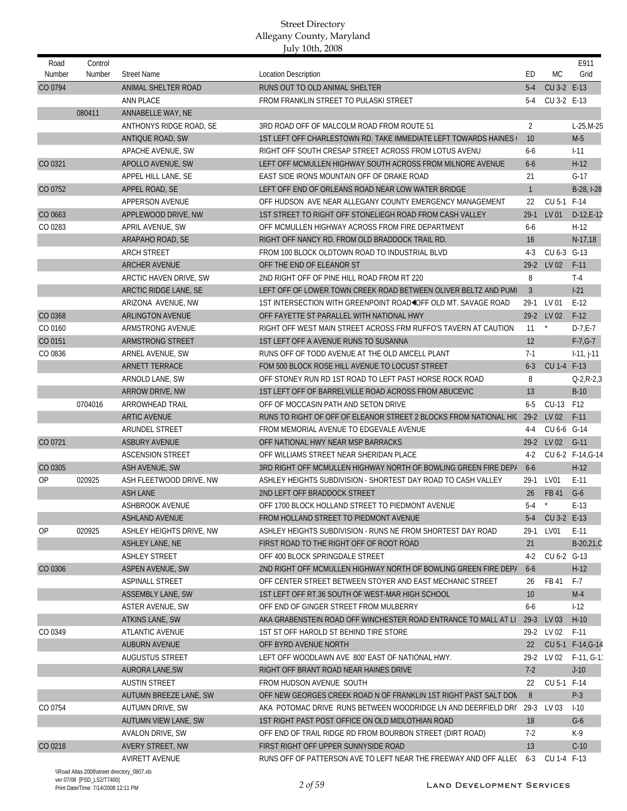| Road<br>Number | Control<br>Number | <b>Street Name</b>       | <b>Location Description</b>                                            | ED             | МC          | E911<br>Grid       |
|----------------|-------------------|--------------------------|------------------------------------------------------------------------|----------------|-------------|--------------------|
| CO 0794        |                   | ANIMAL SHELTER ROAD      | RUNS OUT TO OLD ANIMAL SHELTER                                         | $5-4$          | CU 3-2 E-13 |                    |
|                |                   | <b>ANN PLACE</b>         | FROM FRANKLIN STREET TO PULASKI STREET                                 | $5-4$          | CU 3-2 E-13 |                    |
|                | 080411            | ANNABELLE WAY, NE        |                                                                        |                |             |                    |
|                |                   | ANTHONYS RIDGE ROAD, SE  | 3RD ROAD OFF OF MALCOLM ROAD FROM ROUTE 51                             | $\overline{2}$ |             | $L-25.M-25$        |
|                |                   | ANTIQUE ROAD, SW         | 1ST LEFT OFF CHARLESTOWN RD. TAKE IMMEDIATE LEFT TOWARDS HAINES        | 10             |             | $M-5$              |
|                |                   | APACHE AVENUE, SW        | RIGHT OFF SOUTH CRESAP STREET ACROSS FROM LOTUS AVENU                  | $6-6$          |             | $1 - 11$           |
| CO 0321        |                   | APOLLO AVENUE, SW        | LEFT OFF MCMULLEN HIGHWAY SOUTH ACROSS FROM MILNORE AVENUE             | $6-6$          |             | $H-12$             |
|                |                   | APPEL HILL LANE, SE      | EAST SIDE IRONS MOUNTAIN OFF OF DRAKE ROAD                             | 21             |             | $G-17$             |
| CO 0752        |                   | APPEL ROAD, SE           | LEFT OFF END OF ORLEANS ROAD NEAR LOW WATER BRIDGE                     | $\mathbf{1}$   |             | B-28, I-28         |
|                |                   | <b>APPERSON AVENUE</b>   | OFF HUDSON AVE NEAR ALLEGANY COUNTY EMERGENCY MANAGEMENT               | 22             | CU 5-1 F-14 |                    |
| CO 0663        |                   | APPLEWOOD DRIVE, NW      | 1ST STREET TO RIGHT OFF STONELIEGH ROAD FROM CASH VALLEY               | $29-1$         | LV 01       | $D-12,E-12$        |
| CO 0283        |                   | APRIL AVENUE, SW         | OFF MCMULLEN HIGHWAY ACROSS FROM FIRE DEPARTMENT                       | $6-6$          |             | $H-12$             |
|                |                   | ARAPAHO ROAD, SE         | RIGHT OFF NANCY RD. FROM OLD BRADDOCK TRAIL RD.                        | 16             |             | $N-17,18$          |
|                |                   | <b>ARCH STREET</b>       | FROM 100 BLOCK OLDTOWN ROAD TO INDUSTRIAL BLVD                         | $4-3$          | CU 6-3 G-13 |                    |
|                |                   | <b>ARCHER AVENUE</b>     | OFF THE END OF ELEANOR ST                                              | $29 - 2$       | LV 02       | $F-11$             |
|                |                   | ARCTIC HAVEN DRIVE, SW   | 2ND RIGHT OFF OF PINE HILL ROAD FROM RT 220                            | 8              |             | $T-4$              |
|                |                   | ARCTIC RIDGE LANE, SE    | LEFT OFF OF LOWER TOWN CREEK ROAD BETWEEN OLIVER BELTZ AND PUM         | $\overline{3}$ |             | $1-21$             |
|                |                   | ARIZONA AVENUE, NW       | 1ST INTERSECTION WITH GREENPOINT ROAD OFF OLD MT. SAVAGE ROAD          | $29-1$         | LV 01       | $E-12$             |
| CO 0368        |                   | <b>ARLINGTON AVENUE</b>  | OFF FAYETTE ST PARALLEL WITH NATIONAL HWY                              | $29-2$         | LV 02       | $F-12$             |
| CO 0160        |                   | ARMSTRONG AVENUE         | RIGHT OFF WEST MAIN STREET ACROSS FRM RUFFO'S TAVERN AT CAUTION        | 11             | $^\star$    | $D-7,E-7$          |
| CO 0151        |                   | ARMSTRONG STREET         | 1ST LEFT OFF A AVENUE RUNS TO SUSANNA                                  | 12             |             | $F-7, G-7$         |
| CO 0836        |                   |                          | RUNS OFF OF TODD AVENUE AT THE OLD AMCELL PLANT                        | $7-1$          |             |                    |
|                |                   | ARNEL AVENUE, SW         |                                                                        | $6 - 3$        |             | $1-11, j-11$       |
|                |                   | <b>ARNETT TERRACE</b>    | FOM 500 BLOCK ROSE HILL AVENUE TO LOCUST STREET                        |                | CU 1-4 F-13 |                    |
|                |                   | ARNOLD LANE, SW          | OFF STONEY RUN RD 1ST ROAD TO LEFT PAST HORSE ROCK ROAD                | 8              |             | $Q - 2, R - 2, 3$  |
|                |                   | ARROW DRIVE, NW          | 1ST LEFT OFF OF BARRELVILLE ROAD ACROSS FROM ABUCEVIC                  | 13             |             | $B-10$             |
|                | 0704016           | ARROWHEAD TRAIL          | OFF OF MOCCASIN PATH AND SETON DRIVE                                   | $6 - 5$        | CU-13       | F12                |
|                |                   | <b>ARTIC AVENUE</b>      | RUNS TO RIGHT OF OFF OF ELEANOR STREET 2 BLOCKS FROM NATIONAL HIG 29-2 |                | LV 02       | $F-11$             |
|                |                   | ARUNDEL STREET           | FROM MEMORIAL AVENUE TO EDGEVALE AVENUE                                | $4 - 4$        | CU 6-6 G-14 |                    |
| CO 0721        |                   | <b>ASBURY AVENUE</b>     | OFF NATIONAL HWY NEAR MSP BARRACKS                                     | $29-2$         | LV 02       | $G-11$             |
|                |                   | <b>ASCENSION STREET</b>  | OFF WILLIAMS STREET NEAR SHERIDAN PLACE                                | 4-2            |             | CU 6-2 F-14, G-14  |
| CO 0305        |                   | ASH AVENUE, SW           | 3RD RIGHT OFF MCMULLEN HIGHWAY NORTH OF BOWLING GREEN FIRE DEP/        | $6 - 6$        |             | $H-12$             |
| OP             | 020925            | ASH FLEETWOOD DRIVE, NW  | ASHLEY HEIGHTS SUBDIVISION - SHORTEST DAY ROAD TO CASH VALLEY          | $29-1$         | LV01        | $E-11$             |
|                |                   | <b>ASH LANE</b>          | 2ND LEFT OFF BRADDOCK STREET                                           | 26             | FB 41       | $G-6$              |
|                |                   | <b>ASHBROOK AVENUE</b>   | OFF 1700 BLOCK HOLLAND STREET TO PIEDMONT AVENUE                       | $5-4$          | $^\star$    | $E-13$             |
|                |                   | <b>ASHLAND AVENUE</b>    | FROM HOLLAND STREET TO PIEDMONT AVENUE                                 | $5-4$          | CU 3-2 E-13 |                    |
| 0P             | 020925            | ASHLEY HEIGHTS DRIVE, NW | ASHLEY HEIGHTS SUBDIVISION - RUNS NE FROM SHORTEST DAY ROAD            | $29-1$         | LV01        | $E-11$             |
|                |                   | ASHLEY LANE, NE          | FIRST ROAD TO THE RIGHT OFF OF ROOT ROAD                               | 21             |             | B-20,21,C          |
|                |                   | <b>ASHLEY STREET</b>     | OFF 400 BLOCK SPRINGDALE STREET                                        | 4-2            | CU 6-2 G-13 |                    |
| CO 0306        |                   | <b>ASPEN AVENUE, SW</b>  | 2ND RIGHT OFF MCMULLEN HIGHWAY NORTH OF BOWLING GREEN FIRE DEP/        | $6 - 6$        |             | $H-12$             |
|                |                   | <b>ASPINALL STREET</b>   | OFF CENTER STREET BETWEEN STOYER AND EAST MECHANIC STREET              | 26             | FB 41       | F-7                |
|                |                   | <b>ASSEMBLY LANE, SW</b> | 1ST LEFT OFF RT.36 SOUTH OF WEST-MAR HIGH SCHOOL                       | 10             |             | $M-4$              |
|                |                   | <b>ASTER AVENUE, SW</b>  | OFF END OF GINGER STREET FROM MULBERRY                                 | $6-6$          |             | $1-12$             |
|                |                   | <b>ATKINS LANE, SW</b>   | AKA GRABENSTEIN ROAD OFF WINCHESTER ROAD ENTRANCE TO MALL AT LI        | 29-3           | LV 03       | $H-10$             |
| CO 0349        |                   | <b>ATLANTIC AVENUE</b>   | 1ST ST OFF HAROLD ST BEHIND TIRE STORE                                 |                | 29-2 LV 02  | $F-11$             |
|                |                   | <b>AUBURN AVENUE</b>     | OFF BYRD AVENUE NORTH                                                  | 22             |             | CU 5-1 F-14, G-14  |
|                |                   | <b>AUGUSTUS STREET</b>   | LEFT OFF WOODLAWN AVE 800' EAST OF NATIONAL HWY.                       | $29-2$         |             | LV 02    F-11, G-1 |
|                |                   | <b>AURORA LANE, SW</b>   | RIGHT OFF BRANT ROAD NEAR HAINES DRIVE                                 | $7-2$          |             | $J-10$             |
|                |                   | <b>AUSTIN STREET</b>     | FROM HUDSON AVENUE SOUTH                                               | 22             | CU 5-1 F-14 |                    |
|                |                   | AUTUMN BREEZE LANE, SW   | OFF NEW GEORGES CREEK ROAD N OF FRANKLIN 1ST RIGHT PAST SALT DON       | 8              |             | $P-3$              |
| CO 0754        |                   | AUTUMN DRIVE, SW         | AKA POTOMAC DRIVE RUNS BETWEEN WOODRIDGE LN AND DEERFIELD DRI 29-3     |                | LV 03       | $1 - 10$           |
|                |                   | AUTUMN VIEW LANE, SW     | 1ST RIGHT PAST POST OFFICE ON OLD MIDLOTHIAN ROAD                      | 18             |             | $G-6$              |
|                |                   | AVALON DRIVE, SW         | OFF END OF TRAIL RIDGE RD FROM BOURBON STREET (DIRT ROAD)              | $7-2$          |             | K-9                |
| CO 0218        |                   | AVERY STREET, NW         | FIRST RIGHT OFF UPPER SUNNYSIDE ROAD                                   | 13             |             | $C-10$             |
|                |                   | <b>AVIRETT AVENUE</b>    | RUNS OFF OF PATTERSON AVE TO LEFT NEAR THE FREEWAY AND OFF ALLECT      | $6 - 3$        | CU 1-4 F-13 |                    |
|                |                   |                          |                                                                        |                |             |                    |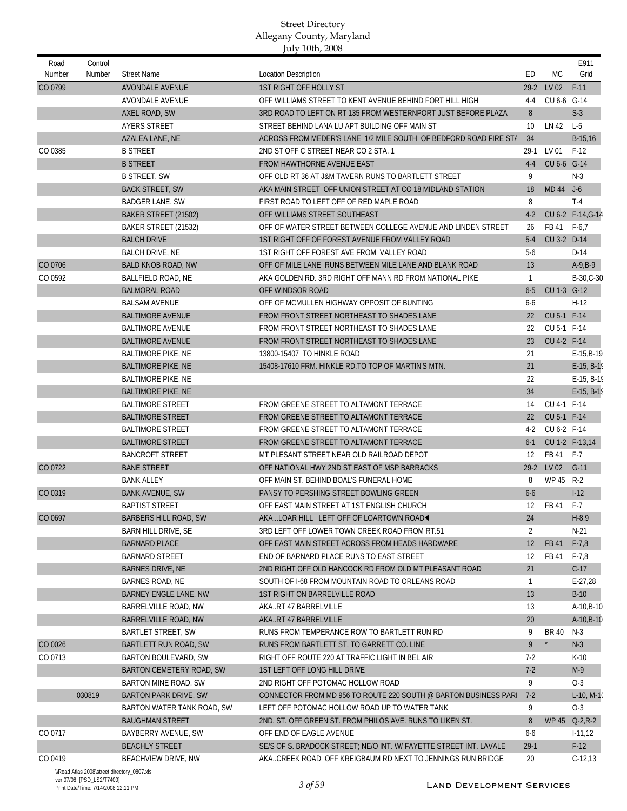| Road<br>Number | Control<br>Number | <b>Street Name</b>                                  | <b>Location Description</b>                                        | ED           | <b>MC</b>                  | E911<br>Grid      |
|----------------|-------------------|-----------------------------------------------------|--------------------------------------------------------------------|--------------|----------------------------|-------------------|
| CO 0799        |                   | <b>AVONDALE AVENUE</b>                              | <b>1ST RIGHT OFF HOLLY ST</b>                                      | $29 - 2$     | LV 02                      | $F-11$            |
|                |                   | <b>AVONDALE AVENUE</b>                              | OFF WILLIAMS STREET TO KENT AVENUE BEHIND FORT HILL HIGH           | $4 - 4$      |                            |                   |
|                |                   | AXEL ROAD, SW                                       | 3RD ROAD TO LEFT ON RT 135 FROM WESTERNPORT JUST BEFORE PLAZA      | 8            | CU 6-6 G-14                | $S-3$             |
|                |                   | <b>AYERS STREET</b>                                 | STREET BEHIND LANA LU APT BUILDING OFF MAIN ST                     | 10           | LN 42                      | $L-5$             |
|                |                   | AZALEA LANE, NE                                     | ACROSS FROM MEDER'S LANE 1/2 MILE SOUTH OF BEDFORD ROAD FIRE ST/   | 34           |                            | $B-15,16$         |
| CO 0385        |                   | <b>B STREET</b>                                     | 2ND ST OFF C STREET NEAR CO 2 STA. 1                               | $29-1$       | LV 01                      | $F-12$            |
|                |                   | <b>B STREET</b>                                     | FROM HAWTHORNE AVENUE EAST                                         | $4 - 4$      | CU 6-6 G-14                |                   |
|                |                   | <b>B STREET, SW</b>                                 | OFF OLD RT 36 AT J&M TAVERN RUNS TO BARTLETT STREET                | 9            |                            | $N-3$             |
|                |                   | <b>BACK STREET, SW</b>                              | AKA MAIN STREET OFF UNION STREET AT CO 18 MIDLAND STATION          | 18           | MD 44 J-6                  |                   |
|                |                   | <b>BADGER LANE, SW</b>                              | FIRST ROAD TO LEFT OFF OF RED MAPLE ROAD                           | 8            |                            | $T-4$             |
|                |                   | BAKER STREET (21502)                                | OFF WILLIAMS STREET SOUTHEAST                                      | $4-2$        |                            | CU 6-2 F-14, G-14 |
|                |                   | BAKER STREET (21532)                                | OFF OF WATER STREET BETWEEN COLLEGE AVENUE AND LINDEN STREET       | 26           | FB 41                      | $F-6,7$           |
|                |                   | <b>BALCH DRIVE</b>                                  | 1ST RIGHT OFF OF FOREST AVENUE FROM VALLEY ROAD                    | $5-4$        | CU 3-2 D-14                |                   |
|                |                   |                                                     | 1ST RIGHT OFF FOREST AVE FROM VALLEY ROAD                          | $5-6$        |                            | $D-14$            |
| CO 0706        |                   | <b>BALCH DRIVE, NE</b><br><b>BALD KNOB ROAD, NW</b> | OFF OF MILE LANE RUNS BETWEEN MILE LANE AND BLANK ROAD             | 13           |                            | $A-9,B-9$         |
| CO 0592        |                   |                                                     | AKA GOLDEN RD. 3RD RIGHT OFF MANN RD FROM NATIONAL PIKE            | $\mathbf{1}$ |                            |                   |
|                |                   | BALLFIELD ROAD, NE                                  |                                                                    | $6 - 5$      | CU 1-3 G-12                | B-30, C-30        |
|                |                   | <b>BALMORAL ROAD</b>                                | OFF WINDSOR ROAD<br>OFF OF MCMULLEN HIGHWAY OPPOSIT OF BUNTING     |              |                            |                   |
|                |                   | <b>BALSAM AVENUE</b>                                |                                                                    | $6 - 6$      |                            | $H-12$            |
|                |                   | <b>BALTIMORE AVENUE</b>                             | FROM FRONT STREET NORTHEAST TO SHADES LANE                         | 22           | CU 5-1 F-14                |                   |
|                |                   | <b>BALTIMORE AVENUE</b>                             | FROM FRONT STREET NORTHEAST TO SHADES LANE                         | 22           | CU 5-1 F-14<br>CU 4-2 F-14 |                   |
|                |                   | <b>BALTIMORE AVENUE</b>                             | FROM FRONT STREET NORTHEAST TO SHADES LANE                         | 23           |                            |                   |
|                |                   | BALTIMORE PIKE, NE                                  | 13800-15407 TO HINKLE ROAD                                         | 21           |                            | $E-15,B-19$       |
|                |                   | <b>BALTIMORE PIKE, NE</b>                           | 15408-17610 FRM. HINKLE RD.TO TOP OF MARTIN'S MTN.                 | 21           |                            | E-15, B-19        |
|                |                   | BALTIMORE PIKE, NE                                  |                                                                    | 22           |                            | $E-15, B-19$      |
|                |                   | <b>BALTIMORE PIKE, NE</b>                           |                                                                    | 34           |                            | $E-15, B-19$      |
|                |                   | <b>BALTIMORE STREET</b>                             | FROM GREENE STREET TO ALTAMONT TERRACE                             | 14           | CU 4-1 F-14                |                   |
|                |                   | <b>BALTIMORE STREET</b>                             | FROM GREENE STREET TO ALTAMONT TERRACE                             | 22           | CU 5-1 F-14                |                   |
|                |                   | <b>BALTIMORE STREET</b>                             | FROM GREENE STREET TO ALTAMONT TERRACE                             | 4-2          | CU 6-2 F-14                |                   |
|                |                   | <b>BALTIMORE STREET</b>                             | FROM GREENE STREET TO ALTAMONT TERRACE                             | $6 - 1$      |                            | CU 1-2 F-13,14    |
|                |                   | <b>BANCROFT STREET</b>                              | MT PLESANT STREET NEAR OLD RAILROAD DEPOT                          | 12           | FB 41 F-7                  |                   |
| CO 0722        |                   | <b>BANE STREET</b>                                  | OFF NATIONAL HWY 2ND ST EAST OF MSP BARRACKS                       | $29 - 2$     | LV 02                      | $G-11$            |
|                |                   | <b>BANK ALLEY</b>                                   | OFF MAIN ST. BEHIND BOAL'S FUNERAL HOME                            | 8            | WP 45 R-2                  |                   |
| CO 0319        |                   | <b>BANK AVENUE, SW</b>                              | PANSY TO PERSHING STREET BOWLING GREEN                             | $6-6$        |                            | $I-12$            |
|                |                   | <b>BAPTIST STREET</b>                               | OFF EAST MAIN STREET AT 1ST ENGLISH CHURCH                         | 12           | FB 41 F-7                  |                   |
| CO 0697        |                   | <b>BARBERS HILL ROAD, SW</b>                        | AKALOAR HILL LEFT OFF OF LOARTOWN ROAD                             | 24           |                            | $H-8,9$           |
|                |                   | <b>BARN HILL DRIVE, SE</b>                          | 3RD LEFT OFF LOWER TOWN CREEK ROAD FROM RT.51                      | 2            |                            | $N-21$            |
|                |                   | <b>BARNARD PLACE</b>                                | OFF EAST MAIN STREET ACROSS FROM HEADS HARDWARE                    | 12           | FB 41                      | $F-7,8$           |
|                |                   | <b>BARNARD STREET</b>                               | END OF BARNARD PLACE RUNS TO EAST STREET                           | 12           | FB 41                      | $F-7,8$           |
|                |                   | <b>BARNES DRIVE, NE</b>                             | 2ND RIGHT OFF OLD HANCOCK RD FROM OLD MT PLEASANT ROAD             | 21           |                            | $C-17$            |
|                |                   | BARNES ROAD, NE                                     | SOUTH OF 1-68 FROM MOUNTAIN ROAD TO ORLEANS ROAD                   | $\mathbf{1}$ |                            | $E-27,28$         |
|                |                   | BARNEY ENGLE LANE, NW                               | <b>1ST RIGHT ON BARRELVILLE ROAD</b>                               | 13           |                            | $B-10$            |
|                |                   | BARRELVILLE ROAD, NW                                | AKART 47 BARRELVILLE                                               | 13           |                            | A-10, B-10        |
|                |                   | BARRELVILLE ROAD, NW                                | AKART 47 BARRELVILLE                                               | 20           |                            | $A-10,B-10$       |
|                |                   | <b>BARTLET STREET, SW</b>                           | RUNS FROM TEMPERANCE ROW TO BARTLETT RUN RD                        | 9            | BR 40                      | N-3               |
| CO 0026        |                   | BARTLETT RUN ROAD, SW                               | RUNS FROM BARTLETT ST. TO GARRETT CO. LINE                         | 9            | $^\star$                   | $N-3$             |
| CO 0713        |                   | BARTON BOULEVARD, SW                                | RIGHT OFF ROUTE 220 AT TRAFFIC LIGHT IN BEL AIR                    | 7-2          |                            | $K-10$            |
|                |                   | <b>BARTON CEMETERY ROAD, SW</b>                     | 1ST LEFT OFF LONG HILL DRIVE                                       | $7-2$        |                            | $M-9$             |
|                |                   | BARTON MINE ROAD, SW                                | 2ND RIGHT OFF POTOMAC HOLLOW ROAD                                  | 9            |                            | $O-3$             |
|                | 030819            | <b>BARTON PARK DRIVE, SW</b>                        | CONNECTOR FROM MD 956 TO ROUTE 220 SOUTH @ BARTON BUSINESS PAR     | $7-2$        |                            | $L-10$ , M-1      |
|                |                   | BARTON WATER TANK ROAD, SW                          | LEFT OFF POTOMAC HOLLOW ROAD UP TO WATER TANK                      | 9            |                            | $O-3$             |
|                |                   | <b>BAUGHMAN STREET</b>                              | 2ND. ST. OFF GREEN ST. FROM PHILOS AVE. RUNS TO LIKEN ST.          | 8            |                            | WP 45 Q-2, R-2    |
| CO 0717        |                   | BAYBERRY AVENUE, SW                                 | OFF END OF EAGLE AVENUE                                            | 6-6          |                            | $1-11,12$         |
|                |                   | <b>BEACHLY STREET</b>                               | SE/S OF S. BRADOCK STREET; NE/O INT. W/ FAYETTE STREET INT. LAVALE | $29-1$       |                            | $F-12$            |
| CO 0419        |                   | BEACHVIEW DRIVE, NW                                 | AKACREEK ROAD OFF KREIGBAUM RD NEXT TO JENNINGS RUN BRIDGE         | 20           |                            | $C-12,13$         |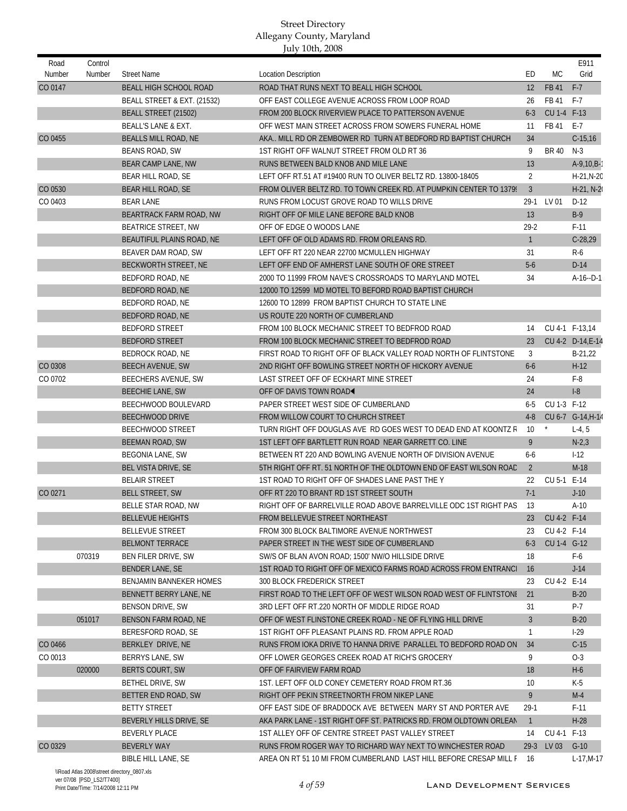| Road<br>Number | Control<br>Number | <b>Street Name</b>             | <b>Location Description</b>                                        | ED             | <b>MC</b>    | E911<br>Grid      |
|----------------|-------------------|--------------------------------|--------------------------------------------------------------------|----------------|--------------|-------------------|
| CO 0147        |                   | BEALL HIGH SCHOOL ROAD         | ROAD THAT RUNS NEXT TO BEALL HIGH SCHOOL                           | 12             | FB 41        | $F-7$             |
|                |                   | BEALL STREET & EXT. (21532)    | OFF EAST COLLEGE AVENUE ACROSS FROM LOOP ROAD                      | 26             | FB 41        | $F-7$             |
|                |                   | BEALL STREET (21502)           | FROM 200 BLOCK RIVERVIEW PLACE TO PATTERSON AVENUE                 | $6 - 3$        | CU 1-4 F-13  |                   |
|                |                   | <b>BEALL'S LANE &amp; EXT.</b> | OFF WEST MAIN STREET ACROSS FROM SOWERS FUNERAL HOME               | 11             | FB 41        | $E-7$             |
| CO 0455        |                   | BEALLS MILL ROAD, NE           | AKA MILL RD OR ZEMBOWER RD TURN AT BEDFORD RD BAPTIST CHURCH       | 34             |              | $C-15,16$         |
|                |                   | BEANS ROAD, SW                 | 1ST RIGHT OFF WALNUT STREET FROM OLD RT 36                         | 9              | <b>BR 40</b> | $N-3$             |
|                |                   | <b>BEAR CAMP LANE, NW</b>      | RUNS BETWEEN BALD KNOB AND MILE LANE                               | 13             |              | $A-9,10,B-$       |
|                |                   | BEAR HILL ROAD, SE             | LEFT OFF RT.51 AT #19400 RUN TO OLIVER BELTZ RD. 13800-18405       | $\overline{2}$ |              | $H-21,N-20$       |
| CO 0530        |                   | <b>BEAR HILL ROAD, SE</b>      | FROM OLIVER BELTZ RD. TO TOWN CREEK RD. AT PUMPKIN CENTER TO 1379  | 3              |              | H-21, N-2         |
| CO 0403        |                   | <b>BEAR LANE</b>               | RUNS FROM LOCUST GROVE ROAD TO WILLS DRIVE                         | 29-1           | LV 01        | $D-12$            |
|                |                   | BEARTRACK FARM ROAD, NW        | RIGHT OFF OF MILE LANE BEFORE BALD KNOB                            | 13             |              | $B-9$             |
|                |                   | <b>BEATRICE STREET, NW</b>     | OFF OF EDGE O WOODS LANE                                           | $29-2$         |              | $F-11$            |
|                |                   | BEAUTIFUL PLAINS ROAD, NE      | LEFT OFF OF OLD ADAMS RD. FROM ORLEANS RD.                         | $\mathbf{1}$   |              | $C-28,29$         |
|                |                   | BEAVER DAM ROAD, SW            | LEFT OFF RT 220 NEAR 22700 MCMULLEN HIGHWAY                        | 31             |              | R-6               |
|                |                   | BECKWORTH STREET, NE           | LEFT OFF END OF AMHERST LANE SOUTH OF ORE STREET                   | $5-6$          |              | $D-14$            |
|                |                   | BEDFORD ROAD, NE               | 2000 TO 11999 FROM NAVE'S CROSSROADS TO MARYLAND MOTEL             | 34             |              | $A-16-D-1$        |
|                |                   | BEDFORD ROAD, NE               | 12000 TO 12599 MD MOTEL TO BEFORD ROAD BAPTIST CHURCH              |                |              |                   |
|                |                   | <b>BEDFORD ROAD, NE</b>        | 12600 TO 12899 FROM BAPTIST CHURCH TO STATE LINE                   |                |              |                   |
|                |                   | BEDFORD ROAD, NE               | US ROUTE 220 NORTH OF CUMBERLAND                                   |                |              |                   |
|                |                   | <b>BEDFORD STREET</b>          | FROM 100 BLOCK MECHANIC STREET TO BEDFROD ROAD                     | 14             |              | CU 4-1 F-13,14    |
|                |                   | <b>BEDFORD STREET</b>          | FROM 100 BLOCK MECHANIC STREET TO BEDFROD ROAD                     | 23             |              | CU 4-2 D-14, E-14 |
|                |                   | BEDROCK ROAD, NE               | FIRST ROAD TO RIGHT OFF OF BLACK VALLEY ROAD NORTH OF FLINTSTONE   | 3              |              | $B-21,22$         |
| CO 0308        |                   | <b>BEECH AVENUE, SW</b>        | 2ND RIGHT OFF BOWLING STREET NORTH OF HICKORY AVENUE               | $6-6$          |              | $H-12$            |
| CO 0702        |                   | <b>BEECHERS AVENUE, SW</b>     | LAST STREET OFF OF ECKHART MINE STREET                             | 24             |              | $F-8$             |
|                |                   | <b>BEECHIE LANE, SW</b>        | OFF OF DAVIS TOWN ROAD                                             | 24             |              | $I-8$             |
|                |                   | BEECHWOOD BOULEVARD            | PAPER STREET WEST SIDE OF CUMBERLAND                               | $6 - 5$        | CU 1-3 F-12  |                   |
|                |                   | <b>BEECHWOOD DRIVE</b>         | FROM WILLOW COURT TO CHURCH STREET                                 | $4 - 8$        |              | CU 6-7 G-14, H-14 |
|                |                   | <b>BEECHWOOD STREET</b>        | TURN RIGHT OFF DOUGLAS AVE RD GOES WEST TO DEAD END AT KOONTZ R    | 10             |              | $L-4, 5$          |
|                |                   | <b>BEEMAN ROAD, SW</b>         | 1ST LEFT OFF BARTLETT RUN ROAD NEAR GARRETT CO. LINE               | 9              |              | $N-2,3$           |
|                |                   | BEGONIA LANE, SW               | BETWEEN RT 220 AND BOWLING AVENUE NORTH OF DIVISION AVENUE         | $6-6$          |              | $1-12$            |
|                |                   | BEL VISTA DRIVE, SE            | 5TH RIGHT OFF RT. 51 NORTH OF THE OLDTOWN END OF EAST WILSON ROAD  | $\overline{2}$ |              | $M-18$            |
|                |                   | <b>BELAIR STREET</b>           | 1ST ROAD TO RIGHT OFF OF SHADES LANE PAST THE Y                    | 22             | CU 5-1 E-14  |                   |
| CO 0271        |                   | <b>BELL STREET, SW</b>         | OFF RT 220 TO BRANT RD 1ST STREET SOUTH                            | $7-1$          |              | $J-10$            |
|                |                   | BELLE STAR ROAD, NW            | RIGHT OFF OF BARRELVILLE ROAD ABOVE BARRELVILLE ODC 1ST RIGHT PAS  | 13             |              | $A-10$            |
|                |                   | <b>BELLEVUE HEIGHTS</b>        | FROM BELLEVUE STREET NORTHEAST                                     | 23             | CU 4-2 F-14  |                   |
|                |                   | <b>BELLEVUE STREET</b>         | FROM 300 BLOCK BALTIMORE AVENUE NORTHWEST                          | 23             | CU 4-2 F-14  |                   |
|                |                   | <b>BELMONT TERRACE</b>         | PAPER STREET IN THE WEST SIDE OF CUMBERLAND                        | $6 - 3$        | CU 1-4 G-12  |                   |
|                | 070319            | BEN FILER DRIVE, SW            | SW/S OF BLAN AVON ROAD; 1500' NW/O HILLSIDE DRIVE                  | 18             |              | F-6               |
|                |                   | <b>BENDER LANE, SE</b>         | 1ST ROAD TO RIGHT OFF OF MEXICO FARMS ROAD ACROSS FROM ENTRANCI    | 16             |              | $J-14$            |
|                |                   | BENJAMIN BANNEKER HOMES        | <b>300 BLOCK FREDERICK STREET</b>                                  | 23             | CU 4-2 E-14  |                   |
|                |                   | BENNETT BERRY LANE, NE         | FIRST ROAD TO THE LEFT OFF OF WEST WILSON ROAD WEST OF FLINTSTONI  | 21             |              | $B-20$            |
|                |                   | <b>BENSON DRIVE, SW</b>        | 3RD LEFT OFF RT.220 NORTH OF MIDDLE RIDGE ROAD                     | 31             |              | $P-7$             |
|                | 051017            | BENSON FARM ROAD, NE           | OFF OF WEST FLINSTONE CREEK ROAD - NE OF FLYING HILL DRIVE         | $\mathfrak{Z}$ |              | $B-20$            |
|                |                   | BERESFORD ROAD, SE             | 1ST RIGHT OFF PLEASANT PLAINS RD. FROM APPLE ROAD                  | $\mathbf{1}$   |              | $1-29$            |
| CO 0466        |                   | BERKLEY DRIVE, NE              | RUNS FROM JOKA DRIVE TO HANNA DRIVE PARALLEL TO BEDFORD ROAD ON    | 34             |              | $C-15$            |
| CO 0013        |                   | BERRYS LANE, SW                | OFF LOWER GEORGES CREEK ROAD AT RICH'S GROCERY                     | 9              |              | $O-3$             |
|                | 020000            | <b>BERTS COURT, SW</b>         | OFF OF FAIRVIEW FARM ROAD                                          | 18             |              | $H-6$             |
|                |                   | BETHEL DRIVE, SW               | 1ST. LEFT OFF OLD CONEY CEMETERY ROAD FROM RT.36                   | 10             |              | K-5               |
|                |                   | BETTER END ROAD, SW            | RIGHT OFF PEKIN STREETNORTH FROM NIKEP LANE                        | 9              |              | $M-4$             |
|                |                   | <b>BETTY STREET</b>            | OFF EAST SIDE OF BRADDOCK AVE BETWEEN MARY ST AND PORTER AVE       | 29-1           |              | $F-11$            |
|                |                   | BEVERLY HILLS DRIVE, SE        | AKA PARK LANE - 1ST RIGHT OFF ST. PATRICKS RD. FROM OLDTOWN ORLEAN | $\overline{1}$ |              | $H-28$            |
|                |                   | <b>BEVERLY PLACE</b>           | 1ST ALLEY OFF OF CENTRE STREET PAST VALLEY STREET                  | 14             | CU 4-1 F-13  |                   |
| CO 0329        |                   | <b>BEVERLY WAY</b>             | RUNS FROM ROGER WAY TO RICHARD WAY NEXT TO WINCHESTER ROAD         | $29-3$         | LV 03        | $G-10$            |
|                |                   | BIBLE HILL LANE, SE            | AREA ON RT 51 10 MI FROM CUMBERLAND LAST HILL BEFORE CRESAP MILL F | -16            |              | L-17,M-17         |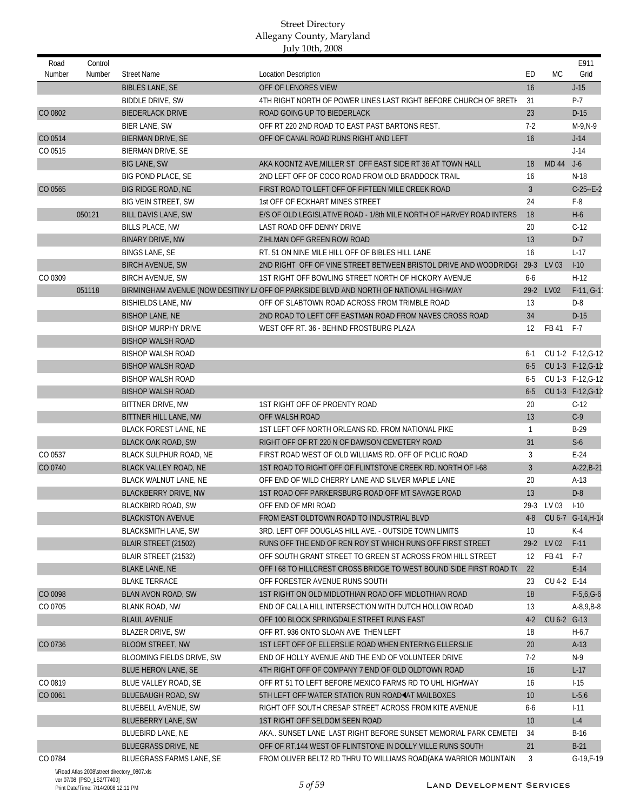| Road    | Control |                              |                                                                                      | <b>ED</b>      | <b>MC</b>    | E911              |
|---------|---------|------------------------------|--------------------------------------------------------------------------------------|----------------|--------------|-------------------|
| Number  | Number  | <b>Street Name</b>           | <b>Location Description</b>                                                          |                |              | Grid              |
|         |         | <b>BIBLES LANE, SE</b>       | OFF OF LENORES VIEW                                                                  | 16             |              | $J-15$            |
|         |         | <b>BIDDLE DRIVE, SW</b>      | 4TH RIGHT NORTH OF POWER LINES LAST RIGHT BEFORE CHURCH OF BRETH                     | 31             |              | $P-7$             |
| CO 0802 |         | <b>BIEDERLACK DRIVE</b>      | ROAD GOING UP TO BIEDERLACK                                                          | 23             |              | $D-15$            |
|         |         | <b>BIER LANE, SW</b>         | OFF RT 220 2ND ROAD TO EAST PAST BARTONS REST.                                       | $7-2$          |              | $M-9,N-9$         |
| CO 0514 |         | <b>BIERMAN DRIVE, SE</b>     | OFF OF CANAL ROAD RUNS RIGHT AND LEFT                                                | 16             |              | $J-14$            |
| CO 0515 |         | BIERMAN DRIVE, SE            |                                                                                      |                |              | $J-14$            |
|         |         | <b>BIG LANE, SW</b>          | AKA KOONTZ AVE MILLER ST OFF EAST SIDE RT 36 AT TOWN HALL                            | 18             | <b>MD 44</b> | $J-6$             |
|         |         | BIG POND PLACE, SE           | 2ND LEFT OFF OF COCO ROAD FROM OLD BRADDOCK TRAIL                                    | 16             |              | $N-18$            |
| CO 0565 |         | BIG RIDGE ROAD, NE           | FIRST ROAD TO LEFT OFF OF FIFTEEN MILE CREEK ROAD                                    | $\overline{3}$ |              | $C-25-E-2$        |
|         |         | <b>BIG VEIN STREET, SW</b>   | 1st OFF OF ECKHART MINES STREET                                                      | 24             |              | $F-8$             |
|         | 050121  | <b>BILL DAVIS LANE, SW</b>   | E/S OF OLD LEGISLATIVE ROAD - 1/8th MILE NORTH OF HARVEY ROAD INTERS                 | 18             |              | $H-6$             |
|         |         | <b>BILLS PLACE, NW</b>       | LAST ROAD OFF DENNY DRIVE                                                            | 20             |              | $C-12$            |
|         |         | <b>BINARY DRIVE, NW</b>      | ZIHLMAN OFF GREEN ROW ROAD                                                           | 13             |              | $D-7$             |
|         |         | BINGS LANE, SE               | RT. 51 ON NINE MILE HILL OFF OF BIBLES HILL LANE                                     | 16             |              | $L-17$            |
|         |         | <b>BIRCH AVENUE, SW</b>      | 2ND RIGHT OFF OF VINE STREET BETWEEN BRISTOL DRIVE AND WOODRIDGI                     | $29-3$         | LV 03        | $I-10$            |
| CO 0309 |         | <b>BIRCH AVENUE, SW</b>      | 1ST RIGHT OFF BOWLING STREET NORTH OF HICKORY AVENUE                                 | $6-6$          |              | $H-12$            |
|         | 051118  |                              | BIRMINGHAM AVENUE (NOW DESITINY LAOFF OF PARKSIDE BLVD AND NORTH OF NATIONAL HIGHWAY | $29-2$         | <b>LV02</b>  | $F-11, G-1$       |
|         |         | <b>BISHIELDS LANE, NW</b>    | OFF OF SLABTOWN ROAD ACROSS FROM TRIMBLE ROAD                                        | 13             |              | $D-8$             |
|         |         | <b>BISHOP LANE, NE</b>       | 2ND ROAD TO LEFT OFF EASTMAN ROAD FROM NAVES CROSS ROAD                              | 34             |              | $D-15$            |
|         |         | <b>BISHOP MURPHY DRIVE</b>   | WEST OFF RT. 36 - BEHIND FROSTBURG PLAZA                                             | 12             | FB 41        | $F-7$             |
|         |         | <b>BISHOP WALSH ROAD</b>     |                                                                                      |                |              |                   |
|         |         | <b>BISHOP WALSH ROAD</b>     |                                                                                      | 6-1            |              | CU 1-2 F-12, G-12 |
|         |         | <b>BISHOP WALSH ROAD</b>     |                                                                                      | $6 - 5$        |              | CU 1-3 F-12, G-12 |
|         |         | <b>BISHOP WALSH ROAD</b>     |                                                                                      | 6-5            |              | CU 1-3 F-12, G-12 |
|         |         | <b>BISHOP WALSH ROAD</b>     |                                                                                      | $6-5$          |              | CU 1-3 F-12, G-12 |
|         |         | BITTNER DRIVE, NW            | 1ST RIGHT OFF OF PROENTY ROAD                                                        | 20             |              | $C-12$            |
|         |         | BITTNER HILL LANE, NW        | OFF WALSH ROAD                                                                       | 13             |              | $C-9$             |
|         |         | <b>BLACK FOREST LANE, NE</b> | 1ST LEFT OFF NORTH ORLEANS RD. FROM NATIONAL PIKE                                    | $\mathbf{1}$   |              | $B-29$            |
|         |         | <b>BLACK OAK ROAD, SW</b>    | RIGHT OFF OF RT 220 N OF DAWSON CEMETERY ROAD                                        | 31             |              | $S-6$             |
| CO 0537 |         | BLACK SULPHUR ROAD, NE       | FIRST ROAD WEST OF OLD WILLIAMS RD. OFF OF PICLIC ROAD                               | 3              |              | $E-24$            |
| CO 0740 |         | BLACK VALLEY ROAD, NE        | 1ST ROAD TO RIGHT OFF OF FLINTSTONE CREEK RD. NORTH OF 1-68                          | $\overline{3}$ |              | $A-22,B-21$       |
|         |         | BLACK WALNUT LANE, NE        | OFF END OF WILD CHERRY LANE AND SILVER MAPLE LANE                                    | 20             |              | $A-13$            |
|         |         | <b>BLACKBERRY DRIVE, NW</b>  | 1ST ROAD OFF PARKERSBURG ROAD OFF MT SAVAGE ROAD                                     | 13             |              | $D-8$             |
|         |         | <b>BLACKBIRD ROAD, SW</b>    | OFF END OF MRI ROAD                                                                  |                | 29-3 LV 03   | $1 - 10$          |
|         |         | <b>BLACKISTON AVENUE</b>     | FROM EAST OLDTOWN ROAD TO INDUSTRIAL BLVD                                            | $4 - 8$        |              | CU 6-7 G-14, H-14 |
|         |         | <b>BLACKSMITH LANE, SW</b>   | 3RD. LEFT OFF DOUGLAS HILL AVE. - OUTSIDE TOWN LIMITS                                | 10             |              | K-4               |
|         |         | BLAIR STREET (21502)         | RUNS OFF THE END OF REN ROY ST WHICH RUNS OFF FIRST STREET                           | $29-2$         | LV 02        | $F-11$            |
|         |         | BLAIR STREET (21532)         | OFF SOUTH GRANT STREET TO GREEN ST ACROSS FROM HILL STREET                           | 12             | FB 41        | F-7               |
|         |         | <b>BLAKE LANE, NE</b>        | OFF I 68 TO HILLCREST CROSS BRIDGE TO WEST BOUND SIDE FIRST ROAD TO                  | 22             |              | $E-14$            |
|         |         | <b>BLAKE TERRACE</b>         | OFF FORESTER AVENUE RUNS SOUTH                                                       | 23             | CU 4-2 E-14  |                   |
| CO 0098 |         | <b>BLAN AVON ROAD, SW</b>    | 1ST RIGHT ON OLD MIDLOTHIAN ROAD OFF MIDLOTHIAN ROAD                                 | 18             |              | $F-5, 6, G-6$     |
| CO 0705 |         | <b>BLANK ROAD, NW</b>        | END OF CALLA HILL INTERSECTION WITH DUTCH HOLLOW ROAD                                | 13             |              | $A-8,9,B-8$       |
|         |         | <b>BLAUL AVENUE</b>          | OFF 100 BLOCK SPRINGDALE STREET RUNS EAST                                            | $4-2$          | CU 6-2 G-13  |                   |
|         |         | <b>BLAZER DRIVE, SW</b>      | OFF RT. 936 ONTO SLOAN AVE THEN LEFT                                                 | 18             |              | $H-6.7$           |
| CO 0736 |         | <b>BLOOM STREET, NW</b>      | 1ST LEFT OFF OF ELLERSLIE ROAD WHEN ENTERING ELLERSLIE                               | 20             |              | $A-13$            |
|         |         | BLOOMING FIELDS DRIVE, SW    | END OF HOLLY AVENUE AND THE END OF VOLUNTEER DRIVE                                   | $7-2$          |              | N-9               |
|         |         | BLUE HERON LANE, SE          | 4TH RIGHT OFF OF COMPANY 7 END OF OLD OLDTOWN ROAD                                   | 16             |              | $L-17$            |
| CO 0819 |         | BLUE VALLEY ROAD, SE         | OFF RT 51 TO LEFT BEFORE MEXICO FARMS RD TO UHL HIGHWAY                              | 16             |              | $1-15$            |
| CO 0061 |         | <b>BLUEBAUGH ROAD, SW</b>    | 5TH LEFT OFF WATER STATION RUN ROAD AT MAILBOXES                                     | 10             |              | $L-5,6$           |
|         |         | <b>BLUEBELL AVENUE, SW</b>   | RIGHT OFF SOUTH CRESAP STREET ACROSS FROM KITE AVENUE                                | 6-6            |              | $1 - 11$          |
|         |         | <b>BLUEBERRY LANE, SW</b>    | 1ST RIGHT OFF SELDOM SEEN ROAD                                                       | 10             |              | $L-4$             |
|         |         | BLUEBIRD LANE, NE            | AKA SUNSET LANE LAST RIGHT BEFORE SUNSET MEMORIAL PARK CEMETE                        | 34             |              | $B-16$            |
|         |         | <b>BLUEGRASS DRIVE, NE</b>   | OFF OF RT.144 WEST OF FLINTSTONE IN DOLLY VILLE RUNS SOUTH                           | 21             |              | $B-21$            |
| CO 0784 |         | BLUEGRASS FARMS LANE, SE     | FROM OLIVER BELTZ RD THRU TO WILLIAMS ROAD(AKA WARRIOR MOUNTAIN                      | 3              |              | G-19, F-19        |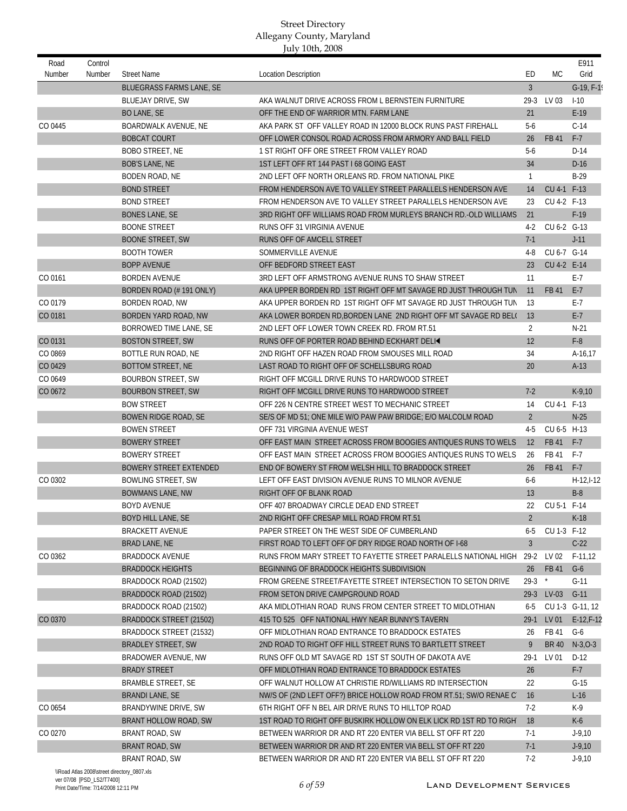| Road<br>Number | Control<br>Number | <b>Street Name</b>             | <b>Location Description</b>                                        | ED             | МC           | E911<br>Grid    |
|----------------|-------------------|--------------------------------|--------------------------------------------------------------------|----------------|--------------|-----------------|
|                |                   | BLUEGRASS FARMS LANE, SE       |                                                                    | 3              |              | G-19, F-1       |
|                |                   | <b>BLUEJAY DRIVE, SW</b>       | AKA WALNUT DRIVE ACROSS FROM L BERNSTEIN FURNITURE                 | $29-3$         | LV 03        | $1-10$          |
|                |                   | <b>BO LANE, SE</b>             | OFF THE END OF WARRIOR MTN. FARM LANE                              | 21             |              | $E-19$          |
| CO 0445        |                   | BOARDWALK AVENUE, NE           | AKA PARK STORE VALLEY ROAD IN 12000 BLOCK RUNS PAST FIREHALL       | $5-6$          |              | $C-14$          |
|                |                   | <b>BOBCAT COURT</b>            | OFF LOWER CONSOL ROAD ACROSS FROM ARMORY AND BALL FIELD            | 26             | FB 41        | $F-7$           |
|                |                   | <b>BOBO STREET, NE</b>         | 1 ST RIGHT OFF ORE STREET FROM VALLEY ROAD                         | $5-6$          |              | $D-14$          |
|                |                   | <b>BOB'S LANE, NE</b>          | 1ST LEFT OFF RT 144 PAST I 68 GOING EAST                           | 34             |              | $D-16$          |
|                |                   | <b>BODEN ROAD, NE</b>          | 2ND LEFT OFF NORTH ORLEANS RD. FROM NATIONAL PIKE                  | $\mathbf{1}$   |              | $B-29$          |
|                |                   | <b>BOND STREET</b>             | FROM HENDERSON AVE TO VALLEY STREET PARALLELS HENDERSON AVE        | 14             | CU 4-1 F-13  |                 |
|                |                   | <b>BOND STREET</b>             | FROM HENDERSON AVE TO VALLEY STREET PARALLELS HENDERSON AVE        | 23             | CU 4-2 F-13  |                 |
|                |                   | <b>BONES LANE, SE</b>          | 3RD RIGHT OFF WILLIAMS ROAD FROM MURLEYS BRANCH RD. -OLD WILLIAMS  | 21             |              | $F-19$          |
|                |                   | <b>BOONE STREET</b>            | RUNS OFF 31 VIRGINIA AVENUE                                        | $4-2$          | CU 6-2 G-13  |                 |
|                |                   | <b>BOONE STREET, SW</b>        | RUNS OFF OF AMCELL STREET                                          | $7-1$          |              | $J-11$          |
|                |                   | <b>BOOTH TOWER</b>             | SOMMERVILLE AVENUE                                                 | 4-8            | CU 6-7 G-14  |                 |
|                |                   | <b>BOPP AVENUE</b>             | OFF BEDFORD STREET EAST                                            | 23             | CU 4-2 E-14  |                 |
| CO 0161        |                   | <b>BORDEN AVENUE</b>           | 3RD LEFT OFF ARMSTRONG AVENUE RUNS TO SHAW STREET                  | 11             |              | E-7             |
|                |                   | BORDEN ROAD (#191 ONLY)        | AKA UPPER BORDEN RD 1ST RIGHT OFF MT SAVAGE RD JUST THROUGH TUN    | 11             | FB 41        | $E-7$           |
| CO 0179        |                   | BORDEN ROAD, NW                | AKA UPPER BORDEN RD 1ST RIGHT OFF MT SAVAGE RD JUST THROUGH TUN    | -13            |              | $E-7$           |
|                |                   |                                |                                                                    | 13             |              | $E-7$           |
| CO 0181        |                   | BORDEN YARD ROAD, NW           | AKA LOWER BORDEN RD, BORDEN LANE 2ND RIGHT OFF MT SAVAGE RD BELI   |                |              |                 |
|                |                   | BORROWED TIME LANE, SE         | 2ND LEFT OFF LOWER TOWN CREEK RD. FROM RT.51                       | $\overline{2}$ |              | $N-21$          |
| CO 0131        |                   | <b>BOSTON STREET, SW</b>       | RUNS OFF OF PORTER ROAD BEHIND ECKHART DELI                        | 12             |              | $F-8$           |
| CO 0869        |                   | BOTTLE RUN ROAD, NE            | 2ND RIGHT OFF HAZEN ROAD FROM SMOUSES MILL ROAD                    | 34             |              | A-16,17         |
| CO 0429        |                   | BOTTOM STREET, NE              | LAST ROAD TO RIGHT OFF OF SCHELLSBURG ROAD                         | 20             |              | $A-13$          |
| CO 0649        |                   | <b>BOURBON STREET, SW</b>      | RIGHT OFF MCGILL DRIVE RUNS TO HARDWOOD STREET                     |                |              |                 |
| CO 0672        |                   | <b>BOURBON STREET, SW</b>      | RIGHT OFF MCGILL DRIVE RUNS TO HARDWOOD STREET                     | $7-2$          |              | $K-9,10$        |
|                |                   | <b>BOW STREET</b>              | OFF 226 N CENTRE STREET WEST TO MECHANIC STREET                    | 14             | CU 4-1 F-13  |                 |
|                |                   | BOWEN RIDGE ROAD, SE           | SE/S OF MD 51; ONE MILE W/O PAW PAW BRIDGE; E/O MALCOLM ROAD       | $\overline{2}$ |              | $N-25$          |
|                |                   | <b>BOWEN STREET</b>            | OFF 731 VIRGINIA AVENUE WEST                                       | 4-5            | CU 6-5 H-13  |                 |
|                |                   | <b>BOWERY STREET</b>           | OFF EAST MAIN STREET ACROSS FROM BOOGIES ANTIQUES RUNS TO WELS     | 12             | FB 41        | $F-7$           |
|                |                   | <b>BOWERY STREET</b>           | OFF EAST MAIN STREET ACROSS FROM BOOGIES ANTIQUES RUNS TO WELS     | 26             | FB 41        | $F-7$           |
|                |                   | <b>BOWERY STREET EXTENDED</b>  | END OF BOWERY ST FROM WELSH HILL TO BRADDOCK STREET                | 26             | FB 41        | $F-7$           |
| CO 0302        |                   | <b>BOWLING STREET, SW</b>      | LEFT OFF EAST DIVISION AVENUE RUNS TO MILNOR AVENUE                | $6-6$          |              | $H-12, I-12$    |
|                |                   | <b>BOWMANS LANE, NW</b>        | RIGHT OFF OF BLANK ROAD                                            | 13             |              | $B-8$           |
|                |                   | <b>BOYD AVENUE</b>             | OFF 407 BROADWAY CIRCLE DEAD END STREET                            | 22             | CU 5-1 F-14  |                 |
|                |                   | BOYD HILL LANE, SE             | 2ND RIGHT OFF CRESAP MILL ROAD FROM RT.51                          | $\overline{2}$ |              | $K-18$          |
|                |                   | <b>BRACKETT AVENUE</b>         | PAPER STREET ON THE WEST SIDE OF CUMBERLAND                        | 6-5            | CU 1-3 F-12  |                 |
|                |                   | <b>BRAD LANE, NE</b>           | FIRST ROAD TO LEFT OFF OF DRY RIDGE ROAD NORTH OF I-68             | $\mathfrak{Z}$ |              | $C-22$          |
| CO 0362        |                   | <b>BRADDOCK AVENUE</b>         | RUNS FROM MARY STREET TO FAYETTE STREET PARALELLS NATIONAL HIGH    | $29-2$         | LV 02        | $F-11.12$       |
|                |                   | <b>BRADDOCK HEIGHTS</b>        | BEGINNING OF BRADDOCK HEIGHTS SUBDIVISION                          | 26             | FB 41        | $G-6$           |
|                |                   | BRADDOCK ROAD (21502)          | FROM GREENE STREET/FAYETTE STREET INTERSECTION TO SETON DRIVE      | $29-3$         | $^\star$     | $G-11$          |
|                |                   | BRADDOCK ROAD (21502)          | FROM SETON DRIVE CAMPGROUND ROAD                                   | $29-3$         | $LV-03$      | $G-11$          |
|                |                   | BRADDOCK ROAD (21502)          | AKA MIDLOTHIAN ROAD RUNS FROM CENTER STREET TO MIDLOTHIAN          | 6-5            |              | CU 1-3 G-11, 12 |
| CO 0370        |                   | <b>BRADDOCK STREET (21502)</b> | 415 TO 525 OFF NATIONAL HWY NEAR BUNNY'S TAVERN                    | $29-1$         | LV 01        | $E-12, F-12$    |
|                |                   | BRADDOCK STREET (21532)        | OFF MIDLOTHIAN ROAD ENTRANCE TO BRADDOCK ESTATES                   | 26             | FB 41        | $G-6$           |
|                |                   | <b>BRADLEY STREET, SW</b>      | 2ND ROAD TO RIGHT OFF HILL STREET RUNS TO BARTLETT STREET          | 9              | <b>BR 40</b> | $N-3, O-3$      |
|                |                   | BRADOWER AVENUE, NW            | RUNS OFF OLD MT SAVAGE RD 1ST ST SOUTH OF DAKOTA AVE               | $29-1$         | LV 01        | $D-12$          |
|                |                   | <b>BRADY STREET</b>            | OFF MIDLOTHIAN ROAD ENTRANCE TO BRADDOCK ESTATES                   | 26             |              | $F-7$           |
|                |                   | BRAMBLE STREET, SE             | OFF WALNUT HOLLOW AT CHRISTIE RD/WILLIAMS RD INTERSECTION          | 22             |              | $G-15$          |
|                |                   | <b>BRANDI LANE, SE</b>         | NW/S OF (2ND LEFT OFF?) BRICE HOLLOW ROAD FROM RT.51; SW/O RENAE C | 16             |              | $L-16$          |
| CO 0654        |                   | BRANDYWINE DRIVE, SW           | 6TH RIGHT OFF N BEL AIR DRIVE RUNS TO HILLTOP ROAD                 | $7-2$          |              | K-9             |
|                |                   | BRANT HOLLOW ROAD, SW          | 1ST ROAD TO RIGHT OFF BUSKIRK HOLLOW ON ELK LICK RD 1ST RD TO RIGH | 18             |              | $K-6$           |
| CO 0270        |                   | <b>BRANT ROAD, SW</b>          | BETWEEN WARRIOR DR AND RT 220 ENTER VIA BELL ST OFF RT 220         | $7-1$          |              | $J - 9,10$      |
|                |                   | <b>BRANT ROAD, SW</b>          | BETWEEN WARRIOR DR AND RT 220 ENTER VIA BELL ST OFF RT 220         | $7-1$          |              | $J-9,10$        |
|                |                   | <b>BRANT ROAD, SW</b>          | BETWEEN WARRIOR DR AND RT 220 ENTER VIA BELL ST OFF RT 220         | $7-2$          |              | $J - 9,10$      |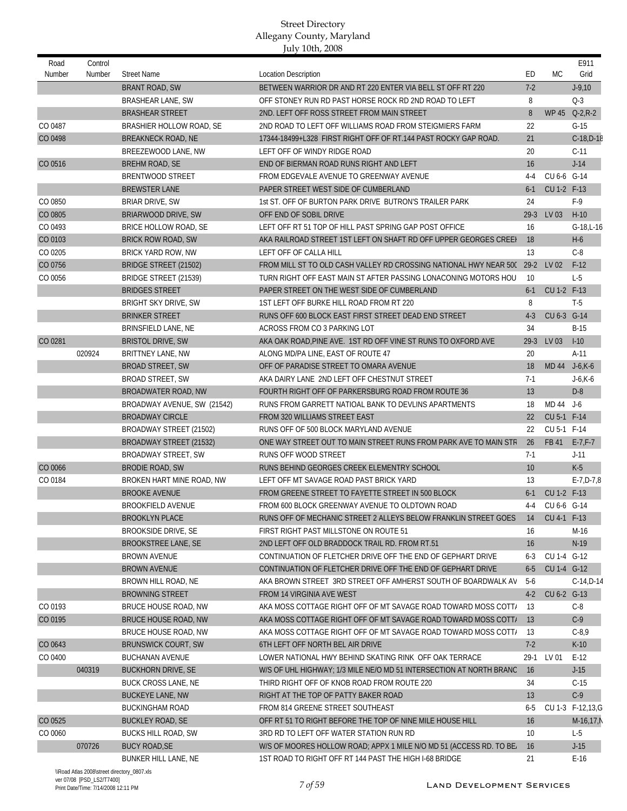| Road    | Control |                             |                                                                        |                 |              | E911              |
|---------|---------|-----------------------------|------------------------------------------------------------------------|-----------------|--------------|-------------------|
| Number  | Number  | <b>Street Name</b>          | <b>Location Description</b>                                            | ED              | МC           | Grid              |
|         |         | <b>BRANT ROAD, SW</b>       | BETWEEN WARRIOR DR AND RT 220 ENTER VIA BELL ST OFF RT 220             | $7-2$           |              | $J - 9,10$        |
|         |         | <b>BRASHEAR LANE, SW</b>    | OFF STONEY RUN RD PAST HORSE ROCK RD 2ND ROAD TO LEFT                  | 8               |              | $Q-3$             |
|         |         | <b>BRASHEAR STREET</b>      | 2ND. LEFT OFF ROSS STREET FROM MAIN STREET                             | 8               | <b>WP 45</b> | $Q - 2, R - 2$    |
| CO 0487 |         | BRASHIER HOLLOW ROAD, SE    | 2ND ROAD TO LEFT OFF WILLIAMS ROAD FROM STEIGMIERS FARM                | 22              |              | $G-15$            |
| CO 0498 |         | BREAKNECK ROAD, NE          | 17344-18499+L328 FIRST RIGHT OFF OF RT.144 PAST ROCKY GAP ROAD.        | 21              |              | $C-18,D-18$       |
|         |         | BREEZEWOOD LANE, NW         | LEFT OFF OF WINDY RIDGE ROAD                                           | 20              |              | $C-11$            |
| CO 0516 |         | <b>BREHM ROAD, SE</b>       | END OF BIERMAN ROAD RUNS RIGHT AND LEFT                                | 16              |              | $J-14$            |
|         |         | BRENTWOOD STREET            | FROM EDGEVALE AVENUE TO GREENWAY AVENUE                                | $4 - 4$         | CU 6-6 G-14  |                   |
|         |         | <b>BREWSTER LANE</b>        | PAPER STREET WEST SIDE OF CUMBERLAND                                   | $6 - 1$         | CU 1-2 F-13  |                   |
| CO 0850 |         | <b>BRIAR DRIVE, SW</b>      | 1st ST. OFF OF BURTON PARK DRIVE BUTRON'S TRAILER PARK                 | 24              |              | $F-9$             |
| CO 0805 |         | BRIARWOOD DRIVE, SW         | OFF END OF SOBIL DRIVE                                                 | $29-3$          | LV 03        | $H-10$            |
| CO 0493 |         | BRICE HOLLOW ROAD, SE       | LEFT OFF RT 51 TOP OF HILL PAST SPRING GAP POST OFFICE                 | 16              |              | $G-18,L-16$       |
| CO 0103 |         | <b>BRICK ROW ROAD, SW</b>   | AKA RAILROAD STREET 1ST LEFT ON SHAFT RD OFF UPPER GEORGES CREEI       | 18              |              | $H-6$             |
| CO 0205 |         | BRICK YARD ROW, NW          | LEFT OFF OF CALLA HILL                                                 | 13              |              | $C-8$             |
| CO 0756 |         | BRIDGE STREET (21502)       | FROM MILL ST TO OLD CASH VALLEY RD CROSSING NATIONAL HWY NEAR 50(29-2) |                 | LV 02        | $F-12$            |
| CO 0056 |         | BRIDGE STREET (21539)       | TURN RIGHT OFF EAST MAIN ST AFTER PASSING LONACONING MOTORS HOU        | 10              |              | $L-5$             |
|         |         | <b>BRIDGES STREET</b>       | PAPER STREET ON THE WEST SIDE OF CUMBERLAND                            | $6-1$           | CU 1-2 F-13  |                   |
|         |         | <b>BRIGHT SKY DRIVE, SW</b> | 1ST LEFT OFF BURKE HILL ROAD FROM RT 220                               | 8               |              | $T-5$             |
|         |         | <b>BRINKER STREET</b>       | RUNS OFF 600 BLOCK EAST FIRST STREET DEAD END STREET                   | $4-3$           | CU 6-3 G-14  |                   |
|         |         | BRINSFIELD LANE, NE         | ACROSS FROM CO 3 PARKING LOT                                           | 34              |              | $B-15$            |
| CO 0281 |         | <b>BRISTOL DRIVE, SW</b>    | AKA OAK ROAD, PINE AVE. 1ST RD OFF VINE ST RUNS TO OXFORD AVE          | $29-3$          | LV 03        | $I-10$            |
|         | 020924  | BRITTNEY LANE, NW           | ALONG MD/PA LINE, EAST OF ROUTE 47                                     | 20              |              | $A-11$            |
|         |         | <b>BROAD STREET, SW</b>     | OFF OF PARADISE STREET TO OMARA AVENUE                                 | 18              |              | MD 44 J-6, K-6    |
|         |         | <b>BROAD STREET, SW</b>     | AKA DAIRY LANE 2ND LEFT OFF CHESTNUT STREET                            | $7-1$           |              | $J-6, K-6$        |
|         |         | BROADWATER ROAD, NW         | FOURTH RIGHT OFF OF PARKERSBURG ROAD FROM ROUTE 36                     | 13              |              | $D-8$             |
|         |         | BROADWAY AVENUE, SW (21542) | RUNS FROM GARRETT NATIOAL BANK TO DEVLINS APARTMENTS                   | 18              | MD 44        | $J-6$             |
|         |         | <b>BROADWAY CIRCLE</b>      | FROM 320 WILLIAMS STREET EAST                                          | 22              | CU 5-1 F-14  |                   |
|         |         | BROADWAY STREET (21502)     | RUNS OFF OF 500 BLOCK MARYLAND AVENUE                                  | 22              | CU 5-1 F-14  |                   |
|         |         | BROADWAY STREET (21532)     | ONE WAY STREET OUT TO MAIN STREET RUNS FROM PARK AVE TO MAIN STR       | 26              | FB 41        | $E - 7, F - 7$    |
|         |         | BROADWAY STREET, SW         | RUNS OFF WOOD STREET                                                   | $7-1$           |              | $J-11$            |
| CO 0066 |         | <b>BRODIE ROAD, SW</b>      | RUNS BEHIND GEORGES CREEK ELEMENTRY SCHOOL                             | 10 <sup>°</sup> |              | $K-5$             |
| CO 0184 |         | BROKEN HART MINE ROAD, NW   | LEFT OFF MT SAVAGE ROAD PAST BRICK YARD                                | 13              |              | $E - 7, D - 7, 8$ |
|         |         | <b>BROOKE AVENUE</b>        | FROM GREENE STREET TO FAYETTE STREET IN 500 BLOCK                      | $6-1$           | CU 1-2 F-13  |                   |
|         |         | <b>BROOKFIELD AVENUE</b>    | FROM 600 BLOCK GREENWAY AVENUE TO OLDTOWN ROAD                         | $4 - 4$         | CU 6-6 G-14  |                   |
|         |         | <b>BROOKLYN PLACE</b>       | RUNS OFF OF MECHANIC STREET 2 ALLEYS BELOW FRANKLIN STREET GOES        | 14              | CU 4-1 F-13  |                   |
|         |         | <b>BROOKSIDE DRIVE, SE</b>  | FIRST RIGHT PAST MILLSTONE ON ROUTE 51                                 | 16              |              | M-16              |
|         |         | <b>BROOKSTREE LANE, SE</b>  | 2ND LEFT OFF OLD BRADDOCK TRAIL RD. FROM RT.51                         | 16              |              | $N-19$            |
|         |         | <b>BROWN AVENUE</b>         | CONTINUATION OF FLETCHER DRIVE OFF THE END OF GEPHART DRIVE            | $6 - 3$         | CU 1-4 G-12  |                   |
|         |         | <b>BROWN AVENUE</b>         | CONTINUATION OF FLETCHER DRIVE OFF THE END OF GEPHART DRIVE            | $6 - 5$         | CU 1-4 G-12  |                   |
|         |         | BROWN HILL ROAD, NE         | AKA BROWN STREET 3RD STREET OFF AMHERST SOUTH OF BOARDWALK AV          | -5-6            |              | $C-14, D-14$      |
|         |         | <b>BROWNING STREET</b>      | FROM 14 VIRGINIA AVE WEST                                              | $4-2$           | CU 6-2 G-13  |                   |
| CO 0193 |         | BRUCE HOUSE ROAD, NW        | AKA MOSS COTTAGE RIGHT OFF OF MT SAVAGE ROAD TOWARD MOSS COTT          | 13              |              | $C-8$             |
| CO 0195 |         | BRUCE HOUSE ROAD, NW        | AKA MOSS COTTAGE RIGHT OFF OF MT SAVAGE ROAD TOWARD MOSS COTT.         | 13              |              | $C-9$             |
|         |         | BRUCE HOUSE ROAD, NW        | AKA MOSS COTTAGE RIGHT OFF OF MT SAVAGE ROAD TOWARD MOSS COTT.         | 13              |              | $C-8,9$           |
| CO 0643 |         | <b>BRUNSWICK COURT, SW</b>  | 6TH LEFT OFF NORTH BEL AIR DRIVE                                       | $7-2$           |              | $K-10$            |
| CO 0400 |         | <b>BUCHANAN AVENUE</b>      | LOWER NATIONAL HWY BEHIND SKATING RINK OFF OAK TERRACE                 | $29-1$          | LV 01        | $E-12$            |
|         | 040319  | <b>BUCKHORN DRIVE, SE</b>   | W/S OF UHL HIGHWAY; 1/3 MILE NE/O MD 51 INTERSECTION AT NORTH BRANC    | <b>16</b>       |              | $J-15$            |
|         |         | <b>BUCK CROSS LANE, NE</b>  | THIRD RIGHT OFF OF KNOB ROAD FROM ROUTE 220                            | 34              |              | $C-15$            |
|         |         | <b>BUCKEYE LANE, NW</b>     | RIGHT AT THE TOP OF PATTY BAKER ROAD                                   | 13              |              | $C-9$             |
|         |         | <b>BUCKINGHAM ROAD</b>      | FROM 814 GREENE STREET SOUTHEAST                                       | $6 - 5$         |              | CU 1-3 F-12,13,G  |
| CO 0525 |         | <b>BUCKLEY ROAD, SE</b>     | OFF RT 51 TO RIGHT BEFORE THE TOP OF NINE MILE HOUSE HILL              | 16              |              | M-16,17,N         |
| CO 0060 |         | <b>BUCKS HILL ROAD, SW</b>  | 3RD RD TO LEFT OFF WATER STATION RUN RD                                | 10              |              | $L-5$             |
|         | 070726  | <b>BUCY ROAD, SE</b>        | W/S OF MOORES HOLLOW ROAD; APPX 1 MILE N/O MD 51 (ACCESS RD. TO BE.    | 16              |              | $J-15$            |
|         |         | BUNKER HILL LANE, NE        | 1ST ROAD TO RIGHT OFF RT 144 PAST THE HIGH I-68 BRIDGE                 | 21              |              | $E-16$            |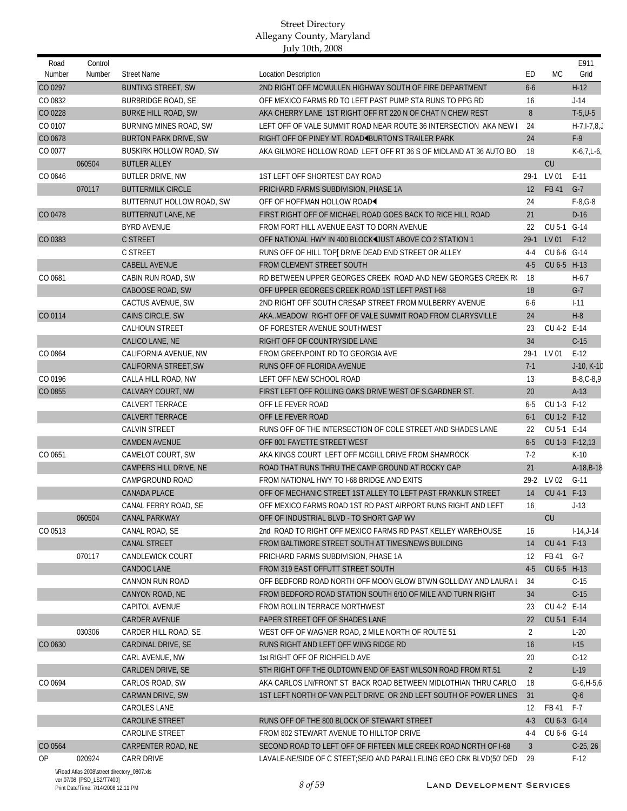| CO 0297<br>$H-12$<br><b>BUNTING STREET, SW</b><br>2ND RIGHT OFF MCMULLEN HIGHWAY SOUTH OF FIRE DEPARTMENT<br>$6-6$<br>CO 0832<br>$J-14$<br><b>BURBRIDGE ROAD, SE</b><br>OFF MEXICO FARMS RD TO LEFT PAST PUMP STA RUNS TO PPG RD<br>16<br>CO 0228<br>8<br>$T-5, U-5$<br><b>BURKE HILL ROAD, SW</b><br>AKA CHERRY LANE 1ST RIGHT OFF RT 220 N OF CHAT N CHEW REST<br>CO 0107<br><b>BURNING MINES ROAD, SW</b><br>LEFT OFF OF VALE SUMMIT ROAD NEAR ROUTE 36 INTERSECTION AKA NEW<br>24<br>$F-9$<br>CO 0678<br>24<br><b>BURTON PARK DRIVE, SW</b><br>RIGHT OFF OF PINEY MT. ROAD BURTON'S TRAILER PARK<br>CO 0077<br>18<br>BUSKIRK HOLLOW ROAD, SW<br>AKA GILMORE HOLLOW ROAD LEFT OFF RT 36 S OF MIDLAND AT 36 AUTO BO<br>$K-6,7,L-6$<br>CU<br>060504<br><b>BUTLER ALLEY</b><br>CO 0646<br>1ST LEFT OFF SHORTEST DAY ROAD<br>$29-1$<br>LV 01<br>$E-11$<br>BUTLER DRIVE, NW<br>$G-7$<br>070117<br><b>BUTTERMILK CIRCLE</b><br>PRICHARD FARMS SUBDIVISION, PHASE 1A<br>12<br>FB 41<br>24<br>$F-8, G-8$<br>BUTTERNUT HOLLOW ROAD, SW<br>OFF OF HOFFMAN HOLLOW ROAD<br>CO 0478<br>BUTTERNUT LANE, NE<br>FIRST RIGHT OFF OF MICHAEL ROAD GOES BACK TO RICE HILL ROAD<br>21<br>$D-16$<br>CU 5-1 G-14<br><b>BYRD AVENUE</b><br>FROM FORT HILL AVENUE EAST TO DORN AVENUE<br>22<br>LV 01<br>$F-12$<br>CO 0383<br><b>C STREET</b><br>OFF NATIONAL HWY IN 400 BLOCK JUST ABOVE CO 2 STATION 1<br>$29-1$<br>C STREET<br>RUNS OFF OF HILL TOP  DRIVE DEAD END STREET OR ALLEY<br>CU 6-6 G-14<br>$4 - 4$<br>CU 6-5 H-13<br>FROM CLEMENT STREET SOUTH<br>$4-5$<br><b>CABELL AVENUE</b><br>CO 0681<br>RD BETWEEN UPPER GEORGES CREEK ROAD AND NEW GEORGES CREEK RO<br>18<br>CABIN RUN ROAD, SW<br>$H-6.7$<br>OFF UPPER GEORGES CREEK ROAD 1ST LEFT PAST I-68<br>$G-7$<br>CABOOSE ROAD, SW<br>18<br>2ND RIGHT OFF SOUTH CRESAP STREET FROM MULBERRY AVENUE<br>CACTUS AVENUE, SW<br>$6-6$<br>$1 - 11$<br>CO 0114<br>AKAMEADOW RIGHT OFF OF VALE SUMMIT ROAD FROM CLARYSVILLE<br>$H-8$<br>CAINS CIRCLE, SW<br>24<br>OF FORESTER AVENUE SOUTHWEST<br>CU 4-2 E-14<br><b>CALHOUN STREET</b><br>23<br>RIGHT OFF OF COUNTRYSIDE LANE<br>34<br>$C-15$<br>CALICO LANE, NE<br>LV 01<br>$E-12$<br>CO 0864<br>CALIFORNIA AVENUE, NW<br>FROM GREENPOINT RD TO GEORGIA AVE<br>$29-1$<br>CALIFORNIA STREET, SW<br>RUNS OFF OF FLORIDA AVENUE<br>$7-1$<br>LEFT OFF NEW SCHOOL ROAD<br>13<br>$B-8, C-8, 9$<br>CALLA HILL ROAD, NW<br>CALVARY COURT, NW<br>FIRST LEFT OFF ROLLING OAKS DRIVE WEST OF S.GARDNER ST.<br>20<br>$A-13$<br>CALVERT TERRACE<br>OFF LE FEVER ROAD<br>$6-5$<br>CU 1-3 F-12<br><b>CALVERT TERRACE</b><br>$6-1$<br>CU 1-2 F-12<br>OFF LE FEVER ROAD<br>CU 5-1 E-14<br><b>CALVIN STREET</b><br>RUNS OFF OF THE INTERSECTION OF COLE STREET AND SHADES LANE<br>22<br><b>CAMDEN AVENUE</b><br>OFF 801 FAYETTE STREET WEST<br>$6 - 5$<br>CU 1-3 F-12,13<br>CAMELOT COURT, SW<br>AKA KINGS COURT LEFT OFF MCGILL DRIVE FROM SHAMROCK<br>$7-2$<br>$K-10$<br>21<br>A-18, B-18<br>CAMPERS HILL DRIVE, NE<br>ROAD THAT RUNS THRU THE CAMP GROUND AT ROCKY GAP<br>LV 02<br>$G-11$<br>CAMPGROUND ROAD<br>FROM NATIONAL HWY TO I-68 BRIDGE AND EXITS<br>$29-2$<br>CU 4-1 F-13<br><b>CANADA PLACE</b><br>OFF OF MECHANIC STREET 1ST ALLEY TO LEFT PAST FRANKLIN STREET<br>14<br>CANAL FERRY ROAD, SE<br>OFF MEXICO FARMS ROAD 1ST RD PAST AIRPORT RUNS RIGHT AND LEFT<br>16<br>$J-13$<br>060504<br><b>CANAL PARKWAY</b><br>OFF OF INDUSTRIAL BLVD - TO SHORT GAP WV<br>CU<br>CO 0513<br>CANAL ROAD, SE<br>2nd ROAD TO RIGHT OFF MEXICO FARMS RD PAST KELLEY WAREHOUSE<br>$1-14$ , $J-14$<br>16<br>14<br>CU 4-1 F-13<br>CANAL STREET<br>FROM BALTIMORE STREET SOUTH AT TIMES/NEWS BUILDING<br>070117<br>CANDLEWICK COURT<br>PRICHARD FARMS SUBDIVISION, PHASE 1A<br>FB 41<br>G-7<br>12<br>CANDOC LANE<br>FROM 319 EAST OFFUTT STREET SOUTH<br>$4-5$<br>CU 6-5 H-13<br>CANNON RUN ROAD<br>OFF BEDFORD ROAD NORTH OFF MOON GLOW BTWN GOLLIDAY AND LAURA I<br>34<br>$C-15$<br>FROM BEDFORD ROAD STATION SOUTH 6/10 OF MILE AND TURN RIGHT<br>$C-15$<br>CANYON ROAD, NE<br>34<br>CAPITOL AVENUE<br>FROM ROLLIN TERRACE NORTHWEST<br>CU 4-2 E-14<br>23<br><b>CARDER AVENUE</b><br>PAPER STREET OFF OF SHADES LANE<br>22<br>CU 5-1 E-14<br>$\overline{2}$<br>030306<br>CARDER HILL ROAD, SE<br>WEST OFF OF WAGNER ROAD, 2 MILE NORTH OF ROUTE 51<br>$L-20$<br>16<br>CO 0630<br>CARDINAL DRIVE, SE<br>RUNS RIGHT AND LEFT OFF WING RIDGE RD<br>$I-15$<br>CARL AVENUE, NW<br>1st RIGHT OFF OF RICHFIELD AVE<br>20<br>$C-12$<br>$\overline{2}$<br>CARLDEN DRIVE, SE<br>5TH RIGHT OFF THE OLDTOWN END OF EAST WILSON ROAD FROM RT.51<br>$L-19$<br>CO 0694<br>AKA CARLOS LN/FRONT ST BACK ROAD BETWEEN MIDLOTHIAN THRU CARLO<br>18<br>$G-6, H-5, 6$<br>CARLOS ROAD, SW<br>CARMAN DRIVE, SW<br>1ST LEFT NORTH OF VAN PELT DRIVE OR 2ND LEFT SOUTH OF POWER LINES<br>31<br>$Q-6$<br><b>CAROLES LANE</b><br>FB 41<br>$F-7$<br>12<br>CAROLINE STREET<br>RUNS OFF OF THE 800 BLOCK OF STEWART STREET<br>$4-3$<br>CU 6-3 G-14<br>FROM 802 STEWART AVENUE TO HILLTOP DRIVE<br>CAROLINE STREET<br>CU 6-6 G-14<br>$4 - 4$<br>CO 0564<br>$C-25, 26$<br>CARPENTER ROAD, NE<br>SECOND ROAD TO LEFT OFF OF FIFTEEN MILE CREEK ROAD NORTH OF 1-68<br>3<br>0P<br>020924<br>CARR DRIVE<br>LAVALE-NE/SIDE OF C STEET; SE/O AND PARALLELING GEO CRK BLVD(50' DED<br>29<br>$F-12$<br>\\Road Atlas 2008\street directory_0807.xls | Road<br>Number | Control<br>Number | <b>Street Name</b> | <b>Location Description</b> | ED | МC | E911<br>Grid |
|-------------------------------------------------------------------------------------------------------------------------------------------------------------------------------------------------------------------------------------------------------------------------------------------------------------------------------------------------------------------------------------------------------------------------------------------------------------------------------------------------------------------------------------------------------------------------------------------------------------------------------------------------------------------------------------------------------------------------------------------------------------------------------------------------------------------------------------------------------------------------------------------------------------------------------------------------------------------------------------------------------------------------------------------------------------------------------------------------------------------------------------------------------------------------------------------------------------------------------------------------------------------------------------------------------------------------------------------------------------------------------------------------------------------------------------------------------------------------------------------------------------------------------------------------------------------------------------------------------------------------------------------------------------------------------------------------------------------------------------------------------------------------------------------------------------------------------------------------------------------------------------------------------------------------------------------------------------------------------------------------------------------------------------------------------------------------------------------------------------------------------------------------------------------------------------------------------------------------------------------------------------------------------------------------------------------------------------------------------------------------------------------------------------------------------------------------------------------------------------------------------------------------------------------------------------------------------------------------------------------------------------------------------------------------------------------------------------------------------------------------------------------------------------------------------------------------------------------------------------------------------------------------------------------------------------------------------------------------------------------------------------------------------------------------------------------------------------------------------------------------------------------------------------------------------------------------------------------------------------------------------------------------------------------------------------------------------------------------------------------------------------------------------------------------------------------------------------------------------------------------------------------------------------------------------------------------------------------------------------------------------------------------------------------------------------------------------------------------------------------------------------------------------------------------------------------------------------------------------------------------------------------------------------------------------------------------------------------------------------------------------------------------------------------------------------------------------------------------------------------------------------------------------------------------------------------------------------------------------------------------------------------------------------------------------------------------------------------------------------------------------------------------------------------------------------------------------------------------------------------------------------------------------------------------------------------------------------------------------------------------------------------------------------------------------------------------------------------------------------------------------------------------------------------------------------------------------------------------------------------------------------------------------------------------------------------------------------------------------------------------------------------------------------------------------------------------------------------------------------------------------------------------------------------------------------------------------------------------------------------------------------------------------------------------------------------------------------------------------------------------|----------------|-------------------|--------------------|-----------------------------|----|----|--------------|
| $H-7, I-7, 8, J$<br>J-10, K-10                                                                                                                                                                                                                                                                                                                                                                                                                                                                                                                                                                                                                                                                                                                                                                                                                                                                                                                                                                                                                                                                                                                                                                                                                                                                                                                                                                                                                                                                                                                                                                                                                                                                                                                                                                                                                                                                                                                                                                                                                                                                                                                                                                                                                                                                                                                                                                                                                                                                                                                                                                                                                                                                                                                                                                                                                                                                                                                                                                                                                                                                                                                                                                                                                                                                                                                                                                                                                                                                                                                                                                                                                                                                                                                                                                                                                                                                                                                                                                                                                                                                                                                                                                                                                                                                                                                                                                                                                                                                                                                                                                                                                                                                                                                                                                                                                                                                                                                                                                                                                                                                                                                                                                                                                                                                                                                                          |                |                   |                    |                             |    |    |              |
|                                                                                                                                                                                                                                                                                                                                                                                                                                                                                                                                                                                                                                                                                                                                                                                                                                                                                                                                                                                                                                                                                                                                                                                                                                                                                                                                                                                                                                                                                                                                                                                                                                                                                                                                                                                                                                                                                                                                                                                                                                                                                                                                                                                                                                                                                                                                                                                                                                                                                                                                                                                                                                                                                                                                                                                                                                                                                                                                                                                                                                                                                                                                                                                                                                                                                                                                                                                                                                                                                                                                                                                                                                                                                                                                                                                                                                                                                                                                                                                                                                                                                                                                                                                                                                                                                                                                                                                                                                                                                                                                                                                                                                                                                                                                                                                                                                                                                                                                                                                                                                                                                                                                                                                                                                                                                                                                                                         |                |                   |                    |                             |    |    |              |
|                                                                                                                                                                                                                                                                                                                                                                                                                                                                                                                                                                                                                                                                                                                                                                                                                                                                                                                                                                                                                                                                                                                                                                                                                                                                                                                                                                                                                                                                                                                                                                                                                                                                                                                                                                                                                                                                                                                                                                                                                                                                                                                                                                                                                                                                                                                                                                                                                                                                                                                                                                                                                                                                                                                                                                                                                                                                                                                                                                                                                                                                                                                                                                                                                                                                                                                                                                                                                                                                                                                                                                                                                                                                                                                                                                                                                                                                                                                                                                                                                                                                                                                                                                                                                                                                                                                                                                                                                                                                                                                                                                                                                                                                                                                                                                                                                                                                                                                                                                                                                                                                                                                                                                                                                                                                                                                                                                         |                |                   |                    |                             |    |    |              |
|                                                                                                                                                                                                                                                                                                                                                                                                                                                                                                                                                                                                                                                                                                                                                                                                                                                                                                                                                                                                                                                                                                                                                                                                                                                                                                                                                                                                                                                                                                                                                                                                                                                                                                                                                                                                                                                                                                                                                                                                                                                                                                                                                                                                                                                                                                                                                                                                                                                                                                                                                                                                                                                                                                                                                                                                                                                                                                                                                                                                                                                                                                                                                                                                                                                                                                                                                                                                                                                                                                                                                                                                                                                                                                                                                                                                                                                                                                                                                                                                                                                                                                                                                                                                                                                                                                                                                                                                                                                                                                                                                                                                                                                                                                                                                                                                                                                                                                                                                                                                                                                                                                                                                                                                                                                                                                                                                                         |                |                   |                    |                             |    |    |              |
|                                                                                                                                                                                                                                                                                                                                                                                                                                                                                                                                                                                                                                                                                                                                                                                                                                                                                                                                                                                                                                                                                                                                                                                                                                                                                                                                                                                                                                                                                                                                                                                                                                                                                                                                                                                                                                                                                                                                                                                                                                                                                                                                                                                                                                                                                                                                                                                                                                                                                                                                                                                                                                                                                                                                                                                                                                                                                                                                                                                                                                                                                                                                                                                                                                                                                                                                                                                                                                                                                                                                                                                                                                                                                                                                                                                                                                                                                                                                                                                                                                                                                                                                                                                                                                                                                                                                                                                                                                                                                                                                                                                                                                                                                                                                                                                                                                                                                                                                                                                                                                                                                                                                                                                                                                                                                                                                                                         |                |                   |                    |                             |    |    |              |
|                                                                                                                                                                                                                                                                                                                                                                                                                                                                                                                                                                                                                                                                                                                                                                                                                                                                                                                                                                                                                                                                                                                                                                                                                                                                                                                                                                                                                                                                                                                                                                                                                                                                                                                                                                                                                                                                                                                                                                                                                                                                                                                                                                                                                                                                                                                                                                                                                                                                                                                                                                                                                                                                                                                                                                                                                                                                                                                                                                                                                                                                                                                                                                                                                                                                                                                                                                                                                                                                                                                                                                                                                                                                                                                                                                                                                                                                                                                                                                                                                                                                                                                                                                                                                                                                                                                                                                                                                                                                                                                                                                                                                                                                                                                                                                                                                                                                                                                                                                                                                                                                                                                                                                                                                                                                                                                                                                         |                |                   |                    |                             |    |    |              |
|                                                                                                                                                                                                                                                                                                                                                                                                                                                                                                                                                                                                                                                                                                                                                                                                                                                                                                                                                                                                                                                                                                                                                                                                                                                                                                                                                                                                                                                                                                                                                                                                                                                                                                                                                                                                                                                                                                                                                                                                                                                                                                                                                                                                                                                                                                                                                                                                                                                                                                                                                                                                                                                                                                                                                                                                                                                                                                                                                                                                                                                                                                                                                                                                                                                                                                                                                                                                                                                                                                                                                                                                                                                                                                                                                                                                                                                                                                                                                                                                                                                                                                                                                                                                                                                                                                                                                                                                                                                                                                                                                                                                                                                                                                                                                                                                                                                                                                                                                                                                                                                                                                                                                                                                                                                                                                                                                                         |                |                   |                    |                             |    |    |              |
|                                                                                                                                                                                                                                                                                                                                                                                                                                                                                                                                                                                                                                                                                                                                                                                                                                                                                                                                                                                                                                                                                                                                                                                                                                                                                                                                                                                                                                                                                                                                                                                                                                                                                                                                                                                                                                                                                                                                                                                                                                                                                                                                                                                                                                                                                                                                                                                                                                                                                                                                                                                                                                                                                                                                                                                                                                                                                                                                                                                                                                                                                                                                                                                                                                                                                                                                                                                                                                                                                                                                                                                                                                                                                                                                                                                                                                                                                                                                                                                                                                                                                                                                                                                                                                                                                                                                                                                                                                                                                                                                                                                                                                                                                                                                                                                                                                                                                                                                                                                                                                                                                                                                                                                                                                                                                                                                                                         |                |                   |                    |                             |    |    |              |
|                                                                                                                                                                                                                                                                                                                                                                                                                                                                                                                                                                                                                                                                                                                                                                                                                                                                                                                                                                                                                                                                                                                                                                                                                                                                                                                                                                                                                                                                                                                                                                                                                                                                                                                                                                                                                                                                                                                                                                                                                                                                                                                                                                                                                                                                                                                                                                                                                                                                                                                                                                                                                                                                                                                                                                                                                                                                                                                                                                                                                                                                                                                                                                                                                                                                                                                                                                                                                                                                                                                                                                                                                                                                                                                                                                                                                                                                                                                                                                                                                                                                                                                                                                                                                                                                                                                                                                                                                                                                                                                                                                                                                                                                                                                                                                                                                                                                                                                                                                                                                                                                                                                                                                                                                                                                                                                                                                         |                |                   |                    |                             |    |    |              |
|                                                                                                                                                                                                                                                                                                                                                                                                                                                                                                                                                                                                                                                                                                                                                                                                                                                                                                                                                                                                                                                                                                                                                                                                                                                                                                                                                                                                                                                                                                                                                                                                                                                                                                                                                                                                                                                                                                                                                                                                                                                                                                                                                                                                                                                                                                                                                                                                                                                                                                                                                                                                                                                                                                                                                                                                                                                                                                                                                                                                                                                                                                                                                                                                                                                                                                                                                                                                                                                                                                                                                                                                                                                                                                                                                                                                                                                                                                                                                                                                                                                                                                                                                                                                                                                                                                                                                                                                                                                                                                                                                                                                                                                                                                                                                                                                                                                                                                                                                                                                                                                                                                                                                                                                                                                                                                                                                                         |                |                   |                    |                             |    |    |              |
|                                                                                                                                                                                                                                                                                                                                                                                                                                                                                                                                                                                                                                                                                                                                                                                                                                                                                                                                                                                                                                                                                                                                                                                                                                                                                                                                                                                                                                                                                                                                                                                                                                                                                                                                                                                                                                                                                                                                                                                                                                                                                                                                                                                                                                                                                                                                                                                                                                                                                                                                                                                                                                                                                                                                                                                                                                                                                                                                                                                                                                                                                                                                                                                                                                                                                                                                                                                                                                                                                                                                                                                                                                                                                                                                                                                                                                                                                                                                                                                                                                                                                                                                                                                                                                                                                                                                                                                                                                                                                                                                                                                                                                                                                                                                                                                                                                                                                                                                                                                                                                                                                                                                                                                                                                                                                                                                                                         |                |                   |                    |                             |    |    |              |
|                                                                                                                                                                                                                                                                                                                                                                                                                                                                                                                                                                                                                                                                                                                                                                                                                                                                                                                                                                                                                                                                                                                                                                                                                                                                                                                                                                                                                                                                                                                                                                                                                                                                                                                                                                                                                                                                                                                                                                                                                                                                                                                                                                                                                                                                                                                                                                                                                                                                                                                                                                                                                                                                                                                                                                                                                                                                                                                                                                                                                                                                                                                                                                                                                                                                                                                                                                                                                                                                                                                                                                                                                                                                                                                                                                                                                                                                                                                                                                                                                                                                                                                                                                                                                                                                                                                                                                                                                                                                                                                                                                                                                                                                                                                                                                                                                                                                                                                                                                                                                                                                                                                                                                                                                                                                                                                                                                         |                |                   |                    |                             |    |    |              |
|                                                                                                                                                                                                                                                                                                                                                                                                                                                                                                                                                                                                                                                                                                                                                                                                                                                                                                                                                                                                                                                                                                                                                                                                                                                                                                                                                                                                                                                                                                                                                                                                                                                                                                                                                                                                                                                                                                                                                                                                                                                                                                                                                                                                                                                                                                                                                                                                                                                                                                                                                                                                                                                                                                                                                                                                                                                                                                                                                                                                                                                                                                                                                                                                                                                                                                                                                                                                                                                                                                                                                                                                                                                                                                                                                                                                                                                                                                                                                                                                                                                                                                                                                                                                                                                                                                                                                                                                                                                                                                                                                                                                                                                                                                                                                                                                                                                                                                                                                                                                                                                                                                                                                                                                                                                                                                                                                                         |                |                   |                    |                             |    |    |              |
|                                                                                                                                                                                                                                                                                                                                                                                                                                                                                                                                                                                                                                                                                                                                                                                                                                                                                                                                                                                                                                                                                                                                                                                                                                                                                                                                                                                                                                                                                                                                                                                                                                                                                                                                                                                                                                                                                                                                                                                                                                                                                                                                                                                                                                                                                                                                                                                                                                                                                                                                                                                                                                                                                                                                                                                                                                                                                                                                                                                                                                                                                                                                                                                                                                                                                                                                                                                                                                                                                                                                                                                                                                                                                                                                                                                                                                                                                                                                                                                                                                                                                                                                                                                                                                                                                                                                                                                                                                                                                                                                                                                                                                                                                                                                                                                                                                                                                                                                                                                                                                                                                                                                                                                                                                                                                                                                                                         |                |                   |                    |                             |    |    |              |
|                                                                                                                                                                                                                                                                                                                                                                                                                                                                                                                                                                                                                                                                                                                                                                                                                                                                                                                                                                                                                                                                                                                                                                                                                                                                                                                                                                                                                                                                                                                                                                                                                                                                                                                                                                                                                                                                                                                                                                                                                                                                                                                                                                                                                                                                                                                                                                                                                                                                                                                                                                                                                                                                                                                                                                                                                                                                                                                                                                                                                                                                                                                                                                                                                                                                                                                                                                                                                                                                                                                                                                                                                                                                                                                                                                                                                                                                                                                                                                                                                                                                                                                                                                                                                                                                                                                                                                                                                                                                                                                                                                                                                                                                                                                                                                                                                                                                                                                                                                                                                                                                                                                                                                                                                                                                                                                                                                         |                |                   |                    |                             |    |    |              |
|                                                                                                                                                                                                                                                                                                                                                                                                                                                                                                                                                                                                                                                                                                                                                                                                                                                                                                                                                                                                                                                                                                                                                                                                                                                                                                                                                                                                                                                                                                                                                                                                                                                                                                                                                                                                                                                                                                                                                                                                                                                                                                                                                                                                                                                                                                                                                                                                                                                                                                                                                                                                                                                                                                                                                                                                                                                                                                                                                                                                                                                                                                                                                                                                                                                                                                                                                                                                                                                                                                                                                                                                                                                                                                                                                                                                                                                                                                                                                                                                                                                                                                                                                                                                                                                                                                                                                                                                                                                                                                                                                                                                                                                                                                                                                                                                                                                                                                                                                                                                                                                                                                                                                                                                                                                                                                                                                                         |                |                   |                    |                             |    |    |              |
|                                                                                                                                                                                                                                                                                                                                                                                                                                                                                                                                                                                                                                                                                                                                                                                                                                                                                                                                                                                                                                                                                                                                                                                                                                                                                                                                                                                                                                                                                                                                                                                                                                                                                                                                                                                                                                                                                                                                                                                                                                                                                                                                                                                                                                                                                                                                                                                                                                                                                                                                                                                                                                                                                                                                                                                                                                                                                                                                                                                                                                                                                                                                                                                                                                                                                                                                                                                                                                                                                                                                                                                                                                                                                                                                                                                                                                                                                                                                                                                                                                                                                                                                                                                                                                                                                                                                                                                                                                                                                                                                                                                                                                                                                                                                                                                                                                                                                                                                                                                                                                                                                                                                                                                                                                                                                                                                                                         |                |                   |                    |                             |    |    |              |
|                                                                                                                                                                                                                                                                                                                                                                                                                                                                                                                                                                                                                                                                                                                                                                                                                                                                                                                                                                                                                                                                                                                                                                                                                                                                                                                                                                                                                                                                                                                                                                                                                                                                                                                                                                                                                                                                                                                                                                                                                                                                                                                                                                                                                                                                                                                                                                                                                                                                                                                                                                                                                                                                                                                                                                                                                                                                                                                                                                                                                                                                                                                                                                                                                                                                                                                                                                                                                                                                                                                                                                                                                                                                                                                                                                                                                                                                                                                                                                                                                                                                                                                                                                                                                                                                                                                                                                                                                                                                                                                                                                                                                                                                                                                                                                                                                                                                                                                                                                                                                                                                                                                                                                                                                                                                                                                                                                         |                |                   |                    |                             |    |    |              |
|                                                                                                                                                                                                                                                                                                                                                                                                                                                                                                                                                                                                                                                                                                                                                                                                                                                                                                                                                                                                                                                                                                                                                                                                                                                                                                                                                                                                                                                                                                                                                                                                                                                                                                                                                                                                                                                                                                                                                                                                                                                                                                                                                                                                                                                                                                                                                                                                                                                                                                                                                                                                                                                                                                                                                                                                                                                                                                                                                                                                                                                                                                                                                                                                                                                                                                                                                                                                                                                                                                                                                                                                                                                                                                                                                                                                                                                                                                                                                                                                                                                                                                                                                                                                                                                                                                                                                                                                                                                                                                                                                                                                                                                                                                                                                                                                                                                                                                                                                                                                                                                                                                                                                                                                                                                                                                                                                                         |                |                   |                    |                             |    |    |              |
|                                                                                                                                                                                                                                                                                                                                                                                                                                                                                                                                                                                                                                                                                                                                                                                                                                                                                                                                                                                                                                                                                                                                                                                                                                                                                                                                                                                                                                                                                                                                                                                                                                                                                                                                                                                                                                                                                                                                                                                                                                                                                                                                                                                                                                                                                                                                                                                                                                                                                                                                                                                                                                                                                                                                                                                                                                                                                                                                                                                                                                                                                                                                                                                                                                                                                                                                                                                                                                                                                                                                                                                                                                                                                                                                                                                                                                                                                                                                                                                                                                                                                                                                                                                                                                                                                                                                                                                                                                                                                                                                                                                                                                                                                                                                                                                                                                                                                                                                                                                                                                                                                                                                                                                                                                                                                                                                                                         |                |                   |                    |                             |    |    |              |
|                                                                                                                                                                                                                                                                                                                                                                                                                                                                                                                                                                                                                                                                                                                                                                                                                                                                                                                                                                                                                                                                                                                                                                                                                                                                                                                                                                                                                                                                                                                                                                                                                                                                                                                                                                                                                                                                                                                                                                                                                                                                                                                                                                                                                                                                                                                                                                                                                                                                                                                                                                                                                                                                                                                                                                                                                                                                                                                                                                                                                                                                                                                                                                                                                                                                                                                                                                                                                                                                                                                                                                                                                                                                                                                                                                                                                                                                                                                                                                                                                                                                                                                                                                                                                                                                                                                                                                                                                                                                                                                                                                                                                                                                                                                                                                                                                                                                                                                                                                                                                                                                                                                                                                                                                                                                                                                                                                         |                |                   |                    |                             |    |    |              |
|                                                                                                                                                                                                                                                                                                                                                                                                                                                                                                                                                                                                                                                                                                                                                                                                                                                                                                                                                                                                                                                                                                                                                                                                                                                                                                                                                                                                                                                                                                                                                                                                                                                                                                                                                                                                                                                                                                                                                                                                                                                                                                                                                                                                                                                                                                                                                                                                                                                                                                                                                                                                                                                                                                                                                                                                                                                                                                                                                                                                                                                                                                                                                                                                                                                                                                                                                                                                                                                                                                                                                                                                                                                                                                                                                                                                                                                                                                                                                                                                                                                                                                                                                                                                                                                                                                                                                                                                                                                                                                                                                                                                                                                                                                                                                                                                                                                                                                                                                                                                                                                                                                                                                                                                                                                                                                                                                                         |                |                   |                    |                             |    |    |              |
|                                                                                                                                                                                                                                                                                                                                                                                                                                                                                                                                                                                                                                                                                                                                                                                                                                                                                                                                                                                                                                                                                                                                                                                                                                                                                                                                                                                                                                                                                                                                                                                                                                                                                                                                                                                                                                                                                                                                                                                                                                                                                                                                                                                                                                                                                                                                                                                                                                                                                                                                                                                                                                                                                                                                                                                                                                                                                                                                                                                                                                                                                                                                                                                                                                                                                                                                                                                                                                                                                                                                                                                                                                                                                                                                                                                                                                                                                                                                                                                                                                                                                                                                                                                                                                                                                                                                                                                                                                                                                                                                                                                                                                                                                                                                                                                                                                                                                                                                                                                                                                                                                                                                                                                                                                                                                                                                                                         |                |                   |                    |                             |    |    |              |
|                                                                                                                                                                                                                                                                                                                                                                                                                                                                                                                                                                                                                                                                                                                                                                                                                                                                                                                                                                                                                                                                                                                                                                                                                                                                                                                                                                                                                                                                                                                                                                                                                                                                                                                                                                                                                                                                                                                                                                                                                                                                                                                                                                                                                                                                                                                                                                                                                                                                                                                                                                                                                                                                                                                                                                                                                                                                                                                                                                                                                                                                                                                                                                                                                                                                                                                                                                                                                                                                                                                                                                                                                                                                                                                                                                                                                                                                                                                                                                                                                                                                                                                                                                                                                                                                                                                                                                                                                                                                                                                                                                                                                                                                                                                                                                                                                                                                                                                                                                                                                                                                                                                                                                                                                                                                                                                                                                         |                |                   |                    |                             |    |    |              |
|                                                                                                                                                                                                                                                                                                                                                                                                                                                                                                                                                                                                                                                                                                                                                                                                                                                                                                                                                                                                                                                                                                                                                                                                                                                                                                                                                                                                                                                                                                                                                                                                                                                                                                                                                                                                                                                                                                                                                                                                                                                                                                                                                                                                                                                                                                                                                                                                                                                                                                                                                                                                                                                                                                                                                                                                                                                                                                                                                                                                                                                                                                                                                                                                                                                                                                                                                                                                                                                                                                                                                                                                                                                                                                                                                                                                                                                                                                                                                                                                                                                                                                                                                                                                                                                                                                                                                                                                                                                                                                                                                                                                                                                                                                                                                                                                                                                                                                                                                                                                                                                                                                                                                                                                                                                                                                                                                                         | CO 0196        |                   |                    |                             |    |    |              |
|                                                                                                                                                                                                                                                                                                                                                                                                                                                                                                                                                                                                                                                                                                                                                                                                                                                                                                                                                                                                                                                                                                                                                                                                                                                                                                                                                                                                                                                                                                                                                                                                                                                                                                                                                                                                                                                                                                                                                                                                                                                                                                                                                                                                                                                                                                                                                                                                                                                                                                                                                                                                                                                                                                                                                                                                                                                                                                                                                                                                                                                                                                                                                                                                                                                                                                                                                                                                                                                                                                                                                                                                                                                                                                                                                                                                                                                                                                                                                                                                                                                                                                                                                                                                                                                                                                                                                                                                                                                                                                                                                                                                                                                                                                                                                                                                                                                                                                                                                                                                                                                                                                                                                                                                                                                                                                                                                                         | CO 0855        |                   |                    |                             |    |    |              |
|                                                                                                                                                                                                                                                                                                                                                                                                                                                                                                                                                                                                                                                                                                                                                                                                                                                                                                                                                                                                                                                                                                                                                                                                                                                                                                                                                                                                                                                                                                                                                                                                                                                                                                                                                                                                                                                                                                                                                                                                                                                                                                                                                                                                                                                                                                                                                                                                                                                                                                                                                                                                                                                                                                                                                                                                                                                                                                                                                                                                                                                                                                                                                                                                                                                                                                                                                                                                                                                                                                                                                                                                                                                                                                                                                                                                                                                                                                                                                                                                                                                                                                                                                                                                                                                                                                                                                                                                                                                                                                                                                                                                                                                                                                                                                                                                                                                                                                                                                                                                                                                                                                                                                                                                                                                                                                                                                                         |                |                   |                    |                             |    |    |              |
|                                                                                                                                                                                                                                                                                                                                                                                                                                                                                                                                                                                                                                                                                                                                                                                                                                                                                                                                                                                                                                                                                                                                                                                                                                                                                                                                                                                                                                                                                                                                                                                                                                                                                                                                                                                                                                                                                                                                                                                                                                                                                                                                                                                                                                                                                                                                                                                                                                                                                                                                                                                                                                                                                                                                                                                                                                                                                                                                                                                                                                                                                                                                                                                                                                                                                                                                                                                                                                                                                                                                                                                                                                                                                                                                                                                                                                                                                                                                                                                                                                                                                                                                                                                                                                                                                                                                                                                                                                                                                                                                                                                                                                                                                                                                                                                                                                                                                                                                                                                                                                                                                                                                                                                                                                                                                                                                                                         |                |                   |                    |                             |    |    |              |
|                                                                                                                                                                                                                                                                                                                                                                                                                                                                                                                                                                                                                                                                                                                                                                                                                                                                                                                                                                                                                                                                                                                                                                                                                                                                                                                                                                                                                                                                                                                                                                                                                                                                                                                                                                                                                                                                                                                                                                                                                                                                                                                                                                                                                                                                                                                                                                                                                                                                                                                                                                                                                                                                                                                                                                                                                                                                                                                                                                                                                                                                                                                                                                                                                                                                                                                                                                                                                                                                                                                                                                                                                                                                                                                                                                                                                                                                                                                                                                                                                                                                                                                                                                                                                                                                                                                                                                                                                                                                                                                                                                                                                                                                                                                                                                                                                                                                                                                                                                                                                                                                                                                                                                                                                                                                                                                                                                         |                |                   |                    |                             |    |    |              |
|                                                                                                                                                                                                                                                                                                                                                                                                                                                                                                                                                                                                                                                                                                                                                                                                                                                                                                                                                                                                                                                                                                                                                                                                                                                                                                                                                                                                                                                                                                                                                                                                                                                                                                                                                                                                                                                                                                                                                                                                                                                                                                                                                                                                                                                                                                                                                                                                                                                                                                                                                                                                                                                                                                                                                                                                                                                                                                                                                                                                                                                                                                                                                                                                                                                                                                                                                                                                                                                                                                                                                                                                                                                                                                                                                                                                                                                                                                                                                                                                                                                                                                                                                                                                                                                                                                                                                                                                                                                                                                                                                                                                                                                                                                                                                                                                                                                                                                                                                                                                                                                                                                                                                                                                                                                                                                                                                                         |                |                   |                    |                             |    |    |              |
|                                                                                                                                                                                                                                                                                                                                                                                                                                                                                                                                                                                                                                                                                                                                                                                                                                                                                                                                                                                                                                                                                                                                                                                                                                                                                                                                                                                                                                                                                                                                                                                                                                                                                                                                                                                                                                                                                                                                                                                                                                                                                                                                                                                                                                                                                                                                                                                                                                                                                                                                                                                                                                                                                                                                                                                                                                                                                                                                                                                                                                                                                                                                                                                                                                                                                                                                                                                                                                                                                                                                                                                                                                                                                                                                                                                                                                                                                                                                                                                                                                                                                                                                                                                                                                                                                                                                                                                                                                                                                                                                                                                                                                                                                                                                                                                                                                                                                                                                                                                                                                                                                                                                                                                                                                                                                                                                                                         | CO 0651        |                   |                    |                             |    |    |              |
|                                                                                                                                                                                                                                                                                                                                                                                                                                                                                                                                                                                                                                                                                                                                                                                                                                                                                                                                                                                                                                                                                                                                                                                                                                                                                                                                                                                                                                                                                                                                                                                                                                                                                                                                                                                                                                                                                                                                                                                                                                                                                                                                                                                                                                                                                                                                                                                                                                                                                                                                                                                                                                                                                                                                                                                                                                                                                                                                                                                                                                                                                                                                                                                                                                                                                                                                                                                                                                                                                                                                                                                                                                                                                                                                                                                                                                                                                                                                                                                                                                                                                                                                                                                                                                                                                                                                                                                                                                                                                                                                                                                                                                                                                                                                                                                                                                                                                                                                                                                                                                                                                                                                                                                                                                                                                                                                                                         |                |                   |                    |                             |    |    |              |
|                                                                                                                                                                                                                                                                                                                                                                                                                                                                                                                                                                                                                                                                                                                                                                                                                                                                                                                                                                                                                                                                                                                                                                                                                                                                                                                                                                                                                                                                                                                                                                                                                                                                                                                                                                                                                                                                                                                                                                                                                                                                                                                                                                                                                                                                                                                                                                                                                                                                                                                                                                                                                                                                                                                                                                                                                                                                                                                                                                                                                                                                                                                                                                                                                                                                                                                                                                                                                                                                                                                                                                                                                                                                                                                                                                                                                                                                                                                                                                                                                                                                                                                                                                                                                                                                                                                                                                                                                                                                                                                                                                                                                                                                                                                                                                                                                                                                                                                                                                                                                                                                                                                                                                                                                                                                                                                                                                         |                |                   |                    |                             |    |    |              |
|                                                                                                                                                                                                                                                                                                                                                                                                                                                                                                                                                                                                                                                                                                                                                                                                                                                                                                                                                                                                                                                                                                                                                                                                                                                                                                                                                                                                                                                                                                                                                                                                                                                                                                                                                                                                                                                                                                                                                                                                                                                                                                                                                                                                                                                                                                                                                                                                                                                                                                                                                                                                                                                                                                                                                                                                                                                                                                                                                                                                                                                                                                                                                                                                                                                                                                                                                                                                                                                                                                                                                                                                                                                                                                                                                                                                                                                                                                                                                                                                                                                                                                                                                                                                                                                                                                                                                                                                                                                                                                                                                                                                                                                                                                                                                                                                                                                                                                                                                                                                                                                                                                                                                                                                                                                                                                                                                                         |                |                   |                    |                             |    |    |              |
|                                                                                                                                                                                                                                                                                                                                                                                                                                                                                                                                                                                                                                                                                                                                                                                                                                                                                                                                                                                                                                                                                                                                                                                                                                                                                                                                                                                                                                                                                                                                                                                                                                                                                                                                                                                                                                                                                                                                                                                                                                                                                                                                                                                                                                                                                                                                                                                                                                                                                                                                                                                                                                                                                                                                                                                                                                                                                                                                                                                                                                                                                                                                                                                                                                                                                                                                                                                                                                                                                                                                                                                                                                                                                                                                                                                                                                                                                                                                                                                                                                                                                                                                                                                                                                                                                                                                                                                                                                                                                                                                                                                                                                                                                                                                                                                                                                                                                                                                                                                                                                                                                                                                                                                                                                                                                                                                                                         |                |                   |                    |                             |    |    |              |
|                                                                                                                                                                                                                                                                                                                                                                                                                                                                                                                                                                                                                                                                                                                                                                                                                                                                                                                                                                                                                                                                                                                                                                                                                                                                                                                                                                                                                                                                                                                                                                                                                                                                                                                                                                                                                                                                                                                                                                                                                                                                                                                                                                                                                                                                                                                                                                                                                                                                                                                                                                                                                                                                                                                                                                                                                                                                                                                                                                                                                                                                                                                                                                                                                                                                                                                                                                                                                                                                                                                                                                                                                                                                                                                                                                                                                                                                                                                                                                                                                                                                                                                                                                                                                                                                                                                                                                                                                                                                                                                                                                                                                                                                                                                                                                                                                                                                                                                                                                                                                                                                                                                                                                                                                                                                                                                                                                         |                |                   |                    |                             |    |    |              |
|                                                                                                                                                                                                                                                                                                                                                                                                                                                                                                                                                                                                                                                                                                                                                                                                                                                                                                                                                                                                                                                                                                                                                                                                                                                                                                                                                                                                                                                                                                                                                                                                                                                                                                                                                                                                                                                                                                                                                                                                                                                                                                                                                                                                                                                                                                                                                                                                                                                                                                                                                                                                                                                                                                                                                                                                                                                                                                                                                                                                                                                                                                                                                                                                                                                                                                                                                                                                                                                                                                                                                                                                                                                                                                                                                                                                                                                                                                                                                                                                                                                                                                                                                                                                                                                                                                                                                                                                                                                                                                                                                                                                                                                                                                                                                                                                                                                                                                                                                                                                                                                                                                                                                                                                                                                                                                                                                                         |                |                   |                    |                             |    |    |              |
|                                                                                                                                                                                                                                                                                                                                                                                                                                                                                                                                                                                                                                                                                                                                                                                                                                                                                                                                                                                                                                                                                                                                                                                                                                                                                                                                                                                                                                                                                                                                                                                                                                                                                                                                                                                                                                                                                                                                                                                                                                                                                                                                                                                                                                                                                                                                                                                                                                                                                                                                                                                                                                                                                                                                                                                                                                                                                                                                                                                                                                                                                                                                                                                                                                                                                                                                                                                                                                                                                                                                                                                                                                                                                                                                                                                                                                                                                                                                                                                                                                                                                                                                                                                                                                                                                                                                                                                                                                                                                                                                                                                                                                                                                                                                                                                                                                                                                                                                                                                                                                                                                                                                                                                                                                                                                                                                                                         |                |                   |                    |                             |    |    |              |
|                                                                                                                                                                                                                                                                                                                                                                                                                                                                                                                                                                                                                                                                                                                                                                                                                                                                                                                                                                                                                                                                                                                                                                                                                                                                                                                                                                                                                                                                                                                                                                                                                                                                                                                                                                                                                                                                                                                                                                                                                                                                                                                                                                                                                                                                                                                                                                                                                                                                                                                                                                                                                                                                                                                                                                                                                                                                                                                                                                                                                                                                                                                                                                                                                                                                                                                                                                                                                                                                                                                                                                                                                                                                                                                                                                                                                                                                                                                                                                                                                                                                                                                                                                                                                                                                                                                                                                                                                                                                                                                                                                                                                                                                                                                                                                                                                                                                                                                                                                                                                                                                                                                                                                                                                                                                                                                                                                         |                |                   |                    |                             |    |    |              |
|                                                                                                                                                                                                                                                                                                                                                                                                                                                                                                                                                                                                                                                                                                                                                                                                                                                                                                                                                                                                                                                                                                                                                                                                                                                                                                                                                                                                                                                                                                                                                                                                                                                                                                                                                                                                                                                                                                                                                                                                                                                                                                                                                                                                                                                                                                                                                                                                                                                                                                                                                                                                                                                                                                                                                                                                                                                                                                                                                                                                                                                                                                                                                                                                                                                                                                                                                                                                                                                                                                                                                                                                                                                                                                                                                                                                                                                                                                                                                                                                                                                                                                                                                                                                                                                                                                                                                                                                                                                                                                                                                                                                                                                                                                                                                                                                                                                                                                                                                                                                                                                                                                                                                                                                                                                                                                                                                                         |                |                   |                    |                             |    |    |              |
|                                                                                                                                                                                                                                                                                                                                                                                                                                                                                                                                                                                                                                                                                                                                                                                                                                                                                                                                                                                                                                                                                                                                                                                                                                                                                                                                                                                                                                                                                                                                                                                                                                                                                                                                                                                                                                                                                                                                                                                                                                                                                                                                                                                                                                                                                                                                                                                                                                                                                                                                                                                                                                                                                                                                                                                                                                                                                                                                                                                                                                                                                                                                                                                                                                                                                                                                                                                                                                                                                                                                                                                                                                                                                                                                                                                                                                                                                                                                                                                                                                                                                                                                                                                                                                                                                                                                                                                                                                                                                                                                                                                                                                                                                                                                                                                                                                                                                                                                                                                                                                                                                                                                                                                                                                                                                                                                                                         |                |                   |                    |                             |    |    |              |
|                                                                                                                                                                                                                                                                                                                                                                                                                                                                                                                                                                                                                                                                                                                                                                                                                                                                                                                                                                                                                                                                                                                                                                                                                                                                                                                                                                                                                                                                                                                                                                                                                                                                                                                                                                                                                                                                                                                                                                                                                                                                                                                                                                                                                                                                                                                                                                                                                                                                                                                                                                                                                                                                                                                                                                                                                                                                                                                                                                                                                                                                                                                                                                                                                                                                                                                                                                                                                                                                                                                                                                                                                                                                                                                                                                                                                                                                                                                                                                                                                                                                                                                                                                                                                                                                                                                                                                                                                                                                                                                                                                                                                                                                                                                                                                                                                                                                                                                                                                                                                                                                                                                                                                                                                                                                                                                                                                         |                |                   |                    |                             |    |    |              |
|                                                                                                                                                                                                                                                                                                                                                                                                                                                                                                                                                                                                                                                                                                                                                                                                                                                                                                                                                                                                                                                                                                                                                                                                                                                                                                                                                                                                                                                                                                                                                                                                                                                                                                                                                                                                                                                                                                                                                                                                                                                                                                                                                                                                                                                                                                                                                                                                                                                                                                                                                                                                                                                                                                                                                                                                                                                                                                                                                                                                                                                                                                                                                                                                                                                                                                                                                                                                                                                                                                                                                                                                                                                                                                                                                                                                                                                                                                                                                                                                                                                                                                                                                                                                                                                                                                                                                                                                                                                                                                                                                                                                                                                                                                                                                                                                                                                                                                                                                                                                                                                                                                                                                                                                                                                                                                                                                                         |                |                   |                    |                             |    |    |              |
|                                                                                                                                                                                                                                                                                                                                                                                                                                                                                                                                                                                                                                                                                                                                                                                                                                                                                                                                                                                                                                                                                                                                                                                                                                                                                                                                                                                                                                                                                                                                                                                                                                                                                                                                                                                                                                                                                                                                                                                                                                                                                                                                                                                                                                                                                                                                                                                                                                                                                                                                                                                                                                                                                                                                                                                                                                                                                                                                                                                                                                                                                                                                                                                                                                                                                                                                                                                                                                                                                                                                                                                                                                                                                                                                                                                                                                                                                                                                                                                                                                                                                                                                                                                                                                                                                                                                                                                                                                                                                                                                                                                                                                                                                                                                                                                                                                                                                                                                                                                                                                                                                                                                                                                                                                                                                                                                                                         |                |                   |                    |                             |    |    |              |
|                                                                                                                                                                                                                                                                                                                                                                                                                                                                                                                                                                                                                                                                                                                                                                                                                                                                                                                                                                                                                                                                                                                                                                                                                                                                                                                                                                                                                                                                                                                                                                                                                                                                                                                                                                                                                                                                                                                                                                                                                                                                                                                                                                                                                                                                                                                                                                                                                                                                                                                                                                                                                                                                                                                                                                                                                                                                                                                                                                                                                                                                                                                                                                                                                                                                                                                                                                                                                                                                                                                                                                                                                                                                                                                                                                                                                                                                                                                                                                                                                                                                                                                                                                                                                                                                                                                                                                                                                                                                                                                                                                                                                                                                                                                                                                                                                                                                                                                                                                                                                                                                                                                                                                                                                                                                                                                                                                         |                |                   |                    |                             |    |    |              |
|                                                                                                                                                                                                                                                                                                                                                                                                                                                                                                                                                                                                                                                                                                                                                                                                                                                                                                                                                                                                                                                                                                                                                                                                                                                                                                                                                                                                                                                                                                                                                                                                                                                                                                                                                                                                                                                                                                                                                                                                                                                                                                                                                                                                                                                                                                                                                                                                                                                                                                                                                                                                                                                                                                                                                                                                                                                                                                                                                                                                                                                                                                                                                                                                                                                                                                                                                                                                                                                                                                                                                                                                                                                                                                                                                                                                                                                                                                                                                                                                                                                                                                                                                                                                                                                                                                                                                                                                                                                                                                                                                                                                                                                                                                                                                                                                                                                                                                                                                                                                                                                                                                                                                                                                                                                                                                                                                                         |                |                   |                    |                             |    |    |              |
|                                                                                                                                                                                                                                                                                                                                                                                                                                                                                                                                                                                                                                                                                                                                                                                                                                                                                                                                                                                                                                                                                                                                                                                                                                                                                                                                                                                                                                                                                                                                                                                                                                                                                                                                                                                                                                                                                                                                                                                                                                                                                                                                                                                                                                                                                                                                                                                                                                                                                                                                                                                                                                                                                                                                                                                                                                                                                                                                                                                                                                                                                                                                                                                                                                                                                                                                                                                                                                                                                                                                                                                                                                                                                                                                                                                                                                                                                                                                                                                                                                                                                                                                                                                                                                                                                                                                                                                                                                                                                                                                                                                                                                                                                                                                                                                                                                                                                                                                                                                                                                                                                                                                                                                                                                                                                                                                                                         |                |                   |                    |                             |    |    |              |
|                                                                                                                                                                                                                                                                                                                                                                                                                                                                                                                                                                                                                                                                                                                                                                                                                                                                                                                                                                                                                                                                                                                                                                                                                                                                                                                                                                                                                                                                                                                                                                                                                                                                                                                                                                                                                                                                                                                                                                                                                                                                                                                                                                                                                                                                                                                                                                                                                                                                                                                                                                                                                                                                                                                                                                                                                                                                                                                                                                                                                                                                                                                                                                                                                                                                                                                                                                                                                                                                                                                                                                                                                                                                                                                                                                                                                                                                                                                                                                                                                                                                                                                                                                                                                                                                                                                                                                                                                                                                                                                                                                                                                                                                                                                                                                                                                                                                                                                                                                                                                                                                                                                                                                                                                                                                                                                                                                         |                |                   |                    |                             |    |    |              |
|                                                                                                                                                                                                                                                                                                                                                                                                                                                                                                                                                                                                                                                                                                                                                                                                                                                                                                                                                                                                                                                                                                                                                                                                                                                                                                                                                                                                                                                                                                                                                                                                                                                                                                                                                                                                                                                                                                                                                                                                                                                                                                                                                                                                                                                                                                                                                                                                                                                                                                                                                                                                                                                                                                                                                                                                                                                                                                                                                                                                                                                                                                                                                                                                                                                                                                                                                                                                                                                                                                                                                                                                                                                                                                                                                                                                                                                                                                                                                                                                                                                                                                                                                                                                                                                                                                                                                                                                                                                                                                                                                                                                                                                                                                                                                                                                                                                                                                                                                                                                                                                                                                                                                                                                                                                                                                                                                                         |                |                   |                    |                             |    |    |              |
|                                                                                                                                                                                                                                                                                                                                                                                                                                                                                                                                                                                                                                                                                                                                                                                                                                                                                                                                                                                                                                                                                                                                                                                                                                                                                                                                                                                                                                                                                                                                                                                                                                                                                                                                                                                                                                                                                                                                                                                                                                                                                                                                                                                                                                                                                                                                                                                                                                                                                                                                                                                                                                                                                                                                                                                                                                                                                                                                                                                                                                                                                                                                                                                                                                                                                                                                                                                                                                                                                                                                                                                                                                                                                                                                                                                                                                                                                                                                                                                                                                                                                                                                                                                                                                                                                                                                                                                                                                                                                                                                                                                                                                                                                                                                                                                                                                                                                                                                                                                                                                                                                                                                                                                                                                                                                                                                                                         |                |                   |                    |                             |    |    |              |
|                                                                                                                                                                                                                                                                                                                                                                                                                                                                                                                                                                                                                                                                                                                                                                                                                                                                                                                                                                                                                                                                                                                                                                                                                                                                                                                                                                                                                                                                                                                                                                                                                                                                                                                                                                                                                                                                                                                                                                                                                                                                                                                                                                                                                                                                                                                                                                                                                                                                                                                                                                                                                                                                                                                                                                                                                                                                                                                                                                                                                                                                                                                                                                                                                                                                                                                                                                                                                                                                                                                                                                                                                                                                                                                                                                                                                                                                                                                                                                                                                                                                                                                                                                                                                                                                                                                                                                                                                                                                                                                                                                                                                                                                                                                                                                                                                                                                                                                                                                                                                                                                                                                                                                                                                                                                                                                                                                         |                |                   |                    |                             |    |    |              |
|                                                                                                                                                                                                                                                                                                                                                                                                                                                                                                                                                                                                                                                                                                                                                                                                                                                                                                                                                                                                                                                                                                                                                                                                                                                                                                                                                                                                                                                                                                                                                                                                                                                                                                                                                                                                                                                                                                                                                                                                                                                                                                                                                                                                                                                                                                                                                                                                                                                                                                                                                                                                                                                                                                                                                                                                                                                                                                                                                                                                                                                                                                                                                                                                                                                                                                                                                                                                                                                                                                                                                                                                                                                                                                                                                                                                                                                                                                                                                                                                                                                                                                                                                                                                                                                                                                                                                                                                                                                                                                                                                                                                                                                                                                                                                                                                                                                                                                                                                                                                                                                                                                                                                                                                                                                                                                                                                                         |                |                   |                    |                             |    |    |              |
|                                                                                                                                                                                                                                                                                                                                                                                                                                                                                                                                                                                                                                                                                                                                                                                                                                                                                                                                                                                                                                                                                                                                                                                                                                                                                                                                                                                                                                                                                                                                                                                                                                                                                                                                                                                                                                                                                                                                                                                                                                                                                                                                                                                                                                                                                                                                                                                                                                                                                                                                                                                                                                                                                                                                                                                                                                                                                                                                                                                                                                                                                                                                                                                                                                                                                                                                                                                                                                                                                                                                                                                                                                                                                                                                                                                                                                                                                                                                                                                                                                                                                                                                                                                                                                                                                                                                                                                                                                                                                                                                                                                                                                                                                                                                                                                                                                                                                                                                                                                                                                                                                                                                                                                                                                                                                                                                                                         |                |                   |                    |                             |    |    |              |
|                                                                                                                                                                                                                                                                                                                                                                                                                                                                                                                                                                                                                                                                                                                                                                                                                                                                                                                                                                                                                                                                                                                                                                                                                                                                                                                                                                                                                                                                                                                                                                                                                                                                                                                                                                                                                                                                                                                                                                                                                                                                                                                                                                                                                                                                                                                                                                                                                                                                                                                                                                                                                                                                                                                                                                                                                                                                                                                                                                                                                                                                                                                                                                                                                                                                                                                                                                                                                                                                                                                                                                                                                                                                                                                                                                                                                                                                                                                                                                                                                                                                                                                                                                                                                                                                                                                                                                                                                                                                                                                                                                                                                                                                                                                                                                                                                                                                                                                                                                                                                                                                                                                                                                                                                                                                                                                                                                         |                |                   |                    |                             |    |    |              |
|                                                                                                                                                                                                                                                                                                                                                                                                                                                                                                                                                                                                                                                                                                                                                                                                                                                                                                                                                                                                                                                                                                                                                                                                                                                                                                                                                                                                                                                                                                                                                                                                                                                                                                                                                                                                                                                                                                                                                                                                                                                                                                                                                                                                                                                                                                                                                                                                                                                                                                                                                                                                                                                                                                                                                                                                                                                                                                                                                                                                                                                                                                                                                                                                                                                                                                                                                                                                                                                                                                                                                                                                                                                                                                                                                                                                                                                                                                                                                                                                                                                                                                                                                                                                                                                                                                                                                                                                                                                                                                                                                                                                                                                                                                                                                                                                                                                                                                                                                                                                                                                                                                                                                                                                                                                                                                                                                                         |                |                   |                    |                             |    |    |              |
|                                                                                                                                                                                                                                                                                                                                                                                                                                                                                                                                                                                                                                                                                                                                                                                                                                                                                                                                                                                                                                                                                                                                                                                                                                                                                                                                                                                                                                                                                                                                                                                                                                                                                                                                                                                                                                                                                                                                                                                                                                                                                                                                                                                                                                                                                                                                                                                                                                                                                                                                                                                                                                                                                                                                                                                                                                                                                                                                                                                                                                                                                                                                                                                                                                                                                                                                                                                                                                                                                                                                                                                                                                                                                                                                                                                                                                                                                                                                                                                                                                                                                                                                                                                                                                                                                                                                                                                                                                                                                                                                                                                                                                                                                                                                                                                                                                                                                                                                                                                                                                                                                                                                                                                                                                                                                                                                                                         |                |                   |                    |                             |    |    |              |

ver 07/08 [PSD\_LS2/T7400]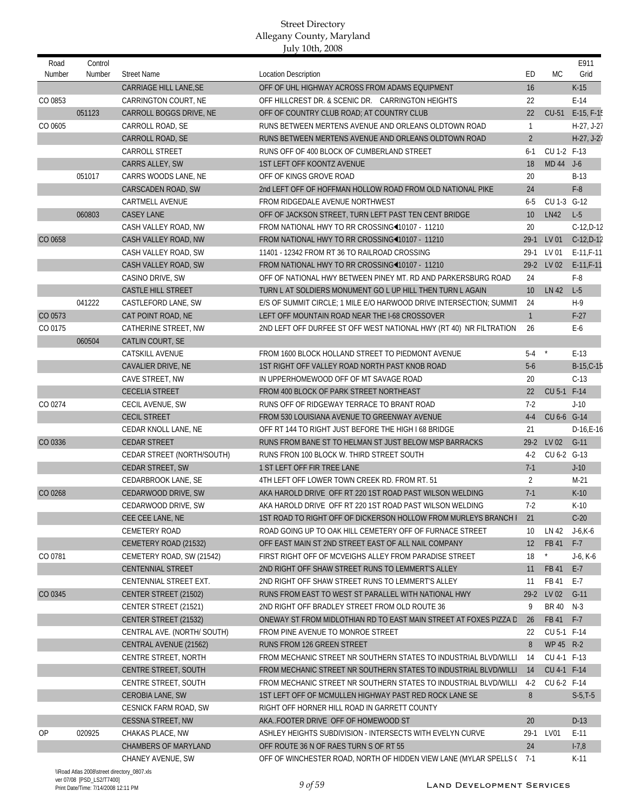| Road<br>Number | Control<br>Number | <b>Street Name</b>          | <b>Location Description</b>                                          | ED              | MC.             | E911<br>Grid |
|----------------|-------------------|-----------------------------|----------------------------------------------------------------------|-----------------|-----------------|--------------|
|                |                   | CARRIAGE HILL LANE, SE      | OFF OF UHL HIGHWAY ACROSS FROM ADAMS EQUIPMENT                       | 16              |                 | $K-15$       |
| CO 0853        |                   | CARRINGTON COURT, NE        | OFF HILLCREST DR. & SCENIC DR. CARRINGTON HEIGHTS                    | 22              |                 | $E-14$       |
|                | 051123            | CARROLL BOGGS DRIVE, NE     | OFF OF COUNTRY CLUB ROAD; AT COUNTRY CLUB                            | 22              | $CU-51$         | $E-15, F-15$ |
| CO 0605        |                   | CARROLL ROAD, SE            | RUNS BETWEEN MERTENS AVENUE AND ORLEANS OLDTOWN ROAD                 | 1               |                 | H-27, J-27   |
|                |                   | CARROLL ROAD, SE            | RUNS BETWEEN MERTENS AVENUE AND ORLEANS OLDTOWN ROAD                 | $\overline{2}$  |                 | H-27, J-27   |
|                |                   | CARROLL STREET              | RUNS OFF OF 400 BLOCK OF CUMBERLAND STREET                           | $6-1$           | CU 1-2 F-13     |              |
|                |                   | CARRS ALLEY, SW             | <b>1ST LEFT OFF KOONTZ AVENUE</b>                                    | 18              | MD 44 J-6       |              |
|                | 051017            | CARRS WOODS LANE, NE        | OFF OF KINGS GROVE ROAD                                              | 20              |                 | $B-13$       |
|                |                   | CARSCADEN ROAD, SW          | 2nd LEFT OFF OF HOFFMAN HOLLOW ROAD FROM OLD NATIONAL PIKE           | 24              |                 | $F-8$        |
|                |                   | <b>CARTMELL AVENUE</b>      | FROM RIDGEDALE AVENUE NORTHWEST                                      | 6-5             | CU 1-3 G-12     |              |
|                | 060803            | <b>CASEY LANE</b>           | OFF OF JACKSON STREET, TURN LEFT PAST TEN CENT BRIDGE                | 10 <sup>°</sup> | LN42            | $L-5$        |
|                |                   | CASH VALLEY ROAD, NW        | FROM NATIONAL HWY TO RR CROSSING (10107 - 11210)                     | 20              |                 | $C-12, D-12$ |
| CO 0658        |                   | CASH VALLEY ROAD, NW        | FROM NATIONAL HWY TO RR CROSSING <10107 - 11210                      | $29-1$          | LV 01           | $C-12, D-12$ |
|                |                   | CASH VALLEY ROAD, SW        | 11401 - 12342 FROM RT 36 TO RAILROAD CROSSING                        | $29-1$          | LV 01           | $E-11, F-11$ |
|                |                   | CASH VALLEY ROAD, SW        | FROM NATIONAL HWY TO RR CROSSING 10107 - 11210                       |                 | 29-2 LV 02      | E-11, F-11   |
|                |                   | CASINO DRIVE, SW            | OFF OF NATIONAL HWY BETWEEN PINEY MT. RD AND PARKERSBURG ROAD        | 24              |                 | $F-8$        |
|                |                   | CASTLE HILL STREET          | TURN L AT SOLDIERS MONUMENT GO L UP HILL THEN TURN L AGAIN           | 10 <sup>°</sup> | LN 42           | $L-5$        |
|                | 041222            | CASTLEFORD LANE, SW         | E/S OF SUMMIT CIRCLE; 1 MILE E/O HARWOOD DRIVE INTERSECTION; SUMMIT  | 24              |                 | $H-9$        |
| CO 0573        |                   | CAT POINT ROAD, NE          | LEFT OFF MOUNTAIN ROAD NEAR THE I-68 CROSSOVER                       | $\mathbf{1}$    |                 | $F-27$       |
| CO 0175        |                   | CATHERINE STREET, NW        | 2ND LEFT OFF DURFEE ST OFF WEST NATIONAL HWY (RT 40) NR FILTRATION   | 26              |                 | E-6          |
|                | 060504            | CATLIN COURT, SE            |                                                                      |                 |                 |              |
|                |                   | CATSKILL AVENUE             | FROM 1600 BLOCK HOLLAND STREET TO PIEDMONT AVENUE                    | $5-4$           | $^\star$        | $E-13$       |
|                |                   | CAVALIER DRIVE, NE          | 1ST RIGHT OFF VALLEY ROAD NORTH PAST KNOB ROAD                       | $5-6$           |                 | B-15, C-15   |
|                |                   | CAVE STREET, NW             | IN UPPERHOMEWOOD OFF OF MT SAVAGE ROAD                               | 20              |                 | $C-13$       |
|                |                   | <b>CECELIA STREET</b>       | FROM 400 BLOCK OF PARK STREET NORTHEAST                              | 22              | CU 5-1 F-14     |              |
| CO 0274        |                   | CECIL AVENUE, SW            | RUNS OFF OF RIDGEWAY TERRACE TO BRANT ROAD                           | $7-2$           |                 | $J-10$       |
|                |                   | <b>CECIL STREET</b>         | FROM 530 LOUISIANA AVENUE TO GREENWAY AVENUE                         | $4 - 4$         | CU 6-6 G-14     |              |
|                |                   | CEDAR KNOLL LANE, NE        | OFF RT 144 TO RIGHT JUST BEFORE THE HIGH I 68 BRIDGE                 | 21              |                 | $D-16, E-16$ |
| CO 0336        |                   | <b>CEDAR STREET</b>         | RUNS FROM BANE ST TO HELMAN ST JUST BELOW MSP BARRACKS               | $29-2$          | LV 02           | $G-11$       |
|                |                   | CEDAR STREET (NORTH/SOUTH)  | RUNS FRON 100 BLOCK W. THIRD STREET SOUTH                            | $4-2$           | CU 6-2 G-13     |              |
|                |                   | <b>CEDAR STREET, SW</b>     | 1 ST LEFT OFF FIR TREE LANE                                          | $7-1$           |                 | $J-10$       |
|                |                   | CEDARBROOK LANE, SE         | 4TH LEFT OFF LOWER TOWN CREEK RD. FROM RT. 51                        | $\overline{2}$  |                 | $M-21$       |
| CO 0268        |                   | CEDARWOOD DRIVE, SW         | AKA HAROLD DRIVE OFF RT 220 1ST ROAD PAST WILSON WELDING             | $7-1$           |                 | $K-10$       |
|                |                   | CEDARWOOD DRIVE, SW         | AKA HAROLD DRIVE OFF RT 220 1ST ROAD PAST WILSON WELDING             | $7-2$           |                 | $K-10$       |
|                |                   | CEE CEE LANE, NE            | 1ST ROAD TO RIGHT OFF OF DICKERSON HOLLOW FROM MURLEYS BRANCH I      | 21              |                 | $C-20$       |
|                |                   | CEMETERY ROAD               | ROAD GOING UP TO OAK HILL CEMETERY OFF OF FURNACE STREET             | 10              | LN 42           | $J-6,K-6$    |
|                |                   | CEMETERY ROAD (21532)       | OFF EAST MAIN ST 2ND STREET EAST OF ALL NAIL COMPANY                 | 12              | FB 41           | $F-7$        |
| CO 0781        |                   | CEMETERY ROAD, SW (21542)   | FIRST RIGHT OFF OF MCVEIGHS ALLEY FROM PARADISE STREET               | 18              | $^\star$        | $J-6, K-6$   |
|                |                   | <b>CENTENNIAL STREET</b>    | 2ND RIGHT OFF SHAW STREET RUNS TO LEMMERT'S ALLEY                    | 11              | FB 41           | $E-7$        |
|                |                   | CENTENNIAL STREET EXT.      | 2ND RIGHT OFF SHAW STREET RUNS TO LEMMERT'S ALLEY                    | 11              | FB 41           | E-7          |
| CO 0345        |                   | CENTER STREET (21502)       | RUNS FROM EAST TO WEST ST PARALLEL WITH NATIONAL HWY                 |                 | 29-2 LV 02 G-11 |              |
|                |                   | CENTER STREET (21521)       | 2ND RIGHT OFF BRADLEY STREET FROM OLD ROUTE 36                       | 9               | BR 40 N-3       |              |
|                |                   | CENTER STREET (21532)       | ONEWAY ST FROM MIDLOTHIAN RD TO EAST MAIN STREET AT FOXES PIZZA D    | 26              | FB 41 F-7       |              |
|                |                   | CENTRAL AVE. (NORTH/ SOUTH) | FROM PINE AVENUE TO MONROE STREET                                    | 22              | CU 5-1 F-14     |              |
|                |                   | CENTRAL AVENUE (21562)      | RUNS FROM 126 GREEN STREET                                           | 8               | WP 45 R-2       |              |
|                |                   | CENTRE STREET, NORTH        | FROM MECHANIC STREET NR SOUTHERN STATES TO INDUSTRIAL BLVD/WILLI     | 14              | CU 4-1 F-13     |              |
|                |                   | CENTRE STREET, SOUTH        | FROM MECHANIC STREET NR SOUTHERN STATES TO INDUSTRIAL BLVD/WILLI     | 14              | CU 4-1 F-14     |              |
|                |                   | CENTRE STREET, SOUTH        | FROM MECHANIC STREET NR SOUTHERN STATES TO INDUSTRIAL BLVD/WILLI     | $4-2$           | CU 6-2 F-14     |              |
|                |                   | <b>CEROBIA LANE, SW</b>     | 1ST LEFT OFF OF MCMULLEN HIGHWAY PAST RED ROCK LANE SE               | 8               |                 | $S-5,T-5$    |
|                |                   | CESNICK FARM ROAD, SW       | RIGHT OFF HORNER HILL ROAD IN GARRETT COUNTY                         |                 |                 |              |
|                |                   | <b>CESSNA STREET, NW</b>    | AKAFOOTER DRIVE OFF OF HOMEWOOD ST                                   | 20              |                 | $D-13$       |
| 0P             | 020925            | CHAKAS PLACE, NW            | ASHLEY HEIGHTS SUBDIVISION - INTERSECTS WITH EVELYN CURVE            | $29-1$          | LV01            | $E-11$       |
|                |                   | <b>CHAMBERS OF MARYLAND</b> | OFF ROUTE 36 N OF RAES TURN S OF RT 55                               | 24              |                 | $I - 7,8$    |
|                |                   | CHANEY AVENUE, SW           | OFF OF WINCHESTER ROAD, NORTH OF HIDDEN VIEW LANE (MYLAR SPELLS (7-1 |                 |                 | K-11         |
|                |                   |                             |                                                                      |                 |                 |              |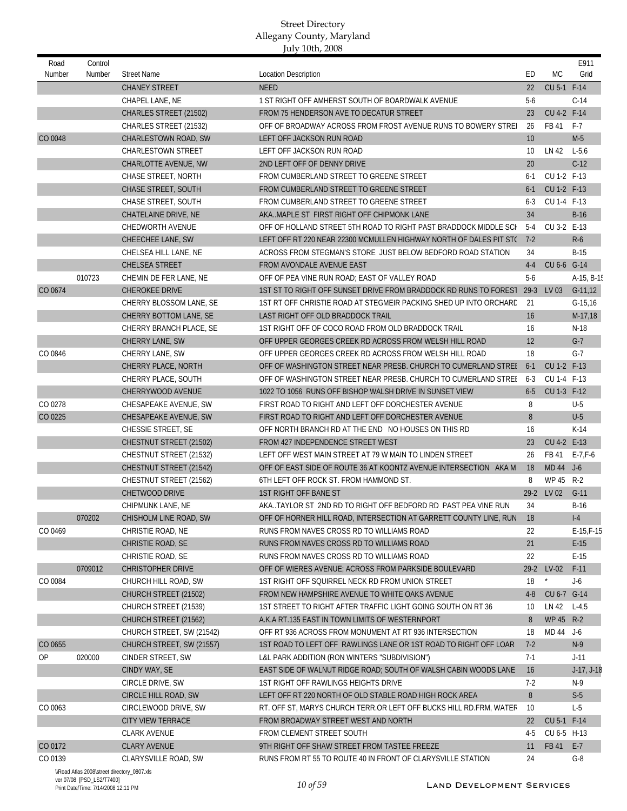| Road<br>Number | Control<br>Number | <b>Street Name</b>                        | <b>Location Description</b>                                                                 | ED            | <b>MC</b>                  | E911<br>Grid   |
|----------------|-------------------|-------------------------------------------|---------------------------------------------------------------------------------------------|---------------|----------------------------|----------------|
|                |                   | <b>CHANEY STREET</b>                      | <b>NEED</b>                                                                                 |               | CU 5-1 F-14                |                |
|                |                   |                                           |                                                                                             | 22            |                            | $C-14$         |
|                |                   | CHAPEL LANE, NE<br>CHARLES STREET (21502) | 1 ST RIGHT OFF AMHERST SOUTH OF BOARDWALK AVENUE<br>FROM 75 HENDERSON AVE TO DECATUR STREET | $5-6$<br>23   | CU 4-2 F-14                |                |
|                |                   | CHARLES STREET (21532)                    | OFF OF BROADWAY ACROSS FROM FROST AVENUE RUNS TO BOWERY STRE                                | 26            | FB 41                      | $F-7$          |
| CO 0048        |                   | CHARLESTOWN ROAD, SW                      | LEFT OFF JACKSON RUN ROAD                                                                   | 10            |                            | $M-5$          |
|                |                   | <b>CHARLESTOWN STREET</b>                 | LEFT OFF JACKSON RUN ROAD                                                                   |               | LN 42                      | $L-5.6$        |
|                |                   | CHARLOTTE AVENUE, NW                      | 2ND LEFT OFF OF DENNY DRIVE                                                                 | 10<br>20      |                            | $C-12$         |
|                |                   |                                           | FROM CUMBERLAND STREET TO GREENE STREET                                                     |               | CU 1-2 F-13                |                |
|                |                   | CHASE STREET, NORTH                       | FROM CUMBERLAND STREET TO GREENE STREET                                                     | $6-1$         |                            |                |
|                |                   | CHASE STREET, SOUTH                       |                                                                                             | $6 - 1$       | CU 1-2 F-13<br>CU 1-4 F-13 |                |
|                |                   | CHASE STREET, SOUTH                       | FROM CUMBERLAND STREET TO GREENE STREET                                                     | $6 - 3$<br>34 |                            | $B-16$         |
|                |                   | CHATELAINE DRIVE, NE                      | AKAMAPLE ST FIRST RIGHT OFF CHIPMONK LANE                                                   |               |                            |                |
|                |                   | CHEDWORTH AVENUE                          | OFF OF HOLLAND STREET 5TH ROAD TO RIGHT PAST BRADDOCK MIDDLE SCH                            | $5-4$         | CU 3-2 E-13                |                |
|                |                   | CHEECHEE LANE, SW                         | LEFT OFF RT 220 NEAR 22300 MCMULLEN HIGHWAY NORTH OF DALES PIT ST(7-2                       |               |                            | $R-6$          |
|                |                   | CHELSEA HILL LANE, NE                     | ACROSS FROM STEGMAN'S STORE JUST BELOW BEDFORD ROAD STATION                                 | 34            |                            | $B-15$         |
|                |                   | CHELSEA STREET                            | FROM AVONDALE AVENUE EAST                                                                   | $4 - 4$       | CU 6-6 G-14                |                |
|                | 010723            | CHEMIN DE FER LANE, NE                    | OFF OF PEA VINE RUN ROAD; EAST OF VALLEY ROAD                                               | $5-6$         |                            | A-15, B-1!     |
| CO 0674        |                   | <b>CHEROKEE DRIVE</b>                     | 1ST ST TO RIGHT OFF SUNSET DRIVE FROM BRADDOCK RD RUNS TO FOREST 29-3                       |               | LV 03                      | $G-11,12$      |
|                |                   | CHERRY BLOSSOM LANE, SE                   | 1ST RT OFF CHRISTIE ROAD AT STEGMEIR PACKING SHED UP INTO ORCHARD                           | 21            |                            | $G-15,16$      |
|                |                   | CHERRY BOTTOM LANE, SE                    | LAST RIGHT OFF OLD BRADDOCK TRAIL                                                           | 16            |                            | M-17,18        |
|                |                   | CHERRY BRANCH PLACE, SE                   | 1ST RIGHT OFF OF COCO ROAD FROM OLD BRADDOCK TRAIL                                          | 16            |                            | $N-18$         |
|                |                   | CHERRY LANE, SW                           | OFF UPPER GEORGES CREEK RD ACROSS FROM WELSH HILL ROAD                                      | 12            |                            | $G-7$          |
| CO 0846        |                   | CHERRY LANE, SW                           | OFF UPPER GEORGES CREEK RD ACROSS FROM WELSH HILL ROAD                                      | 18            |                            | $G-7$          |
|                |                   | CHERRY PLACE, NORTH                       | OFF OF WASHINGTON STREET NEAR PRESB. CHURCH TO CUMERLAND STREI                              | $6 - 1$       | CU 1-2 F-13                |                |
|                |                   | CHERRY PLACE, SOUTH                       | OFF OF WASHINGTON STREET NEAR PRESB. CHURCH TO CUMERLAND STREI                              | $6 - 3$       | CU 1-4 F-13                |                |
|                |                   | CHERRYWOOD AVENUE                         | 1022 TO 1056 RUNS OFF BISHOP WALSH DRIVE IN SUNSET VIEW                                     | $6 - 5$       | CU 1-3 F-12                |                |
| CO 0278        |                   | CHESAPEAKE AVENUE, SW                     | FIRST ROAD TO RIGHT AND LEFT OFF DORCHESTER AVENUE                                          | 8             |                            | $U-5$          |
| CO 0225        |                   | CHESAPEAKE AVENUE, SW                     | FIRST ROAD TO RIGHT AND LEFT OFF DORCHESTER AVENUE                                          | 8             |                            | $U-5$          |
|                |                   | CHESSIE STREET, SE                        | OFF NORTH BRANCH RD AT THE END NO HOUSES ON THIS RD                                         | 16            |                            | $K-14$         |
|                |                   | CHESTNUT STREET (21502)                   | FROM 427 INDEPENDENCE STREET WEST                                                           | 23            | CU 4-2 E-13                |                |
|                |                   | CHESTNUT STREET (21532)                   | LEFT OFF WEST MAIN STREET AT 79 W MAIN TO LINDEN STREET                                     | 26            | FB 41                      | $E - 7, F - 6$ |
|                |                   | CHESTNUT STREET (21542)                   | OFF OF EAST SIDE OF ROUTE 36 AT KOONTZ AVENUE INTERSECTION AKA M                            | 18            | MD 44 J-6                  |                |
|                |                   | CHESTNUT STREET (21562)                   | 6TH LEFT OFF ROCK ST. FROM HAMMOND ST.                                                      | 8             | WP 45 R-2                  |                |
|                |                   | <b>CHETWOOD DRIVE</b>                     | <b>1ST RIGHT OFF BANE ST</b>                                                                | $29 - 2$      | LV 02                      | $G-11$         |
|                |                   | CHIPMUNK LANE, NE                         | AKATAYLOR ST 2ND RD TO RIGHT OFF BEDFORD RD PAST PEA VINE RUN                               | 34            |                            | $B-16$         |
|                | 070202            | CHISHOLM LINE ROAD, SW                    | OFF OF HORNER HILL ROAD, INTERSECTION AT GARRETT COUNTY LINE, RUN                           | 18            |                            | $ -4$          |
| CO 0469        |                   | CHRISTIE ROAD, NE                         | RUNS FROM NAVES CROSS RD TO WILLIAMS ROAD                                                   | 22            |                            | $E-15, F-15$   |
|                |                   | CHRISTIE ROAD, SE                         | RUNS FROM NAVES CROSS RD TO WILLIAMS ROAD                                                   | 21            |                            | $E-15$         |
|                |                   | CHRISTIE ROAD, SE                         | RUNS FROM NAVES CROSS RD TO WILLIAMS ROAD                                                   | 22            |                            | $E-15$         |
|                | 0709012           | CHRISTOPHER DRIVE                         | OFF OF WIERES AVENUE; ACROSS FROM PARKSIDE BOULEVARD                                        | $29-2$        | $LV-02$                    | $F-11$         |
| CO 0084        |                   | CHURCH HILL ROAD, SW                      | 1ST RIGHT OFF SQUIRREL NECK RD FROM UNION STREET                                            | 18            | $^\star$                   | $J-6$          |
|                |                   | CHURCH STREET (21502)                     | FROM NEW HAMPSHIRE AVENUE TO WHITE OAKS AVENUE                                              | $4 - 8$       | CU 6-7 G-14                |                |
|                |                   | CHURCH STREET (21539)                     | 1ST STREET TO RIGHT AFTER TRAFFIC LIGHT GOING SOUTH ON RT 36                                | 10            | LN 42 L-4.5                |                |
|                |                   | CHURCH STREET (21562)                     | A.K.A RT.135 EAST IN TOWN LIMITS OF WESTERNPORT                                             | 8             | WP 45 R-2                  |                |
|                |                   | CHURCH STREET, SW (21542)                 | OFF RT 936 ACROSS FROM MONUMENT AT RT 936 INTERSECTION                                      | 18            | MD 44 J-6                  |                |
| CO 0655        |                   | CHURCH STREET, SW (21557)                 | 1ST ROAD TO LEFT OFF RAWLINGS LANE OR 1ST ROAD TO RIGHT OFF LOAR                            | $7-2$         |                            | $N-9$          |
| <b>OP</b>      | 020000            | CINDER STREET, SW                         | L&L PARK ADDITION (RON WINTERS "SUBDIVISION")                                               | $7-1$         |                            | $J-11$         |
|                |                   | CINDY WAY, SE                             | EAST SIDE OF WALNUT RIDGE ROAD; SOUTH OF WALSH CABIN WOODS LANE                             | 16            |                            | $J-17, J-18$   |
|                |                   | CIRCLE DRIVE, SW                          | 1ST RIGHT OFF RAWLINGS HEIGHTS DRIVE                                                        | $7-2$         |                            | N-9            |
|                |                   | CIRCLE HILL ROAD, SW                      | LEFT OFF RT 220 NORTH OF OLD STABLE ROAD HIGH ROCK AREA                                     | 8             |                            | $S-5$          |
| CO 0063        |                   | CIRCLEWOOD DRIVE, SW                      | RT. OFF ST, MARYS CHURCH TERR.OR LEFT OFF BUCKS HILL RD.FRM, WATER                          | 10            |                            | $L-5$          |
|                |                   | CITY VIEW TERRACE                         | FROM BROADWAY STREET WEST AND NORTH                                                         | 22            | CU 5-1 F-14                |                |
|                |                   | <b>CLARK AVENUE</b>                       | FROM CLEMENT STREET SOUTH                                                                   | 4-5           | CU 6-5 H-13                |                |
| CO 0172        |                   | <b>CLARY AVENUE</b>                       | 9TH RIGHT OFF SHAW STREET FROM TASTEE FREEZE                                                | 11            | FB 41                      | $E-7$          |
| CO 0139        |                   | CLARYSVILLE ROAD, SW                      | RUNS FROM RT 55 TO ROUTE 40 IN FRONT OF CLARYSVILLE STATION                                 | 24            |                            | $G-8$          |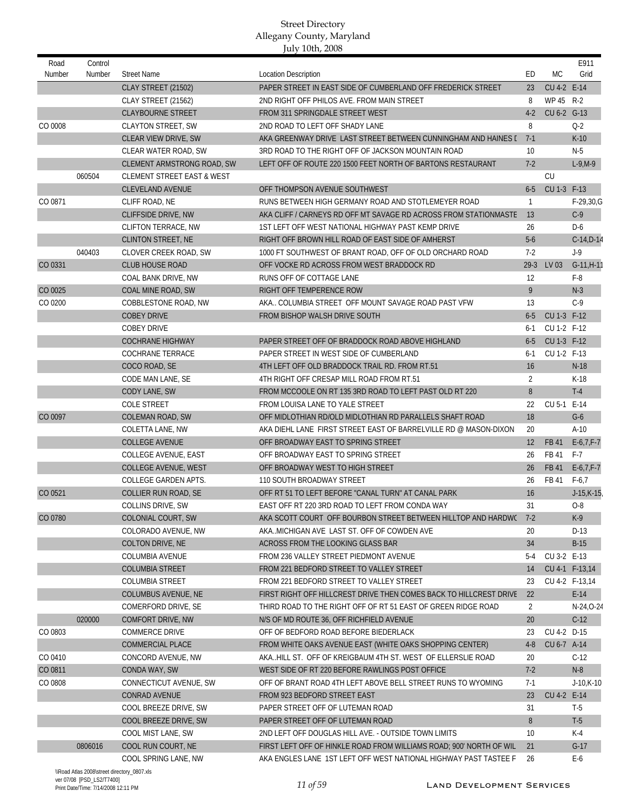| Road    | Control |                                       |                                                                     |                |             | E911             |
|---------|---------|---------------------------------------|---------------------------------------------------------------------|----------------|-------------|------------------|
| Number  | Number  | <b>Street Name</b>                    | <b>Location Description</b>                                         | ED             | <b>MC</b>   | Grid             |
|         |         | CLAY STREET (21502)                   | PAPER STREET IN EAST SIDE OF CUMBERLAND OFF FREDERICK STREET        | 23             | CU 4-2 E-14 |                  |
|         |         | CLAY STREET (21562)                   | 2ND RIGHT OFF PHILOS AVE. FROM MAIN STREET                          | 8              | WP 45 R-2   |                  |
|         |         | <b>CLAYBOURNE STREET</b>              | FROM 311 SPRINGDALE STREET WEST                                     | $4-2$          | CU 6-2 G-13 |                  |
| CO 0008 |         | <b>CLAYTON STREET, SW</b>             | 2ND ROAD TO LEFT OFF SHADY LANE                                     | 8              |             | $Q-2$            |
|         |         | CLEAR VIEW DRIVE, SW                  | AKA GREENWAY DRIVE LAST STREET BETWEEN CUNNINGHAM AND HAINES I      | $7-1$          |             | $K-10$           |
|         |         | CLEAR WATER ROAD, SW                  | 3RD ROAD TO THE RIGHT OFF OF JACKSON MOUNTAIN ROAD                  | 10             |             | $N-5$            |
|         |         | CLEMENT ARMSTRONG ROAD, SW            | LEFT OFF OF ROUTE 220 1500 FEET NORTH OF BARTONS RESTAURANT         | $7-2$          |             | $L-9,M-9$        |
|         | 060504  | <b>CLEMENT STREET EAST &amp; WEST</b> |                                                                     |                | CU          |                  |
|         |         | <b>CLEVELAND AVENUE</b>               | OFF THOMPSON AVENUE SOUTHWEST                                       | $6-5$          | CU 1-3 F-13 |                  |
| CO 0871 |         | CLIFF ROAD, NE                        | RUNS BETWEEN HIGH GERMANY ROAD AND STOTLEMEYER ROAD                 | $\mathbf{1}$   |             | $F-29,30, G$     |
|         |         | CLIFFSIDE DRIVE, NW                   | AKA CLIFF / CARNEYS RD OFF MT SAVAGE RD ACROSS FROM STATIONMASTE    | 13             |             | $C-9$            |
|         |         | CLIFTON TERRACE, NW                   | 1ST LEFT OFF WEST NATIONAL HIGHWAY PAST KEMP DRIVE                  | 26             |             | $D-6$            |
|         |         | CLINTON STREET, NE                    | RIGHT OFF BROWN HILL ROAD OF EAST SIDE OF AMHERST                   | $5-6$          |             | $C-14, D-14$     |
|         | 040403  | <b>CLOVER CREEK ROAD, SW</b>          | 1000 FT SOUTHWEST OF BRANT ROAD, OFF OF OLD ORCHARD ROAD            | $7-2$          |             | $J-9$            |
| CO 0331 |         | <b>CLUB HOUSE ROAD</b>                | OFF VOCKE RD ACROSS FROM WEST BRADDOCK RD                           | $29-3$         | LV 03       | $G-11, H-11$     |
|         |         | COAL BANK DRIVE, NW                   | RUNS OFF OF COTTAGE LANE                                            | 12             |             | $F-8$            |
| CO 0025 |         | COAL MINE ROAD, SW                    | RIGHT OFF TEMPERENCE ROW                                            | 9              |             | $N-3$            |
| CO 0200 |         | COBBLESTONE ROAD, NW                  | AKA COLUMBIA STREET OFF MOUNT SAVAGE ROAD PAST VFW                  | 13             |             | $C-9$            |
|         |         | <b>COBEY DRIVE</b>                    | FROM BISHOP WALSH DRIVE SOUTH                                       | $6 - 5$        | CU 1-3 F-12 |                  |
|         |         | <b>COBEY DRIVE</b>                    |                                                                     | $6-1$          | CU 1-2 F-12 |                  |
|         |         | <b>COCHRANE HIGHWAY</b>               | PAPER STREET OFF OF BRADDOCK ROAD ABOVE HIGHLAND                    | $6 - 5$        | CU 1-3 F-12 |                  |
|         |         | COCHRANE TERRACE                      | PAPER STREET IN WEST SIDE OF CUMBERLAND                             | $6 - 1$        | CU 1-2 F-13 |                  |
|         |         | COCO ROAD, SE                         | 4TH LEFT OFF OLD BRADDOCK TRAIL RD. FROM RT.51                      | 16             |             | $N-18$           |
|         |         | CODE MAN LANE, SE                     | 4TH RIGHT OFF CRESAP MILL ROAD FROM RT.51                           | $\overline{2}$ |             | $K-18$           |
|         |         | CODY LANE, SW                         | FROM MCCOOLE ON RT 135 3RD ROAD TO LEFT PAST OLD RT 220             | 8              |             | $T-4$            |
|         |         | <b>COLE STREET</b>                    | FROM LOUISA LANE TO YALE STREET                                     | 22             | CU 5-1 E-14 |                  |
| CO 0097 |         | <b>COLEMAN ROAD, SW</b>               | OFF MIDLOTHIAN RD/OLD MIDLOTHIAN RD PARALLELS SHAFT ROAD            | 18             |             | $G-6$            |
|         |         | COLETTA LANE, NW                      | AKA DIEHL LANE FIRST STREET EAST OF BARRELVILLE RD @ MASON-DIXON    | 20             |             | $A-10$           |
|         |         | <b>COLLEGE AVENUE</b>                 | OFF BROADWAY EAST TO SPRING STREET                                  | 12             | FB 41       | $E-6, 7, F-7$    |
|         |         | <b>COLLEGE AVENUE, EAST</b>           | OFF BROADWAY EAST TO SPRING STREET                                  | 26             | FB 41       | $F-7$            |
|         |         | <b>COLLEGE AVENUE, WEST</b>           | OFF BROADWAY WEST TO HIGH STREET                                    | 26             | FB 41       | $E-6,7,F-7$      |
|         |         | COLLEGE GARDEN APTS.                  | 110 SOUTH BROADWAY STREET                                           | 26             | FB 41       | $F-6,7$          |
| CO 0521 |         | COLLIER RUN ROAD, SE                  | OFF RT 51 TO LEFT BEFORE "CANAL TURN" AT CANAL PARK                 | 16             |             | $J-15,K-15$      |
|         |         | COLLINS DRIVE, SW                     | EAST OFF RT 220 3RD ROAD TO LEFT FROM CONDA WAY                     | 31             |             | $O-8$            |
| CO 0780 |         | <b>COLONIAL COURT, SW</b>             | AKA SCOTT COURT OFF BOURBON STREET BETWEEN HILLTOP AND HARDWO 7-2   |                |             | $K-9$            |
|         |         | COLORADO AVENUE, NW                   | AKAMICHIGAN AVE LAST ST. OFF OF COWDEN AVE                          | 20             |             | $D-13$           |
|         |         | COLTON DRIVE, NE                      | ACROSS FROM THE LOOKING GLASS BAR                                   | 34             |             | $B-15$           |
|         |         | COLUMBIA AVENUE                       | FROM 236 VALLEY STREET PIEDMONT AVENUE                              | $5-4$          | CU 3-2 E-13 |                  |
|         |         | <b>COLUMBIA STREET</b>                | FROM 221 BEDFORD STREET TO VALLEY STREET                            | 14             |             | CU 4-1 F-13,14   |
|         |         | <b>COLUMBIA STREET</b>                | FROM 221 BEDFORD STREET TO VALLEY STREET                            | 23             |             | CU 4-2 F-13,14   |
|         |         | COLUMBUS AVENUE, NE                   | FIRST RIGHT OFF HILLCREST DRIVE THEN COMES BACK TO HILLCREST DRIVE  | 22             |             | $E-14$           |
|         |         | COMERFORD DRIVE, SE                   | THIRD ROAD TO THE RIGHT OFF OF RT 51 EAST OF GREEN RIDGE ROAD       | 2              |             | N-24, O-24       |
|         | 020000  | COMFORT DRIVE, NW                     | N/S OF MD ROUTE 36, OFF RICHFIELD AVENUE                            | 20             |             | $C-12$           |
| CO 0803 |         | COMMERCE DRIVE                        | OFF OF BEDFORD ROAD BEFORE BIEDERLACK                               | 23             | CU 4-2 D-15 |                  |
|         |         | <b>COMMERCIAL PLACE</b>               | FROM WHITE OAKS AVENUE EAST (WHITE OAKS SHOPPING CENTER)            | $4 - 8$        | CU 6-7 A-14 |                  |
| CO 0410 |         | CONCORD AVENUE, NW                    | AKAHILL ST. OFF OF KREIGBAUM 4TH ST. WEST OF ELLERSLIE ROAD         | 20             |             | $C-12$           |
| CO 0811 |         | CONDA WAY, SW                         | WEST SIDE OF RT 220 BEFORE RAWLINGS POST OFFICE                     | $7-2$          |             | $N-8$            |
| CO 0808 |         | CONNECTICUT AVENUE, SW                | OFF OF BRANT ROAD 4TH LEFT ABOVE BELL STREET RUNS TO WYOMING        | $7-1$          |             | $J-10$ , K $-10$ |
|         |         | CONRAD AVENUE                         | FROM 923 BEDFORD STREET EAST                                        | 23             | CU 4-2 E-14 |                  |
|         |         | COOL BREEZE DRIVE, SW                 | PAPER STREET OFF OF LUTEMAN ROAD                                    | 31             |             | T-5              |
|         |         | COOL BREEZE DRIVE, SW                 | PAPER STREET OFF OF LUTEMAN ROAD                                    | 8              |             | $T-5$            |
|         |         | COOL MIST LANE, SW                    | 2ND LEFT OFF DOUGLAS HILL AVE. - OUTSIDE TOWN LIMITS                | 10             |             | $K-4$            |
|         | 0806016 | COOL RUN COURT, NE                    | FIRST LEFT OFF OF HINKLE ROAD FROM WILLIAMS ROAD; 900' NORTH OF WIL | 21             |             | $G-17$           |
|         |         | COOL SPRING LANE, NW                  | AKA ENGLES LANE 1ST LEFT OFF WEST NATIONAL HIGHWAY PAST TASTEE F    | 26             |             | E-6              |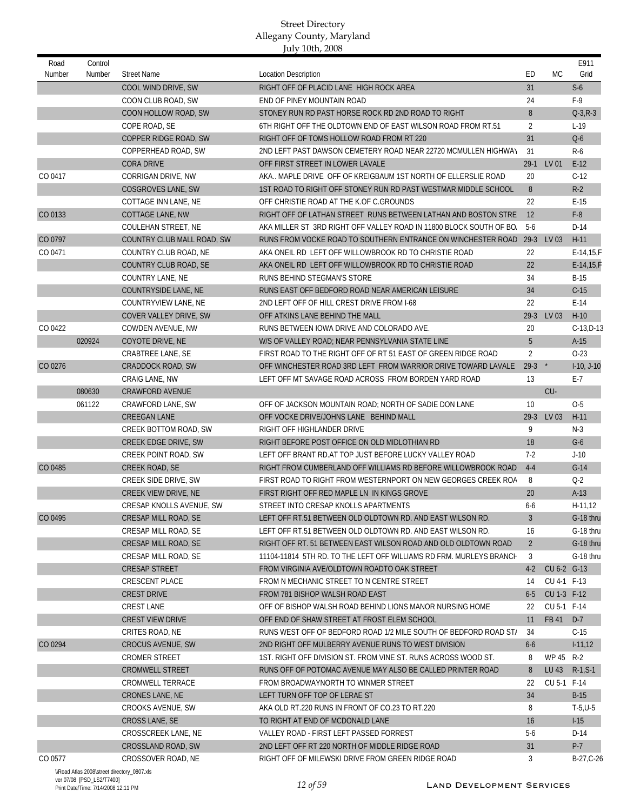| Road<br>Number | Control<br>Number | <b>Street Name</b>              | <b>Location Description</b>                                         | ED             | МC          | E911<br>Grid   |
|----------------|-------------------|---------------------------------|---------------------------------------------------------------------|----------------|-------------|----------------|
|                |                   | COOL WIND DRIVE, SW             | RIGHT OFF OF PLACID LANE HIGH ROCK AREA                             | 31             |             | $S-6$          |
|                |                   | COON CLUB ROAD, SW              | END OF PINEY MOUNTAIN ROAD                                          | 24             |             | $F-9$          |
|                |                   | COON HOLLOW ROAD, SW            | STONEY RUN RD PAST HORSE ROCK RD 2ND ROAD TO RIGHT                  | 8              |             | $Q - 3, R - 3$ |
|                |                   | COPE ROAD, SE                   | 6TH RIGHT OFF THE OLDTOWN END OF EAST WILSON ROAD FROM RT.51        | $\overline{2}$ |             | $L-19$         |
|                |                   | COPPER RIDGE ROAD, SW           | RIGHT OFF OF TOMS HOLLOW ROAD FROM RT 220                           | 31             |             | $Q-6$          |
|                |                   | COPPERHEAD ROAD, SW             | 2ND LEFT PAST DAWSON CEMETERY ROAD NEAR 22720 MCMULLEN HIGHWAY      | -31            |             | R-6            |
|                |                   | <b>CORA DRIVE</b>               | OFF FIRST STREET IN LOWER LAVALE                                    | $29-1$         | LV 01       | $E-12$         |
| CO 0417        |                   | CORRIGAN DRIVE, NW              | AKA MAPLE DRIVE OFF OF KREIGBAUM 1ST NORTH OF ELLERSLIE ROAD        | 20             |             | $C-12$         |
|                |                   | <b>COSGROVES LANE, SW</b>       | 1ST ROAD TO RIGHT OFF STONEY RUN RD PAST WESTMAR MIDDLE SCHOOL      | 8              |             | $R-2$          |
|                |                   | COTTAGE INN LANE, NE            | OFF CHRISTIE ROAD AT THE K.OF C.GROUNDS                             | 22             |             | $E-15$         |
| CO 0133        |                   | COTTAGE LANE, NW                | RIGHT OFF OF LATHAN STREET RUNS BETWEEN LATHAN AND BOSTON STRE      | 12             |             | $F-8$          |
|                |                   | COULEHAN STREET, NE             | AKA MILLER ST 3RD RIGHT OFF VALLEY ROAD IN 11800 BLOCK SOUTH OF BO. | $5-6$          |             | $D-14$         |
| CO 0797        |                   | COUNTRY CLUB MALL ROAD, SW      | RUNS FROM VOCKE ROAD TO SOUTHERN ENTRANCE ON WINCHESTER ROAD        | $29-3$         | LV 03       | $H-11$         |
| CO 0471        |                   | COUNTRY CLUB ROAD, NE           | AKA ONEIL RD LEFT OFF WILLOWBROOK RD TO CHRISTIE ROAD               | 22             |             | $E-14, 15, F$  |
|                |                   | COUNTRY CLUB ROAD, SE           | AKA ONEIL RD LEFT OFF WILLOWBROOK RD TO CHRISTIE ROAD               | 22             |             | $E-14, 15, F$  |
|                |                   | COUNTRY LANE, NE                | RUNS BEHIND STEGMAN'S STORE                                         | 34             |             | $B-15$         |
|                |                   | COUNTRYSIDE LANE, NE            | RUNS EAST OFF BEDFORD ROAD NEAR AMERICAN LEISURE                    | 34             |             | $C-15$         |
|                |                   | COUNTRYVIEW LANE, NE            | 2ND LEFT OFF OF HILL CREST DRIVE FROM 1-68                          | 22             |             | $E-14$         |
|                |                   | COVER VALLEY DRIVE, SW          | OFF ATKINS LANE BEHIND THE MALL                                     | $29-3$         | LV 03       | $H-10$         |
| CO 0422        |                   | COWDEN AVENUE, NW               | RUNS BETWEEN IOWA DRIVE AND COLORADO AVE.                           | 20             |             | $C-13,D-13$    |
|                | 020924            | COYOTE DRIVE, NE                | W/S OF VALLEY ROAD; NEAR PENNSYLVANIA STATE LINE                    | 5              |             | $A-15$         |
|                |                   | CRABTREE LANE, SE               | FIRST ROAD TO THE RIGHT OFF OF RT 51 EAST OF GREEN RIDGE ROAD       | $\overline{2}$ |             | $O-23$         |
| CO 0276        |                   | <b>CRADDOCK ROAD, SW</b>        | OFF WINCHESTER ROAD 3RD LEFT FROM WARRIOR DRIVE TOWARD LAVALE       | $29-3$         | $^{\star}$  | $I-10, J-10$   |
|                |                   | CRAIG LANE, NW                  | LEFT OFF MT SAVAGE ROAD ACROSS FROM BORDEN YARD ROAD                | 13             |             | E-7            |
|                | 080630            | <b>CRAWFORD AVENUE</b>          |                                                                     |                | CU-         |                |
|                | 061122            | CRAWFORD LANE, SW               | OFF OF JACKSON MOUNTAIN ROAD; NORTH OF SADIE DON LANE               | 10             |             | $O-5$          |
|                |                   | <b>CREEGAN LANE</b>             | OFF VOCKE DRIVE/JOHNS LANE BEHIND MALL                              | $29-3$         | LV 03       | $H-11$         |
|                |                   | CREEK BOTTOM ROAD, SW           | RIGHT OFF HIGHLANDER DRIVE                                          | 9              |             | $N-3$          |
|                |                   | CREEK EDGE DRIVE, SW            | RIGHT BEFORE POST OFFICE ON OLD MIDLOTHIAN RD                       | 18             |             | $G-6$          |
|                |                   | CREEK POINT ROAD, SW            | LEFT OFF BRANT RD.AT TOP JUST BEFORE LUCKY VALLEY ROAD              | $7-2$          |             | $J-10$         |
| CO 0485        |                   | CREEK ROAD, SE                  | RIGHT FROM CUMBERLAND OFF WILLIAMS RD BEFORE WILLOWBROOK ROAD       | $4 - 4$        |             | $G-14$         |
|                |                   | CREEK SIDE DRIVE, SW            | FIRST ROAD TO RIGHT FROM WESTERNPORT ON NEW GEORGES CREEK ROA       | 8              |             | $Q-2$          |
|                |                   | CREEK VIEW DRIVE, NE            | FIRST RIGHT OFF RED MAPLE LN IN KINGS GROVE                         | 20             |             | $A-13$         |
|                |                   | <b>CRESAP KNOLLS AVENUE, SW</b> | STREET INTO CRESAP KNOLLS APARTMENTS                                | $6 - 6$        |             | $H-11,12$      |
| CO 0495        |                   | CRESAP MILL ROAD, SE            | LEFT OFF RT.51 BETWEEN OLD OLDTOWN RD. AND EAST WILSON RD.          | 3              |             | G-18 thru      |
|                |                   | CRESAP MILL ROAD, SE            | LEFT OFF RT.51 BETWEEN OLD OLDTOWN RD. AND EAST WILSON RD.          | 16             |             | G-18 thru      |
|                |                   | CRESAP MILL ROAD, SE            | RIGHT OFF RT. 51 BETWEEN EAST WILSON ROAD AND OLD OLDTOWN ROAD      | $\overline{2}$ |             | G-18 thru      |
|                |                   | CRESAP MILL ROAD, SE            | 11104-11814 5TH RD. TO THE LEFT OFF WILLIAMS RD FRM. MURLEYS BRANCH | 3              |             | G-18 thru      |
|                |                   | <b>CRESAP STREET</b>            | FROM VIRGINIA AVE/OLDTOWN ROADTO OAK STREET                         | $4-2$          | CU 6-2 G-13 |                |
|                |                   | <b>CRESCENT PLACE</b>           | FROM N MECHANIC STREET TO N CENTRE STREET                           | 14             | CU 4-1 F-13 |                |
|                |                   | <b>CREST DRIVE</b>              | FROM 781 BISHOP WALSH ROAD EAST                                     | $6 - 5$        | CU 1-3 F-12 |                |
|                |                   | <b>CREST LANE</b>               | OFF OF BISHOP WALSH ROAD BEHIND LIONS MANOR NURSING HOME            | 22             | CU 5-1 F-14 |                |
|                |                   | CREST VIEW DRIVE                | OFF END OF SHAW STREET AT FROST ELEM SCHOOL                         | 11             | FB 41       | $D-7$          |
|                |                   | CRITES ROAD, NE                 | RUNS WEST OFF OF BEDFORD ROAD 1/2 MILE SOUTH OF BEDFORD ROAD ST/    | 34             |             | $C-15$         |
| CO 0294        |                   | <b>CROCUS AVENUE, SW</b>        | 2ND RIGHT OFF MULBERRY AVENUE RUNS TO WEST DIVISION                 | $6-6$          |             | $1-11,12$      |
|                |                   | <b>CROMER STREET</b>            | 1ST. RIGHT OFF DIVISION ST. FROM VINE ST. RUNS ACROSS WOOD ST.      | 8              | WP 45 R-2   |                |
|                |                   | <b>CROMWELL STREET</b>          | RUNS OFF OF POTOMAC AVENUE MAY ALSO BE CALLED PRINTER ROAD          | 8              | LU 43       | $R-1, S-1$     |
|                |                   | CROMWELL TERRACE                | FROM BROADWAYNORTH TO WINMER STREET                                 | 22             | CU 5-1 F-14 |                |
|                |                   | CRONES LANE, NE                 | LEFT TURN OFF TOP OF LERAE ST                                       | 34             |             | $B-15$         |
|                |                   | CROOKS AVENUE, SW               | AKA OLD RT.220 RUNS IN FRONT OF CO.23 TO RT.220                     | 8              |             | $T-5, U-5$     |
|                |                   | CROSS LANE, SE                  | TO RIGHT AT END OF MCDONALD LANE                                    | 16             |             | $1-15$         |
|                |                   | CROSSCREEK LANE, NE             | VALLEY ROAD - FIRST LEFT PASSED FORREST                             | $5-6$          |             | $D-14$         |
|                |                   | CROSSLAND ROAD, SW              | 2ND LEFT OFF RT 220 NORTH OF MIDDLE RIDGE ROAD                      | 31             |             | $P-7$          |
| CO 0577        |                   | CROSSOVER ROAD, NE              | RIGHT OFF OF MILEWSKI DRIVE FROM GREEN RIDGE ROAD                   | 3              |             | $B-27,C-26$    |
|                |                   |                                 |                                                                     |                |             |                |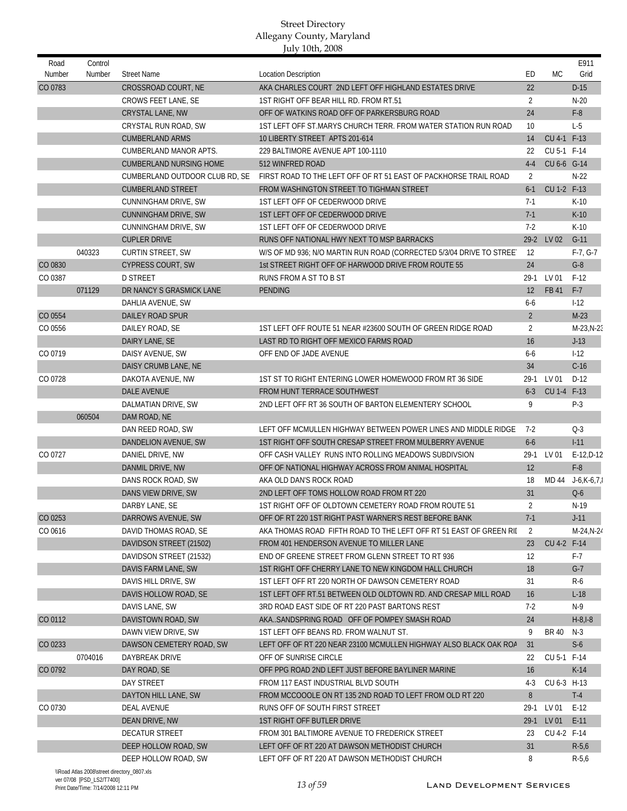| Road<br>Number | Control<br>Number | <b>Street Name</b>             | <b>Location Description</b>                                          | ED             | <b>MC</b>   | E911<br>Grid      |
|----------------|-------------------|--------------------------------|----------------------------------------------------------------------|----------------|-------------|-------------------|
| CO 0783        |                   | CROSSROAD COURT, NE            | AKA CHARLES COURT 2ND LEFT OFF HIGHLAND ESTATES DRIVE                | 22             |             | $D-15$            |
|                |                   | CROWS FEET LANE, SE            | 1ST RIGHT OFF BEAR HILL RD. FROM RT.51                               | $\overline{2}$ |             | $N-20$            |
|                |                   | CRYSTAL LANE, NW               | OFF OF WATKINS ROAD OFF OF PARKERSBURG ROAD                          | 24             |             | $F-8$             |
|                |                   | CRYSTAL RUN ROAD, SW           | 1ST LEFT OFF ST.MARYS CHURCH TERR. FROM WATER STATION RUN ROAD       | 10             |             | $L-5$             |
|                |                   | <b>CUMBERLAND ARMS</b>         | 10 LIBERTY STREET APTS 201-614                                       | 14             | CU 4-1 F-13 |                   |
|                |                   | CUMBERLAND MANOR APTS.         | 229 BALTIMORE AVENUE APT 100-1110                                    | 22             | CU 5-1 F-14 |                   |
|                |                   | <b>CUMBERLAND NURSING HOME</b> | 512 WINFRED ROAD                                                     | $4 - 4$        | CU 6-6 G-14 |                   |
|                |                   | CUMBERLAND OUTDOOR CLUB RD, SE | FIRST ROAD TO THE LEFT OFF OF RT 51 EAST OF PACKHORSE TRAIL ROAD     | 2              |             | $N-22$            |
|                |                   | <b>CUMBERLAND STREET</b>       | FROM WASHINGTON STREET TO TIGHMAN STREET                             | $6 - 1$        | CU 1-2 F-13 |                   |
|                |                   | CUNNINGHAM DRIVE, SW           | 1ST LEFT OFF OF CEDERWOOD DRIVE                                      | $7-1$          |             | $K-10$            |
|                |                   | <b>CUNNINGHAM DRIVE, SW</b>    | 1ST LEFT OFF OF CEDERWOOD DRIVE                                      | $7-1$          |             | $K-10$            |
|                |                   | CUNNINGHAM DRIVE, SW           | 1ST LEFT OFF OF CEDERWOOD DRIVE                                      | $7-2$          |             | $K-10$            |
|                |                   | <b>CUPLER DRIVE</b>            | RUNS OFF NATIONAL HWY NEXT TO MSP BARRACKS                           | $29 - 2$       | LV 02       | $G-11$            |
|                | 040323            | <b>CURTIN STREET, SW</b>       | W/S OF MD 936; N/O MARTIN RUN ROAD (CORRECTED 5/3/04 DRIVE TO STREE) | 12             |             | $F-7, G-7$        |
| CO 0830        |                   | <b>CYPRESS COURT, SW</b>       | 1st STREET RIGHT OFF OF HARWOOD DRIVE FROM ROUTE 55                  | 24             |             | $G-8$             |
| CO 0387        |                   | <b>D STREET</b>                | RUNS FROM A ST TO B ST                                               | $29-1$         | LV 01       | $F-12$            |
|                | 071129            | DR NANCY S GRASMICK LANE       | <b>PENDING</b>                                                       | 12             | FB 41       | $F-7$             |
|                |                   | DAHLIA AVENUE, SW              |                                                                      | $6-6$          |             | $1-12$            |
| CO 0554        |                   | DAILEY ROAD SPUR               |                                                                      | $\overline{2}$ |             | $M-23$            |
| CO 0556        |                   | DAILEY ROAD, SE                | 1ST LEFT OFF ROUTE 51 NEAR #23600 SOUTH OF GREEN RIDGE ROAD          | $\overline{2}$ |             | $M-23,N-2$        |
|                |                   | DAIRY LANE, SE                 | LAST RD TO RIGHT OFF MEXICO FARMS ROAD                               | 16             |             | $J-13$            |
| CO 0719        |                   | DAISY AVENUE, SW               | OFF END OF JADE AVENUE                                               | $6-6$          |             | $1-12$            |
|                |                   | DAISY CRUMB LANE, NE           |                                                                      | 34             |             | $C-16$            |
| CO 0728        |                   | DAKOTA AVENUE, NW              | 1ST ST TO RIGHT ENTERING LOWER HOMEWOOD FROM RT 36 SIDE              | 29-1           | LV 01       | $D-12$            |
|                |                   | <b>DALE AVENUE</b>             | FROM HUNT TERRACE SOUTHWEST                                          | $6 - 3$        | CU 1-4 F-13 |                   |
|                |                   | DALMATIAN DRIVE, SW            | 2ND LEFT OFF RT 36 SOUTH OF BARTON ELEMENTERY SCHOOL                 | 9              |             | $P-3$             |
|                | 060504            | DAM ROAD, NE                   |                                                                      |                |             |                   |
|                |                   | DAN REED ROAD, SW              | LEFT OFF MCMULLEN HIGHWAY BETWEEN POWER LINES AND MIDDLE RIDGE       | 7-2            |             | $Q-3$             |
|                |                   | DANDELION AVENUE, SW           | 1ST RIGHT OFF SOUTH CRESAP STREET FROM MULBERRY AVENUE               | $6-6$          |             | $I-11$            |
| CO 0727        |                   | DANIEL DRIVE, NW               | OFF CASH VALLEY RUNS INTO ROLLING MEADOWS SUBDIVSION                 | 29-1           | LV 01       | $E-12,D-12$       |
|                |                   | DANMIL DRIVE, NW               | OFF OF NATIONAL HIGHWAY ACROSS FROM ANIMAL HOSPITAL                  | 12             |             | $F-8$             |
|                |                   | DANS ROCK ROAD, SW             | AKA OLD DAN'S ROCK ROAD                                              | 18             | MD 44       | $J - 6. K - 6.7.$ |
|                |                   | DANS VIEW DRIVE, SW            | 2ND LEFT OFF TOMS HOLLOW ROAD FROM RT 220                            | 31             |             | $Q-6$             |
|                |                   | DARBY LANE, SE                 | 1ST RIGHT OFF OF OLDTOWN CEMETERY ROAD FROM ROUTE 51                 | $\overline{2}$ |             | $N-19$            |
| CO 0253        |                   | DARROWS AVENUE, SW             | OFF OF RT 220 1ST RIGHT PAST WARNER'S REST BEFORE BANK               | $7-1$          |             | $J-11$            |
| CO 0616        |                   | DAVID THOMAS ROAD, SE          | AKA THOMAS ROAD FIFTH ROAD TO THE LEFT OFF RT 51 EAST OF GREEN RII   | 2              |             | $M-24,N-24$       |
|                |                   | DAVIDSON STREET (21502)        | FROM 401 HENDERSON AVENUE TO MILLER LANE                             | 23             | CU 4-2 F-14 |                   |
|                |                   | DAVIDSON STREET (21532)        | END OF GREENE STREET FROM GLENN STREET TO RT 936                     | 12             |             | $F-7$             |
|                |                   | DAVIS FARM LANE, SW            | 1ST RIGHT OFF CHERRY LANE TO NEW KINGDOM HALL CHURCH                 | 18             |             | $G-7$             |
|                |                   | DAVIS HILL DRIVE, SW           | 1ST LEFT OFF RT 220 NORTH OF DAWSON CEMETERY ROAD                    | 31             |             | $R-6$             |
|                |                   | DAVIS HOLLOW ROAD, SE          | 1ST LEFT OFF RT.51 BETWEEN OLD OLDTOWN RD. AND CRESAP MILL ROAD      | 16             |             | $L-18$            |
|                |                   | DAVIS LANE, SW                 | 3RD ROAD EAST SIDE OF RT 220 PAST BARTONS REST                       | $7-2$          |             | $N-9$             |
| CO 0112        |                   | DAVISTOWN ROAD, SW             | AKASANDSPRING ROAD OFF OF POMPEY SMASH ROAD                          | 24             |             | $H-8, I-8$        |
|                |                   | DAWN VIEW DRIVE, SW            | 1ST LEFT OFF BEANS RD. FROM WALNUT ST.                               | 9              | BR 40       | $N-3$             |
| CO 0233        |                   | DAWSON CEMETERY ROAD, SW       | LEFT OFF OF RT 220 NEAR 23100 MCMULLEN HIGHWAY ALSO BLACK OAK ROA    | 31             |             | $S-6$             |
|                | 0704016           | DAYBREAK DRIVE                 | OFF OF SUNRISE CIRCLE                                                | 22             | CU 5-1 F-14 |                   |
| CO 0792        |                   | DAY ROAD, SE                   | OFF PPG ROAD 2ND LEFT JUST BEFORE BAYLINER MARINE                    |                |             | $K-14$            |
|                |                   | DAY STREET                     | FROM 117 EAST INDUSTRIAL BLVD SOUTH                                  | 16<br>$4-3$    | CU 6-3 H-13 |                   |
|                |                   | DAYTON HILL LANE, SW           | FROM MCCOOOLE ON RT 135 2ND ROAD TO LEFT FROM OLD RT 220             | 8              |             | $T-4$             |
| CO 0730        |                   | <b>DEAL AVENUE</b>             | RUNS OFF OF SOUTH FIRST STREET                                       |                | LV 01       | $E-12$            |
|                |                   | DEAN DRIVE, NW                 | 1ST RIGHT OFF BUTLER DRIVE                                           | 29-1<br>$29-1$ | LV 01       | $E-11$            |
|                |                   | DECATUR STREET                 | FROM 301 BALTIMORE AVENUE TO FREDERICK STREET                        | 23             | CU 4-2 F-14 |                   |
|                |                   | DEEP HOLLOW ROAD, SW           | LEFT OFF OF RT 220 AT DAWSON METHODIST CHURCH                        | 31             |             | $R-5,6$           |
|                |                   |                                |                                                                      |                |             |                   |
|                |                   | DEEP HOLLOW ROAD, SW           | LEFT OFF OF RT 220 AT DAWSON METHODIST CHURCH                        | 8              |             | $R-5,6$           |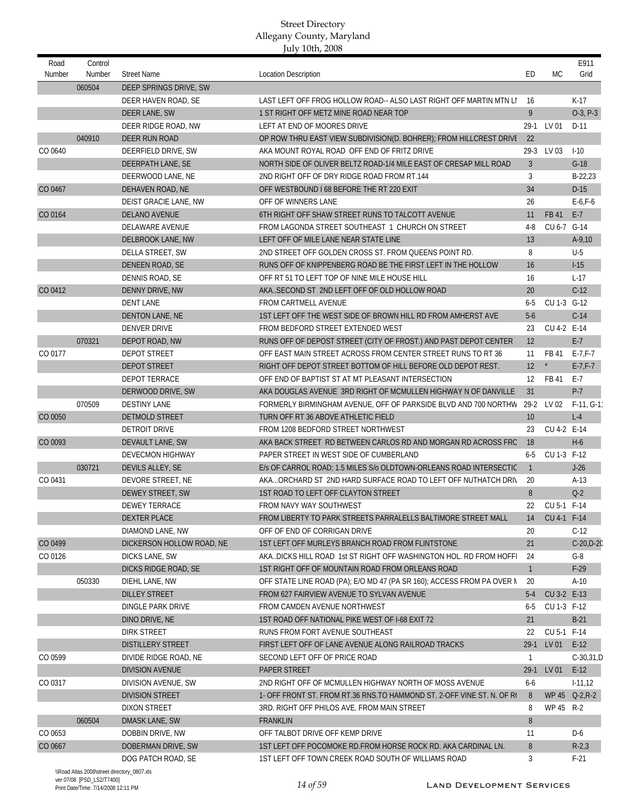| Road<br>Number | Control<br>Number | <b>Street Name</b>        | <b>Location Description</b>                                            | ED             | <b>MC</b>   | E911<br>Grid   |
|----------------|-------------------|---------------------------|------------------------------------------------------------------------|----------------|-------------|----------------|
|                | 060504            | DEEP SPRINGS DRIVE, SW    |                                                                        |                |             |                |
|                |                   |                           |                                                                        |                |             |                |
|                |                   | DEER HAVEN ROAD, SE       | LAST LEFT OFF FROG HOLLOW ROAD-- ALSO LAST RIGHT OFF MARTIN MTN LI     | 16             |             | $K-17$         |
|                |                   | DEER LANE, SW             | 1 ST RIGHT OFF METZ MINE ROAD NEAR TOP                                 | 9              |             | $0-3, P-3$     |
|                |                   | DEER RIDGE ROAD, NW       | LEFT AT END OF MOORES DRIVE                                            | $29-1$         | LV 01       | $D-11$         |
|                | 040910            | DEER RUN ROAD             | OP ROW THRU EAST VIEW SUBDIVISION(D. BOHRER); FROM HILLCREST DRIVI     | 22             |             |                |
| CO 0640        |                   | DEERFIELD DRIVE, SW       | AKA MOUNT ROYAL ROAD OFF END OF FRITZ DRIVE                            | $29-3$         | LV 03       | $1 - 10$       |
|                |                   | DEERPATH LANE, SE         | NORTH SIDE OF OLIVER BELTZ ROAD-1/4 MILE EAST OF CRESAP MILL ROAD      | $\overline{3}$ |             | $G-18$         |
|                |                   | DEERWOOD LANE, NE         | 2ND RIGHT OFF OF DRY RIDGE ROAD FROM RT.144                            | 3              |             | B-22.23        |
| CO 0467        |                   | DEHAVEN ROAD, NE          | OFF WESTBOUND I 68 BEFORE THE RT 220 EXIT                              | 34             |             | $D-15$         |
|                |                   | DEIST GRACIE LANE, NW     | OFF OF WINNERS LANE                                                    | 26             |             | $E-6, F-6$     |
| CO 0164        |                   | <b>DELANO AVENUE</b>      | 6TH RIGHT OFF SHAW STREET RUNS TO TALCOTT AVENUE                       | 11             | FB 41       | $E-7$          |
|                |                   | DELAWARE AVENUE           | FROM LAGONDA STREET SOUTHEAST 1 CHURCH ON STREET                       | $4 - 8$        | CU 6-7 G-14 |                |
|                |                   | DELBROOK LANE, NW         | LEFT OFF OF MILE LANE NEAR STATE LINE                                  | 13             |             | $A-9,10$       |
|                |                   | DELLA STREET, SW          | 2ND STREET OFF GOLDEN CROSS ST. FROM QUEENS POINT RD.                  | 8              |             | $U-5$          |
|                |                   | DENEEN ROAD, SE           | RUNS OFF OF KNIPPENBERG ROAD BE THE FIRST LEFT IN THE HOLLOW           | 16             |             | $I-15$         |
|                |                   | DENNIS ROAD, SE           | OFF RT 51 TO LEFT TOP OF NINE MILE HOUSE HILL                          | 16             |             | $L-17$         |
| CO 0412        |                   | DENNY DRIVE, NW           | AKASECOND ST 2ND LEFT OFF OF OLD HOLLOW ROAD                           | 20             |             | $C-12$         |
|                |                   | <b>DENT LANE</b>          | <b>FROM CARTMELL AVENUE</b>                                            | $6 - 5$        | CU 1-3 G-12 |                |
|                |                   | <b>DENTON LANE, NE</b>    | 1ST LEFT OFF THE WEST SIDE OF BROWN HILL RD FROM AMHERST AVE           | $5-6$          |             | $C-14$         |
|                |                   | <b>DENVER DRIVE</b>       | FROM BEDFORD STREET EXTENDED WEST                                      | 23             | CU 4-2 E-14 |                |
|                | 070321            | DEPOT ROAD, NW            | RUNS OFF OF DEPOST STREET (CITY OF FROST.) AND PAST DEPOT CENTER       | 12             |             | $E-7$          |
| CO 0177        |                   | <b>DEPOT STREET</b>       | OFF EAST MAIN STREET ACROSS FROM CENTER STREET RUNS TO RT 36           | 11             | FB 41       | $E - 7. F - 7$ |
|                |                   | <b>DEPOT STREET</b>       | RIGHT OFF DEPOT STREET BOTTOM OF HILL BEFORE OLD DEPOT REST.           | 12             | $^{\star}$  | $E - 7, F - 7$ |
|                |                   | <b>DEPOT TERRACE</b>      | OFF END OF BAPTIST ST AT MT PLEASANT INTERSECTION                      | 12             | FB 41       | E-7            |
|                |                   | DERWOOD DRIVE, SW         | AKA DOUGLAS AVENUE 3RD RIGHT OF MCMULLEN HIGHWAY N OF DANVILLE         | 31             |             | $P-7$          |
|                | 070509            | <b>DESTINY LANE</b>       | FORMERLY BIRMINGHAM AVENUE, OFF OF PARKSIDE BLVD AND 700 NORTHW 29-2   |                | LV 02       | $F-11, G-1$    |
| CO 0050        |                   | <b>DETMOLD STREET</b>     | TURN OFF RT 36 ABOVE ATHLETIC FIELD                                    | 10             |             | $L-4$          |
|                |                   | <b>DETROIT DRIVE</b>      | FROM 1208 BEDFORD STREET NORTHWEST                                     | 23             | CU 4-2 E-14 |                |
| CO 0093        |                   | DEVAULT LANE, SW          | AKA BACK STREET RD BETWEEN CARLOS RD AND MORGAN RD ACROSS FRO          | 18             |             | $H-6$          |
|                |                   | <b>DEVECMON HIGHWAY</b>   | PAPER STREET IN WEST SIDE OF CUMBERLAND                                | $6 - 5$        | CU 1-3 F-12 |                |
|                | 030721            | DEVILS ALLEY, SE          | E/s OF CARROL ROAD; 1.5 MILES S/o OLDTOWN-ORLEANS ROAD INTERSECTIO     | $\overline{1}$ |             | $J-26$         |
| CO 0431        |                   | DEVORE STREET, NE         | AKAORCHARD ST 2ND HARD SURFACE ROAD TO LEFT OFF NUTHATCH DRIV          | 20             |             | $A-13$         |
|                |                   | DEWEY STREET, SW          | 1ST ROAD TO LEFT OFF CLAYTON STREET                                    | 8              |             | $Q-2$          |
|                |                   | <b>DEWEY TERRACE</b>      | FROM NAVY WAY SOUTHWEST                                                | 22             | CU 5-1 F-14 |                |
|                |                   | DEXTER PLACE              | FROM LIBERTY TO PARK STREETS PARRALELLS BALTIMORE STREET MALL          | 14             | CU 4-1 F-14 |                |
|                |                   | DIAMOND LANE, NW          | OFF OF END OF CORRIGAN DRIVE                                           | 20             |             | $C-12$         |
| CO 0499        |                   | DICKERSON HOLLOW ROAD, NE | 1ST LEFT OFF MURLEYS BRANCH ROAD FROM FLINTSTONE                       | 21             |             | $C-20, D-20$   |
| CO 0126        |                   | DICKS LANE, SW            | AKA. DICKS HILL ROAD 1st ST RIGHT OFF WASHINGTON HOL. RD FROM HOFFI    | 24             |             | $G-8$          |
|                |                   | DICKS RIDGE ROAD, SE      | 1ST RIGHT OFF OF MOUNTAIN ROAD FROM ORLEANS ROAD                       | $\mathbf{1}$   |             | $F-29$         |
|                | 050330            | DIEHL LANE, NW            | OFF STATE LINE ROAD (PA); E/O MD 47 (PA SR 160); ACCESS FROM PA OVER N | 20             |             | $A-10$         |
|                |                   | <b>DILLEY STREET</b>      | FROM 627 FAIRVIEW AVENUE TO SYLVAN AVENUE                              | $5-4$          | CU 3-2 E-13 |                |
|                |                   | DINGLE PARK DRIVE         | FROM CAMDEN AVENUE NORTHWEST                                           | 6-5            | CU 1-3 F-12 |                |
|                |                   | DINO DRIVE, NE            | 1ST ROAD OFF NATIONAL PIKE WEST OF I-68 EXIT 72                        | 21             |             | $B-21$         |
|                |                   | DIRK STREET               | RUNS FROM FORT AVENUE SOUTHEAST                                        | 22             | CU 5-1 F-14 |                |
|                |                   | DISTILLERY STREET         | FIRST LEFT OFF OF LANE AVENUE ALONG RAILROAD TRACKS                    | $29-1$         | LV 01       | $E-12$         |
| CO 0599        |                   | DIVIDE RIDGE ROAD, NE     | SECOND LEFT OFF OF PRICE ROAD                                          | $\mathbf{1}$   |             | $C-30,31,D$    |
|                |                   | <b>DIVISION AVENUE</b>    | PAPER STREET                                                           | $29-1$         | LV 01       | $E-12$         |
| CO 0317        |                   | DIVISION AVENUE, SW       | 2ND RIGHT OFF OF MCMULLEN HIGHWAY NORTH OF MOSS AVENUE                 | 6-6            |             | $1-11,12$      |
|                |                   | <b>DIVISION STREET</b>    | 1- OFF FRONT ST. FROM RT.36 RNS.TO HAMMOND ST. 2-OFF VINE ST. N. OF RI | 8              |             | WP 45 Q-2, R-2 |
|                |                   | DIXON STREET              | 3RD. RIGHT OFF PHILOS AVE. FROM MAIN STREET                            | 8              | WP 45 R-2   |                |
|                | 060504            | DMASK LANE, SW            | <b>FRANKLIN</b>                                                        | 8              |             |                |
| CO 0653        |                   | DOBBIN DRIVE, NW          | OFF TALBOT DRIVE OFF KEMP DRIVE                                        | 11             |             | D-6            |
| CO 0667        |                   | DOBERMAN DRIVE, SW        | 1ST LEFT OFF POCOMOKE RD.FROM HORSE ROCK RD. AKA CARDINAL LN.          | 8              |             | $R-2,3$        |
|                |                   | DOG PATCH ROAD, SE        | 1ST LEFT OFF TOWN CREEK ROAD SOUTH OF WILLIAMS ROAD                    | 3              |             | $F-21$         |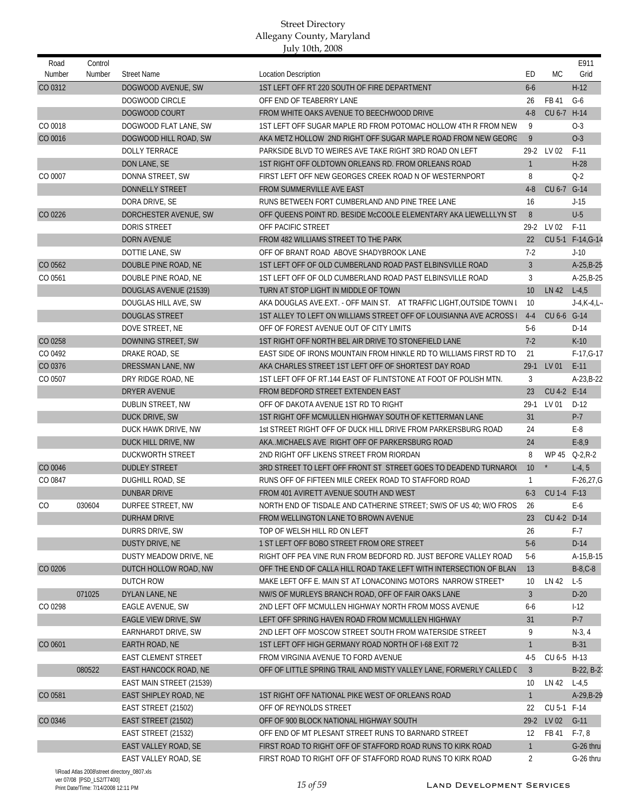| Road<br>Number | Control<br>Number | <b>Street Name</b>         | <b>Location Description</b>                                          | ED              | <b>MC</b>       | E911<br>Grid        |
|----------------|-------------------|----------------------------|----------------------------------------------------------------------|-----------------|-----------------|---------------------|
| CO 0312        |                   | DOGWOOD AVENUE, SW         | 1ST LEFT OFF RT 220 SOUTH OF FIRE DEPARTMENT                         | $6-6$           |                 | $H-12$              |
|                |                   | DOGWOOD CIRCLE             | OFF END OF TEABERRY LANE                                             | 26              | <b>FB41</b>     | $G-6$               |
|                |                   | DOGWOOD COURT              | FROM WHITE OAKS AVENUE TO BEECHWOOD DRIVE                            | $4 - 8$         | CU 6-7          | $H-14$              |
| CO 0018        |                   | DOGWOOD FLAT LANE, SW      | 1ST LEFT OFF SUGAR MAPLE RD FROM POTOMAC HOLLOW 4TH R FROM NEW       | 9               |                 | $O-3$               |
| CO 0016        |                   | DOGWOOD HILL ROAD, SW      | AKA METZ HOLLOW 2ND RIGHT OFF SUGAR MAPLE ROAD FROM NEW GEORG        | 9               |                 | $O-3$               |
|                |                   | <b>DOLLY TERRACE</b>       | PARKSIDE BLVD TO WEIRES AVE TAKE RIGHT 3RD ROAD ON LEFT              | $29-2$          | LV 02           | $F-11$              |
|                |                   | DON LANE, SE               | 1ST RIGHT OFF OLDTOWN ORLEANS RD. FROM ORLEANS ROAD                  | $\mathbf{1}$    |                 | $H-28$              |
| CO 0007        |                   | DONNA STREET, SW           | FIRST LEFT OFF NEW GEORGES CREEK ROAD N OF WESTERNPORT               | 8               |                 | $Q-2$               |
|                |                   | <b>DONNELLY STREET</b>     | FROM SUMMERVILLE AVE EAST                                            | $4 - 8$         | CU 6-7 G-14     |                     |
|                |                   | DORA DRIVE, SE             | RUNS BETWEEN FORT CUMBERLAND AND PINE TREE LANE                      | 16              |                 | $J-15$              |
| CO 0226        |                   | DORCHESTER AVENUE, SW      | OFF QUEENS POINT RD. BESIDE MCCOOLE ELEMENTARY AKA LIEWELLLYN ST     | 8               |                 | $U-5$               |
|                |                   | <b>DORIS STREET</b>        | OFF PACIFIC STREET                                                   | $29-2$          | LV 02           | $F-11$              |
|                |                   | <b>DORN AVENUE</b>         | FROM 482 WILLIAMS STREET TO THE PARK                                 | 22              |                 | CU 5-1 F-14, G-14   |
|                |                   | DOTTIE LANE, SW            | OFF OF BRANT ROAD ABOVE SHADYBROOK LANE                              | $7-2$           |                 | $J-10$              |
| CO 0562        |                   | DOUBLE PINE ROAD, NE       | 1ST LEFT OFF OF OLD CUMBERLAND ROAD PAST ELBINSVILLE ROAD            | 3               |                 | A-25, B-25          |
| CO 0561        |                   | DOUBLE PINE ROAD, NE       | 1ST LEFT OFF OF OLD CUMBERLAND ROAD PAST ELBINSVILLE ROAD            | 3               |                 | $A-25,B-25$         |
|                |                   | DOUGLAS AVENUE (21539)     | TURN AT STOP LIGHT IN MIDDLE OF TOWN                                 | 10              | LN 42           | $L-4,5$             |
|                |                   | DOUGLAS HILL AVE, SW       | AKA DOUGLAS AVE.EXT. - OFF MAIN ST. AT TRAFFIC LIGHT, OUTSIDE TOWN I | 10              |                 | $J - 4, K - 4, L -$ |
|                |                   | <b>DOUGLAS STREET</b>      | 1ST ALLEY TO LEFT ON WILLIAMS STREET OFF OF LOUISIANNA AVE ACROSS    | $4 - 4$         | CU 6-6 G-14     |                     |
|                |                   | DOVE STREET, NE            | OFF OF FOREST AVENUE OUT OF CITY LIMITS                              | $5-6$           |                 | $D-14$              |
| CO 0258        |                   | DOWNING STREET, SW         | 1ST RIGHT OFF NORTH BEL AIR DRIVE TO STONEFIELD LANE                 | $7-2$           |                 | $K-10$              |
| CO 0492        |                   | DRAKE ROAD, SE             | EAST SIDE OF IRONS MOUNTAIN FROM HINKLE RD TO WILLIAMS FIRST RD TO   | 21              |                 | $F-17, G-17$        |
| CO 0376        |                   | DRESSMAN LANE, NW          | AKA CHARLES STREET 1ST LEFT OFF OF SHORTEST DAY ROAD                 | $29-1$          | LV 01           | $E-11$              |
| CO 0507        |                   | DRY RIDGE ROAD, NE         | 1ST LEFT OFF OF RT.144 EAST OF FLINTSTONE AT FOOT OF POLISH MTN.     | 3               |                 | $A-23,B-22$         |
|                |                   | DRYER AVENUE               | FROM BEDFORD STREET EXTENDEN EAST                                    | 23              | CU 4-2 E-14     |                     |
|                |                   | DUBLIN STREET, NW          | OFF OF DAKOTA AVENUE 1ST RD TO RIGHT                                 | $29-1$          | LV 01           | $D-12$              |
|                |                   | DUCK DRIVE, SW             | 1ST RIGHT OFF MCMULLEN HIGHWAY SOUTH OF KETTERMAN LANE               | 31              |                 | $P-7$               |
|                |                   | DUCK HAWK DRIVE, NW        | 1st STREET RIGHT OFF OF DUCK HILL DRIVE FROM PARKERSBURG ROAD        | 24              |                 | $E-8$               |
|                |                   | DUCK HILL DRIVE, NW        | AKAMICHAELS AVE RIGHT OFF OF PARKERSBURG ROAD                        | 24              |                 | $E-8,9$             |
|                |                   | DUCKWORTH STREET           | 2ND RIGHT OFF LIKENS STREET FROM RIORDAN                             | 8               | WP 45           | $Q - 2, R - 2$      |
| CO 0046        |                   | <b>DUDLEY STREET</b>       | 3RD STREET TO LEFT OFF FRONT ST STREET GOES TO DEADEND TURNAROL      | 10 <sup>°</sup> |                 | $L-4, 5$            |
| CO 0847        |                   | DUGHILL ROAD, SE           | RUNS OFF OF FIFTEEN MILE CREEK ROAD TO STAFFORD ROAD                 | $\mathbf{1}$    |                 | $F-26,27, G$        |
|                |                   | <b>DUNBAR DRIVE</b>        | FROM 401 AVIRETT AVENUE SOUTH AND WEST                               | $6 - 3$         | CU 1-4 F-13     |                     |
| CO.            | 030604            | DURFEE STREET, NW          | NORTH END OF TISDALE AND CATHERINE STREET; SW/S OF US 40; W/O FROS   | 26              |                 | E-6                 |
|                |                   | <b>DURHAM DRIVE</b>        | FROM WELLINGTON LANE TO BROWN AVENUE                                 | 23              | CU 4-2 D-14     |                     |
|                |                   | DURRS DRIVE, SW            | TOP OF WELSH HILL RD ON LEFT                                         | 26              |                 | $F-7$               |
|                |                   | DUSTY DRIVE, NE            | 1 ST LEFT OFF BOBO STREET FROM ORE STREET                            | $5-6$           |                 | $D-14$              |
|                |                   | DUSTY MEADOW DRIVE, NE     | RIGHT OFF PEA VINE RUN FROM BEDFORD RD. JUST BEFORE VALLEY ROAD      | $5-6$           |                 | $A-15,B-15$         |
| CO 0206        |                   | DUTCH HOLLOW ROAD, NW      | OFF THE END OF CALLA HILL ROAD TAKE LEFT WITH INTERSECTION OF BLAN   | 13              |                 | $B-8, C-8$          |
|                |                   | DUTCH ROW                  | MAKE LEFT OFF E. MAIN ST AT LONACONING MOTORS NARROW STREET*         | 10              | LN 42           | $L-5$               |
|                | 071025            | DYLAN LANE, NE             | NW/S OF MURLEYS BRANCH ROAD, OFF OF FAIR OAKS LANE                   | $\mathbf{3}$    |                 | $D-20$              |
| CO 0298        |                   | EAGLE AVENUE, SW           | 2ND LEFT OFF MCMULLEN HIGHWAY NORTH FROM MOSS AVENUE                 | 6-6             |                 | $1-12$              |
|                |                   | EAGLE VIEW DRIVE, SW       | LEFT OFF SPRING HAVEN ROAD FROM MCMULLEN HIGHWAY                     | 31              |                 | $P-7$               |
|                |                   | EARNHARDT DRIVE, SW        | 2ND LEFT OFF MOSCOW STREET SOUTH FROM WATERSIDE STREET               | 9               |                 | $N-3, 4$            |
| CO 0601        |                   | EARTH ROAD, NE             | 1ST LEFT OFF HIGH GERMANY ROAD NORTH OF I-68 EXIT 72                 | $\mathbf{1}$    |                 | <b>B-31</b>         |
|                |                   | <b>EAST CLEMENT STREET</b> | FROM VIRGINIA AVENUE TO FORD AVENUE                                  | 4-5             | CU 6-5 H-13     |                     |
|                | 080522            | EAST HANCOCK ROAD, NE      | OFF OF LITTLE SPRING TRAIL AND MISTY VALLEY LANE, FORMERLY CALLED O  | 3               |                 | B-22, B-23          |
|                |                   | EAST MAIN STREET (21539)   |                                                                      | 10              | LN 42           | $L-4,5$             |
| CO 0581        |                   | EAST SHIPLEY ROAD, NE      | 1ST RIGHT OFF NATIONAL PIKE WEST OF ORLEANS ROAD                     | $\mathbf{1}$    |                 | A-29, B-29          |
|                |                   | EAST STREET (21502)        | OFF OF REYNOLDS STREET                                               | 22              | CU 5-1 F-14     |                     |
| CO 0346        |                   | EAST STREET (21502)        | OFF OF 900 BLOCK NATIONAL HIGHWAY SOUTH                              |                 | 29-2 LV 02 G-11 |                     |
|                |                   | EAST STREET (21532)        | OFF END OF MT PLESANT STREET RUNS TO BARNARD STREET                  | 12              | FB 41           | $F-7, 8$            |
|                |                   | EAST VALLEY ROAD, SE       | FIRST ROAD TO RIGHT OFF OF STAFFORD ROAD RUNS TO KIRK ROAD           | $\mathbf{1}$    |                 | G-26 thru           |
|                |                   | EAST VALLEY ROAD, SE       | FIRST ROAD TO RIGHT OFF OF STAFFORD ROAD RUNS TO KIRK ROAD           | 2               |                 | G-26 thru           |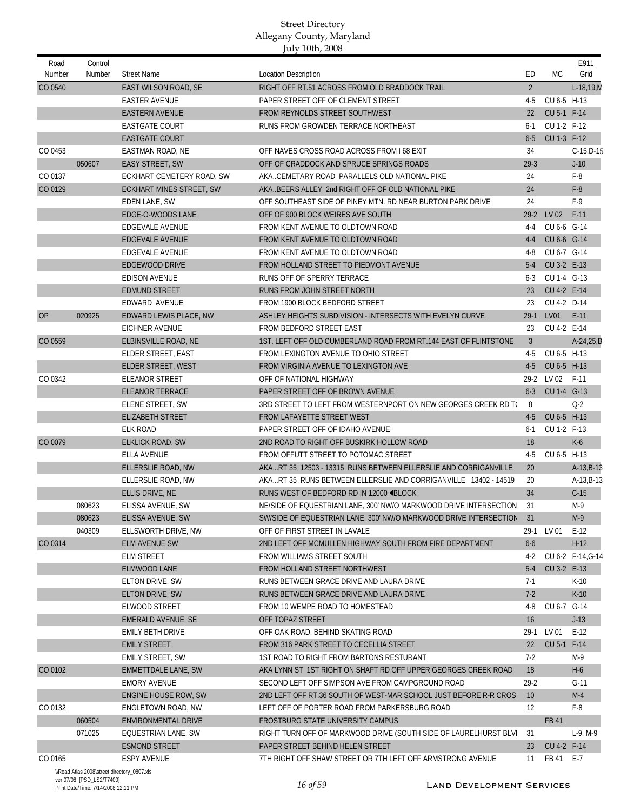| Road      | Control                                     |                               |                                                                      |                   |                 | E911              |
|-----------|---------------------------------------------|-------------------------------|----------------------------------------------------------------------|-------------------|-----------------|-------------------|
| Number    | Number                                      | <b>Street Name</b>            | <b>Location Description</b>                                          | ED                | МC              | Grid              |
| CO 0540   |                                             | EAST WILSON ROAD, SE          | RIGHT OFF RT.51 ACROSS FROM OLD BRADDOCK TRAIL                       | $\overline{2}$    |                 | L-18,19,M         |
|           |                                             | <b>EASTER AVENUE</b>          | PAPER STREET OFF OF CLEMENT STREET                                   | $4-5$             | CU 6-5 H-13     |                   |
|           |                                             | <b>EASTERN AVENUE</b>         | FROM REYNOLDS STREET SOUTHWEST                                       | 22                | CU 5-1 F-14     |                   |
|           |                                             | <b>EASTGATE COURT</b>         | RUNS FROM GROWDEN TERRACE NORTHEAST                                  | $6-1$             | CU 1-2 F-12     |                   |
|           |                                             | <b>EASTGATE COURT</b>         |                                                                      | $6 - 5$           | CU 1-3 F-12     |                   |
| CO 0453   |                                             | EASTMAN ROAD, NE              | OFF NAVES CROSS ROAD ACROSS FROM 168 EXIT                            | 34                |                 | $C-15, D-15$      |
|           | 050607                                      | <b>EASY STREET, SW</b>        | OFF OF CRADDOCK AND SPRUCE SPRINGS ROADS                             | $29-3$            |                 | $J-10$            |
| CO 0137   |                                             | ECKHART CEMETERY ROAD, SW     | AKACEMETARY ROAD PARALLELS OLD NATIONAL PIKE                         | 24                |                 | $F-8$             |
| CO 0129   |                                             | ECKHART MINES STREET, SW      | AKABEERS ALLEY 2nd RIGHT OFF OF OLD NATIONAL PIKE                    | 24                |                 | $F-8$             |
|           |                                             | EDEN LANE, SW                 | OFF SOUTHEAST SIDE OF PINEY MTN. RD NEAR BURTON PARK DRIVE           | 24                |                 | $F-9$             |
|           |                                             | EDGE-O-WOODS LANE             | OFF OF 900 BLOCK WEIRES AVE SOUTH                                    | $29-2$            | LV 02           | $F-11$            |
|           |                                             | <b>EDGEVALE AVENUE</b>        | FROM KENT AVENUE TO OLDTOWN ROAD                                     | $4 - 4$           | CU 6-6 G-14     |                   |
|           |                                             | <b>EDGEVALE AVENUE</b>        | FROM KENT AVENUE TO OLDTOWN ROAD                                     | $4 - 4$           | CU 6-6 G-14     |                   |
|           |                                             | <b>EDGEVALE AVENUE</b>        | FROM KENT AVENUE TO OLDTOWN ROAD                                     | 4-8               | CU 6-7 G-14     |                   |
|           |                                             | <b>EDGEWOOD DRIVE</b>         | FROM HOLLAND STREET TO PIEDMONT AVENUE                               | $5-4$             | CU 3-2 E-13     |                   |
|           |                                             | <b>EDISON AVENUE</b>          | RUNS OFF OF SPERRY TERRACE                                           | $6 - 3$           | CU 1-4 G-13     |                   |
|           |                                             | <b>EDMUND STREET</b>          | RUNS FROM JOHN STREET NORTH                                          | 23                | CU 4-2 E-14     |                   |
|           |                                             | <b>EDWARD AVENUE</b>          | FROM 1900 BLOCK BEDFORD STREET                                       | 23                | CU 4-2 D-14     |                   |
| <b>OP</b> | 020925                                      | <b>EDWARD LEWIS PLACE, NW</b> | ASHLEY HEIGHTS SUBDIVISION - INTERSECTS WITH EVELYN CURVE            | $29-1$            | LV01            | $E-11$            |
|           |                                             | EICHNER AVENUE                | FROM BEDFORD STREET EAST                                             | 23                | CU 4-2 E-14     |                   |
| CO 0559   |                                             | ELBINSVILLE ROAD, NE          | 1ST. LEFT OFF OLD CUMBERLAND ROAD FROM RT.144 EAST OF FLINTSTONE     | 3                 |                 | $A-24,25,B$       |
|           |                                             | ELDER STREET, EAST            | FROM LEXINGTON AVENUE TO OHIO STREET                                 | 4-5               | CU 6-5 H-13     |                   |
|           |                                             | ELDER STREET, WEST            | FROM VIRGINIA AVENUE TO LEXINGTON AVE                                | $4-5$             | CU 6-5 H-13     |                   |
| CO 0342   |                                             | <b>ELEANOR STREET</b>         | OFF OF NATIONAL HIGHWAY                                              |                   | 29-2 LV 02 F-11 |                   |
|           |                                             | ELEANOR TERRACE               | PAPER STREET OFF OF BROWN AVENUE                                     | $6 - 3$           | CU 1-4 G-13     |                   |
|           |                                             | ELENE STREET, SW              | 3RD STREET TO LEFT FROM WESTERNPORT ON NEW GEORGES CREEK RD TO       | 8                 |                 | $Q-2$             |
|           |                                             | ELIZABETH STREET              | FROM LAFAYETTE STREET WEST                                           | $4-5$             | CU 6-5 H-13     |                   |
|           |                                             | <b>ELK ROAD</b>               | PAPER STREET OFF OF IDAHO AVENUE                                     | $6-1$             | CU 1-2 F-13     |                   |
| CO 0079   |                                             | <b>ELKLICK ROAD, SW</b>       | 2ND ROAD TO RIGHT OFF BUSKIRK HOLLOW ROAD                            | 18                |                 | $K-6$             |
|           |                                             | <b>ELLA AVENUE</b>            | FROM OFFUTT STREET TO POTOMAC STREET                                 | $4-5$             | CU 6-5 H-13     |                   |
|           |                                             | ELLERSLIE ROAD, NW            | AKART 35 12503 - 13315 RUNS BETWEEN ELLERSLIE AND CORRIGANVILLE      | 20                |                 | $A-13,B-13$       |
|           |                                             | ELLERSLIE ROAD, NW            | AKART 35 RUNS BETWEEN ELLERSLIE AND CORRIGANVILLE 13402 - 14519      | 20                |                 | $A-13,B-13$       |
|           |                                             | ELLIS DRIVE, NE               | RUNS WEST OF BEDFORD RD IN 12000 (BLOCK                              | 34                |                 | $C-15$            |
|           | 080623                                      | ELISSA AVENUE, SW             | NE/SIDE OF EQUESTRIAN LANE, 300' NW/O MARKWOOD DRIVE INTERSECTION    | 31                |                 | $M-9$             |
|           | 080623                                      | ELISSA AVENUE, SW             | SW/SIDE OF EQUESTRIAN LANE, 300' NW/O MARKWOOD DRIVE INTERSECTION 31 |                   |                 | $M-9$             |
|           | 040309                                      | ELLSWORTH DRIVE, NW           | OFF OF FIRST STREET IN LAVALE                                        | 29-1              | LV 01           | $E-12$            |
| CO 0314   |                                             | <b>ELM AVENUE SW</b>          | 2ND LEFT OFF MCMULLEN HIGHWAY SOUTH FROM FIRE DEPARTMENT             | $6-6$             |                 | $H-12$            |
|           |                                             | <b>ELM STREET</b>             | FROM WILLIAMS STREET SOUTH                                           | 4-2               |                 | CU 6-2 F-14, G-14 |
|           |                                             | ELMWOOD LANE                  | FROM HOLLAND STREET NORTHWEST                                        | $5-4$             | CU 3-2 E-13     |                   |
|           |                                             | ELTON DRIVE, SW               | RUNS BETWEEN GRACE DRIVE AND LAURA DRIVE                             | $7-1$             |                 | $K-10$            |
|           |                                             | ELTON DRIVE, SW               | RUNS BETWEEN GRACE DRIVE AND LAURA DRIVE                             | $7-2$             |                 | $K-10$            |
|           |                                             | ELWOOD STREET                 | FROM 10 WEMPE ROAD TO HOMESTEAD                                      | 4-8               | CU 6-7 G-14     |                   |
|           |                                             | <b>EMERALD AVENUE, SE</b>     | OFF TOPAZ STREET                                                     | 16                |                 | $J-13$            |
|           |                                             | EMILY BETH DRIVE              | OFF OAK ROAD, BEHIND SKATING ROAD                                    | $29-1$            | LV 01           | $E-12$            |
|           |                                             | <b>EMILY STREET</b>           | FROM 316 PARK STREET TO CECELLIA STREET                              | 22                | CU 5-1 F-14     |                   |
|           |                                             | <b>EMILY STREET, SW</b>       | 1ST ROAD TO RIGHT FROM BARTONS RESTURANT                             | 7-2               |                 | M-9               |
| CO 0102   |                                             | <b>EMMETTDALE LANE, SW</b>    | AKA LYNN ST 1ST RIGHT ON SHAFT RD OFF UPPER GEORGES CREEK ROAD       | 18                |                 | $H-6$             |
|           |                                             | <b>EMORY AVENUE</b>           | SECOND LEFT OFF SIMPSON AVE FROM CAMPGROUND ROAD                     | $29-2$            |                 | $G-11$            |
|           |                                             | ENGINE HOUSE ROW, SW          | 2ND LEFT OFF RT.36 SOUTH OF WEST-MAR SCHOOL JUST BEFORE R-R CROS     | 10                |                 | $M-4$             |
| CO 0132   |                                             | ENGLETOWN ROAD, NW            | LEFT OFF OF PORTER ROAD FROM PARKERSBURG ROAD                        | $12 \overline{ }$ |                 | $F-8$             |
|           | 060504                                      | ENVIRONMENTAL DRIVE           | FROSTBURG STATE UNIVERSITY CAMPUS                                    |                   | FB 41           |                   |
|           | 071025                                      | EQUESTRIAN LANE, SW           | RIGHT TURN OFF OF MARKWOOD DRIVE (SOUTH SIDE OF LAURELHURST BLV      | 31                |                 | $L-9, M-9$        |
|           |                                             | <b>ESMOND STREET</b>          | PAPER STREET BEHIND HELEN STREET                                     | 23                | CU 4-2 F-14     |                   |
| CO 0165   |                                             | <b>ESPY AVENUE</b>            | 7TH RIGHT OFF SHAW STREET OR 7TH LEFT OFF ARMSTRONG AVENUE           | 11                | FB 41           | E-7               |
|           | \\Road Atlas 2008\street directory_0807.xls |                               |                                                                      |                   |                 |                   |

ver 07/08 [PSD\_LS2/T7400]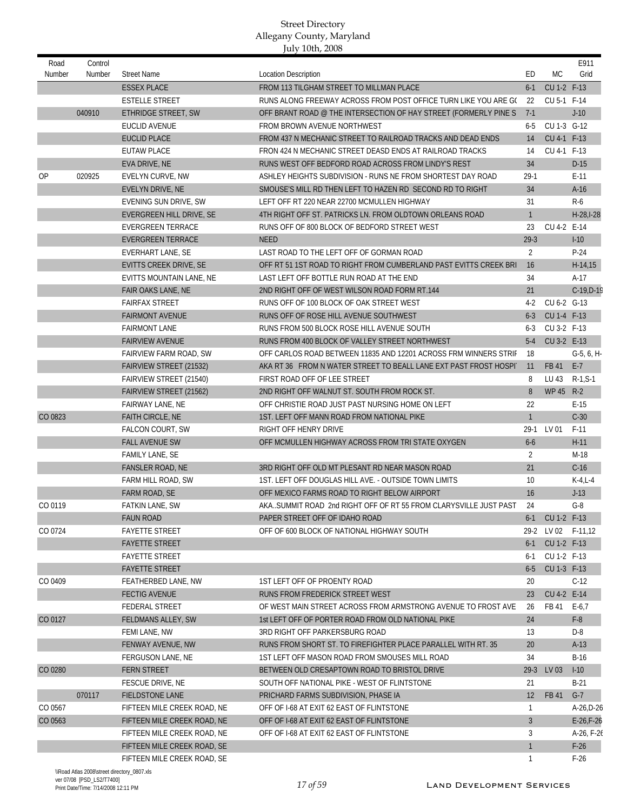| Road    | Control |                                 |                                                                   |                 |             | E911               |
|---------|---------|---------------------------------|-------------------------------------------------------------------|-----------------|-------------|--------------------|
| Number  | Number  | <b>Street Name</b>              | <b>Location Description</b>                                       | ED              | <b>MC</b>   | Grid               |
|         |         | <b>ESSEX PLACE</b>              | FROM 113 TILGHAM STREET TO MILLMAN PLACE                          | $6-1$           | CU 1-2 F-13 |                    |
|         |         | <b>ESTELLE STREET</b>           | RUNS ALONG FREEWAY ACROSS FROM POST OFFICE TURN LIKE YOU ARE GO   | 22              | CU 5-1 F-14 |                    |
|         | 040910  | ETHRIDGE STREET, SW             | OFF BRANT ROAD @ THE INTERSECTION OF HAY STREET (FORMERLY PINE S  | $7-1$           |             | $J-10$             |
|         |         | <b>EUCLID AVENUE</b>            | FROM BROWN AVENUE NORTHWEST                                       | $6 - 5$         | CU 1-3 G-12 |                    |
|         |         | <b>EUCLID PLACE</b>             | FROM 437 N MECHANIC STREET TO RAILROAD TRACKS AND DEAD ENDS       | 14              | CU 4-1 F-13 |                    |
|         |         | <b>EUTAW PLACE</b>              | FRON 424 N MECHANIC STREET DEASD ENDS AT RAILROAD TRACKS          | 14              | CU 4-1 F-13 |                    |
|         |         | EVA DRIVE, NE                   | RUNS WEST OFF BEDFORD ROAD ACROSS FROM LINDY'S REST               | 34              |             | $D-15$             |
| 0P      | 020925  | <b>EVELYN CURVE, NW</b>         | ASHLEY HEIGHTS SUBDIVISION - RUNS NE FROM SHORTEST DAY ROAD       | $29-1$          |             | $E-11$             |
|         |         | EVELYN DRIVE, NE                | SMOUSE'S MILL RD THEN LEFT TO HAZEN RD SECOND RD TO RIGHT         | 34              |             | $A-16$             |
|         |         | EVENING SUN DRIVE, SW           | LEFT OFF RT 220 NEAR 22700 MCMULLEN HIGHWAY                       | 31              |             | $R-6$              |
|         |         | EVERGREEN HILL DRIVE, SE        | 4TH RIGHT OFF ST. PATRICKS LN. FROM OLDTOWN ORLEANS ROAD          | $\mathbf{1}$    |             | H-28, I-28         |
|         |         | <b>EVERGREEN TERRACE</b>        | RUNS OFF OF 800 BLOCK OF BEDFORD STREET WEST                      | 23              | CU 4-2 E-14 |                    |
|         |         | <b>EVERGREEN TERRACE</b>        | <b>NEED</b>                                                       | $29-3$          |             | $I-10$             |
|         |         | EVERHART LANE, SE               | LAST ROAD TO THE LEFT OFF OF GORMAN ROAD                          | $\overline{2}$  |             | $P-24$             |
|         |         | <b>EVITTS CREEK DRIVE, SE</b>   | OFF RT 51 1ST ROAD TO RIGHT FROM CUMBERLAND PAST EVITTS CREEK BRI | 16              |             | $H-14,15$          |
|         |         | <b>EVITTS MOUNTAIN LANE, NE</b> | LAST LEFT OFF BOTTLE RUN ROAD AT THE END                          | 34              |             | $A-17$             |
|         |         | FAIR OAKS LANE, NE              | 2ND RIGHT OFF OF WEST WILSON ROAD FORM RT.144                     | 21              |             | $C-19,D-19$        |
|         |         | <b>FAIRFAX STREET</b>           | RUNS OFF OF 100 BLOCK OF OAK STREET WEST                          | $4-2$           | CU 6-2 G-13 |                    |
|         |         | <b>FAIRMONT AVENUE</b>          | RUNS OFF OF ROSE HILL AVENUE SOUTHWEST                            | $6 - 3$         | CU 1-4 F-13 |                    |
|         |         | <b>FAIRMONT LANE</b>            | RUNS FROM 500 BLOCK ROSE HILL AVENUE SOUTH                        | $6 - 3$         | CU 3-2 F-13 |                    |
|         |         | <b>FAIRVIEW AVENUE</b>          | RUNS FROM 400 BLOCK OF VALLEY STREET NORTHWEST                    | $5-4$           | CU 3-2 E-13 |                    |
|         |         | FAIRVIEW FARM ROAD, SW          | OFF CARLOS ROAD BETWEEN 11835 AND 12201 ACROSS FRM WINNERS STRIF  | 18              |             | $G-5, 6, H-$       |
|         |         | FAIRVIEW STREET (21532)         | AKA RT 36 FROM N WATER STREET TO BEALL LANE EXT PAST FROST HOSPI  | 11              | FB 41       | $E-7$              |
|         |         | FAIRVIEW STREET (21540)         | FIRST ROAD OFF OF LEE STREET                                      | 8               | LU 43       | R-1, S-1           |
|         |         | FAIRVIEW STREET (21562)         | 2ND RIGHT OFF WALNUT ST. SOUTH FROM ROCK ST.                      | 8               | WP 45 R-2   |                    |
|         |         | FAIRWAY LANE, NE                | OFF CHRISTIE ROAD JUST PAST NURSING HOME ON LEFT                  | 22              |             | $E-15$             |
| CO 0823 |         | FAITH CIRCLE, NE                | 1ST. LEFT OFF MANN ROAD FROM NATIONAL PIKE                        | $\mathbf{1}$    |             | $C-30$             |
|         |         | <b>FALCON COURT, SW</b>         | RIGHT OFF HENRY DRIVE                                             | $29-1$          | LV 01       | $F-11$             |
|         |         | <b>FALL AVENUE SW</b>           | OFF MCMULLEN HIGHWAY ACROSS FROM TRI STATE OXYGEN                 | $6-6$           |             | $H-11$             |
|         |         | <b>FAMILY LANE, SE</b>          |                                                                   | $\overline{2}$  |             | M-18               |
|         |         | <b>FANSLER ROAD, NE</b>         | 3RD RIGHT OFF OLD MT PLESANT RD NEAR MASON ROAD                   | 21              |             | $C-16$             |
|         |         | FARM HILL ROAD, SW              | 1ST. LEFT OFF DOUGLAS HILL AVE. - OUTSIDE TOWN LIMITS             | 10 <sup>°</sup> |             | $K-4,L-4$          |
|         |         | FARM ROAD, SE                   | OFF MEXICO FARMS ROAD TO RIGHT BELOW AIRPORT                      | 16              |             | $J-13$             |
| CO 0119 |         | <b>FATKIN LANE, SW</b>          | AKASUMMIT ROAD 2nd RIGHT OFF OF RT 55 FROM CLARYSVILLE JUST PAST  | 24              |             | $G-8$              |
|         |         | <b>FAUN ROAD</b>                | PAPER STREET OFF OF IDAHO ROAD                                    | $6-1$           | CU 1-2 F-13 |                    |
| CO 0724 |         | <b>FAYETTE STREET</b>           | OFF OF 600 BLOCK OF NATIONAL HIGHWAY SOUTH                        |                 |             | 29-2 LV 02 F-11,12 |
|         |         | <b>FAYETTE STREET</b>           |                                                                   | $6-1$           | CU 1-2 F-13 |                    |
|         |         | <b>FAYETTE STREET</b>           |                                                                   | $6-1$           | CU 1-2 F-13 |                    |
|         |         | <b>FAYETTE STREET</b>           |                                                                   | $6-5$           | CU 1-3 F-13 |                    |
| CO 0409 |         | FEATHERBED LANE, NW             | 1ST LEFT OFF OF PROENTY ROAD                                      | 20              |             | $C-12$             |
|         |         | <b>FECTIG AVENUE</b>            | RUNS FROM FREDERICK STREET WEST                                   | 23              | CU 4-2 E-14 |                    |
|         |         | FEDERAL STREET                  | OF WEST MAIN STREET ACROSS FROM ARMSTRONG AVENUE TO FROST AVE     | 26              | FB 41 E-6,7 |                    |
| CO 0127 |         | FELDMANS ALLEY, SW              | 1st LEFT OFF OF PORTER ROAD FROM OLD NATIONAL PIKE                | 24              |             | $F-8$              |
|         |         | FEMI LANE, NW                   | 3RD RIGHT OFF PARKERSBURG ROAD                                    | 13              |             | D-8                |
|         |         | FENWAY AVENUE, NW               | RUNS FROM SHORT ST. TO FIREFIGHTER PLACE PARALLEL WITH RT. 35     | 20              |             | $A-13$             |
|         |         | FERGUSON LANE, NE               | 1ST LEFT OFF MASON ROAD FROM SMOUSES MILL ROAD                    | 34              |             | $B-16$             |
| CO 0280 |         | FERN STREET                     | BETWEEN OLD CRESAPTOWN ROAD TO BRISTOL DRIVE                      | $29-3$          | LV 03       | $I-10$             |
|         |         | FESCUE DRIVE, NE                | SOUTH OFF NATIONAL PIKE - WEST OF FLINTSTONE                      | 21              |             | $B-21$             |
|         | 070117  | <b>FIELDSTONE LANE</b>          | PRICHARD FARMS SUBDIVISION, PHASE IA                              | 12 <sup>2</sup> | FB 41       | $G-7$              |
| CO 0567 |         | FIFTEEN MILE CREEK ROAD, NE     | OFF OF 1-68 AT EXIT 62 EAST OF FLINTSTONE                         | $\mathbf{1}$    |             | $A-26,D-26$        |
| CO 0563 |         | FIFTEEN MILE CREEK ROAD, NE     | OFF OF I-68 AT EXIT 62 EAST OF FLINTSTONE                         | 3               |             | $E-26, F-26$       |
|         |         | FIFTEEN MILE CREEK ROAD, NE     | OFF OF 1-68 AT EXIT 62 EAST OF FLINTSTONE                         | 3               |             | $A-26, F-26$       |
|         |         | FIFTEEN MILE CREEK ROAD, SE     |                                                                   | $\mathbf{1}$    |             | $F-26$             |
|         |         | FIFTEEN MILE CREEK ROAD, SE     |                                                                   | $\mathbf{1}$    |             | $F-26$             |

\\Road Atlas 2008\street directory\_0807.xls ver 07/08 [PSD\_LS2/T7400]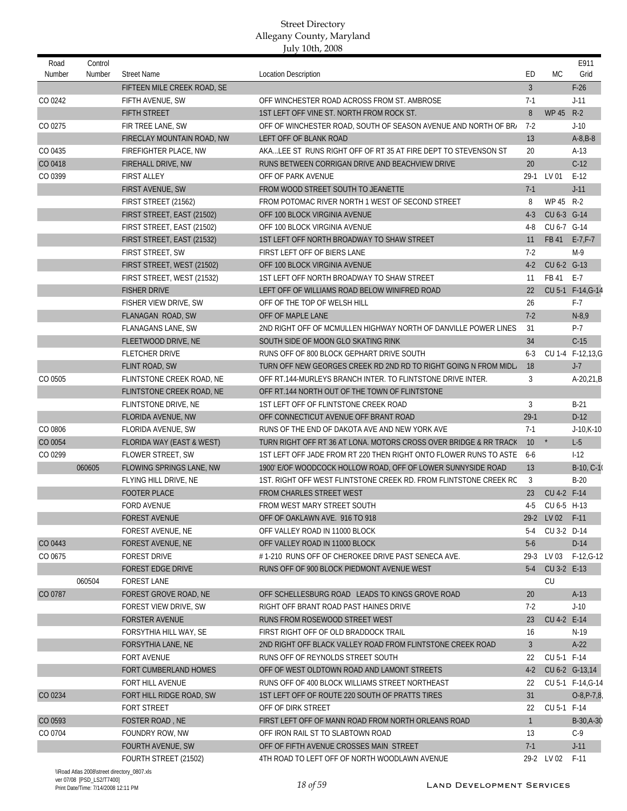| Road    | Control |                                             |                                                                                  |                |                 | E911              |
|---------|---------|---------------------------------------------|----------------------------------------------------------------------------------|----------------|-----------------|-------------------|
| Number  | Number  | <b>Street Name</b>                          | <b>Location Description</b>                                                      | ED             | МC              | Grid              |
|         |         | FIFTEEN MILE CREEK ROAD, SE                 |                                                                                  | $\overline{3}$ |                 | $F-26$            |
| CO 0242 |         | FIFTH AVENUE, SW                            | OFF WINCHESTER ROAD ACROSS FROM ST. AMBROSE                                      | $7-1$          |                 | $J-11$            |
|         |         | <b>FIFTH STREET</b>                         | 1ST LEFT OFF VINE ST. NORTH FROM ROCK ST.                                        | 8              | <b>WP 45</b>    | $R-2$             |
| CO 0275 |         | FIR TREE LANE, SW                           | OFF OF WINCHESTER ROAD, SOUTH OF SEASON AVENUE AND NORTH OF BR                   | $7-2$          |                 | $J-10$            |
|         |         | FIRECLAY MOUNTAIN ROAD, NW                  | LEFT OFF OF BLANK ROAD                                                           | 13             |                 | $A-8, B-8$        |
| CO 0435 |         | FIREFIGHTER PLACE, NW                       | AKALEE ST RUNS RIGHT OFF OF RT 35 AT FIRE DEPT TO STEVENSON ST                   | 20             |                 | $A-13$            |
| CO 0418 |         | FIREHALL DRIVE, NW                          | RUNS BETWEEN CORRIGAN DRIVE AND BEACHVIEW DRIVE                                  | 20             |                 | $C-12$            |
| CO 0399 |         | <b>FIRST ALLEY</b>                          | OFF OF PARK AVENUE                                                               | $29-1$         | LV 01           | $E-12$            |
|         |         | FIRST AVENUE, SW                            | FROM WOOD STREET SOUTH TO JEANETTE                                               | $7-1$          |                 | $J-11$            |
|         |         | FIRST STREET (21562)                        | FROM POTOMAC RIVER NORTH 1 WEST OF SECOND STREET                                 | 8              | WP 45 R-2       |                   |
|         |         | FIRST STREET, EAST (21502)                  | OFF 100 BLOCK VIRGINIA AVENUE                                                    | $4 - 3$        | CU 6-3 G-14     |                   |
|         |         | FIRST STREET, EAST (21502)                  | OFF 100 BLOCK VIRGINIA AVENUE                                                    | $4 - 8$        | CU 6-7 G-14     |                   |
|         |         | FIRST STREET, EAST (21532)                  | 1ST LEFT OFF NORTH BROADWAY TO SHAW STREET                                       | 11             |                 | FB 41 E-7, F-7    |
|         |         | FIRST STREET, SW                            | FIRST LEFT OFF OF BIERS LANE                                                     | $7-2$          |                 | $M-9$             |
|         |         | FIRST STREET, WEST (21502)                  | OFF 100 BLOCK VIRGINIA AVENUE                                                    | $4-2$          | CU 6-2 G-13     |                   |
|         |         | FIRST STREET, WEST (21532)                  | 1ST LEFT OFF NORTH BROADWAY TO SHAW STREET                                       | 11             | FB 41           | $E-7$             |
|         |         | <b>FISHER DRIVE</b>                         | LEFT OFF OF WILLIAMS ROAD BELOW WINIFRED ROAD                                    | 22             |                 | CU 5-1 F-14, G-14 |
|         |         | FISHER VIEW DRIVE, SW                       | OFF OF THE TOP OF WELSH HILL                                                     | 26             |                 | $F-7$             |
|         |         | FLANAGAN ROAD, SW                           | OFF OF MAPLE LANE                                                                | $7-2$          |                 | $N-8,9$           |
|         |         | <b>FLANAGANS LANE, SW</b>                   | 2ND RIGHT OFF OF MCMULLEN HIGHWAY NORTH OF DANVILLE POWER LINES                  | 31             |                 | P-7               |
|         |         | FLEETWOOD DRIVE, NE                         | SOUTH SIDE OF MOON GLO SKATING RINK                                              | 34             |                 | $C-15$            |
|         |         | <b>FLETCHER DRIVE</b>                       | RUNS OFF OF 800 BLOCK GEPHART DRIVE SOUTH                                        | $6 - 3$        |                 | CU 1-4 F-12,13,G  |
|         |         | FLINT ROAD, SW                              | TURN OFF NEW GEORGES CREEK RD 2ND RD TO RIGHT GOING N FROM MIDL                  | 18             |                 | $J-7$             |
| CO 0505 |         | FLINTSTONE CREEK ROAD, NE                   | OFF RT.144-MURLEYS BRANCH INTER. TO FLINTSTONE DRIVE INTER.                      | 3              |                 | $A-20,21,B$       |
|         |         | FLINTSTONE CREEK ROAD, NE                   | OFF RT.144 NORTH OUT OF THE TOWN OF FLINTSTONE                                   |                |                 |                   |
|         |         | FLINTSTONE DRIVE, NE                        | 1ST LEFT OFF OF FLINTSTONE CREEK ROAD                                            | 3              |                 | $B-21$            |
|         |         | FLORIDA AVENUE, NW                          | OFF CONNECTICUT AVENUE OFF BRANT ROAD                                            | $29-1$         |                 | $D-12$            |
| CO 0806 |         | FLORIDA AVENUE, SW                          | RUNS OF THE END OF DAKOTA AVE AND NEW YORK AVE                                   | $7-1$          |                 | $J-10$ , K $-10$  |
| CO 0054 |         | FLORIDA WAY (EAST & WEST)                   | TURN RIGHT OFF RT 36 AT LONA. MOTORS CROSS OVER BRIDGE & RR TRACK                | 10             |                 | $L-5$             |
| CO 0299 |         | FLOWER STREET, SW                           | 1ST LEFT OFF JADE FROM RT 220 THEN RIGHT ONTO FLOWER RUNS TO ASTE 6-6            |                |                 | $I-12$            |
|         | 060605  | FLOWING SPRINGS LANE, NW                    | 1900' E/OF WOODCOCK HOLLOW ROAD, OFF OF LOWER SUNNYSIDE ROAD                     | 13             |                 | B-10, C-10        |
|         |         | FLYING HILL DRIVE, NE                       | 1ST. RIGHT OFF WEST FLINTSTONE CREEK RD. FROM FLINTSTONE CREEK RO                | 3              |                 | $B-20$            |
|         |         | FOOTER PLACE                                | FROM CHARLES STREET WEST                                                         | 23             | CU 4-2 F-14     |                   |
|         |         | <b>FORD AVENUE</b>                          | FROM WEST MARY STREET SOUTH                                                      | 4-5            | CU 6-5 H-13     |                   |
|         |         | <b>FOREST AVENUE</b>                        | OFF OF OAKLAWN AVE. 916 TO 918                                                   |                | 29-2 LV 02 F-11 |                   |
|         |         | FOREST AVENUE, NE                           | OFF VALLEY ROAD IN 11000 BLOCK                                                   | 5-4            | CU 3-2 D-14     |                   |
| CO 0443 |         | <b>FOREST AVENUE, NE</b>                    | OFF VALLEY ROAD IN 11000 BLOCK                                                   | $5-6$          |                 | $D-14$            |
| CO 0675 |         | <b>FOREST DRIVE</b>                         | #1-210 RUNS OFF OF CHEROKEE DRIVE PAST SENECA AVE.                               | 29-3           |                 | LV 03 F-12, G-12  |
|         |         | <b>FOREST EDGE DRIVE</b>                    | RUNS OFF OF 900 BLOCK PIEDMONT AVENUE WEST                                       | $5-4$          | CU 3-2 E-13     |                   |
|         | 060504  | <b>FOREST LANE</b>                          |                                                                                  |                | CU              |                   |
| CO 0787 |         | FOREST GROVE ROAD, NE                       | OFF SCHELLESBURG ROAD LEADS TO KINGS GROVE ROAD                                  | 20             |                 | $A-13$            |
|         |         | FOREST VIEW DRIVE, SW                       | RIGHT OFF BRANT ROAD PAST HAINES DRIVE                                           | 7-2            |                 | $J-10$            |
|         |         | <b>FORSTER AVENUE</b>                       | RUNS FROM ROSEWOOD STREET WEST                                                   | 23             | CU 4-2 E-14     |                   |
|         |         | FORSYTHIA HILL WAY, SE                      | FIRST RIGHT OFF OF OLD BRADDOCK TRAIL                                            | 16             |                 | N-19              |
|         |         | FORSYTHIA LANE, NE                          | 2ND RIGHT OFF BLACK VALLEY ROAD FROM FLINTSTONE CREEK ROAD                       | $\mathbf{3}$   |                 | $A-22$            |
|         |         |                                             |                                                                                  |                |                 |                   |
|         |         | <b>FORT AVENUE</b><br>FORT CUMBERLAND HOMES | RUNS OFF OF REYNOLDS STREET SOUTH<br>OFF OF WEST OLDTOWN ROAD AND LAMONT STREETS | 22<br>$4-2$    | CU 5-1 F-14     | CU 6-2 G-13,14    |
|         |         |                                             |                                                                                  |                |                 |                   |
|         |         | FORT HILL AVENUE                            | RUNS OFF OF 400 BLOCK WILLIAMS STREET NORTHEAST                                  | 22             |                 | CU 5-1 F-14, G-14 |
| CO 0234 |         | FORT HILL RIDGE ROAD, SW                    | 1ST LEFT OFF OF ROUTE 220 SOUTH OF PRATTS TIRES                                  | 31             |                 | $O-8, P-7, 8$     |
|         |         | <b>FORT STREET</b>                          | OFF OF DIRK STREET                                                               | 22             | CU 5-1 F-14     |                   |
| CO 0593 |         | FOSTER ROAD, NE                             | FIRST LEFT OFF OF MANN ROAD FROM NORTH ORLEANS ROAD                              | $\mathbf{1}$   |                 | $B-30, A-30$      |
| CO 0704 |         | FOUNDRY ROW, NW                             | OFF IRON RAIL ST TO SLABTOWN ROAD                                                | 13             |                 | $C-9$             |
|         |         | FOURTH AVENUE, SW                           | OFF OF FIFTH AVENUE CROSSES MAIN STREET                                          | $7-1$          |                 | $J-11$            |
|         |         | FOURTH STREET (21502)                       | 4TH ROAD TO LEFT OFF OF NORTH WOODLAWN AVENUE                                    |                | 29-2 LV 02      | F-11              |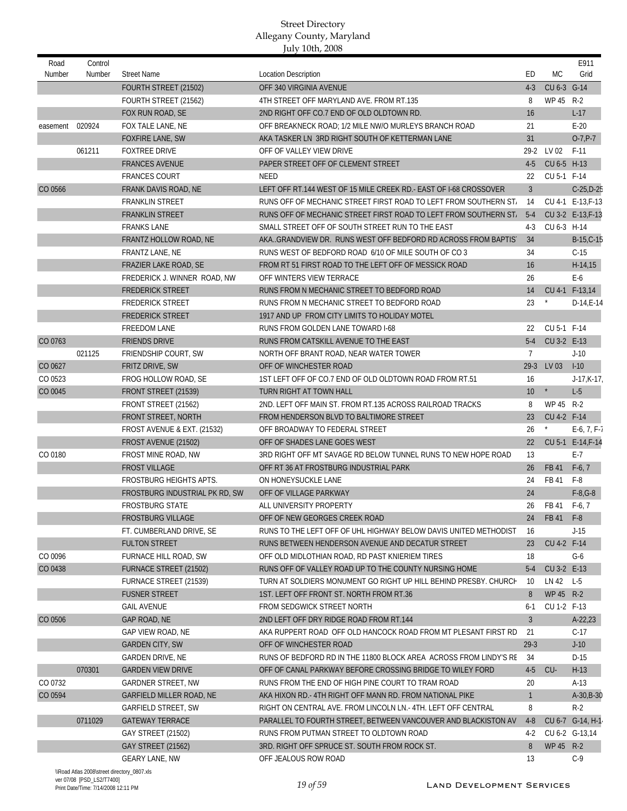| Road            | Control |                                        |                                                                                   |                    |                                         | E911              |
|-----------------|---------|----------------------------------------|-----------------------------------------------------------------------------------|--------------------|-----------------------------------------|-------------------|
| Number          | Number  | <b>Street Name</b>                     | <b>Location Description</b>                                                       | ED                 | MC.                                     | Grid              |
|                 |         | FOURTH STREET (21502)                  | OFF 340 VIRGINIA AVENUE                                                           | $4-3$              | CU 6-3 G-14                             |                   |
|                 |         | FOURTH STREET (21562)                  | 4TH STREET OFF MARYLAND AVE. FROM RT.135                                          | 8                  | WP 45 R-2                               |                   |
|                 |         | FOX RUN ROAD, SE                       | 2ND RIGHT OFF CO.7 END OF OLD OLDTOWN RD.                                         | 16                 |                                         | $L-17$            |
| easement 020924 |         | FOX TALE LANE, NE                      | OFF BREAKNECK ROAD; 1/2 MILE NW/O MURLEYS BRANCH ROAD                             | 21                 |                                         | $E-20$            |
|                 |         | <b>FOXFIRE LANE, SW</b>                | AKA TASKER LN 3RD RIGHT SOUTH OF KETTERMAN LANE                                   | 31                 |                                         | $0-7, P-7$        |
|                 | 061211  | <b>FOXTREE DRIVE</b>                   | OFF OF VALLEY VIEW DRIVE                                                          | 29-2               | LV 02 F-11                              |                   |
|                 |         | <b>FRANCES AVENUE</b>                  | PAPER STREET OFF OF CLEMENT STREET                                                | $4-5$              | CU 6-5 H-13                             |                   |
| CO 0566         |         | <b>FRANCES COURT</b>                   | NEED<br>LEFT OFF RT.144 WEST OF 15 MILE CREEK RD.- EAST OF I-68 CROSSOVER         | 22<br>$\mathbf{3}$ | CU 5-1 F-14                             | $C-25, D-25$      |
|                 |         | FRANK DAVIS ROAD, NE                   |                                                                                   |                    |                                         |                   |
|                 |         | <b>FRANKLIN STREET</b>                 | RUNS OFF OF MECHANIC STREET FIRST ROAD TO LEFT FROM SOUTHERN ST.                  | 14                 |                                         | CU 4-1 E-13, F-13 |
|                 |         | <b>FRANKLIN STREET</b>                 | RUNS OFF OF MECHANIC STREET FIRST ROAD TO LEFT FROM SOUTHERN ST.                  | $5 - 4$            |                                         | CU 3-2 E-13, F-13 |
|                 |         | <b>FRANKS LANE</b>                     | SMALL STREET OFF OF SOUTH STREET RUN TO THE EAST                                  | 4-3                | CU 6-3 H-14                             |                   |
|                 |         | FRANTZ HOLLOW ROAD, NE                 | AKAGRANDVIEW DR. RUNS WEST OFF BEDFORD RD ACROSS FROM BAPTIST                     | 34                 |                                         | B-15, C-15        |
|                 |         | FRANTZ LANE, NE                        | RUNS WEST OF BEDFORD ROAD 6/10 OF MILE SOUTH OF CO 3                              | 34                 |                                         | $C-15$            |
|                 |         | FRAZIER LAKE ROAD, SE                  | FROM RT 51 FIRST ROAD TO THE LEFT OFF OF MESSICK ROAD<br>OFF WINTERS VIEW TERRACE | 16                 |                                         | $H-14,15$         |
|                 |         | FREDERICK J. WINNER ROAD, NW           |                                                                                   | 26                 |                                         | E-6               |
|                 |         | <b>FREDERICK STREET</b>                | RUNS FROM N MECHANIC STREET TO BEDFORD ROAD                                       | 14                 | $^\star$                                | CU 4-1 F-13,14    |
|                 |         | <b>FREDERICK STREET</b>                | RUNS FROM N MECHANIC STREET TO BEDFORD ROAD                                       | 23                 |                                         | $D-14,E-14$       |
|                 |         | <b>FREDERICK STREET</b>                | 1917 AND UP FROM CITY LIMITS TO HOLIDAY MOTEL                                     |                    |                                         |                   |
|                 |         | <b>FREEDOM LANE</b>                    | RUNS FROM GOLDEN LANE TOWARD I-68                                                 | 22                 | CU 5-1 F-14                             |                   |
| CO 0763         |         | <b>FRIENDS DRIVE</b>                   | RUNS FROM CATSKILL AVENUE TO THE EAST                                             | $5-4$              | CU 3-2 E-13                             |                   |
|                 | 021125  | <b>FRIENDSHIP COURT, SW</b>            | NORTH OFF BRANT ROAD, NEAR WATER TOWER                                            | $\overline{7}$     |                                         | $J-10$            |
| CO 0627         |         | FRITZ DRIVE, SW                        | OFF OF WINCHESTER ROAD                                                            | $29-3$             | LV 03                                   | $I-10$            |
| CO 0523         |         | FROG HOLLOW ROAD, SE                   | 1ST LEFT OFF OF CO.7 END OF OLD OLDTOWN ROAD FROM RT.51                           | 16                 |                                         | $J-17$ , K $-17$  |
| CO 0045         |         | FRONT STREET (21539)                   | TURN RIGHT AT TOWN HALL                                                           | 10 <sup>1</sup>    | $\begin{array}{c} \star \\ \end{array}$ | $L-5$             |
|                 |         | FRONT STREET (21562)                   | 2ND. LEFT OFF MAIN ST. FROM RT.135 ACROSS RAILROAD TRACKS                         | 8                  | WP 45 R-2                               |                   |
|                 |         | FRONT STREET, NORTH                    | FROM HENDERSON BLVD TO BALTIMORE STREET                                           | 23                 | CU 4-2 F-14                             |                   |
|                 |         | <b>FROST AVENUE &amp; EXT. (21532)</b> | OFF BROADWAY TO FEDERAL STREET                                                    | 26                 |                                         | $E-6, 7, F-7$     |
|                 |         | FROST AVENUE (21502)                   | OFF OF SHADES LANE GOES WEST                                                      | 22                 |                                         | CU 5-1 E-14, F-14 |
| CO 0180         |         | FROST MINE ROAD, NW                    | 3RD RIGHT OFF MT SAVAGE RD BELOW TUNNEL RUNS TO NEW HOPE ROAD                     | 13                 |                                         | E-7               |
|                 |         | <b>FROST VILLAGE</b>                   | OFF RT 36 AT FROSTBURG INDUSTRIAL PARK                                            | 26                 | FB 41                                   | $F-6, 7$          |
|                 |         | <b>FROSTBURG HEIGHTS APTS.</b>         | ON HONEYSUCKLE LANE                                                               | 24                 | FB 41                                   | $F-8$             |
|                 |         | FROSTBURG INDUSTRIAL PK RD, SW         | OFF OF VILLAGE PARKWAY                                                            | 24                 |                                         | $F-8, G-8$        |
|                 |         | <b>FROSTBURG STATE</b>                 | ALL UNIVERSITY PROPERTY                                                           | 26                 | FB 41                                   | $F-6, 7$          |
|                 |         | <b>FROSTBURG VILLAGE</b>               | OFF OF NEW GEORGES CREEK ROAD                                                     | 24                 | FB 41                                   | $F-8$             |
|                 |         | FT. CUMBERLAND DRIVE. SE               | RUNS TO THE LEFT OFF OF UHL HIGHWAY BELOW DAVIS UNITED METHODIST                  | 16                 |                                         | $J-15$            |
|                 |         | <b>FULTON STREET</b>                   | RUNS BETWEEN HENDERSON AVENUE AND DECATUR STREET                                  | 23                 | CU 4-2 F-14                             |                   |
| CO 0096         |         | FURNACE HILL ROAD, SW                  | OFF OLD MIDLOTHIAN ROAD, RD PAST KNIERIEM TIRES                                   | 18                 |                                         | $G-6$             |
| CO 0438         |         | FURNACE STREET (21502)                 | RUNS OFF OF VALLEY ROAD UP TO THE COUNTY NURSING HOME                             | $5-4$              | CU 3-2 E-13                             |                   |
|                 |         | <b>FURNACE STREET (21539)</b>          | TURN AT SOLDIERS MONUMENT GO RIGHT UP HILL BEHIND PRESBY. CHURCH                  | -10                | LN 42 L-5                               |                   |
|                 |         | <b>FUSNER STREET</b>                   | 1ST. LEFT OFF FRONT ST. NORTH FROM RT.36                                          | 8                  | WP 45 R-2                               |                   |
|                 |         | <b>GAIL AVENUE</b>                     | FROM SEDGWICK STREET NORTH                                                        | $6-1$              | CU 1-2 F-13                             |                   |
| CO 0506         |         | GAP ROAD, NE                           | 2ND LEFT OFF DRY RIDGE ROAD FROM RT.144                                           | $\overline{3}$     |                                         | $A-22,23$         |
|                 |         | GAP VIEW ROAD, NE                      | AKA RUPPERT ROAD OFF OLD HANCOCK ROAD FROM MT PLESANT FIRST RD                    | 21                 |                                         | $C-17$            |
|                 |         | <b>GARDEN CITY, SW</b>                 | OFF OF WINCHESTER ROAD                                                            | $29-3$             |                                         | $J-10$            |
|                 |         | GARDEN DRIVE, NE                       | RUNS OF BEDFORD RD IN THE 11800 BLOCK AREA ACROSS FROM LINDY'S RE                 | - 34               |                                         | $D-15$            |
|                 | 070301  | <b>GARDEN VIEW DRIVE</b>               | OFF OF CANAL PARKWAY BEFORE CROSSING BRIDGE TO WILEY FORD                         | $4-5$              | CU-                                     | $H-13$            |
| CO 0732         |         | <b>GARDNER STREET, NW</b>              | RUNS FROM THE END OF HIGH PINE COURT TO TRAM ROAD                                 | 20                 |                                         | $A-13$            |
| CO 0594         |         | GARFIELD MILLER ROAD, NE               | AKA HIXON RD. 4TH RIGHT OFF MANN RD. FROM NATIONAL PIKE                           | $\mathbf{1}$       |                                         | A-30, B-30        |
|                 |         | GARFIELD STREET, SW                    | RIGHT ON CENTRAL AVE. FROM LINCOLN LN. - 4TH. LEFT OFF CENTRAL                    | 8                  |                                         | $R-2$             |
|                 | 0711029 | <b>GATEWAY TERRACE</b>                 | PARALLEL TO FOURTH STREET, BETWEEN VANCOUVER AND BLACKISTON AV                    | $4-8$              |                                         | CU 6-7 G-14, H-1  |
|                 |         | GAY STREET (21502)                     | RUNS FROM PUTMAN STREET TO OLDTOWN ROAD                                           | 4-2                |                                         | CU 6-2 G-13,14    |
|                 |         | <b>GAY STREET (21562)</b>              | 3RD. RIGHT OFF SPRUCE ST. SOUTH FROM ROCK ST.                                     | 8                  | WP 45 R-2                               |                   |
|                 |         | <b>GEARY LANE, NW</b>                  | OFF JEALOUS ROW ROAD                                                              | 13                 |                                         | $C-9$             |

\\Road Atlas 2008\street directory\_0807.xls ver 07/08 [PSD\_LS2/T7400]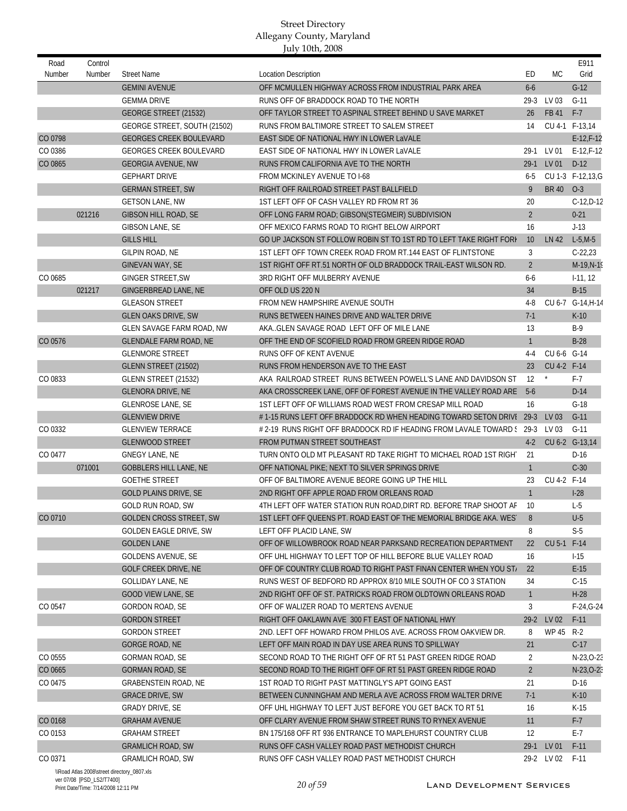| Road    | Control |                                |                                                                       |                |             | E911              |
|---------|---------|--------------------------------|-----------------------------------------------------------------------|----------------|-------------|-------------------|
| Number  | Number  | <b>Street Name</b>             | <b>Location Description</b>                                           | ED             | МC          | Grid              |
|         |         | <b>GEMINI AVENUE</b>           | OFF MCMULLEN HIGHWAY ACROSS FROM INDUSTRIAL PARK AREA                 | $6-6$          |             | $G-12$            |
|         |         | <b>GEMMA DRIVE</b>             | RUNS OFF OF BRADDOCK ROAD TO THE NORTH                                | $29-3$         | LV 03       | $G-11$            |
|         |         | <b>GEORGE STREET (21532)</b>   | OFF TAYLOR STREET TO ASPINAL STREET BEHIND U SAVE MARKET              | 26             | FB 41       | $F-7$             |
|         |         | GEORGE STREET, SOUTH (21502)   | RUNS FROM BALTIMORE STREET TO SALEM STREET                            | 14             |             | CU 4-1 F-13,14    |
| CO 0798 |         | <b>GEORGES CREEK BOULEVARD</b> | EAST SIDE OF NATIONAL HWY IN LOWER LaVALE                             |                |             | $E-12, F-12$      |
| CO 0386 |         | <b>GEORGES CREEK BOULEVARD</b> | EAST SIDE OF NATIONAL HWY IN LOWER LaVALE                             | $29-1$         | LV 01       | $E-12, F-12$      |
| CO 0865 |         | <b>GEORGIA AVENUE, NW</b>      | RUNS FROM CALIFORNIA AVE TO THE NORTH                                 | $29-1$         | LV 01       | $D-12$            |
|         |         | <b>GEPHART DRIVE</b>           | FROM MCKINLEY AVENUE TO I-68                                          | $6 - 5$        |             | CU 1-3 F-12,13,G  |
|         |         | <b>GERMAN STREET, SW</b>       | RIGHT OFF RAILROAD STREET PAST BALLFIELD                              | 9              | BR 40 0-3   |                   |
|         |         | <b>GETSON LANE, NW</b>         | 1ST LEFT OFF OF CASH VALLEY RD FROM RT 36                             | 20             |             | $C-12,D-12$       |
|         | 021216  | <b>GIBSON HILL ROAD, SE</b>    | OFF LONG FARM ROAD; GIBSON(STEGMEIR) SUBDIVISION                      | $\overline{2}$ |             | $0 - 21$          |
|         |         | <b>GIBSON LANE, SE</b>         | OFF MEXICO FARMS ROAD TO RIGHT BELOW AIRPORT                          | 16             |             | $J-13$            |
|         |         | <b>GILLS HILL</b>              | GO UP JACKSON ST FOLLOW ROBIN ST TO 1ST RD TO LEFT TAKE RIGHT FORI    | 10             | LN 42       | $L-5,M-5$         |
|         |         | <b>GILPIN ROAD, NE</b>         | 1ST LEFT OFF TOWN CREEK ROAD FROM RT.144 EAST OF FLINTSTONE           | 3              |             | $C-22,23$         |
|         |         | <b>GINEVAN WAY, SE</b>         | 1ST RIGHT OFF RT.51 NORTH OF OLD BRADDOCK TRAIL-EAST WILSON RD.       | $\overline{2}$ |             | $M-19,N-19$       |
| CO 0685 |         | <b>GINGER STREET, SW</b>       | 3RD RIGHT OFF MULBERRY AVENUE                                         | $6-6$          |             | $1-11, 12$        |
|         | 021217  | GINGERBREAD LANE, NE           | OFF OLD US 220 N                                                      | 34             |             | $B-15$            |
|         |         | <b>GLEASON STREET</b>          | FROM NEW HAMPSHIRE AVENUE SOUTH                                       | $4 - 8$        |             | CU 6-7 G-14, H-14 |
|         |         | <b>GLEN OAKS DRIVE, SW</b>     | RUNS BETWEEN HAINES DRIVE AND WALTER DRIVE                            | $7-1$          |             | $K-10$            |
|         |         | GLEN SAVAGE FARM ROAD, NW      | AKAGLEN SAVAGE ROAD LEFT OFF OF MILE LANE                             | 13             |             | $B-9$             |
| CO 0576 |         | <b>GLENDALE FARM ROAD, NE</b>  | OFF THE END OF SCOFIELD ROAD FROM GREEN RIDGE ROAD                    | $\mathbf{1}$   |             | $B-28$            |
|         |         | <b>GLENMORE STREET</b>         | RUNS OFF OF KENT AVENUE                                               | $4 - 4$        | CU 6-6 G-14 |                   |
|         |         | GLENN STREET (21502)           | RUNS FROM HENDERSON AVE TO THE EAST                                   | 23             | CU 4-2 F-14 |                   |
| CO 0833 |         | GLENN STREET (21532)           | AKA RAILROAD STREET RUNS BETWEEN POWELL'S LANE AND DAVIDSON ST        | 12             | $^\star$    | $F-7$             |
|         |         | <b>GLENORA DRIVE, NE</b>       | AKA CROSSCREEK LANE, OFF OF FOREST AVENUE IN THE VALLEY ROAD ARE      | $5-6$          |             | $D-14$            |
|         |         | <b>GLENROSE LANE, SE</b>       | 1ST LEFT OFF OF WILLIAMS ROAD WEST FROM CRESAP MILL ROAD              | 16             |             | $G-18$            |
|         |         | <b>GLENVIEW DRIVE</b>          | # 1-15 RUNS LEFT OFF BRADDOCK RD WHEN HEADING TOWARD SETON DRIVI 29-3 |                | LV 03       | $G-11$            |
| CO 0332 |         | <b>GLENVIEW TERRACE</b>        | # 2-19 RUNS RIGHT OFF BRADDOCK RD IF HEADING FROM LAVALE TOWARD (29-3 |                | LV 03       | $G-11$            |
|         |         | <b>GLENWOOD STREET</b>         | FROM PUTMAN STREET SOUTHEAST                                          | $4-2$          |             | CU 6-2 G-13,14    |
| CO 0477 |         | <b>GNEGY LANE, NE</b>          | TURN ONTO OLD MT PLEASANT RD TAKE RIGHT TO MICHAEL ROAD 1ST RIGHT     | 21             |             | $D-16$            |
|         | 071001  | <b>GOBBLERS HILL LANE, NE</b>  | OFF NATIONAL PIKE; NEXT TO SILVER SPRINGS DRIVE                       | $\mathbf{1}$   |             | $C-30$            |
|         |         | <b>GOETHE STREET</b>           | OFF OF BALTIMORE AVENUE BEORE GOING UP THE HILL                       | 23             | CU 4-2 F-14 |                   |
|         |         | GOLD PLAINS DRIVE, SE          | 2ND RIGHT OFF APPLE ROAD FROM ORLEANS ROAD                            | $\mathbf{1}$   |             | $1-28$            |
|         |         | GOLD RUN ROAD, SW              | 4TH LEFT OFF WATER STATION RUN ROAD. DIRT RD. BEFORE TRAP SHOOT AR    | 10             |             | $L-5$             |
| CO 0710 |         | <b>GOLDEN CROSS STREET, SW</b> | 1ST LEFT OFF QUEENS PT. ROAD EAST OF THE MEMORIAL BRIDGE AKA. WES     | 8              |             | $U-5$             |
|         |         | <b>GOLDEN EAGLE DRIVE, SW</b>  | LEFT OFF PLACID LANE, SW                                              | 8              |             | $S-5$             |
|         |         | <b>GOLDEN LANE</b>             | OFF OF WILLOWBROOK ROAD NEAR PARKSAND RECREATION DEPARTMENT           | 22             | CU 5-1 F-14 |                   |
|         |         | <b>GOLDENS AVENUE, SE</b>      | OFF UHL HIGHWAY TO LEFT TOP OF HILL BEFORE BLUE VALLEY ROAD           | 16             |             | $1-15$            |
|         |         | <b>GOLF CREEK DRIVE, NE</b>    | OFF OF COUNTRY CLUB ROAD TO RIGHT PAST FINAN CENTER WHEN YOU ST.      | 22             |             | $E-15$            |
|         |         | GOLLIDAY LANE, NE              | RUNS WEST OF BEDFORD RD APPROX 8/10 MILE SOUTH OF CO 3 STATION        | 34             |             | $C-15$            |
|         |         | GOOD VIEW LANE, SE             | 2ND RIGHT OFF OF ST. PATRICKS ROAD FROM OLDTOWN ORLEANS ROAD          | $\mathbf{1}$   |             | $H-28$            |
| CO 0547 |         | GORDON ROAD, SE                | OFF OF WALIZER ROAD TO MERTENS AVENUE                                 | 3              |             | $F-24, G-24$      |
|         |         | <b>GORDON STREET</b>           | RIGHT OFF OAKLAWN AVE 300 FT EAST OF NATIONAL HWY                     | $29-2$         | LV 02       | $F-11$            |
|         |         | <b>GORDON STREET</b>           | 2ND. LEFT OFF HOWARD FROM PHILOS AVE. ACROSS FROM OAKVIEW DR.         | 8              | WP 45 R-2   |                   |
|         |         | <b>GORGE ROAD, NE</b>          | LEFT OFF MAIN ROAD IN DAY USE AREA RUNS TO SPILLWAY                   | 21             |             | $C-17$            |
| CO 0555 |         | GORMAN ROAD, SE                | SECOND ROAD TO THE RIGHT OFF OF RT 51 PAST GREEN RIDGE ROAD           | 2              |             | $N-23, O-23$      |
| CO 0665 |         | GORMAN ROAD, SE                | SECOND ROAD TO THE RIGHT OFF OF RT 51 PAST GREEN RIDGE ROAD           | $\overline{2}$ |             | $N-23, O-25$      |
| CO 0475 |         | GRABENSTEIN ROAD, NE           | 1ST ROAD TO RIGHT PAST MATTINGLY'S APT GOING EAST                     | 21             |             | $D-16$            |
|         |         | <b>GRACE DRIVE, SW</b>         | BETWEEN CUNNINGHAM AND MERLA AVE ACROSS FROM WALTER DRIVE             | $7-1$          |             | $K-10$            |
|         |         | <b>GRADY DRIVE, SE</b>         | OFF UHL HIGHWAY TO LEFT JUST BEFORE YOU GET BACK TO RT 51             | 16             |             | $K-15$            |
| CO 0168 |         | <b>GRAHAM AVENUE</b>           | OFF CLARY AVENUE FROM SHAW STREET RUNS TO RYNEX AVENUE                | 11             |             | $F-7$             |
| CO 0153 |         | <b>GRAHAM STREET</b>           | BN 175/168 OFF RT 936 ENTRANCE TO MAPLEHURST COUNTRY CLUB             | 12             |             | E-7               |
|         |         | <b>GRAMLICH ROAD, SW</b>       | RUNS OFF CASH VALLEY ROAD PAST METHODIST CHURCH                       | $29-1$         | LV 01       | $F-11$            |
| CO 0371 |         | <b>GRAMLICH ROAD, SW</b>       | RUNS OFF CASH VALLEY ROAD PAST METHODIST CHURCH                       |                | 29-2 LV 02  | F-11              |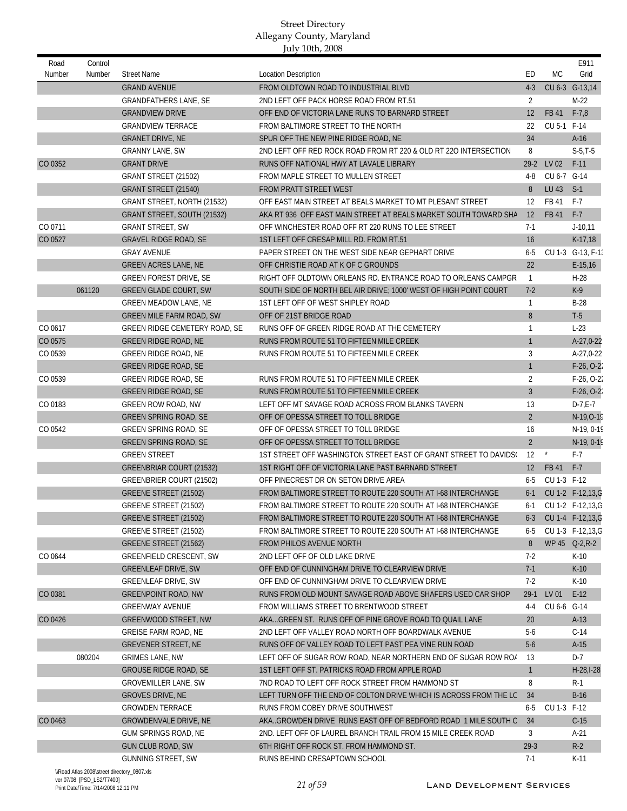| Road    | Control |                                 |                                                                   |                |             | E911              |
|---------|---------|---------------------------------|-------------------------------------------------------------------|----------------|-------------|-------------------|
| Number  | Number  | <b>Street Name</b>              | <b>Location Description</b>                                       | ED             | МC          | Grid              |
|         |         | <b>GRAND AVENUE</b>             | FROM OLDTOWN ROAD TO INDUSTRIAL BLVD                              | $4-3$          |             | CU 6-3 G-13,14    |
|         |         | <b>GRANDFATHERS LANE, SE</b>    | 2ND LEFT OFF PACK HORSE ROAD FROM RT.51                           | 2              |             | $M-22$            |
|         |         | <b>GRANDVIEW DRIVE</b>          | OFF END OF VICTORIA LANE RUNS TO BARNARD STREET                   | 12             | FB 41       | $F-7,8$           |
|         |         | <b>GRANDVIEW TERRACE</b>        | FROM BALTIMORE STREET TO THE NORTH                                | 22             | CU 5-1 F-14 |                   |
|         |         | <b>GRANET DRIVE, NE</b>         | SPUR OFF THE NEW PINE RIDGE ROAD, NE                              | 34             |             | $A-16$            |
|         |         | <b>GRANNY LANE, SW</b>          | 2ND LEFT OFF RED ROCK ROAD FROM RT 220 & OLD RT 220 INTERSECTION  | 8              |             | $S-5,T-5$         |
| CO 0352 |         | <b>GRANT DRIVE</b>              | RUNS OFF NATIONAL HWY AT LAVALE LIBRARY                           | $29-2$         | LV 02       | $F-11$            |
|         |         | GRANT STREET (21502)            | FROM MAPLE STREET TO MULLEN STREET                                | 4-8            | CU 6-7 G-14 |                   |
|         |         | GRANT STREET (21540)            | FROM PRATT STREET WEST                                            | 8              | LU 43 S-1   |                   |
|         |         | GRANT STREET, NORTH (21532)     | OFF EAST MAIN STREET AT BEALS MARKET TO MT PLESANT STREET         | 12             | FB 41 F-7   |                   |
|         |         | GRANT STREET, SOUTH (21532)     | AKA RT 936 OFF EAST MAIN STREET AT BEALS MARKET SOUTH TOWARD SHA  | 12             | FB 41 F-7   |                   |
| CO 0711 |         | <b>GRANT STREET, SW</b>         | OFF WINCHESTER ROAD OFF RT 220 RUNS TO LEE STREET                 | $7-1$          |             | $J-10,11$         |
| CO 0527 |         | <b>GRAVEL RIDGE ROAD, SE</b>    | 1ST LEFT OFF CRESAP MILL RD. FROM RT.51                           | 16             |             | K-17,18           |
|         |         | <b>GRAY AVENUE</b>              | PAPER STREET ON THE WEST SIDE NEAR GEPHART DRIVE                  | $6 - 5$        |             | CU 1-3 G-13, F-1. |
|         |         | GREEN ACRES LANE, NE            | OFF CHRISTIE ROAD AT K OF C GROUNDS                               | 22             |             | $E-15,16$         |
|         |         | <b>GREEN FOREST DRIVE, SE</b>   | RIGHT OFF OLDTOWN ORLEANS RD. ENTRANCE ROAD TO ORLEANS CAMPGR     | 1              |             | $H-28$            |
|         | 061120  | <b>GREEN GLADE COURT, SW</b>    | SOUTH SIDE OF NORTH BEL AIR DRIVE: 1000' WEST OF HIGH POINT COURT | $7-2$          |             | $K-9$             |
|         |         | <b>GREEN MEADOW LANE, NE</b>    | 1ST LEFT OFF OF WEST SHIPLEY ROAD                                 | 1              |             | <b>B-28</b>       |
|         |         | GREEN MILE FARM ROAD, SW        | OFF OF 21ST BRIDGE ROAD                                           | 8              |             | $T-5$             |
| CO 0617 |         | GREEN RIDGE CEMETERY ROAD, SE   | RUNS OFF OF GREEN RIDGE ROAD AT THE CEMETERY                      | $\mathbf{1}$   |             | $L-23$            |
| CO 0575 |         | <b>GREEN RIDGE ROAD, NE</b>     | RUNS FROM ROUTE 51 TO FIFTEEN MILE CREEK                          | $\mathbf{1}$   |             | A-27,0-22         |
| CO 0539 |         | GREEN RIDGE ROAD, NE            | RUNS FROM ROUTE 51 TO FIFTEEN MILE CREEK                          | 3              |             | A-27,0-22         |
|         |         | <b>GREEN RIDGE ROAD, SE</b>     |                                                                   | $\mathbf{1}$   |             | $F-26, O-22$      |
| CO 0539 |         | GREEN RIDGE ROAD, SE            | RUNS FROM ROUTE 51 TO FIFTEEN MILE CREEK                          | $\overline{2}$ |             | $F-26, O-2.$      |
|         |         | <b>GREEN RIDGE ROAD, SE</b>     | RUNS FROM ROUTE 51 TO FIFTEEN MILE CREEK                          | $\overline{3}$ |             | $F-26, O-22$      |
| CO 0183 |         | GREEN ROW ROAD, NW              | LEFT OFF MT SAVAGE ROAD ACROSS FROM BLANKS TAVERN                 | 13             |             | $D-7,E-7$         |
|         |         | <b>GREEN SPRING ROAD, SE</b>    | OFF OF OPESSA STREET TO TOLL BRIDGE                               | $\overline{2}$ |             | N-19,0-19         |
| CO 0542 |         | GREEN SPRING ROAD, SE           | OFF OF OPESSA STREET TO TOLL BRIDGE                               | 16             |             | N-19, 0-19        |
|         |         | <b>GREEN SPRING ROAD, SE</b>    | OFF OF OPESSA STREET TO TOLL BRIDGE                               | $\overline{2}$ |             | N-19, 0-19        |
|         |         | <b>GREEN STREET</b>             | 1ST STREET OFF WASHINGTON STREET EAST OF GRANT STREET TO DAVIDS   | 12             | $^\star$    | $F-7$             |
|         |         | <b>GREENBRIAR COURT (21532)</b> | 1ST RIGHT OFF OF VICTORIA LANE PAST BARNARD STREET                | 12             | FB 41       | $F-7$             |
|         |         | GREENBRIER COURT (21502)        | OFF PINECREST DR ON SETON DRIVE AREA                              | $6-5$          | CU 1-3 F-12 |                   |
|         |         | GREENE STREET (21502)           | FROM BALTIMORE STREET TO ROUTE 220 SOUTH AT I-68 INTERCHANGE      | $6 - 1$        |             | CU 1-2 F-12,13,G  |
|         |         | GREENE STREET (21502)           | FROM BALTIMORE STREET TO ROUTE 220 SOUTH AT I-68 INTERCHANGE      | $6-1$          |             | CU 1-2 F-12,13,G  |
|         |         | GREENE STREET (21502)           | FROM BALTIMORE STREET TO ROUTE 220 SOUTH AT I-68 INTERCHANGE      | $6 - 3$        |             | CU 1-4 F-12,13,G  |
|         |         | GREENE STREET (21502)           | FROM BALTIMORE STREET TO ROUTE 220 SOUTH AT I-68 INTERCHANGE      | 6-5            |             | CU 1-3 F-12,13,G  |
|         |         | GREENE STREET (21562)           | FROM PHILOS AVENUE NORTH                                          | 8              |             | WP 45 Q-2, R-2    |
| CO 0644 |         | GREENFIELD CRESCENT, SW         | 2ND LEFT OFF OF OLD LAKE DRIVE                                    | $7-2$          |             | $K-10$            |
|         |         | <b>GREENLEAF DRIVE, SW</b>      | OFF END OF CUNNINGHAM DRIVE TO CLEARVIEW DRIVE                    | $7-1$          |             | $K-10$            |
|         |         | <b>GREENLEAF DRIVE, SW</b>      | OFF END OF CUNNINGHAM DRIVE TO CLEARVIEW DRIVE                    | $7-2$          |             | $K-10$            |
| CO 0381 |         | <b>GREENPOINT ROAD, NW</b>      | RUNS FROM OLD MOUNT SAVAGE ROAD ABOVE SHAFERS USED CAR SHOP       | $29-1$         | LV 01       | $E-12$            |
|         |         | <b>GREENWAY AVENUE</b>          | FROM WILLIAMS STREET TO BRENTWOOD STREET                          | 4-4            | CU 6-6 G-14 |                   |
| CO 0426 |         | <b>GREENWOOD STREET, NW</b>     | AKAGREEN ST. RUNS OFF OF PINE GROVE ROAD TO QUAIL LANE            | 20             |             | $A-13$            |
|         |         | GREISE FARM ROAD, NE            | 2ND LEFT OFF VALLEY ROAD NORTH OFF BOARDWALK AVENUE               | $5-6$          |             | $C-14$            |
|         |         | <b>GREVENER STREET, NE</b>      | RUNS OFF OF VALLEY ROAD TO LEFT PAST PEA VINE RUN ROAD            | $5-6$          |             | $A-15$            |
|         | 080204  | <b>GRIMES LANE, NW</b>          | LEFT OFF OF SUGAR ROW ROAD, NEAR NORTHERN END OF SUGAR ROW ROJ    | 13             |             | $D-7$             |
|         |         | <b>GROUSE RIDGE ROAD, SE</b>    | 1ST LEFT OFF ST. PATRICKS ROAD FROM APPLE ROAD                    | $\mathbf{1}$   |             | H-28, I-28        |
|         |         | <b>GROVEMILLER LANE, SW</b>     | 7ND ROAD TO LEFT OFF ROCK STREET FROM HAMMOND ST                  | 8              |             | $R-1$             |
|         |         | GROVES DRIVE, NE                | LEFT TURN OFF THE END OF COLTON DRIVE WHICH IS ACROSS FROM THE LO | 34             |             | $B-16$            |
|         |         | <b>GROWDEN TERRACE</b>          | RUNS FROM COBEY DRIVE SOUTHWEST                                   | 6-5            | CU 1-3 F-12 |                   |
| CO 0463 |         | GROWDENVALE DRIVE, NE           | AKAGROWDEN DRIVE RUNS EAST OFF OF BEDFORD ROAD 1 MILE SOUTH O     | 34             |             | $C-15$            |
|         |         | GUM SPRINGS ROAD, NE            | 2ND. LEFT OFF OF LAUREL BRANCH TRAIL FROM 15 MILE CREEK ROAD      | 3              |             | A-21              |
|         |         | <b>GUN CLUB ROAD, SW</b>        | 6TH RIGHT OFF ROCK ST. FROM HAMMOND ST.                           | $29-3$         |             | $R-2$             |
|         |         | <b>GUNNING STREET, SW</b>       | RUNS BEHIND CRESAPTOWN SCHOOL                                     | $7-1$          |             | $K-11$            |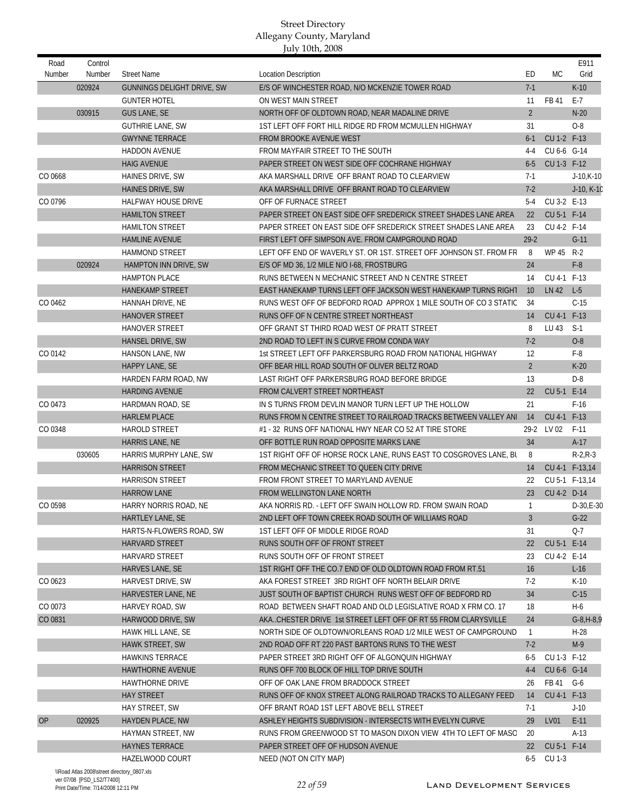| Road<br>Number | Control<br>Number | <b>Street Name</b>                | <b>Location Description</b>                                        | ED             | МC          | E911<br>Grid     |
|----------------|-------------------|-----------------------------------|--------------------------------------------------------------------|----------------|-------------|------------------|
|                | 020924            | <b>GUNNINGS DELIGHT DRIVE, SW</b> | E/S OF WINCHESTER ROAD, N/O MCKENZIE TOWER ROAD                    | $7-1$          |             | $K-10$           |
|                |                   | <b>GUNTER HOTEL</b>               | ON WEST MAIN STREET                                                | 11             | FB 41       | $E-7$            |
|                | 030915            | <b>GUS LANE, SE</b>               | NORTH OFF OF OLDTOWN ROAD, NEAR MADALINE DRIVE                     | $\overline{2}$ |             | $N-20$           |
|                |                   | <b>GUTHRIE LANE, SW</b>           | 1ST LEFT OFF FORT HILL RIDGE RD FROM MCMULLEN HIGHWAY              | 31             |             | $O-8$            |
|                |                   | <b>GWYNNE TERRACE</b>             | <b>FROM BROOKE AVENUE WEST</b>                                     | $6-1$          | CU 1-2 F-13 |                  |
|                |                   | <b>HADDON AVENUE</b>              | FROM MAYFAIR STREET TO THE SOUTH                                   | $4 - 4$        | CU 6-6 G-14 |                  |
|                |                   | <b>HAIG AVENUE</b>                | PAPER STREET ON WEST SIDE OFF COCHRANE HIGHWAY                     | $6 - 5$        | CU 1-3 F-12 |                  |
| CO 0668        |                   | HAINES DRIVE, SW                  | AKA MARSHALL DRIVE OFF BRANT ROAD TO CLEARVIEW                     | $7-1$          |             | $J-10$ , K $-10$ |
|                |                   | HAINES DRIVE, SW                  | AKA MARSHALL DRIVE OFF BRANT ROAD TO CLEARVIEW                     | $7-2$          |             | $J-10, K-10$     |
| CO 0796        |                   | <b>HALFWAY HOUSE DRIVE</b>        | OFF OF FURNACE STREET                                              | 5-4            | CU 3-2 E-13 |                  |
|                |                   | <b>HAMILTON STREET</b>            | PAPER STREET ON EAST SIDE OFF SREDERICK STREET SHADES LANE AREA    | 22             | CU 5-1 F-14 |                  |
|                |                   | <b>HAMILTON STREET</b>            | PAPER STREET ON EAST SIDE OFF SREDERICK STREET SHADES LANE AREA    | 23             | CU 4-2 F-14 |                  |
|                |                   | <b>HAMLINE AVENUE</b>             | FIRST LEFT OFF SIMPSON AVE. FROM CAMPGROUND ROAD                   | $29-2$         |             | $G-11$           |
|                |                   | <b>HAMMOND STREET</b>             | LEFT OFF END OF WAVERLY ST. OR 1ST. STREET OFF JOHNSON ST. FROM FR | 8              | WP 45       | $R-2$            |
|                | 020924            | HAMPTON INN DRIVE, SW             | E/S OF MD 36, 1/2 MILE N/O I-68, FROSTBURG                         | 24             |             | $F-8$            |
|                |                   | <b>HAMPTON PLACE</b>              | RUNS BETWEEN N MECHANIC STREET AND N CENTRE STREET                 | 14             | CU 4-1 F-13 |                  |
|                |                   | <b>HANEKAMP STREET</b>            | EAST HANEKAMP TURNS LEFT OFF JACKSON WEST HANEKAMP TURNS RIGHT     | 10             | LN 42       | $L-5$            |
| CO 0462        |                   | HANNAH DRIVE, NE                  | RUNS WEST OFF OF BEDFORD ROAD APPROX 1 MILE SOUTH OF CO 3 STATIO   | 34             |             | $C-15$           |
|                |                   | <b>HANOVER STREET</b>             | RUNS OFF OF N CENTRE STREET NORTHEAST                              | 14             | CU 4-1 F-13 |                  |
|                |                   | <b>HANOVER STREET</b>             | OFF GRANT ST THIRD ROAD WEST OF PRATT STREET                       | 8              | LU 43       | $S-1$            |
|                |                   | HANSEL DRIVE, SW                  | 2ND ROAD TO LEFT IN S CURVE FROM CONDA WAY                         | $7-2$          |             | $O-8$            |
| CO 0142        |                   | HANSON LANE, NW                   | 1st STREET LEFT OFF PARKERSBURG ROAD FROM NATIONAL HIGHWAY         | 12             |             | $F-8$            |
|                |                   | <b>HAPPY LANE, SE</b>             | OFF BEAR HILL ROAD SOUTH OF OLIVER BELTZ ROAD                      | $\overline{2}$ |             | $K-20$           |
|                |                   | HARDEN FARM ROAD, NW              | LAST RIGHT OFF PARKERSBURG ROAD BEFORE BRIDGE                      | 13             |             | $D-8$            |
|                |                   | <b>HARDING AVENUE</b>             | FROM CALVERT STREET NORTHEAST                                      | 22             | CU 5-1 E-14 |                  |
| CO 0473        |                   | HARDMAN ROAD, SE                  | IN S TURNS FROM DEVLIN MANOR TURN LEFT UP THE HOLLOW               | 21             |             | $F-16$           |
|                |                   | <b>HARLEM PLACE</b>               | RUNS FROM N CENTRE STREET TO RAILROAD TRACKS BETWEEN VALLEY AN     | 14             | CU 4-1 F-13 |                  |
| CO 0348        |                   | HAROLD STREET                     | #1 - 32 RUNS OFF NATIONAL HWY NEAR CO 52 AT TIRE STORE             | $29-2$         | LV 02       | $F-11$           |
|                |                   | HARRIS LANE, NE                   | OFF BOTTLE RUN ROAD OPPOSITE MARKS LANE                            | 34             |             | $A-17$           |
|                | 030605            | HARRIS MURPHY LANE, SW            | 1ST RIGHT OFF OF HORSE ROCK LANE. RUNS EAST TO COSGROVES LANE. BL  | 8              |             | $R-2, R-3$       |
|                |                   | <b>HARRISON STREET</b>            | FROM MECHANIC STREET TO QUEEN CITY DRIVE                           | 14             |             | CU 4-1 F-13,14   |
|                |                   | <b>HARRISON STREET</b>            | FROM FRONT STREET TO MARYLAND AVENUE                               | 22             |             | CU 5-1 F-13,14   |
|                |                   | <b>HARROW LANE</b>                | FROM WELLINGTON LANE NORTH                                         | 23             | CU 4-2 D-14 |                  |
| CO 0598        |                   | HARRY NORRIS ROAD, NE             | AKA NORRIS RD. - LEFT OFF SWAIN HOLLOW RD. FROM SWAIN ROAD         | $\mathbf{1}$   |             | $D-30,E-30$      |
|                |                   | HARTLEY LANE, SE                  | 2ND LEFT OFF TOWN CREEK ROAD SOUTH OF WILLIAMS ROAD                | 3              |             | $G-22$           |
|                |                   | HARTS-N-FLOWERS ROAD, SW          | 1ST LEFT OFF OF MIDDLE RIDGE ROAD                                  | 31             |             | $Q-7$            |
|                |                   | <b>HARVARD STREET</b>             | RUNS SOUTH OFF OF FRONT STREET                                     | 22             | CU 5-1 E-14 |                  |
|                |                   | <b>HARVARD STREET</b>             | RUNS SOUTH OFF OF FRONT STREET                                     | 23             | CU 4-2 E-14 |                  |
|                |                   | HARVES LANE, SE                   | 1ST RIGHT OFF THE CO.7 END OF OLD OLDTOWN ROAD FROM RT.51          | 16             |             | $L-16$           |
| CO 0623        |                   | <b>HARVEST DRIVE, SW</b>          | AKA FOREST STREET 3RD RIGHT OFF NORTH BELAIR DRIVE                 | $7-2$          |             | $K-10$           |
|                |                   | HARVESTER LANE, NE                | JUST SOUTH OF BAPTIST CHURCH RUNS WEST OFF OF BEDFORD RD           | 34             |             | $C-15$           |
| CO 0073        |                   | HARVEY ROAD, SW                   | ROAD BETWEEN SHAFT ROAD AND OLD LEGISLATIVE ROAD X FRM CO. 17      | 18             |             | $H-6$            |
| CO 0831        |                   | HARWOOD DRIVE, SW                 | AKACHESTER DRIVE 1st STREET LEFT OFF OF RT 55 FROM CLARYSVILLE     | 24             |             | $G-8, H-8, 9$    |
|                |                   | HAWK HILL LANE, SE                | NORTH SIDE OF OLDTOWN/ORLEANS ROAD 1/2 MILE WEST OF CAMPGROUND     | $\mathbf{1}$   |             | $H-28$           |
|                |                   | HAWK STREET, SW                   | 2ND ROAD OFF RT 220 PAST BARTONS RUNS TO THE WEST                  | $7-2$          |             | $M-9$            |
|                |                   | <b>HAWKINS TERRACE</b>            | PAPER STREET 3RD RIGHT OFF OF ALGONQUIN HIGHWAY                    | 6-5            | CU 1-3 F-12 |                  |
|                |                   | HAWTHORNE AVENUE                  | RUNS OFF 700 BLOCK OF HILL TOP DRIVE SOUTH                         | $4 - 4$        | CU 6-6 G-14 |                  |
|                |                   | HAWTHORNE DRIVE                   | OFF OF OAK LANE FROM BRADDOCK STREET                               | 26             | FB 41 G-6   |                  |
|                |                   | <b>HAY STREET</b>                 | RUNS OFF OF KNOX STREET ALONG RAILROAD TRACKS TO ALLEGANY FEED     | 14             | CU 4-1 F-13 |                  |
|                |                   | HAY STREET, SW                    | OFF BRANT ROAD 1ST LEFT ABOVE BELL STREET                          | $7-1$          |             | $J-10$           |
| <b>OP</b>      | 020925            | <b>HAYDEN PLACE, NW</b>           | ASHLEY HEIGHTS SUBDIVISION - INTERSECTS WITH EVELYN CURVE          | 29             | LV01        | $E-11$           |
|                |                   | HAYMAN STREET, NW                 | RUNS FROM GREENWOOD ST TO MASON DIXON VIEW 4TH TO LEFT OF MASO     | 20             |             | $A-13$           |
|                |                   | <b>HAYNES TERRACE</b>             | PAPER STREET OFF OF HUDSON AVENUE                                  | 22             | CU 5-1 F-14 |                  |
|                |                   | HAZELWOOD COURT                   | NEED (NOT ON CITY MAP)                                             | 6-5            | CU 1-3      |                  |
|                |                   |                                   |                                                                    |                |             |                  |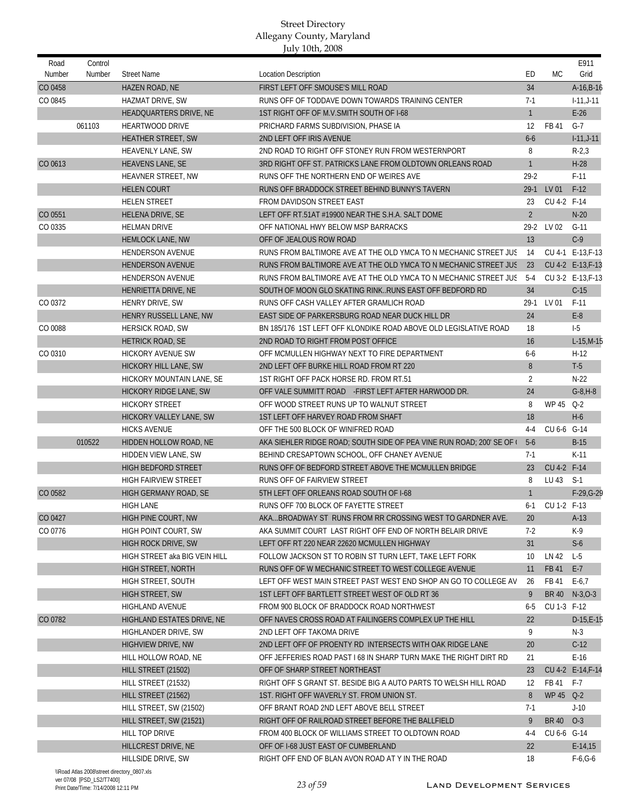| Road<br>Number | Control<br>Number | <b>Street Name</b>            | <b>Location Description</b>                                           | ED             | МC           | E911<br>Grid      |
|----------------|-------------------|-------------------------------|-----------------------------------------------------------------------|----------------|--------------|-------------------|
| CO 0458        |                   | HAZEN ROAD, NE                | FIRST LEFT OFF SMOUSE'S MILL ROAD                                     | 34             |              | A-16, B-16        |
| CO 0845        |                   | <b>HAZMAT DRIVE, SW</b>       | RUNS OFF OF TODDAVE DOWN TOWARDS TRAINING CENTER                      | $7-1$          |              | $1-11, J-11$      |
|                |                   | HEADQUARTERS DRIVE, NE        | 1ST RIGHT OFF OF M.V.SMITH SOUTH OF I-68                              | $\mathbf{1}$   |              | $E-26$            |
|                | 061103            | HEARTWOOD DRIVE               | PRICHARD FARMS SUBDIVISION, PHASE IA                                  | 12             | FB 41        | $G-7$             |
|                |                   | HEATHER STREET, SW            | 2ND LEFT OFF IRIS AVENUE                                              | $6-6$          |              | $1-11, J-11$      |
|                |                   | <b>HEAVENLY LANE, SW</b>      | 2ND ROAD TO RIGHT OFF STONEY RUN FROM WESTERNPORT                     | 8              |              | $R-2,3$           |
| CO 0613        |                   | <b>HEAVENS LANE, SE</b>       | 3RD RIGHT OFF ST. PATRICKS LANE FROM OLDTOWN ORLEANS ROAD             | $\mathbf{1}$   |              | $H-28$            |
|                |                   | HEAVNER STREET, NW            | RUNS OFF THE NORTHERN END OF WEIRES AVE                               | $29-2$         |              | $F-11$            |
|                |                   | <b>HELEN COURT</b>            | RUNS OFF BRADDOCK STREET BEHIND BUNNY'S TAVERN                        | $29-1$         | LV 01        | $F-12$            |
|                |                   | <b>HELEN STREET</b>           | FROM DAVIDSON STREET EAST                                             | 23             | CU 4-2 F-14  |                   |
| CO 0551        |                   | HELENA DRIVE, SE              | LEFT OFF RT.51AT #19900 NEAR THE S.H.A. SALT DOME                     | $\overline{2}$ |              | $N-20$            |
| CO 0335        |                   | <b>HELMAN DRIVE</b>           | OFF NATIONAL HWY BELOW MSP BARRACKS                                   | $29-2$         | LV 02        | $G-11$            |
|                |                   | <b>HEMLOCK LANE, NW</b>       | OFF OF JEALOUS ROW ROAD                                               | 13             |              | $C-9$             |
|                |                   | <b>HENDERSON AVENUE</b>       | RUNS FROM BALTIMORE AVE AT THE OLD YMCA TO N MECHANIC STREET JUS      | 14             |              | CU 4-1 E-13, F-13 |
|                |                   | <b>HENDERSON AVENUE</b>       | RUNS FROM BALTIMORE AVE AT THE OLD YMCA TO N MECHANIC STREET JUS 23   |                |              | CU 4-2 E-13, F-13 |
|                |                   | <b>HENDERSON AVENUE</b>       | RUNS FROM BALTIMORE AVE AT THE OLD YMCA TO N MECHANIC STREET JUS      | $5-4$          |              | CU 3-2 E-13.F-13  |
|                |                   | HENRIETTA DRIVE, NE           | SOUTH OF MOON GLO SKATING RINKRUNS EAST OFF BEDFORD RD                | 34             |              | $C-15$            |
| CO 0372        |                   | HENRY DRIVE, SW               | RUNS OFF CASH VALLEY AFTER GRAMLICH ROAD                              | $29-1$         | LV 01        | $F-11$            |
|                |                   | HENRY RUSSELL LANE, NW        | EAST SIDE OF PARKERSBURG ROAD NEAR DUCK HILL DR                       | 24             |              | $E-8$             |
| CO 0088        |                   | <b>HERSICK ROAD, SW</b>       | BN 185/176 1ST LEFT OFF KLONDIKE ROAD ABOVE OLD LEGISLATIVE ROAD      | 18             |              | $1-5$             |
|                |                   | HETRICK ROAD, SE              | 2ND ROAD TO RIGHT FROM POST OFFICE                                    | 16             |              | $L-15,M-15$       |
| CO 0310        |                   | HICKORY AVENUE SW             | OFF MCMULLEN HIGHWAY NEXT TO FIRE DEPARTMENT                          | $6-6$          |              | $H-12$            |
|                |                   | <b>HICKORY HILL LANE, SW</b>  | 2ND LEFT OFF BURKE HILL ROAD FROM RT 220                              | 8              |              | $T-5$             |
|                |                   | HICKORY MOUNTAIN LANE, SE     | 1ST RIGHT OFF PACK HORSE RD. FROM RT.51                               | $\overline{2}$ |              | $N-22$            |
|                |                   | <b>HICKORY RIDGE LANE, SW</b> | OFF VALE SUMMITT ROAD - FIRST LEFT AFTER HARWOOD DR.                  | 24             |              | $G-8, H-8$        |
|                |                   | <b>HICKORY STREET</b>         | OFF WOOD STREET RUNS UP TO WALNUT STREET                              | 8              | WP 45        | $Q-2$             |
|                |                   | HICKORY VALLEY LANE, SW       | 1ST LEFT OFF HARVEY ROAD FROM SHAFT                                   | 18             |              | $H-6$             |
|                |                   | <b>HICKS AVENUE</b>           | OFF THE 500 BLOCK OF WINIFRED ROAD                                    | 4-4            | CU 6-6 G-14  |                   |
|                | 010522            | HIDDEN HOLLOW ROAD, NE        | AKA SIEHLER RIDGE ROAD; SOUTH SIDE OF PEA VINE RUN ROAD; 200' SE OF ( | $5-6$          |              | $B-15$            |
|                |                   | HIDDEN VIEW LANE, SW          | BEHIND CRESAPTOWN SCHOOL, OFF CHANEY AVENUE                           | $7-1$          |              | $K-11$            |
|                |                   | <b>HIGH BEDFORD STREET</b>    | RUNS OFF OF BEDFORD STREET ABOVE THE MCMULLEN BRIDGE                  | 23             | CU 4-2 F-14  |                   |
|                |                   | <b>HIGH FAIRVIEW STREET</b>   | RUNS OFF OF FAIRVIEW STREET                                           | 8              | LU 43        | $S-1$             |
| CO 0582        |                   | HIGH GERMANY ROAD, SE         | 5TH LEFT OFF ORLEANS ROAD SOUTH OF 1-68                               | $\mathbf{1}$   |              | $F-29, G-29$      |
|                |                   | <b>HIGH LANE</b>              | RUNS OFF 700 BLOCK OF FAYETTE STREET                                  | $6-1$          | CU 1-2 F-13  |                   |
| CO 0427        |                   | HIGH PINE COURT, NW           | AKABROADWAY ST RUNS FROM RR CROSSING WEST TO GARDNER AVE.             | 20             |              | $A-13$            |
| CO 0776        |                   | HIGH POINT COURT, SW          | AKA SUMMIT COURT LAST RIGHT OFF END OF NORTH BELAIR DRIVE             | $7-2$          |              | K-9               |
|                |                   | HIGH ROCK DRIVE, SW           | LEFT OFF RT 220 NEAR 22620 MCMULLEN HIGHWAY                           | 31             |              | $S-6$             |
|                |                   | HIGH STREET aka BIG VEIN HILL | FOLLOW JACKSON ST TO ROBIN ST TURN LEFT, TAKE LEFT FORK               | 10             | LN 42        | $L-5$             |
|                |                   | HIGH STREET, NORTH            | RUNS OFF OF W MECHANIC STREET TO WEST COLLEGE AVENUE                  | 11             | FB 41        | $E-7$             |
|                |                   | HIGH STREET, SOUTH            | LEFT OFF WEST MAIN STREET PAST WEST END SHOP AN GO TO COLLEGE AV      | 26             | FB 41        | $E-6,7$           |
|                |                   | HIGH STREET, SW               | 1ST LEFT OFF BARTLETT STREET WEST OF OLD RT 36                        | 9              |              | BR 40 N-3, 0-3    |
|                |                   | HIGHLAND AVENUE               | FROM 900 BLOCK OF BRADDOCK ROAD NORTHWEST                             | 6-5            | CU 1-3 F-12  |                   |
| CO 0782        |                   | HIGHLAND ESTATES DRIVE, NE    | OFF NAVES CROSS ROAD AT FAILINGERS COMPLEX UP THE HILL                | 22             |              | $D-15,E-15$       |
|                |                   | HIGHLANDER DRIVE, SW          | 2ND LEFT OFF TAKOMA DRIVE                                             | 9              |              | N-3               |
|                |                   | HIGHVIEW DRIVE, NW            | 2ND LEFT OFF OF PROENTY RD INTERSECTS WITH OAK RIDGE LANE             | 20             |              | $C-12$            |
|                |                   | HILL HOLLOW ROAD, NE          | OFF JEFFERIES ROAD PAST I 68 IN SHARP TURN MAKE THE RIGHT DIRT RD     | 21             |              | $E-16$            |
|                |                   | HILL STREET (21502)           | OFF OF SHARP STREET NORTHEAST                                         | 23             |              | CU 4-2 E-14, F-14 |
|                |                   | HILL STREET (21532)           | RIGHT OFF S GRANT ST. BESIDE BIG A AUTO PARTS TO WELSH HILL ROAD      | 12             | FB 41 F-7    |                   |
|                |                   | HILL STREET (21562)           | 1ST. RIGHT OFF WAVERLY ST. FROM UNION ST.                             | 8              | WP 45 Q-2    |                   |
|                |                   | HILL STREET, SW (21502)       | OFF BRANT ROAD 2ND LEFT ABOVE BELL STREET                             | $7-1$          |              | $J-10$            |
|                |                   | HILL STREET, SW (21521)       | RIGHT OFF OF RAILROAD STREET BEFORE THE BALLFIELD                     | 9              | <b>BR 40</b> | $O-3$             |
|                |                   | HILL TOP DRIVE                | FROM 400 BLOCK OF WILLIAMS STREET TO OLDTOWN ROAD                     | $4 - 4$        | CU 6-6 G-14  |                   |
|                |                   | HILLCREST DRIVE, NE           | OFF OF I-68 JUST EAST OF CUMBERLAND                                   | 22             |              | $E-14,15$         |
|                |                   | HILLSIDE DRIVE, SW            | RIGHT OFF END OF BLAN AVON ROAD AT Y IN THE ROAD                      | 18             |              | $F-6, G-6$        |
|                |                   |                               |                                                                       |                |              |                   |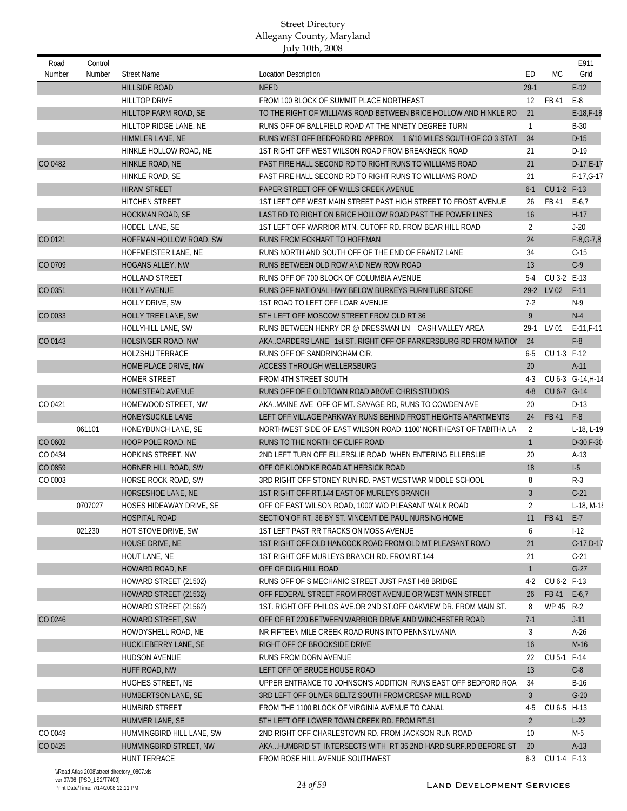| Road<br>Number | Control<br>Number | <b>Street Name</b>                             | <b>Location Description</b>                                                                              | ED                 | МC          | E911<br>Grid      |
|----------------|-------------------|------------------------------------------------|----------------------------------------------------------------------------------------------------------|--------------------|-------------|-------------------|
|                |                   | <b>HILLSIDE ROAD</b>                           | <b>NEED</b>                                                                                              | $29-1$             |             | $E-12$            |
|                |                   | <b>HILLTOP DRIVE</b>                           | FROM 100 BLOCK OF SUMMIT PLACE NORTHEAST                                                                 | $12 \overline{ }$  | FB 41       | $E-8$             |
|                |                   | HILLTOP FARM ROAD, SE                          | TO THE RIGHT OF WILLIAMS ROAD BETWEEN BRICE HOLLOW AND HINKLE RO                                         | 21                 |             | E-18, F-18        |
|                |                   | HILLTOP RIDGE LANE, NE                         | RUNS OFF OF BALLFIELD ROAD AT THE NINETY DEGREE TURN                                                     | $\mathbf{1}$       |             | $B-30$            |
|                |                   | HIMMLER LANE, NE                               | RUNS WEST OFF BEDFORD RD APPROX 16/10 MILES SOUTH OF CO 3 STAT                                           | 34                 |             | $D-15$            |
|                |                   | HINKLE HOLLOW ROAD, NE                         | 1ST RIGHT OFF WEST WILSON ROAD FROM BREAKNECK ROAD                                                       | 21                 |             | $D-19$            |
| CO 0482        |                   | HINKLE ROAD, NE                                | PAST FIRE HALL SECOND RD TO RIGHT RUNS TO WILLIAMS ROAD                                                  | 21                 |             | $D-17,E-17$       |
|                |                   | HINKLE ROAD, SE                                | PAST FIRE HALL SECOND RD TO RIGHT RUNS TO WILLIAMS ROAD                                                  | 21                 |             | $F-17, G-17$      |
|                |                   | <b>HIRAM STREET</b>                            | PAPER STREET OFF OF WILLS CREEK AVENUE                                                                   | $6 - 1$            | CU 1-2 F-13 |                   |
|                |                   | <b>HITCHEN STREET</b>                          | 1ST LEFT OFF WEST MAIN STREET PAST HIGH STREET TO FROST AVENUE                                           | 26                 | FB 41       | $E-6,7$           |
|                |                   | HOCKMAN ROAD, SE                               | LAST RD TO RIGHT ON BRICE HOLLOW ROAD PAST THE POWER LINES                                               | 16                 |             | $H-17$            |
|                |                   | HODEL LANE, SE                                 | 1ST LEFT OFF WARRIOR MTN. CUTOFF RD. FROM BEAR HILL ROAD                                                 | 2                  |             | $J-20$            |
| CO 0121        |                   | HOFFMAN HOLLOW ROAD, SW                        | RUNS FROM ECKHART TO HOFFMAN                                                                             | 24                 |             | $F-8, G-7, 8$     |
|                |                   | HOFFMEISTER LANE, NE                           | RUNS NORTH AND SOUTH OFF OF THE END OF FRANTZ LANE                                                       | 34                 |             | $C-15$            |
| CO 0709        |                   | HOGANS ALLEY, NW                               | RUNS BETWEEN OLD ROW AND NEW ROW ROAD                                                                    | 13                 |             | $C-9$             |
|                |                   | <b>HOLLAND STREET</b>                          | RUNS OFF OF 700 BLOCK OF COLUMBIA AVENUE                                                                 | 5-4                | CU 3-2 E-13 |                   |
| CO 0351        |                   | <b>HOLLY AVENUE</b>                            | RUNS OFF NATIONAL HWY BELOW BURKEYS FURNITURE STORE                                                      | $29-2$             | LV 02       | $F-11$            |
|                |                   | HOLLY DRIVE, SW                                | 1ST ROAD TO LEFT OFF LOAR AVENUE                                                                         | $7-2$              |             | $N-9$             |
| CO 0033        |                   | HOLLY TREE LANE, SW                            | 5TH LEFT OFF MOSCOW STREET FROM OLD RT 36                                                                | 9                  |             | $N-4$             |
|                |                   | HOLLYHILL LANE, SW                             | RUNS BETWEEN HENRY DR @ DRESSMAN LN CASH VALLEY AREA                                                     | $29-1$             | LV 01       | E-11, F-11        |
| CO 0143        |                   | HOLSINGER ROAD, NW                             | AKACARDERS LANE 1st ST. RIGHT OFF OF PARKERSBURG RD FROM NATIOL                                          | 24                 |             | $F-8$             |
|                |                   | <b>HOLZSHU TERRACE</b>                         | RUNS OFF OF SANDRINGHAM CIR.                                                                             | $6-5$              | CU 1-3 F-12 |                   |
|                |                   | HOME PLACE DRIVE, NW                           | ACCESS THROUGH WELLERSBURG                                                                               | 20                 |             | A-11              |
|                |                   | HOMER STREET                                   | FROM 4TH STREET SOUTH                                                                                    | 4-3                |             | CU 6-3 G-14, H-14 |
|                |                   | HOMESTEAD AVENUE                               | RUNS OFF OF E OLDTOWN ROAD ABOVE CHRIS STUDIOS                                                           | $4 - 8$            | CU 6-7 G-14 |                   |
| CO 0421        |                   | HOMEWOOD STREET, NW                            | AKAMAINE AVE OFF OF MT. SAVAGE RD, RUNS TO COWDEN AVE                                                    | 20                 |             | $D-13$            |
|                |                   | HONEYSUCKLE LANE                               | LEFT OFF VILLAGE PARKWAY RUNS BEHIND FROST HEIGHTS APARTMENTS                                            | 24                 | FB 41       | $F-8$             |
|                | 061101            | HONEYBUNCH LANE, SE                            | NORTHWEST SIDE OF EAST WILSON ROAD; 1100' NORTHEAST OF TABITHA LA                                        | 2                  |             | L-18, L-19        |
| CO 0602        |                   | HOOP POLE ROAD, NE                             | RUNS TO THE NORTH OF CLIFF ROAD                                                                          | $\mathbf{1}$       |             | $D-30, F-30$      |
| CO 0434        |                   | HOPKINS STREET, NW                             | 2ND LEFT TURN OFF ELLERSLIE ROAD WHEN ENTERING ELLERSLIE                                                 | 20                 |             | $A-13$            |
| CO 0859        |                   | HORNER HILL ROAD, SW                           | OFF OF KLONDIKE ROAD AT HERSICK ROAD                                                                     | 18                 |             | $I-5$             |
| CO 0003        |                   | HORSE ROCK ROAD, SW                            | 3RD RIGHT OFF STONEY RUN RD. PAST WESTMAR MIDDLE SCHOOL                                                  | 8                  |             | $R-3$             |
|                |                   | HORSESHOE LANE, NE                             | 1ST RIGHT OFF RT.144 EAST OF MURLEYS BRANCH                                                              | $\overline{3}$     |             | $C-21$            |
|                | 0707027           | HOSES HIDEAWAY DRIVE, SE                       | OFF OF EAST WILSON ROAD, 1000' W/O PLEASANT WALK ROAD                                                    | $\overline{2}$     |             | $L-18$ , M-11     |
|                |                   | <b>HOSPITAL ROAD</b>                           | SECTION OF RT. 36 BY ST. VINCENT DE PAUL NURSING HOME                                                    | 11                 | FB 41       | $E-7$             |
|                | 021230            | HOT STOVE DRIVE, SW                            | 1ST LEFT PAST RR TRACKS ON MOSS AVENUE                                                                   | 6                  |             | $-12$             |
|                |                   | HOUSE DRIVE, NE                                |                                                                                                          |                    |             | $C-17, D-17$      |
|                |                   |                                                | 1ST RIGHT OFF OLD HANCOCK ROAD FROM OLD MT PLEASANT ROAD<br>1ST RIGHT OFF MURLEYS BRANCH RD. FROM RT.144 | 21                 |             |                   |
|                |                   | HOUT LANE, NE                                  | OFF OF DUG HILL ROAD                                                                                     | 21<br>$\mathbf{1}$ |             | $C-21$            |
|                |                   | HOWARD ROAD, NE                                | RUNS OFF OF S MECHANIC STREET JUST PAST I-68 BRIDGE                                                      |                    |             | $G-27$            |
|                |                   | HOWARD STREET (21502)<br>HOWARD STREET (21532) | OFF FEDERAL STREET FROM FROST AVENUE OR WEST MAIN STREET                                                 | 4-2                | CU 6-2 F-13 |                   |
|                |                   |                                                |                                                                                                          | 26                 | FB 41       | $E-6,7$           |
|                |                   | HOWARD STREET (21562)                          | 1ST. RIGHT OFF PHILOS AVE.OR 2ND ST.OFF OAKVIEW DR. FROM MAIN ST.                                        | 8                  | WP 45 R-2   |                   |
| CO 0246        |                   | HOWARD STREET, SW                              | OFF OF RT 220 BETWEEN WARRIOR DRIVE AND WINCHESTER ROAD                                                  | $7-1$              |             | $J-11$            |
|                |                   | HOWDYSHELL ROAD, NE                            | NR FIFTEEN MILE CREEK ROAD RUNS INTO PENNSYLVANIA                                                        | 3                  |             | $A-26$            |
|                |                   | HUCKLEBERRY LANE, SE                           | RIGHT OFF OF BROOKSIDE DRIVE                                                                             | 16                 |             | M-16              |
|                |                   | <b>HUDSON AVENUE</b>                           | RUNS FROM DORN AVENUE                                                                                    | 22                 | CU 5-1 F-14 |                   |
|                |                   | HUFF ROAD, NW                                  | LEFT OFF OF BRUCE HOUSE ROAD                                                                             | 13                 |             | $C-8$             |
|                |                   | HUGHES STREET, NE                              | UPPER ENTRANCE TO JOHNSON'S ADDITION RUNS EAST OFF BEDFORD ROA                                           | 34                 |             | $B-16$            |
|                |                   | HUMBERTSON LANE, SE                            | 3RD LEFT OFF OLIVER BELTZ SOUTH FROM CRESAP MILL ROAD                                                    | $\mathbf{3}$       |             | $G-20$            |
|                |                   | <b>HUMBIRD STREET</b>                          | FROM THE 1100 BLOCK OF VIRGINIA AVENUE TO CANAL                                                          | 4-5                | CU 6-5 H-13 |                   |
|                |                   | HUMMER LANE, SE                                | 5TH LEFT OFF LOWER TOWN CREEK RD. FROM RT.51                                                             | $\overline{2}$     |             | $L-22$            |
| CO 0049        |                   | HUMMINGBIRD HILL LANE, SW                      | 2ND RIGHT OFF CHARLESTOWN RD. FROM JACKSON RUN ROAD                                                      | 10                 |             | M-5               |
| CO 0425        |                   | HUMMINGBIRD STREET, NW                         | AKAHUMBRID ST INTERSECTS WITH RT 35 2ND HARD SURF.RD BEFORE ST                                           | 20                 |             | $A-13$            |
|                |                   | HUNT TERRACE                                   | FROM ROSE HILL AVENUE SOUTHWEST                                                                          | 6-3                | CU 1-4 F-13 |                   |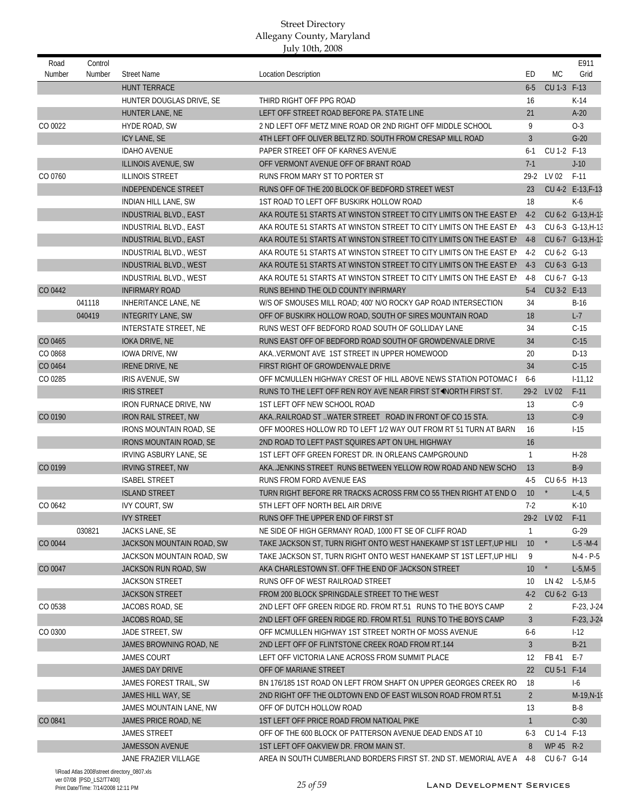| Road    | Control |                                                    |                                                                     |                 |             | E911              |
|---------|---------|----------------------------------------------------|---------------------------------------------------------------------|-----------------|-------------|-------------------|
| Number  | Number  | <b>Street Name</b>                                 | <b>Location Description</b>                                         | ED              | <b>MC</b>   | Grid              |
|         |         | <b>HUNT TERRACE</b>                                |                                                                     | $6-5$           | CU 1-3 F-13 |                   |
|         |         | HUNTER DOUGLAS DRIVE, SE                           | THIRD RIGHT OFF PPG ROAD                                            | 16              |             | $K-14$            |
|         |         | HUNTER LANE, NE                                    | LEFT OFF STREET ROAD BEFORE PA. STATE LINE                          | 21              |             | $A-20$            |
| CO 0022 |         | HYDE ROAD, SW                                      | 2 ND LEFT OFF METZ MINE ROAD OR 2ND RIGHT OFF MIDDLE SCHOOL         | 9               |             | $O-3$             |
|         |         | <b>ICY LANE, SE</b>                                | 4TH LEFT OFF OLIVER BELTZ RD. SOUTH FROM CRESAP MILL ROAD           | $\overline{3}$  |             | $G-20$            |
|         |         | <b>IDAHO AVENUE</b>                                | PAPER STREET OFF OF KARNES AVENUE                                   | $6-1$           | CU 1-2 F-13 |                   |
|         |         | <b>ILLINOIS AVENUE, SW</b>                         | OFF VERMONT AVENUE OFF OF BRANT ROAD                                | $7-1$           |             | $J-10$            |
| CO 0760 |         | <b>ILLINOIS STREET</b>                             | RUNS FROM MARY ST TO PORTER ST                                      | $29-2$          | LV 02       | F-11              |
|         |         | <b>INDEPENDENCE STREET</b>                         | RUNS OFF OF THE 200 BLOCK OF BEDFORD STREET WEST                    | 23              |             | CU 4-2 E-13, F-13 |
|         |         | INDIAN HILL LANE, SW                               | 1ST ROAD TO LEFT OFF BUSKIRK HOLLOW ROAD                            | 18              |             | K-6               |
|         |         | <b>INDUSTRIAL BLVD., EAST</b>                      | AKA ROUTE 51 STARTS AT WINSTON STREET TO CITY LIMITS ON THE EAST EN | $4-2$           |             | CU 6-2 G-13, H-13 |
|         |         | INDUSTRIAL BLVD., EAST                             | AKA ROUTE 51 STARTS AT WINSTON STREET TO CITY LIMITS ON THE EAST EN | $4-3$           |             | CU 6-3 G-13, H-13 |
|         |         | <b>INDUSTRIAL BLVD., EAST</b>                      | AKA ROUTE 51 STARTS AT WINSTON STREET TO CITY LIMITS ON THE EAST EN | $4 - 8$         |             | CU 6-7 G-13, H-13 |
|         |         | INDUSTRIAL BLVD., WEST                             | AKA ROUTE 51 STARTS AT WINSTON STREET TO CITY LIMITS ON THE EAST EN | $4-2$           | CU 6-2 G-13 |                   |
|         |         | <b>INDUSTRIAL BLVD., WEST</b>                      | AKA ROUTE 51 STARTS AT WINSTON STREET TO CITY LIMITS ON THE EAST EN | $4-3$           | CU 6-3 G-13 |                   |
|         |         | INDUSTRIAL BLVD., WEST                             | AKA ROUTE 51 STARTS AT WINSTON STREET TO CITY LIMITS ON THE EAST EN | $4-8$           | CU 6-7 G-13 |                   |
| CO 0442 |         | <b>INFIRMARY ROAD</b>                              | RUNS BEHIND THE OLD COUNTY INFIRMARY                                | $5-4$           | CU 3-2 E-13 |                   |
|         | 041118  | <b>INHERITANCE LANE, NE</b>                        | W/S OF SMOUSES MILL ROAD: 400' N/O ROCKY GAP ROAD INTERSECTION      | 34              |             | $B-16$            |
|         | 040419  | <b>INTEGRITY LANE, SW</b>                          | OFF OF BUSKIRK HOLLOW ROAD, SOUTH OF SIRES MOUNTAIN ROAD            | 18              |             | $L-7$             |
|         |         | <b>INTERSTATE STREET, NE</b>                       | RUNS WEST OFF BEDFORD ROAD SOUTH OF GOLLIDAY LANE                   | 34              |             | $C-15$            |
| CO 0465 |         | <b>IOKA DRIVE, NE</b>                              | RUNS EAST OFF OF BEDFORD ROAD SOUTH OF GROWDENVALE DRIVE            | 34              |             | $C-15$            |
| CO 0868 |         | IOWA DRIVE, NW                                     | AKA VERMONT AVE 1ST STREET IN UPPER HOMEWOOD                        | 20              |             | $D-13$            |
| CO 0464 |         | <b>IRENE DRIVE, NE</b>                             | FIRST RIGHT OF GROWDENVALE DRIVE                                    | 34              |             | $C-15$            |
| CO 0285 |         | IRIS AVENUE, SW                                    | OFF MCMULLEN HIGHWAY CREST OF HILL ABOVE NEWS STATION POTOMAC I     | $6-6$           |             | $1-11,12$         |
|         |         | <b>IRIS STREET</b>                                 | RUNS TO THE LEFT OFF REN ROY AVE NEAR FIRST ST NORTH FIRST ST.      |                 | 29-2 LV 02  | $F-11$            |
|         |         | IRON FURNACE DRIVE, NW                             | 1ST LEFT OFF NEW SCHOOL ROAD                                        | 13              |             | $C-9$             |
| CO 0190 |         | <b>IRON RAIL STREET, NW</b>                        | AKARAILROAD STWATER STREET ROAD IN FRONT OF CO 15 STA.              | 13              |             | $C-9$             |
|         |         | <b>IRONS MOUNTAIN ROAD, SE</b>                     | OFF MOORES HOLLOW RD TO LEFT 1/2 WAY OUT FROM RT 51 TURN AT BARN    | 16              |             | $1-15$            |
|         |         | <b>IRONS MOUNTAIN ROAD, SE</b>                     | 2ND ROAD TO LEFT PAST SQUIRES APT ON UHL HIGHWAY                    | 16              |             |                   |
|         |         |                                                    | 1ST LEFT OFF GREEN FOREST DR. IN ORLEANS CAMPGROUND                 | $\mathbf{1}$    |             | $H-28$            |
| CO 0199 |         | IRVING ASBURY LANE, SE<br><b>IRVING STREET, NW</b> | AKAJENKINS STREET RUNS BETWEEN YELLOW ROW ROAD AND NEW SCHO         | 13              |             | $B-9$             |
|         |         |                                                    | RUNS FROM FORD AVENUE EAS                                           |                 | CU 6-5 H-13 |                   |
|         |         | <b>ISABEL STREET</b>                               |                                                                     | $4-5$           |             |                   |
|         |         | <b>ISLAND STREET</b>                               | TURN RIGHT BEFORE RR TRACKS ACROSS FRM CO 55 THEN RIGHT AT END O    | 10              |             | $L-4, 5$          |
| CO 0642 |         | <b>IVY COURT, SW</b>                               | 5TH LEFT OFF NORTH BEL AIR DRIVE                                    | $7-2$           |             | $K-10$            |
|         |         | <b>IVY STREET</b>                                  | RUNS OFF THE UPPER END OF FIRST ST                                  |                 | 29-2 LV 02  | $F-11$            |
|         | 030821  | JACKS LANE, SE                                     | NE SIDE OF HIGH GERMANY ROAD, 1000 FT SE OF CLIFF ROAD              | 1               |             | $G-29$            |
| CO 0044 |         | JACKSON MOUNTAIN ROAD, SW                          | TAKE JACKSON ST, TURN RIGHT ONTO WEST HANEKAMP ST 1ST LEFT, UP HILI | 10              | $^{\star}$  | $L-5 - M-4$       |
|         |         | JACKSON MOUNTAIN ROAD, SW                          | TAKE JACKSON ST, TURN RIGHT ONTO WEST HANEKAMP ST 1ST LEFT, UP HIL  | 9               |             | $N-4 - P-5$       |
| CO 0047 |         | JACKSON RUN ROAD, SW                               | AKA CHARLESTOWN ST. OFF THE END OF JACKSON STREET                   | 10 <sup>°</sup> | $^\star$    | $L-5,M-5$         |
|         |         | <b>JACKSON STREET</b>                              | RUNS OFF OF WEST RAILROAD STREET                                    | 10              |             | $LN 42 L-5,M-5$   |
|         |         | <b>JACKSON STREET</b>                              | FROM 200 BLOCK SPRINGDALE STREET TO THE WEST                        | $4-2$           | CU 6-2 G-13 |                   |
| CO 0538 |         | JACOBS ROAD, SE                                    | 2ND LEFT OFF GREEN RIDGE RD. FROM RT.51 RUNS TO THE BOYS CAMP       | $\overline{2}$  |             | $F-23, J-24$      |
|         |         | JACOBS ROAD, SE                                    | 2ND LEFT OFF GREEN RIDGE RD. FROM RT.51 RUNS TO THE BOYS CAMP       | $\overline{3}$  |             | F-23, J-24        |
| CO 0300 |         | JADE STREET, SW                                    | OFF MCMULLEN HIGHWAY 1ST STREET NORTH OF MOSS AVENUE                | $6-6$           |             | $1-12$            |
|         |         | JAMES BROWNING ROAD, NE                            | 2ND LEFT OFF OF FLINTSTONE CREEK ROAD FROM RT.144                   | $\overline{3}$  |             | $B-21$            |
|         |         | JAMES COURT                                        | LEFT OFF VICTORIA LANE ACROSS FROM SUMMIT PLACE                     | 12              | FB 41       | $E-7$             |
|         |         | JAMES DAY DRIVE                                    | OFF OF MARIANE STREET                                               | 22              | CU 5-1 F-14 |                   |
|         |         | JAMES FOREST TRAIL, SW                             | BN 176/185 1ST ROAD ON LEFT FROM SHAFT ON UPPER GEORGES CREEK RO    | 18              |             | $1-6$             |
|         |         | JAMES HILL WAY, SE                                 | 2ND RIGHT OFF THE OLDTOWN END OF EAST WILSON ROAD FROM RT.51        | $\overline{2}$  |             | $M-19,N-19$       |
|         |         | JAMES MOUNTAIN LANE, NW                            | OFF OF DUTCH HOLLOW ROAD                                            | 13              |             | <b>B-8</b>        |
| CO 0841 |         | JAMES PRICE ROAD, NE                               | 1ST LEFT OFF PRICE ROAD FROM NATIOAL PIKE                           | $\mathbf{1}$    |             | $C-30$            |
|         |         | <b>JAMES STREET</b>                                | OFF OF THE 600 BLOCK OF PATTERSON AVENUE DEAD ENDS AT 10            | $6 - 3$         | CU 1-4 F-13 |                   |
|         |         | JAMESSON AVENUE                                    | 1ST LEFT OFF OAKVIEW DR. FROM MAIN ST.                              | 8               | WP 45 R-2   |                   |
|         |         | JANE FRAZIER VILLAGE                               | AREA IN SOUTH CUMBERLAND BORDERS FIRST ST. 2ND ST. MEMORIAL AVE A   | 4-8             | CU 6-7 G-14 |                   |
|         |         |                                                    |                                                                     |                 |             |                   |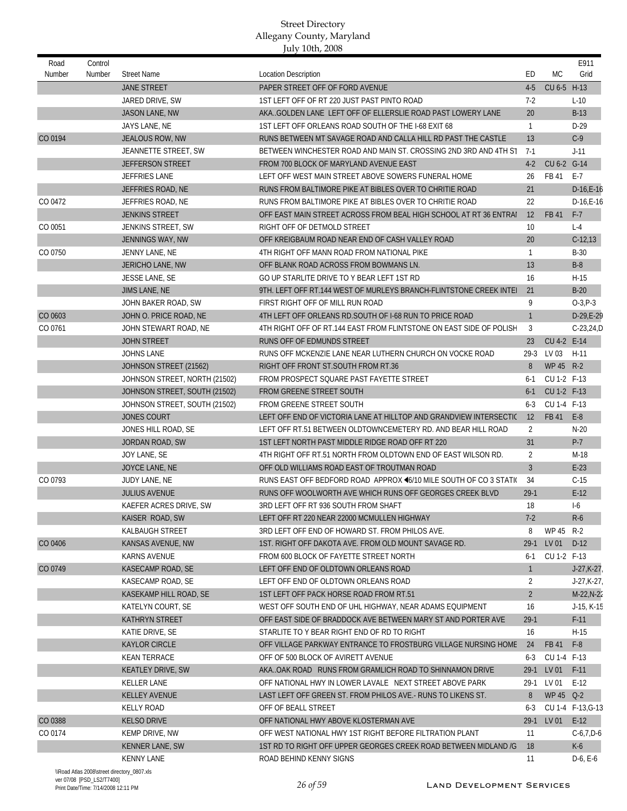| Road<br>Number | Control<br>Number | <b>Street Name</b>            | <b>Location Description</b>                                         | ED             | <b>MC</b>   | E911<br>Grid      |
|----------------|-------------------|-------------------------------|---------------------------------------------------------------------|----------------|-------------|-------------------|
|                |                   | <b>JANE STREET</b>            | PAPER STREET OFF OF FORD AVENUE                                     | $4-5$          | CU 6-5 H-13 |                   |
|                |                   | JARED DRIVE, SW               | 1ST LEFT OFF OF RT 220 JUST PAST PINTO ROAD                         | $7-2$          |             | $L-10$            |
|                |                   | JASON LANE, NW                | AKAGOLDEN LANE LEFT OFF OF ELLERSLIE ROAD PAST LOWERY LANE          | 20             |             | $B-13$            |
|                |                   | JAYS LANE, NE                 | 1ST LEFT OFF ORLEANS ROAD SOUTH OF THE 1-68 EXIT 68                 | $\mathbf{1}$   |             | $D-29$            |
| CO 0194        |                   | JEALOUS ROW, NW               | RUNS BETWEEN MT SAVAGE ROAD AND CALLA HILL RD PAST THE CASTLE       | 13             |             | $C-9$             |
|                |                   | JEANNETTE STREET, SW          | BETWEEN WINCHESTER ROAD AND MAIN ST. CROSSING 2ND 3RD AND 4TH ST    | $7-1$          |             | $J-11$            |
|                |                   | <b>JEFFERSON STREET</b>       | FROM 700 BLOCK OF MARYLAND AVENUE EAST                              | $4-2$          | CU 6-2 G-14 |                   |
|                |                   | <b>JEFFRIES LANE</b>          | LEFT OFF WEST MAIN STREET ABOVE SOWERS FUNERAL HOME                 | 26             | FB 41       | $E-7$             |
|                |                   | JEFFRIES ROAD, NE             | RUNS FROM BALTIMORE PIKE AT BIBLES OVER TO CHRITIE ROAD             | 21             |             | $D-16, E-16$      |
| CO 0472        |                   | JEFFRIES ROAD, NE             | RUNS FROM BALTIMORE PIKE AT BIBLES OVER TO CHRITIE ROAD             | 22             |             | $D-16, E-16$      |
|                |                   | <b>JENKINS STREET</b>         | OFF EAST MAIN STREET ACROSS FROM BEAL HIGH SCHOOL AT RT 36 ENTRAI   | 12             | FB 41       | $F-7$             |
| CO 0051        |                   | JENKINS STREET, SW            | RIGHT OFF OF DETMOLD STREET                                         | 10             |             | $L-4$             |
|                |                   | JENNINGS WAY, NW              | OFF KREIGBAUM ROAD NEAR END OF CASH VALLEY ROAD                     | 20             |             | $C-12,13$         |
|                |                   |                               |                                                                     |                |             |                   |
| CO 0750        |                   | JENNY LANE, NE                | 4TH RIGHT OFF MANN ROAD FROM NATIONAL PIKE                          | $\mathbf{1}$   |             | $B-30$            |
|                |                   | JERICHO LANE, NW              | OFF BLANK ROAD ACROSS FROM BOWMANS LN.                              | 13             |             | $B-8$             |
|                |                   | JESSE LANE, SE                | GO UP STARLITE DRIVE TO Y BEAR LEFT 1ST RD                          | 16             |             | $H-15$            |
|                |                   | JIMS LANE, NE                 | 9TH. LEFT OFF RT.144 WEST OF MURLEYS BRANCH-FLINTSTONE CREEK INTEI  | 21             |             | $B-20$            |
|                |                   | JOHN BAKER ROAD, SW           | FIRST RIGHT OFF OF MILL RUN ROAD                                    | 9              |             | $O-3, P-3$        |
| CO 0603        |                   | JOHN O. PRICE ROAD, NE        | 4TH LEFT OFF ORLEANS RD. SOUTH OF 1-68 RUN TO PRICE ROAD            | $\mathbf{1}$   |             | $D-29,E-29$       |
| CO 0761        |                   | JOHN STEWART ROAD, NE         | 4TH RIGHT OFF OF RT.144 EAST FROM FLINTSTONE ON EAST SIDE OF POLISH | 3              |             | $C-23,24,D$       |
|                |                   | <b>JOHN STREET</b>            | RUNS OFF OF EDMUNDS STREET                                          | 23             | CU 4-2 E-14 |                   |
|                |                   | JOHNS LANE                    | RUNS OFF MCKENZIE LANE NEAR LUTHERN CHURCH ON VOCKE ROAD            | $29-3$         | LV 03       | $H-11$            |
|                |                   | JOHNSON STREET (21562)        | RIGHT OFF FRONT ST.SOUTH FROM RT.36                                 | 8              | WP 45 R-2   |                   |
|                |                   | JOHNSON STREET, NORTH (21502) | FROM PROSPECT SQUARE PAST FAYETTE STREET                            | $6-1$          | CU 1-2 F-13 |                   |
|                |                   | JOHNSON STREET, SOUTH (21502) | FROM GREENE STREET SOUTH                                            | $6-1$          | CU 1-2 F-13 |                   |
|                |                   | JOHNSON STREET, SOUTH (21502) | FROM GREENE STREET SOUTH                                            | $6 - 3$        | CU 1-4 F-13 |                   |
|                |                   | <b>JONES COURT</b>            | LEFT OFF END OF VICTORIA LANE AT HILLTOP AND GRANDVIEW INTERSECTIO  | 12             | FB 41       | $E-8$             |
|                |                   | JONES HILL ROAD, SE           | LEFT OFF RT.51 BETWEEN OLDTOWNCEMETERY RD. AND BEAR HILL ROAD       | 2              |             | $N-20$            |
|                |                   | JORDAN ROAD, SW               | 1ST LEFT NORTH PAST MIDDLE RIDGE ROAD OFF RT 220                    | 31             |             | $P-7$             |
|                |                   | JOY LANE, SE                  | 4TH RIGHT OFF RT.51 NORTH FROM OLDTOWN END OF EAST WILSON RD.       | 2              |             | M-18              |
|                |                   | JOYCE LANE, NE                | OFF OLD WILLIAMS ROAD EAST OF TROUTMAN ROAD                         | $\mathbf{3}$   |             | $E-23$            |
| CO 0793        |                   | JUDY LANE, NE                 | RUNS EAST OFF BEDFORD ROAD APPROX (6/10 MILE SOUTH OF CO 3 STATI    | 34             |             | $C-15$            |
|                |                   | <b>JULIUS AVENUE</b>          | RUNS OFF WOOLWORTH AVE WHICH RUNS OFF GEORGES CREEK BLVD            | $29-1$         |             | $E-12$            |
|                |                   | KAEFER ACRES DRIVE, SW        | 3RD LEFT OFF RT 936 SOUTH FROM SHAFT                                | 18             |             | $1-6$             |
|                |                   | KAISER ROAD, SW               | LEFT OFF RT 220 NEAR 22000 MCMULLEN HIGHWAY                         | $7-2$          |             | $R-6$             |
|                |                   | KALBAUGH STREET               | 3RD LEFT OFF END OF HOWARD ST. FROM PHILOS AVE.                     | 8              | WP 45       | $R-2$             |
| CO 0406        |                   | KANSAS AVENUE, NW             | 1ST. RIGHT OFF DAKOTA AVE. FROM OLD MOUNT SAVAGE RD.                | $29-1$         | LV 01       | $D-12$            |
|                |                   | KARNS AVENUE                  | FROM 600 BLOCK OF FAYETTE STREET NORTH                              | $6-1$          | CU 1-2 F-13 |                   |
| CO 0749        |                   | KASECAMP ROAD, SE             | LEFT OFF END OF OLDTOWN ORLEANS ROAD                                | $\mathbf{1}$   |             | $J-27,K-27$       |
|                |                   | KASECAMP ROAD, SE             | LEFT OFF END OF OLDTOWN ORLEANS ROAD                                | 2              |             | $J-27,K-27$       |
|                |                   | KASEKAMP HILL ROAD, SE        | 1ST LEFT OFF PACK HORSE ROAD FROM RT.51                             | $\overline{2}$ |             | $M-22,N-22$       |
|                |                   | KATELYN COURT, SE             | WEST OFF SOUTH END OF UHL HIGHWAY, NEAR ADAMS EQUIPMENT             | 16             |             | $J-15$ , K $-15$  |
|                |                   | KATHRYN STREET                | OFF EAST SIDE OF BRADDOCK AVE BETWEEN MARY ST AND PORTER AVE        | $29-1$         |             | $F-11$            |
|                |                   | KATIE DRIVE, SE               | STARLITE TO Y BEAR RIGHT END OF RD TO RIGHT                         | 16             |             | $H-15$            |
|                |                   | <b>KAYLOR CIRCLE</b>          | OFF VILLAGE PARKWAY ENTRANCE TO FROSTBURG VILLAGE NURSING HOME      | 24             | FB 41       | $F-8$             |
|                |                   | <b>KEAN TERRACE</b>           | OFF OF 500 BLOCK OF AVIRETT AVENUE                                  | 6-3            | CU 1-4 F-13 |                   |
|                |                   | <b>KEATLEY DRIVE, SW</b>      | AKAOAK ROAD RUNS FROM GRAMLICH ROAD TO SHINNAMON DRIVE              | $29-1$         | LV 01 F-11  |                   |
|                |                   | <b>KELLER LANE</b>            | OFF NATIONAL HWY IN LOWER LAVALE NEXT STREET ABOVE PARK             | 29-1           | LV 01 E-12  |                   |
|                |                   |                               |                                                                     |                |             |                   |
|                |                   | <b>KELLEY AVENUE</b>          | LAST LEFT OFF GREEN ST. FROM PHILOS AVE.- RUNS TO LIKENS ST.        | 8              | WP 45 Q-2   |                   |
|                |                   | <b>KELLY ROAD</b>             | OFF OF BEALL STREET                                                 | 6-3            |             | CU 1-4 F-13, G-13 |
| CO 0388        |                   | <b>KELSO DRIVE</b>            | OFF NATIONAL HWY ABOVE KLOSTERMAN AVE                               | $29-1$         | LV 01       | $E-12$            |
| CO 0174        |                   | KEMP DRIVE, NW                | OFF WEST NATIONAL HWY 1ST RIGHT BEFORE FILTRATION PLANT             | 11             |             | $C-6,7, D-6$      |
|                |                   | <b>KENNER LANE, SW</b>        | 1ST RD TO RIGHT OFF UPPER GEORGES CREEK ROAD BETWEEN MIDLAND /G     | 18             |             | $K-6$             |
|                |                   | <b>KENNY LANE</b>             | ROAD BEHIND KENNY SIGNS                                             | 11             |             | D-6, E-6          |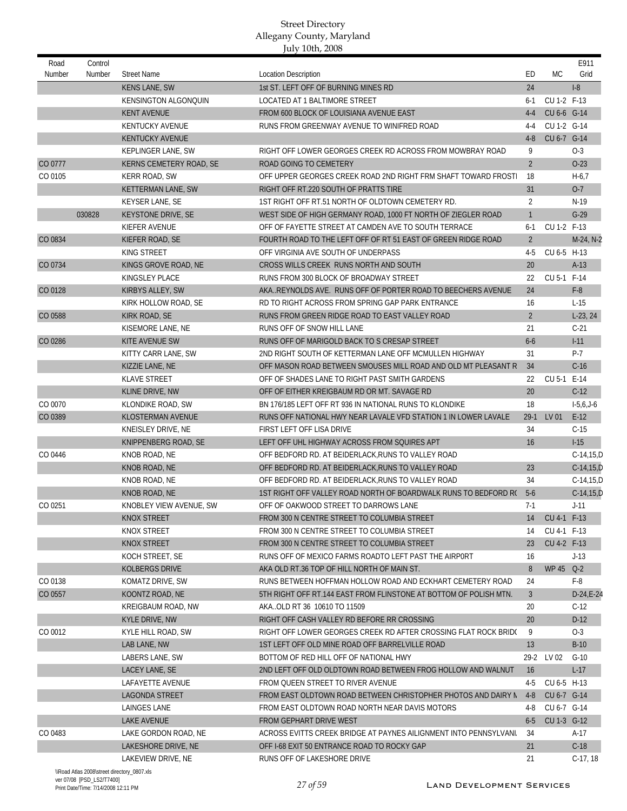| Road    | Control |                           |                                                                   |                |             | E911          |
|---------|---------|---------------------------|-------------------------------------------------------------------|----------------|-------------|---------------|
| Number  | Number  | <b>Street Name</b>        | <b>Location Description</b>                                       | ED             | <b>MC</b>   | Grid          |
|         |         | <b>KENS LANE, SW</b>      | 1st ST. LEFT OFF OF BURNING MINES RD                              | 24             |             | $1-8$         |
|         |         | KENSINGTON ALGONQUIN      | LOCATED AT 1 BALTIMORE STREET                                     | $6-1$          | CU 1-2 F-13 |               |
|         |         | <b>KENT AVENUE</b>        | FROM 600 BLOCK OF LOUISIANA AVENUE EAST                           | $4 - 4$        | CU 6-6 G-14 |               |
|         |         | <b>KENTUCKY AVENUE</b>    | RUNS FROM GREENWAY AVENUE TO WINIFRED ROAD                        | $4-4$          | CU 1-2 G-14 |               |
|         |         | KENTUCKY AVENUE           |                                                                   | $4 - 8$        | CU 6-7 G-14 |               |
|         |         | KEPLINGER LANE, SW        | RIGHT OFF LOWER GEORGES CREEK RD ACROSS FROM MOWBRAY ROAD         | 9              |             | $O-3$         |
| CO 0777 |         | KERNS CEMETERY ROAD, SE   | ROAD GOING TO CEMETERY                                            | $\overline{2}$ |             | $O-23$        |
| CO 0105 |         | <b>KERR ROAD, SW</b>      | OFF UPPER GEORGES CREEK ROAD 2ND RIGHT FRM SHAFT TOWARD FROST     | 18             |             | $H-6.7$       |
|         |         | <b>KETTERMAN LANE, SW</b> | RIGHT OFF RT.220 SOUTH OF PRATTS TIRE                             | 31             |             | $O-7$         |
|         |         | <b>KEYSER LANE, SE</b>    | 1ST RIGHT OFF RT.51 NORTH OF OLDTOWN CEMETERY RD.                 | $\overline{2}$ |             | $N-19$        |
|         | 030828  | KEYSTONE DRIVE, SE        | WEST SIDE OF HIGH GERMANY ROAD, 1000 FT NORTH OF ZIEGLER ROAD     | $\mathbf{1}$   |             | $G-29$        |
|         |         | KIEFER AVENUE             | OFF OF FAYETTE STREET AT CAMDEN AVE TO SOUTH TERRACE              | $6 - 1$        | CU 1-2 F-13 |               |
| CO 0834 |         | KIEFER ROAD, SE           | FOURTH ROAD TO THE LEFT OFF OF RT 51 EAST OF GREEN RIDGE ROAD     | $\overline{2}$ |             | M-24, N-2     |
|         |         | KING STREET               | OFF VIRGINIA AVE SOUTH OF UNDERPASS                               | $4-5$          | CU 6-5 H-13 |               |
| CO 0734 |         | KINGS GROVE ROAD, NE      | CROSS WILLS CREEK RUNS NORTH AND SOUTH                            | 20             |             | $A-13$        |
|         |         | KINGSLEY PLACE            | RUNS FROM 300 BLOCK OF BROADWAY STREET                            | 22             | CU 5-1 F-14 |               |
| CO 0128 |         | KIRBYS ALLEY, SW          | AKAREYNOLDS AVE. RUNS OFF OF PORTER ROAD TO BEECHERS AVENUE       | 24             |             | $F-8$         |
|         |         | KIRK HOLLOW ROAD, SE      | RD TO RIGHT ACROSS FROM SPRING GAP PARK ENTRANCE                  | 16             |             | $L-15$        |
| CO 0588 |         | <b>KIRK ROAD, SE</b>      | RUNS FROM GREEN RIDGE ROAD TO EAST VALLEY ROAD                    | $\overline{2}$ |             | $L-23, 24$    |
|         |         | KISEMORE LANE, NE         | RUNS OFF OF SNOW HILL LANE                                        | 21             |             | $C-21$        |
| CO 0286 |         | KITE AVENUE SW            | RUNS OFF OF MARIGOLD BACK TO S CRESAP STREET                      | $6-6$          |             | $I-11$        |
|         |         | KITTY CARR LANE, SW       | 2ND RIGHT SOUTH OF KETTERMAN LANE OFF MCMULLEN HIGHWAY            | 31             |             | $P-7$         |
|         |         | KIZZIE LANE, NE           | OFF MASON ROAD BETWEEN SMOUSES MILL ROAD AND OLD MT PLEASANT R    | 34             |             | $C-16$        |
|         |         | <b>KLAVE STREET</b>       | OFF OF SHADES LANE TO RIGHT PAST SMITH GARDENS                    | 22             | CU 5-1 E-14 |               |
|         |         | KLINE DRIVE, NW           | OFF OF EITHER KREIGBAUM RD OR MT. SAVAGE RD                       | 20             |             | $C-12$        |
| CO 0070 |         | KLONDIKE ROAD, SW         | BN 176/185 LEFT OFF RT 936 IN NATIONAL RUNS TO KLONDIKE           | 18             |             | $1-5,6, J-6$  |
| CO 0389 |         | KLOSTERMAN AVENUE         | RUNS OFF NATIONAL HWY NEAR LAVALE VFD STATION 1 IN LOWER LAVALE   | $29-1$         | LV 01       | $E-12$        |
|         |         | KNEISLEY DRIVE, NE        | FIRST LEFT OFF LISA DRIVE                                         | 34             |             | $C-15$        |
|         |         | KNIPPENBERG ROAD, SE      | LEFT OFF UHL HIGHWAY ACROSS FROM SQUIRES APT                      | 16             |             | $I-15$        |
| CO 0446 |         | KNOB ROAD, NE             | OFF BEDFORD RD. AT BEIDERLACK, RUNS TO VALLEY ROAD                |                |             | $C-14,15,D$   |
|         |         | KNOB ROAD, NE             | OFF BEDFORD RD. AT BEIDERLACK, RUNS TO VALLEY ROAD                | 23             |             | $C-14,15,D$   |
|         |         | KNOB ROAD, NE             | OFF BEDFORD RD. AT BEIDERLACK, RUNS TO VALLEY ROAD                | 34             |             | $C-14,15,D$   |
|         |         | KNOB ROAD, NE             | 1ST RIGHT OFF VALLEY ROAD NORTH OF BOARDWALK RUNS TO BEDFORD R(   | $5-6$          |             | $C-14, 15, D$ |
| CO 0251 |         | KNOBLEY VIEW AVENUE, SW   | OFF OF OAKWOOD STREET TO DARROWS LANE                             | $7-1$          |             | $J-11$        |
|         |         | KNOX STREET               | FROM 300 N CENTRE STREET TO COLUMBIA STREET                       | 14             | CU 4-1 F-13 |               |
|         |         | KNOX STREET               | FROM 300 N CENTRE STREET TO COLUMBIA STREET                       | 14             | CU 4-1 F-13 |               |
|         |         | KNOX STREET               | FROM 300 N CENTRE STREET TO COLUMBIA STREET                       | 23             | CU 4-2 F-13 |               |
|         |         | KOCH STREET, SE           | RUNS OFF OF MEXICO FARMS ROADTO LEFT PAST THE AIRPORT             | 16             |             | $J-13$        |
|         |         | KOLBERGS DRIVE            | AKA OLD RT.36 TOP OF HILL NORTH OF MAIN ST.                       | 8              | WP 45 Q-2   |               |
| CO 0138 |         | KOMATZ DRIVE, SW          | RUNS BETWEEN HOFFMAN HOLLOW ROAD AND ECKHART CEMETERY ROAD        | 24             |             | $F-8$         |
| CO 0557 |         | KOONTZ ROAD, NE           | 5TH RIGHT OFF RT.144 EAST FROM FLINSTONE AT BOTTOM OF POLISH MTN. | $\mathfrak{Z}$ |             | $D-24,E-24$   |
|         |         | KREIGBAUM ROAD, NW        | AKAOLD RT 36 10610 TO 11509                                       | 20             |             | $C-12$        |
|         |         | KYLE DRIVE, NW            | RIGHT OFF CASH VALLEY RD BEFORE RR CROSSING                       | 20             |             | $D-12$        |
| CO 0012 |         | KYLE HILL ROAD, SW        | RIGHT OFF LOWER GEORGES CREEK RD AFTER CROSSING FLAT ROCK BRID(   | 9              |             | $O-3$         |
|         |         | LAB LANE, NW              | 1ST LEFT OFF OLD MINE ROAD OFF BARRELVILLE ROAD                   | 13             |             | $B-10$        |
|         |         | LABERS LANE, SW           | BOTTOM OF RED HILL OFF OF NATIONAL HWY                            |                | 29-2 LV 02  | $G-10$        |
|         |         | LACEY LANE, SE            | 2ND LEFT OFF OLD OLDTOWN ROAD BETWEEN FROG HOLLOW AND WALNUT      | 16             |             | $L-17$        |
|         |         | LAFAYETTE AVENUE          | FROM QUEEN STREET TO RIVER AVENUE                                 | $4-5$          | CU 6-5 H-13 |               |
|         |         | LAGONDA STREET            | FROM EAST OLDTOWN ROAD BETWEEN CHRISTOPHER PHOTOS AND DAIRY IN    | $4 - 8$        | CU 6-7 G-14 |               |
|         |         | <b>LAINGES LANE</b>       | FROM EAST OLDTOWN ROAD NORTH NEAR DAVIS MOTORS                    | 4-8            | CU 6-7 G-14 |               |
|         |         | <b>LAKE AVENUE</b>        | FROM GEPHART DRIVE WEST                                           | $6 - 5$        | CU 1-3 G-12 |               |
| CO 0483 |         | LAKE GORDON ROAD, NE      | ACROSS EVITTS CREEK BRIDGE AT PAYNES AILIGNMENT INTO PENNSYLVANI  | 34             |             | A-17          |
|         |         | LAKESHORE DRIVE, NE       | OFF I-68 EXIT 50 ENTRANCE ROAD TO ROCKY GAP                       | 21             |             | $C-18$        |
|         |         | LAKEVIEW DRIVE, NE        | RUNS OFF OF LAKESHORE DRIVE                                       | 21             |             | $C-17, 18$    |
|         |         |                           |                                                                   |                |             |               |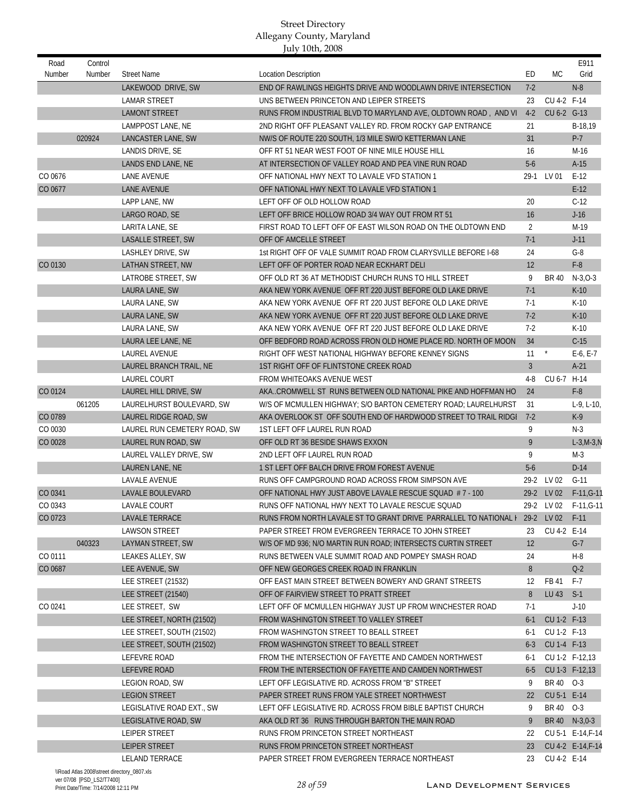| Road<br>Number | Control<br>Number | <b>Street Name</b>           | <b>Location Description</b>                                                      | ED             | <b>MC</b>   | E911<br>Grid          |
|----------------|-------------------|------------------------------|----------------------------------------------------------------------------------|----------------|-------------|-----------------------|
|                |                   | LAKEWOOD DRIVE, SW           | END OF RAWLINGS HEIGHTS DRIVE AND WOODLAWN DRIVE INTERSECTION                    | $7-2$          |             | $N-8$                 |
|                |                   | <b>LAMAR STREET</b>          | UNS BETWEEN PRINCETON AND LEIPER STREETS                                         | 23             | CU 4-2 F-14 |                       |
|                |                   | <b>LAMONT STREET</b>         | RUNS FROM INDUSTRIAL BLVD TO MARYLAND AVE, OLDTOWN ROAD, AND VI                  | $4-2$          | CU 6-2 G-13 |                       |
|                |                   | LAMPPOST LANE, NE            | 2ND RIGHT OFF PLEASANT VALLEY RD. FROM ROCKY GAP ENTRANCE                        | 21             |             | B-18,19               |
|                | 020924            | LANCASTER LANE, SW           | NW/S OF ROUTE 220 SOUTH, 1/3 MILE SW/O KETTERMAN LANE                            | 31             |             | $P-7$                 |
|                |                   | LANDIS DRIVE, SE             | OFF RT 51 NEAR WEST FOOT OF NINE MILE HOUSE HILL                                 | 16             |             | M-16                  |
|                |                   | LANDS END LANE, NE           | AT INTERSECTION OF VALLEY ROAD AND PEA VINE RUN ROAD                             | $5-6$          |             | $A-15$                |
| CO 0676        |                   | LANE AVENUE                  | OFF NATIONAL HWY NEXT TO LAVALE VFD STATION 1                                    | $29-1$         | LV 01       | $E-12$                |
| CO 0677        |                   | <b>LANE AVENUE</b>           | OFF NATIONAL HWY NEXT TO LAVALE VFD STATION 1                                    |                |             | $E-12$                |
|                |                   | LAPP LANE, NW                | LEFT OFF OF OLD HOLLOW ROAD                                                      | 20             |             | $C-12$                |
|                |                   | LARGO ROAD, SE               | LEFT OFF BRICE HOLLOW ROAD 3/4 WAY OUT FROM RT 51                                | 16             |             | $J-16$                |
|                |                   | LARITA LANE, SE              | FIRST ROAD TO LEFT OFF OF EAST WILSON ROAD ON THE OLDTOWN END                    | 2              |             | M-19                  |
|                |                   | LASALLE STREET, SW           | OFF OF AMCELLE STREET                                                            | $7-1$          |             | $J-11$                |
|                |                   | LASHLEY DRIVE, SW            | 1st RIGHT OFF OF VALE SUMMIT ROAD FROM CLARYSVILLE BEFORE I-68                   | 24             |             | $G-8$                 |
| CO 0130        |                   | LATHAN STREET, NW            | LEFT OFF OF PORTER ROAD NEAR ECKHART DELI                                        | 12             |             | $F-8$                 |
|                |                   | LATROBE STREET, SW           | OFF OLD RT 36 AT METHODIST CHURCH RUNS TO HILL STREET                            | 9              | BR 40       | $N-3, O-3$            |
|                |                   | LAURA LANE, SW               | AKA NEW YORK AVENUE OFF RT 220 JUST BEFORE OLD LAKE DRIVE                        | $7-1$          |             | $K-10$                |
|                |                   | <b>LAURA LANE, SW</b>        | AKA NEW YORK AVENUE OFF RT 220 JUST BEFORE OLD LAKE DRIVE                        | $7-1$          |             | $K-10$                |
|                |                   | LAURA LANE, SW               | AKA NEW YORK AVENUE OFF RT 220 JUST BEFORE OLD LAKE DRIVE                        | $7-2$          |             | $K-10$                |
|                |                   | LAURA LANE, SW               | AKA NEW YORK AVENUE OFF RT 220 JUST BEFORE OLD LAKE DRIVE                        | $7-2$          |             | $K-10$                |
|                |                   | LAURA LEE LANE, NE           | OFF BEDFORD ROAD ACROSS FRON OLD HOME PLACE RD. NORTH OF MOON                    | 34             |             | $C-15$                |
|                |                   | LAUREL AVENUE                | RIGHT OFF WEST NATIONAL HIGHWAY BEFORE KENNEY SIGNS                              | 11             | $^\star$    | $E-6, E-7$            |
|                |                   | LAUREL BRANCH TRAIL, NE      | 1ST RIGHT OFF OF FLINTSTONE CREEK ROAD                                           | $\overline{3}$ |             | $A-21$                |
|                |                   | <b>LAUREL COURT</b>          | FROM WHITEOAKS AVENUE WEST                                                       | $4 - 8$        | CU 6-7 H-14 |                       |
| CO 0124        |                   | LAUREL HILL DRIVE, SW        | AKACROMWELL ST RUNS BETWEEN OLD NATIONAL PIKE AND HOFFMAN HO                     | 24             |             | $F-8$                 |
|                | 061205            | LAURELHURST BOULEVARD, SW    | W/S OF MCMULLEN HIGHWAY; S/O BARTON CEMETERY ROAD; LAURELHURST                   | 31             |             | $L-9, L-10,$          |
| CO 0789        |                   | LAUREL RIDGE ROAD, SW        | AKA OVERLOOK ST OFF SOUTH END OF HARDWOOD STREET TO TRAIL RIDGI                  | $7-2$          |             | $K-9$                 |
| CO 0030        |                   | LAUREL RUN CEMETERY ROAD, SW | 1ST LEFT OFF LAUREL RUN ROAD                                                     | 9              |             | $N-3$                 |
| CO 0028        |                   | LAUREL RUN ROAD, SW          | OFF OLD RT 36 BESIDE SHAWS EXXON                                                 | 9              |             | $L-3,M-3,N$           |
|                |                   | LAUREL VALLEY DRIVE, SW      | 2ND LEFT OFF LAUREL RUN ROAD                                                     | 9              |             | $M-3$                 |
|                |                   | LAUREN LANE, NE              | 1 ST LEFT OFF BALCH DRIVE FROM FOREST AVENUE                                     | $5-6$          |             | $D-14$                |
|                |                   | LAVALE AVENUE                | RUNS OFF CAMPGROUND ROAD ACROSS FROM SIMPSON AVE                                 |                | 29-2 LV 02  | $G-11$                |
| CO 0341        |                   | <b>LAVALE BOULEVARD</b>      | OFF NATIONAL HWY JUST ABOVE LAVALE RESCUE SQUAD # 7 - 100                        |                | 29-2 LV 02  | $F-11, G-11$          |
| CO 0343        |                   | <b>LAVALE COURT</b>          | RUNS OFF NATIONAL HWY NEXT TO LAVALE RESCUE SQUAD                                |                |             | 29-2 LV 02 F-11, G-11 |
| CO 0723        |                   | <b>LAVALE TERRACE</b>        | RUNS FROM NORTH LAVALE ST TO GRANT DRIVE PARRALLEL TO NATIONAL I 29-2 LV 02 F-11 |                |             |                       |
|                |                   | <b>LAWSON STREET</b>         | PAPER STREET FROM EVERGREEN TERRACE TO JOHN STREET                               | 23             | CU 4-2 E-14 |                       |
|                | 040323            | LAYMAN STREET, SW            | W/S OF MD 936; N/O MARTIN RUN ROAD; INTERSECTS CURTIN STREET                     | 12             |             | $G-7$                 |
| CO 0111        |                   | LEAKES ALLEY, SW             | RUNS BETWEEN VALE SUMMIT ROAD AND POMPEY SMASH ROAD                              | 24             |             | $H-8$                 |
| CO 0687        |                   | LEE AVENUE, SW               | OFF NEW GEORGES CREEK ROAD IN FRANKLIN                                           | 8              |             | $Q-2$                 |
|                |                   | LEE STREET (21532)           | OFF EAST MAIN STREET BETWEEN BOWERY AND GRANT STREETS                            | 12             | FB 41       | $F-7$                 |
|                |                   | <b>LEE STREET (21540)</b>    | OFF OF FAIRVIEW STREET TO PRATT STREET                                           | 8              | LU 43       | $S-1$                 |
| CO 0241        |                   | LEE STREET, SW               | LEFT OFF OF MCMULLEN HIGHWAY JUST UP FROM WINCHESTER ROAD                        | $7-1$          |             | $J-10$                |
|                |                   | LEE STREET, NORTH (21502)    | FROM WASHINGTON STREET TO VALLEY STREET                                          | $6-1$          | CU 1-2 F-13 |                       |
|                |                   | LEE STREET, SOUTH (21502)    | FROM WASHINGTON STREET TO BEALL STREET                                           | $6-1$          | CU 1-2 F-13 |                       |
|                |                   | LEE STREET, SOUTH (21502)    | FROM WASHINGTON STREET TO BEALL STREET                                           | $6 - 3$        | CU 1-4 F-13 |                       |
|                |                   | LEFEVRE ROAD                 | FROM THE INTERSECTION OF FAYETTE AND CAMDEN NORTHWEST                            | $6-1$          |             | CU 1-2 F-12,13        |
|                |                   | LEFEVRE ROAD                 | FROM THE INTERSECTION OF FAYETTE AND CAMDEN NORTHWEST                            | $6-5$          |             | CU 1-3 F-12,13        |
|                |                   | LEGION ROAD, SW              | LEFT OFF LEGISLATIVE RD. ACROSS FROM "B" STREET                                  | 9              | BR 40 0-3   |                       |
|                |                   | <b>LEGION STREET</b>         | PAPER STREET RUNS FROM YALE STREET NORTHWEST                                     | 22             | CU 5-1 E-14 |                       |
|                |                   | LEGISLATIVE ROAD EXT., SW    | LEFT OFF LEGISLATIVE RD. ACROSS FROM BIBLE BAPTIST CHURCH                        | 9              | BR 40 0-3   |                       |
|                |                   | LEGISLATIVE ROAD, SW         | AKA OLD RT 36 RUNS THROUGH BARTON THE MAIN ROAD                                  | 9              |             | BR 40 N-3,0-3         |
|                |                   | LEIPER STREET                | RUNS FROM PRINCETON STREET NORTHEAST                                             | 22             |             | CU 5-1 E-14, F-14     |
|                |                   | LEIPER STREET                | RUNS FROM PRINCETON STREET NORTHEAST                                             | 23             |             | CU 4-2 E-14, F-14     |
|                |                   | LELAND TERRACE               | PAPER STREET FROM EVERGREEN TERRACE NORTHEAST                                    | 23             | CU 4-2 E-14 |                       |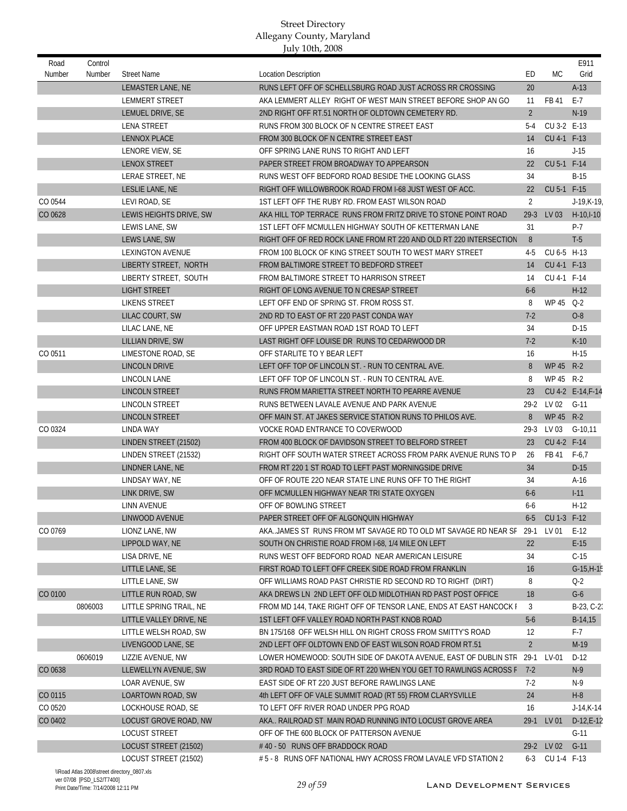| Road<br>Number | Control<br>Number | <b>Street Name</b>      | <b>Location Description</b>                                           | ED             | <b>MC</b>   | E911<br>Grid      |
|----------------|-------------------|-------------------------|-----------------------------------------------------------------------|----------------|-------------|-------------------|
|                |                   |                         |                                                                       |                |             |                   |
|                |                   | LEMASTER LANE, NE       | RUNS LEFT OFF OF SCHELLSBURG ROAD JUST ACROSS RR CROSSING             | 20             |             | $A-13$            |
|                |                   | <b>LEMMERT STREET</b>   | AKA LEMMERT ALLEY RIGHT OF WEST MAIN STREET BEFORE SHOP AN GO         | 11             | FB 41       | $E-7$             |
|                |                   | LEMUEL DRIVE, SE        | 2ND RIGHT OFF RT.51 NORTH OF OLDTOWN CEMETERY RD.                     | $\overline{2}$ |             | N-19              |
|                |                   | <b>LENA STREET</b>      | RUNS FROM 300 BLOCK OF N CENTRE STREET EAST                           | $5-4$          | CU 3-2 E-13 |                   |
|                |                   | <b>LENNOX PLACE</b>     | FROM 300 BLOCK OF N CENTRE STREET EAST                                | 14             | CU 4-1 F-13 |                   |
|                |                   | LENORE VIEW, SE         | OFF SPRING LANE RUNS TO RIGHT AND LEFT                                | 16             |             | $J-15$            |
|                |                   | <b>LENOX STREET</b>     | PAPER STREET FROM BROADWAY TO APPEARSON                               | 22             | CU 5-1 F-14 |                   |
|                |                   | LERAE STREET, NE        | RUNS WEST OFF BEDFORD ROAD BESIDE THE LOOKING GLASS                   | 34             |             | $B-15$            |
|                |                   | LESLIE LANE, NE         | RIGHT OFF WILLOWBROOK ROAD FROM 1-68 JUST WEST OF ACC.                | 22             | CU 5-1 F-15 |                   |
| CO 0544        |                   | LEVI ROAD, SE           | 1ST LEFT OFF THE RUBY RD. FROM EAST WILSON ROAD                       | 2              |             | $J-19$ , K $-19$  |
| CO 0628        |                   | LEWIS HEIGHTS DRIVE, SW | AKA HILL TOP TERRACE RUNS FROM FRITZ DRIVE TO STONE POINT ROAD        | $29-3$         | LV 03       | $H-10, I-10$      |
|                |                   | LEWIS LANE, SW          | 1ST LEFT OFF MCMULLEN HIGHWAY SOUTH OF KETTERMAN LANE                 | 31             |             | $P-7$             |
|                |                   | LEWS LANE, SW           | RIGHT OFF OF RED ROCK LANE FROM RT 220 AND OLD RT 220 INTERSECTION    | 8              |             | $T-5$             |
|                |                   | <b>LEXINGTON AVENUE</b> | FROM 100 BLOCK OF KING STREET SOUTH TO WEST MARY STREET               | 4-5            | CU 6-5 H-13 |                   |
|                |                   | LIBERTY STREET, NORTH   | FROM BALTIMORE STREET TO BEDFORD STREET                               | 14             | CU 4-1 F-13 |                   |
|                |                   | LIBERTY STREET, SOUTH   | FROM BALTIMORE STREET TO HARRISON STREET                              | 14             | CU 4-1 F-14 |                   |
|                |                   | <b>LIGHT STREET</b>     | RIGHT OF LONG AVENUE TO N CRESAP STREET                               | $6-6$          |             | $H-12$            |
|                |                   | <b>LIKENS STREET</b>    | LEFT OFF END OF SPRING ST. FROM ROSS ST.                              | 8              | WP 45       | $Q-2$             |
|                |                   | LILAC COURT, SW         | 2ND RD TO EAST OF RT 220 PAST CONDA WAY                               | $7-2$          |             | $O-8$             |
|                |                   | LILAC LANE, NE          | OFF UPPER EASTMAN ROAD 1ST ROAD TO LEFT                               | 34             |             | $D-15$            |
|                |                   | LILLIAN DRIVE, SW       | LAST RIGHT OFF LOUISE DR RUNS TO CEDARWOOD DR                         | $7-2$          |             | $K-10$            |
| CO 0511        |                   | LIMESTONE ROAD, SE      | OFF STARLITE TO Y BEAR LEFT                                           | 16             |             | $H-15$            |
|                |                   | <b>LINCOLN DRIVE</b>    | LEFT OFF TOP OF LINCOLN ST. - RUN TO CENTRAL AVE.                     | 8              | WP 45 R-2   |                   |
|                |                   | LINCOLN LANE            | LEFT OFF TOP OF LINCOLN ST. - RUN TO CENTRAL AVE.                     | 8              | WP 45 R-2   |                   |
|                |                   | LINCOLN STREET          | RUNS FROM MARIETTA STREET NORTH TO PEARRE AVENUE                      | 23             |             | CU 4-2 E-14, F-14 |
|                |                   | LINCOLN STREET          | RUNS BETWEEN LAVALE AVENUE AND PARK AVENUE                            | $29-2$         | LV 02       | G-11              |
|                |                   | LINCOLN STREET          | OFF MAIN ST. AT JAKES SERVICE STATION RUNS TO PHILOS AVE.             | 8              | WP 45 R-2   |                   |
| CO 0324        |                   | LINDA WAY               | VOCKE ROAD ENTRANCE TO COVERWOOD                                      | $29-3$         | LV 03       | $G-10,11$         |
|                |                   | LINDEN STREET (21502)   | FROM 400 BLOCK OF DAVIDSON STREET TO BELFORD STREET                   | 23             | CU 4-2 F-14 |                   |
|                |                   | LINDEN STREET (21532)   | RIGHT OFF SOUTH WATER STREET ACROSS FROM PARK AVENUE RUNS TO P        | 26             | FB 41 F-6,7 |                   |
|                |                   | LINDNER LANE, NE        | FROM RT 220 1 ST ROAD TO LEFT PAST MORNINGSIDE DRIVE                  | 34             |             | $D-15$            |
|                |                   | LINDSAY WAY, NE         | OFF OF ROUTE 220 NEAR STATE LINE RUNS OFF TO THE RIGHT                | 34             |             | $A-16$            |
|                |                   | LINK DRIVE, SW          | OFF MCMULLEN HIGHWAY NEAR TRI STATE OXYGEN                            | $6-6$          |             | $I-11$            |
|                |                   | LINN AVENUE             | OFF OF BOWLING STREET                                                 | 6-6            |             | $H-12$            |
|                |                   | LINWOOD AVENUE          | PAPER STREET OFF OF ALGONQUIN HIGHWAY                                 | $6 - 5$        | CU 1-3 F-12 |                   |
| CO 0769        |                   | LIONZ LANE, NW          | AKAJAMES ST RUNS FROM MT SAVAGE RD TO OLD MT SAVAGE RD NEAR SP 29-1   |                | LV 01       | $E-12$            |
|                |                   | LIPPOLD WAY, NE         | SOUTH ON CHRISTIE ROAD FROM I-68, 1/4 MILE ON LEFT                    | 22             |             | $E-15$            |
|                |                   | LISA DRIVE, NE          | RUNS WEST OFF BEDFORD ROAD NEAR AMERICAN LEISURE                      | 34             |             | $C-15$            |
|                |                   | LITTLE LANE, SE         | FIRST ROAD TO LEFT OFF CREEK SIDE ROAD FROM FRANKLIN                  | 16             |             | $G-15, H-15$      |
|                |                   | LITTLE LANE, SW         | OFF WILLIAMS ROAD PAST CHRISTIE RD SECOND RD TO RIGHT (DIRT)          | 8              |             | $Q-2$             |
| CO 0100        |                   | LITTLE RUN ROAD, SW     | AKA DREWS LN 2ND LEFT OFF OLD MIDLOTHIAN RD PAST POST OFFICE          | 18             |             | $G-6$             |
|                | 0806003           | LITTLE SPRING TRAIL, NE | FROM MD 144, TAKE RIGHT OFF OF TENSOR LANE, ENDS AT EAST HANCOCK I    | 3              |             | B-23, C-2.        |
|                |                   | LITTLE VALLEY DRIVE, NE | 1ST LEFT OFF VALLEY ROAD NORTH PAST KNOB ROAD                         | $5-6$          |             | B-14,15           |
|                |                   | LITTLE WELSH ROAD, SW   | BN 175/168 OFF WELSH HILL ON RIGHT CROSS FROM SMITTY'S ROAD           | 12             |             | $F-7$             |
|                |                   |                         |                                                                       |                |             |                   |
|                |                   | LIVENGOOD LANE, SE      | 2ND LEFT OFF OLDTOWN END OF EAST WILSON ROAD FROM RT.51               | $\overline{2}$ |             | $M-19$            |
|                | 0606019           | LIZZIE AVENUE, NW       | LOWER HOMEWOOD: SOUTH SIDE OF DAKOTA AVENUE, EAST OF DUBLIN STR 29-1  |                | LV-01       | $D-12$            |
| CO 0638        |                   | LLEWELLYN AVENUE, SW    | 3RD ROAD TO EAST SIDE OF RT 220 WHEN YOU GET TO RAWLINGS ACROSS R 7-2 |                |             | $N-9$             |
|                |                   | LOAR AVENUE, SW         | EAST SIDE OF RT 220 JUST BEFORE RAWLINGS LANE                         | 7-2            |             | $N-9$             |
| CO 0115        |                   | LOARTOWN ROAD, SW       | 4th LEFT OFF OF VALE SUMMIT ROAD (RT 55) FROM CLARYSVILLE             | 24             |             | $H-8$             |
| CO 0520        |                   | LOCKHOUSE ROAD, SE      | TO LEFT OFF RIVER ROAD UNDER PPG ROAD                                 | 16             |             | $J-14$ , K $-14$  |
| CO 0402        |                   | LOCUST GROVE ROAD, NW   | AKA RAILROAD ST MAIN ROAD RUNNING INTO LOCUST GROVE AREA              | $29-1$         | LV 01       | $D-12,E-12$       |
|                |                   | <b>LOCUST STREET</b>    | OFF OF THE 600 BLOCK OF PATTERSON AVENUE                              |                |             | $G-11$            |
|                |                   | LOCUST STREET (21502)   | #40 - 50 RUNS OFF BRADDOCK ROAD                                       | $29 - 2$       | LV 02       | $G-11$            |
|                |                   | LOCUST STREET (21502)   | #5-8 RUNS OFF NATIONAL HWY ACROSS FROM LAVALE VFD STATION 2           | 6-3            | CU 1-4 F-13 |                   |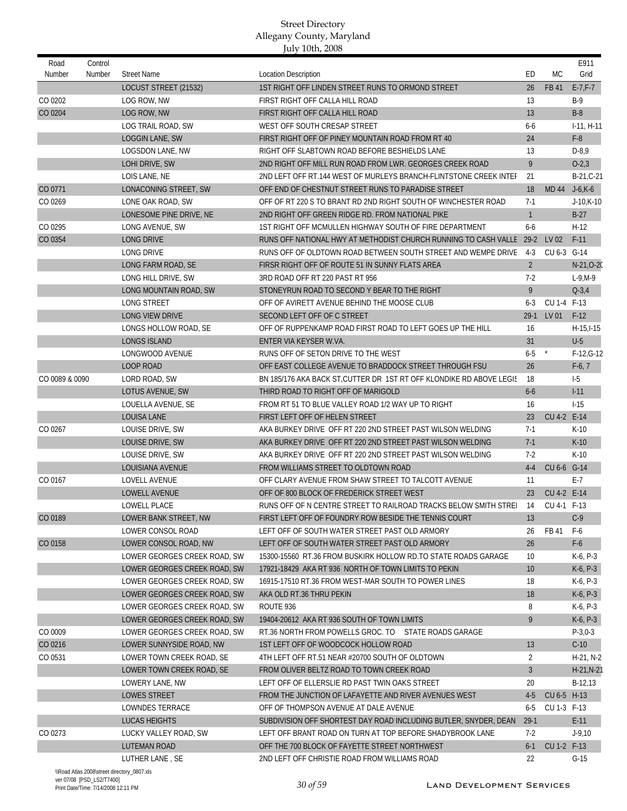| Road<br>Number | Control<br>Number | <b>Street Name</b>                       | <b>Location Description</b>                                                | ED              | МC           | E911<br>Grid     |
|----------------|-------------------|------------------------------------------|----------------------------------------------------------------------------|-----------------|--------------|------------------|
|                |                   | LOCUST STREET (21532)                    | 1ST RIGHT OFF LINDEN STREET RUNS TO ORMOND STREET                          | 26              | FB 41        | $E - 7, F - 7$   |
| CO 0202        |                   | LOG ROW, NW                              | FIRST RIGHT OFF CALLA HILL ROAD                                            | 13              |              | $B-9$            |
| CO 0204        |                   | LOG ROW, NW                              | FIRST RIGHT OFF CALLA HILL ROAD                                            | 13              |              | $B-8$            |
|                |                   | LOG TRAIL ROAD, SW                       | WEST OFF SOUTH CRESAP STREET                                               | $6-6$           |              | $I-11, H-11$     |
|                |                   | <b>LOGGIN LANE, SW</b>                   | FIRST RIGHT OFF OF PINEY MOUNTAIN ROAD FROM RT 40                          | 24              |              | $F-8$            |
|                |                   | <b>LOGSDON LANE, NW</b>                  | RIGHT OFF SLABTOWN ROAD BEFORE BESHIELDS LANE                              | 13              |              | $D-8,9$          |
|                |                   | LOHI DRIVE, SW                           | 2ND RIGHT OFF MILL RUN ROAD FROM LWR. GEORGES CREEK ROAD                   | 9               |              | $O-2,3$          |
|                |                   | LOIS LANE, NE                            | 2ND LEFT OFF RT.144 WEST OF MURLEYS BRANCH-FLINTSTONE CREEK INTEI          | 21              |              | B-21, C-21       |
| CO 0771        |                   | LONACONING STREET, SW                    | OFF END OF CHESTNUT STREET RUNS TO PARADISE STREET                         | 18              | <b>MD 44</b> | $J-6,K-6$        |
| CO 0269        |                   | LONE OAK ROAD, SW                        | OFF OF RT 220 S TO BRANT RD 2ND RIGHT SOUTH OF WINCHESTER ROAD             | $7-1$           |              | $J-10$ , K $-10$ |
|                |                   | LONESOME PINE DRIVE, NE                  | 2ND RIGHT OFF GREEN RIDGE RD. FROM NATIONAL PIKE                           | $\mathbf{1}$    |              | $B-27$           |
| CO 0295        |                   | LONG AVENUE, SW                          | 1ST RIGHT OFF MCMULLEN HIGHWAY SOUTH OF FIRE DEPARTMENT                    | $6-6$           |              | $H-12$           |
| CO 0354        |                   | <b>LONG DRIVE</b>                        | RUNS OFF NATIONAL HWY AT METHODIST CHURCH RUNNING TO CASH VALLE 29-2 LV 02 |                 |              | $F-11$           |
|                |                   | LONG DRIVE                               | RUNS OFF OF OLDTOWN ROAD BETWEEN SOUTH STREET AND WEMPE DRIVE              | $4-3$           | CU 6-3 G-14  |                  |
|                |                   | LONG FARM ROAD, SE                       | FIRSR RIGHT OFF OF ROUTE 51 IN SUNNY FLATS AREA                            | $\overline{2}$  |              | $N-21, O-20$     |
|                |                   | LONG HILL DRIVE, SW                      | 3RD ROAD OFF RT 220 PAST RT 956                                            | $7-2$           |              | $L-9,M-9$        |
|                |                   | LONG MOUNTAIN ROAD, SW                   | STONEYRUN ROAD TO SECOND Y BEAR TO THE RIGHT                               | 9               |              | $Q - 3, 4$       |
|                |                   | <b>LONG STREET</b>                       | OFF OF AVIRETT AVENUE BEHIND THE MOOSE CLUB                                | $6 - 3$         | CU 1-4 F-13  |                  |
|                |                   | LONG VIEW DRIVE                          | SECOND LEFT OFF OF C STREET                                                | $29-1$          | LV 01        | $F-12$           |
|                |                   | LONGS HOLLOW ROAD, SE                    | OFF OF RUPPENKAMP ROAD FIRST ROAD TO LEFT GOES UP THE HILL                 | 16              |              | $H-15.1-15$      |
|                |                   | <b>LONGS ISLAND</b>                      | ENTER VIA KEYSER W.VA.                                                     | 31              |              | $U-5$            |
|                |                   | LONGWOOD AVENUE                          | RUNS OFF OF SETON DRIVE TO THE WEST                                        | $6-5$           | $^\star$     | $F-12, G-12$     |
|                |                   | LOOP ROAD                                | OFF EAST COLLEGE AVENUE TO BRADDOCK STREET THROUGH FSU                     | 26              |              | $F-6, 7$         |
| CO 0089 & 0090 |                   | LORD ROAD, SW                            | BN 185/176 AKA BACK ST, CUTTER DR 1ST RT OFF KLONDIKE RD ABOVE LEGIS       | 18              |              | $1-5$            |
|                |                   | LOTUS AVENUE, SW                         | THIRD ROAD TO RIGHT OFF OF MARIGOLD                                        | $6-6$           |              | $I-11$           |
|                |                   | LOUELLA AVENUE, SE                       | FROM RT 51 TO BLUE VALLEY ROAD 1/2 WAY UP TO RIGHT                         | 16              |              | $1-15$           |
|                |                   | <b>LOUISA LANE</b>                       | FIRST LEFT OFF OF HELEN STREET                                             | 23              | CU 4-2 E-14  |                  |
| CO 0267        |                   | LOUISE DRIVE, SW                         | AKA BURKEY DRIVE OFF RT 220 2ND STREET PAST WILSON WELDING                 | $7-1$           |              | $K-10$           |
|                |                   | LOUISE DRIVE, SW                         | AKA BURKEY DRIVE OFF RT 220 2ND STREET PAST WILSON WELDING                 | $7-1$           |              | $K-10$           |
|                |                   | LOUISE DRIVE, SW                         | AKA BURKEY DRIVE OFF RT 220 2ND STREET PAST WILSON WELDING                 | $7-2$           |              | $K-10$           |
|                |                   | <b>LOUISIANA AVENUE</b>                  | FROM WILLIAMS STREET TO OLDTOWN ROAD                                       | $4 - 4$         | CU 6-6 G-14  |                  |
| CO 0167        |                   | <b>LOVELL AVENUE</b>                     | OFF CLARY AVENUE FROM SHAW STREET TO TALCOTT AVENUE                        | 11              |              | $E-7$            |
|                |                   | LOWELL AVENUE                            | OFF OF 800 BLOCK OF FREDERICK STREET WEST                                  | 23              | CU 4-2 E-14  |                  |
|                |                   | LOWELL PLACE                             | RUNS OFF OF N CENTRE STREET TO RAILROAD TRACKS BELOW SMITH STRE            | 14              | CU 4-1 F-13  |                  |
| CO 0189        |                   | LOWER BANK STREET, NW                    | FIRST LEFT OFF OF FOUNDRY ROW BESIDE THE TENNIS COURT                      | 13              |              | $C-9$            |
|                |                   | LOWER CONSOL ROAD                        | LEFT OFF OF SOUTH WATER STREET PAST OLD ARMORY                             | 26              | FB 41        | F-6              |
| CO 0158        |                   | LOWER CONSOL ROAD, NW                    | LEFT OFF OF SOUTH WATER STREET PAST OLD ARMORY                             | 26              |              | $F-6$            |
|                |                   | LOWER GEORGES CREEK ROAD, SW             | 15300-15560 RT.36 FROM BUSKIRK HOLLOW RD.TO STATE ROADS GARAGE             | 10              |              | K-6, P-3         |
|                |                   | LOWER GEORGES CREEK ROAD, SW             | 17921-18429 AKA RT 936 NORTH OF TOWN LIMITS TO PEKIN                       | 10 <sup>°</sup> |              | $K-6, P-3$       |
|                |                   | LOWER GEORGES CREEK ROAD, SW             | 16915-17510 RT.36 FROM WEST-MAR SOUTH TO POWER LINES                       | 18              |              | $K-6, P-3$       |
|                |                   | LOWER GEORGES CREEK ROAD, SW             | AKA OLD RT.36 THRU PEKIN                                                   | 18              |              | K-6, P-3         |
|                |                   | LOWER GEORGES CREEK ROAD, SW             | ROUTE 936                                                                  | 8               |              | K-6, P-3         |
|                |                   | LOWER GEORGES CREEK ROAD, SW             | 19404-20612 AKA RT 936 SOUTH OF TOWN LIMITS                                | 9               |              | K-6, P-3         |
| CO 0009        |                   | LOWER GEORGES CREEK ROAD, SW             | RT.36 NORTH FROM POWELLS GROC. TO STATE ROADS GARAGE                       |                 |              | $P-3,0-3$        |
| CO 0216        |                   | LOWER SUNNYSIDE ROAD, NW                 | 1ST LEFT OFF OF WOODCOCK HOLLOW ROAD                                       | 13              |              | $C-10$           |
| CO 0531        |                   | LOWER TOWN CREEK ROAD, SE                | 4TH LEFT OFF RT.51 NEAR #20700 SOUTH OF OLDTOWN                            | $\overline{2}$  |              | $H-21, N-2$      |
|                |                   | LOWER TOWN CREEK ROAD, SE                | FROM OLIVER BELTZ ROAD TO TOWN CREEK ROAD                                  | $\mathfrak{Z}$  |              | $H-21,N-21$      |
|                |                   | LOWERY LANE, NW                          | LEFT OFF OF ELLERSLIE RD PAST TWIN OAKS STREET                             | 20              |              | $B-12,13$        |
|                |                   | <b>LOWES STREET</b>                      | FROM THE JUNCTION OF LAFAYETTE AND RIVER AVENUES WEST                      | $4-5$           | CU 6-5 H-13  |                  |
|                |                   | <b>LOWNDES TERRACE</b>                   | OFF OF THOMPSON AVENUE AT DALE AVENUE                                      | $6 - 5$         | CU 1-3 F-13  |                  |
|                |                   | <b>LUCAS HEIGHTS</b>                     | SUBDIVISION OFF SHORTEST DAY ROAD INCLUDING BUTLER, SNYDER, DEAN           | $29-1$          |              | $E-11$           |
| CO 0273        |                   | LUCKY VALLEY ROAD, SW                    | LEFT OFF BRANT ROAD ON TURN AT TOP BEFORE SHADYBROOK LANE                  | 7-2             |              | $J - 9,10$       |
|                |                   | LUTEMAN ROAD                             | OFF THE 700 BLOCK OF FAYETTE STREET NORTHWEST                              | $6-1$           | CU 1-2 F-13  |                  |
|                |                   | LUTHER LANE, SE                          | 2ND LEFT OFF CHRISTIE ROAD FROM WILLIAMS ROAD                              | 22              |              | $G-15$           |
|                |                   | WDoad Atlac 2009/ctroot directory 0907 v |                                                                            |                 |              |                  |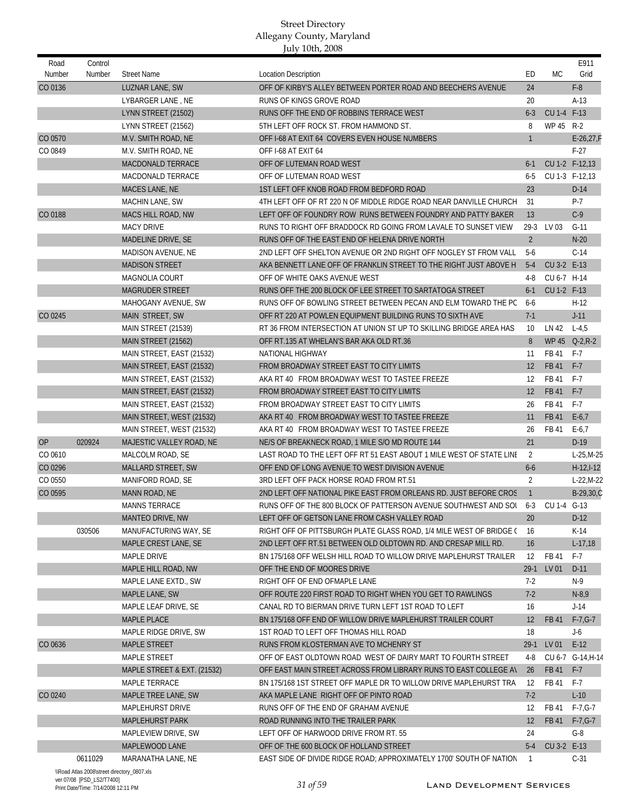| Road      | Control |                             |                                                                      |                |             | E911              |
|-----------|---------|-----------------------------|----------------------------------------------------------------------|----------------|-------------|-------------------|
| Number    | Number  | <b>Street Name</b>          | <b>Location Description</b>                                          | ED             | МC          | Grid              |
| CO 0136   |         | LUZNAR LANE, SW             | OFF OF KIRBY'S ALLEY BETWEEN PORTER ROAD AND BEECHERS AVENUE         | 24             |             | $F-8$             |
|           |         | LYBARGER LANE, NE           | RUNS OF KINGS GROVE ROAD                                             | 20             |             | $A-13$            |
|           |         | LYNN STREET (21502)         | RUNS OFF THE END OF ROBBINS TERRACE WEST                             | $6 - 3$        | CU 1-4 F-13 |                   |
|           |         | LYNN STREET (21562)         | 5TH LEFT OFF ROCK ST. FROM HAMMOND ST.                               | 8              | WP 45 R-2   |                   |
| CO 0570   |         | M.V. SMITH ROAD, NE         | OFF I-68 AT EXIT 64 COVERS EVEN HOUSE NUMBERS                        | $\mathbf{1}$   |             | $E-26,27, F$      |
| CO 0849   |         | M.V. SMITH ROAD, NE         | OFF I-68 AT EXIT 64                                                  |                |             | $F-27$            |
|           |         | MACDONALD TERRACE           | OFF OF LUTEMAN ROAD WEST                                             | $6 - 1$        |             | CU 1-2 F-12,13    |
|           |         | MACDONALD TERRACE           | OFF OF LUTEMAN ROAD WEST                                             | $6 - 5$        |             | CU 1-3 F-12,13    |
|           |         | MACES LANE, NE              | 1ST LEFT OFF KNOB ROAD FROM BEDFORD ROAD                             | 23             |             | $D-14$            |
|           |         | <b>MACHIN LANE, SW</b>      | 4TH LEFT OFF OF RT 220 N OF MIDDLE RIDGE ROAD NEAR DANVILLE CHURCH   | 31             |             | P-7               |
| CO 0188   |         | <b>MACS HILL ROAD, NW</b>   | LEFT OFF OF FOUNDRY ROW RUNS BETWEEN FOUNDRY AND PATTY BAKER         | 13             |             | $C-9$             |
|           |         | <b>MACY DRIVE</b>           | RUNS TO RIGHT OFF BRADDOCK RD GOING FROM LAVALE TO SUNSET VIEW       | $29-3$         | LV 03       | $G-11$            |
|           |         | MADELINE DRIVE, SE          | RUNS OFF OF THE EAST END OF HELENA DRIVE NORTH                       | $\overline{2}$ |             | $N-20$            |
|           |         | MADISON AVENUE, NE          | 2ND LEFT OFF SHELTON AVENUE OR 2ND RIGHT OFF NOGLEY ST FROM VALL     | $5-6$          |             | $C-14$            |
|           |         | <b>MADISON STREET</b>       | AKA BENNETT LANE OFF OF FRANKLIN STREET TO THE RIGHT JUST ABOVE H    | $5-4$          | CU 3-2 E-13 |                   |
|           |         | <b>MAGNOLIA COURT</b>       | OFF OF WHITE OAKS AVENUE WEST                                        | $4 - 8$        | CU 6-7 H-14 |                   |
|           |         | MAGRUDER STREET             | RUNS OFF THE 200 BLOCK OF LEE STREET TO SARTATOGA STREET             | $6 - 1$        | CU 1-2 F-13 |                   |
|           |         | MAHOGANY AVENUE, SW         | RUNS OFF OF BOWLING STREET BETWEEN PECAN AND ELM TOWARD THE PO       | $6 - 6$        |             | $H-12$            |
| CO 0245   |         | MAIN STREET, SW             | OFF RT 220 AT POWLEN EQUIPMENT BUILDING RUNS TO SIXTH AVE            | $7-1$          |             | $J-11$            |
|           |         | MAIN STREET (21539)         | RT 36 FROM INTERSECTION AT UNION ST UP TO SKILLING BRIDGE AREA HAS   | 10             | LN 42       | $L - 4,5$         |
|           |         | MAIN STREET (21562)         | OFF RT.135 AT WHELAN'S BAR AKA OLD RT.36                             | 8              |             | WP 45 Q-2, R-2    |
|           |         | MAIN STREET, EAST (21532)   | NATIONAL HIGHWAY                                                     | 11             | FB 41       | $F-7$             |
|           |         | MAIN STREET, EAST (21532)   | FROM BROADWAY STREET EAST TO CITY LIMITS                             | 12             | FB 41       | $F-7$             |
|           |         | MAIN STREET, EAST (21532)   | AKA RT 40 FROM BROADWAY WEST TO TASTEE FREEZE                        | 12             | FB 41       | $F-7$             |
|           |         | MAIN STREET, EAST (21532)   | FROM BROADWAY STREET EAST TO CITY LIMITS                             | 12             | FB 41       | $F-7$             |
|           |         | MAIN STREET, EAST (21532)   | FROM BROADWAY STREET EAST TO CITY LIMITS                             | 26             | FB 41       | $F-7$             |
|           |         | MAIN STREET, WEST (21532)   | AKA RT 40 FROM BROADWAY WEST TO TASTEE FREEZE                        | 11             | FB 41       | $E-6,7$           |
|           |         | MAIN STREET, WEST (21532)   | AKA RT 40 FROM BROADWAY WEST TO TASTEE FREEZE                        | 26             | FB 41       | $E-6,7$           |
| <b>OP</b> | 020924  | MAJESTIC VALLEY ROAD, NE    | NE/S OF BREAKNECK ROAD, 1 MILE S/O MD ROUTE 144                      | 21             |             | $D-19$            |
| CO 0610   |         | MALCOLM ROAD, SE            | LAST ROAD TO THE LEFT OFF RT 51 EAST ABOUT 1 MILE WEST OF STATE LINE | 2              |             | $L-25,M-25$       |
| CO 0296   |         | MALLARD STREET, SW          | OFF END OF LONG AVENUE TO WEST DIVISION AVENUE                       | $6-6$          |             | $H-12, I-12$      |
| CO 0550   |         | MANIFORD ROAD, SE           | 3RD LEFT OFF PACK HORSE ROAD FROM RT.51                              | $\overline{2}$ |             | $L-22,M-22$       |
| CO 0595   |         | MANN ROAD, NE               | 2ND LEFT OFF NATIONAL PIKE EAST FROM ORLEANS RD. JUST BEFORE CROS    | $\mathbf{1}$   |             | B-29,30,C         |
|           |         | <b>MANNS TERRACE</b>        | RUNS OFF OF THE 800 BLOCK OF PATTERSON AVENUE SOUTHWEST AND SOL 6-3  |                | CU 1-4 G-13 |                   |
|           |         | MANTEO DRIVE, NW            | LEFT OFF OF GETSON LANE FROM CASH VALLEY ROAD                        | 20             |             | $D-12$            |
|           | 030506  | MANUFACTURING WAY, SE       | RIGHT OFF OF PITTSBURGH PLATE GLASS ROAD, 1/4 MILE WEST OF BRIDGE (  | 16             |             | $K-14$            |
|           |         | MAPLE CREST LANE, SE        | 2ND LEFT OFF RT.51 BETWEEN OLD OLDTOWN RD. AND CRESAP MILL RD.       | 16             |             | $L-17,18$         |
|           |         | MAPLE DRIVE                 | BN 175/168 OFF WELSH HILL ROAD TO WILLOW DRIVE MAPLEHURST TRAILER    | 12             | FB 41       | $F-7$             |
|           |         | MAPLE HILL ROAD, NW         | OFF THE END OF MOORES DRIVE                                          |                | 29-1 LV 01  | $D-11$            |
|           |         | MAPLE LANE EXTD., SW        | RIGHT OFF OF END OFMAPLE LANE                                        | $7-2$          |             | $N-9$             |
|           |         | MAPLE LANE, SW              | OFF ROUTE 220 FIRST ROAD TO RIGHT WHEN YOU GET TO RAWLINGS           | $7-2$          |             | $N-8,9$           |
|           |         | MAPLE LEAF DRIVE, SE        | CANAL RD TO BIERMAN DRIVE TURN LEFT 1ST ROAD TO LEFT                 | 16             |             | $J-14$            |
|           |         | MAPLE PLACE                 | BN 175/168 OFF END OF WILLOW DRIVE MAPLEHURST TRAILER COURT          | 12             | FB 41       | $F-7, G-7$        |
|           |         | MAPLE RIDGE DRIVE, SW       | 1ST ROAD TO LEFT OFF THOMAS HILL ROAD                                | 18             |             | J-6               |
| CO 0636   |         | MAPLE STREET                | RUNS FROM KLOSTERMAN AVE TO MCHENRY ST                               | $29-1$         | LV 01       | $E-12$            |
|           |         | MAPLE STREET                | OFF OF EAST OLDTOWN ROAD WEST OF DAIRY MART TO FOURTH STREET         | 4-8            |             | CU 6-7 G-14, H-14 |
|           |         | MAPLE STREET & EXT. (21532) | OFF EAST MAIN STREET ACROSS FROM LIBRARY RUNS TO EAST COLLEGE AV     | 26             | FB 41       | $F-7$             |
|           |         | MAPLE TERRACE               | BN 175/168 1ST STREET OFF MAPLE DR TO WILLOW DRIVE MAPLEHURST TRA    | 12             | FB 41       | F-7               |
| CO 0240   |         | MAPLE TREE LANE, SW         | AKA MAPLE LANE RIGHT OFF OF PINTO ROAD                               | $7-2$          |             | $L-10$            |
|           |         | MAPLEHURST DRIVE            | RUNS OFF OF THE END OF GRAHAM AVENUE                                 | 12             | FB 41       | $F-7, G-7$        |
|           |         | MAPLEHURST PARK             | ROAD RUNNING INTO THE TRAILER PARK                                   | 12             | FB 41       | $F-7, G-7$        |
|           |         | MAPLEVIEW DRIVE, SW         | LEFT OFF OF HARWOOD DRIVE FROM RT. 55                                | 24             |             | $G-8$             |
|           |         | MAPLEWOOD LANE              | OFF OF THE 600 BLOCK OF HOLLAND STREET                               | $5-4$          | CU 3-2 E-13 |                   |
|           | 0611029 | MARANATHA LANE, NE          | EAST SIDE OF DIVIDE RIDGE ROAD; APPROXIMATELY 1700' SOUTH OF NATION  | $\overline{1}$ |             | $C-31$            |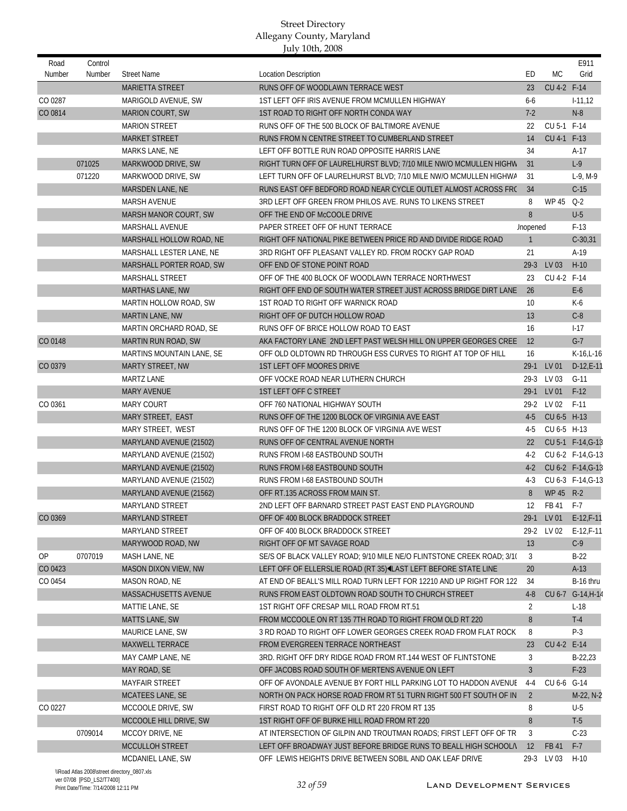| Road    | Control |                               |                                                                       |                 |             | E911                 |
|---------|---------|-------------------------------|-----------------------------------------------------------------------|-----------------|-------------|----------------------|
| Number  | Number  | <b>Street Name</b>            | <b>Location Description</b>                                           | ED              | МC          | Grid                 |
|         |         | <b>MARIETTA STREET</b>        | RUNS OFF OF WOODLAWN TERRACE WEST                                     | 23              | CU 4-2 F-14 |                      |
| CO 0287 |         | MARIGOLD AVENUE, SW           | 1ST LEFT OFF IRIS AVENUE FROM MCMULLEN HIGHWAY                        | $6-6$           |             | $1-11,12$            |
| CO 0814 |         | <b>MARION COURT, SW</b>       | 1ST ROAD TO RIGHT OFF NORTH CONDA WAY                                 | $7-2$           |             | $N-8$                |
|         |         | <b>MARION STREET</b>          | RUNS OFF OF THE 500 BLOCK OF BALTIMORE AVENUE                         | 22              | CU 5-1 F-14 |                      |
|         |         | MARKET STREET                 | RUNS FROM N CENTRE STREET TO CUMBERLAND STREET                        | 14              | CU 4-1 F-13 |                      |
|         |         | MARKS LANE, NE                | LEFT OFF BOTTLE RUN ROAD OPPOSITE HARRIS LANE                         | 34              |             | $A-17$               |
|         | 071025  | MARKWOOD DRIVE, SW            | RIGHT TURN OFF OF LAURELHURST BLVD; 7/10 MILE NW/O MCMULLEN HIGHW     | 31              |             | $L-9$                |
|         | 071220  | MARKWOOD DRIVE, SW            | LEFT TURN OFF OF LAURELHURST BLVD; 7/10 MILE NW/O MCMULLEN HIGHWA     | 31              |             | $L-9, M-9$           |
|         |         | MARSDEN LANE, NE              | RUNS EAST OFF BEDFORD ROAD NEAR CYCLE OUTLET ALMOST ACROSS FRO        | 34              |             | $C-15$               |
|         |         | <b>MARSH AVENUE</b>           | 3RD LEFT OFF GREEN FROM PHILOS AVE. RUNS TO LIKENS STREET             | 8               | WP 45       | $Q-2$                |
|         |         | MARSH MANOR COURT, SW         | OFF THE END OF McCOOLE DRIVE                                          | 8               |             | $U-5$                |
|         |         | MARSHALL AVENUE               | PAPER STREET OFF OF HUNT TERRACE                                      | Jnopened        |             | $F-13$               |
|         |         | MARSHALL HOLLOW ROAD, NE      | RIGHT OFF NATIONAL PIKE BETWEEN PRICE RD AND DIVIDE RIDGE ROAD        | $\mathbf{1}$    |             | $C-30,31$            |
|         |         | MARSHALL LESTER LANE, NE      | 3RD RIGHT OFF PLEASANT VALLEY RD. FROM ROCKY GAP ROAD                 | 21              |             | A-19                 |
|         |         | MARSHALL PORTER ROAD, SW      | OFF END OF STONE POINT ROAD                                           | $29-3$          | LV 03       | $H-10$               |
|         |         | MARSHALL STREET               | OFF OF THE 400 BLOCK OF WOODLAWN TERRACE NORTHWEST                    | 23              | CU 4-2 F-14 |                      |
|         |         | MARTHAS LANE, NW              | RIGHT OFF END OF SOUTH WATER STREET JUST ACROSS BRIDGE DIRT LANE      | 26              |             | $E-6$                |
|         |         | <b>MARTIN HOLLOW ROAD, SW</b> | 1ST ROAD TO RIGHT OFF WARNICK ROAD                                    | 10 <sup>°</sup> |             | $K-6$                |
|         |         | MARTIN LANE, NW               | RIGHT OFF OF DUTCH HOLLOW ROAD                                        | 13              |             | $C-8$                |
|         |         | MARTIN ORCHARD ROAD, SE       | RUNS OFF OF BRICE HOLLOW ROAD TO EAST                                 | 16              |             | $1 - 17$             |
| CO 0148 |         | MARTIN RUN ROAD, SW           | AKA FACTORY LANE 2ND LEFT PAST WELSH HILL ON UPPER GEORGES CREE       | 12              |             | $G-7$                |
|         |         | MARTINS MOUNTAIN LANE, SE     | OFF OLD OLDTOWN RD THROUGH ESS CURVES TO RIGHT AT TOP OF HILL         | 16              |             | $K-16,L-16$          |
| CO 0379 |         | MARTY STREET, NW              | <b>1ST LEFT OFF MOORES DRIVE</b>                                      | $29-1$          | LV 01       | $D-12,E-11$          |
|         |         | <b>MARTZ LANE</b>             | OFF VOCKE ROAD NEAR LUTHERN CHURCH                                    |                 | 29-3 LV 03  | $G-11$               |
|         |         | <b>MARY AVENUE</b>            | 1ST LEFT OFF C STREET                                                 | $29-1$          | LV 01       | $F-12$               |
| CO 0361 |         | <b>MARY COURT</b>             | OFF 760 NATIONAL HIGHWAY SOUTH                                        | 29-2            | LV 02       | $F-11$               |
|         |         | MARY STREET, EAST             | RUNS OFF OF THE 1200 BLOCK OF VIRGINIA AVE EAST                       | $4-5$           | CU 6-5 H-13 |                      |
|         |         | MARY STREET, WEST             | RUNS OFF OF THE 1200 BLOCK OF VIRGINIA AVE WEST                       | 4-5             | CU 6-5 H-13 |                      |
|         |         | MARYLAND AVENUE (21502)       | RUNS OFF OF CENTRAL AVENUE NORTH                                      | 22              |             | CU 5-1 F-14, G-13    |
|         |         | MARYLAND AVENUE (21502)       | RUNS FROM I-68 EASTBOUND SOUTH                                        | $4-2$           |             | CU 6-2 F-14, G-13    |
|         |         | MARYLAND AVENUE (21502)       | RUNS FROM I-68 EASTBOUND SOUTH                                        | $4-2$           |             | CU 6-2 F-14, G-13    |
|         |         | MARYLAND AVENUE (21502)       | RUNS FROM I-68 EASTBOUND SOUTH                                        | $4-3$           |             | CU 6-3 F-14, G-13    |
|         |         | MARYLAND AVENUE (21562)       | OFF RT.135 ACROSS FROM MAIN ST.                                       | 8               | WP 45 R-2   |                      |
|         |         | MARYLAND STREET               | 2ND LEFT OFF BARNARD STREET PAST EAST END PLAYGROUND                  | 12              | FB 41       | F-7                  |
| CO 0369 |         | MARYLAND STREET               | OFF OF 400 BLOCK BRADDOCK STREET                                      |                 |             | 29-1 LV 01 E-12,F-11 |
|         |         | MARYLAND STREET               | OFF OF 400 BLOCK BRADDOCK STREET                                      | 29-2            | LV 02       | $E-12, F-11$         |
|         |         | MARYWOOD ROAD, NW             | RIGHT OFF OF MT SAVAGE ROAD                                           | 13              |             | $C-9$                |
| 0P      | 0707019 | MASH LANE, NE                 | SE/S OF BLACK VALLEY ROAD: 9/10 MILE NE/O FLINTSTONE CREEK ROAD: 3/1( | 3               |             | $B-22$               |
| CO 0423 |         | MASON DIXON VIEW, NW          | LEFT OFF OF ELLERSLIE ROAD (RT 35) LAST LEFT BEFORE STATE LINE        | 20              |             | $A-13$               |
| CO 0454 |         | MASON ROAD, NE                | AT END OF BEALL'S MILL ROAD TURN LEFT FOR 12210 AND UP RIGHT FOR 122  | 34              |             | B-16 thru            |
|         |         | MASSACHUSETTS AVENUE          | RUNS FROM EAST OLDTOWN ROAD SOUTH TO CHURCH STREET                    | $4 - 8$         |             | CU 6-7 G-14, H-14    |
|         |         | MATTIE LANE, SE               | 1ST RIGHT OFF CRESAP MILL ROAD FROM RT.51                             | 2               |             | $L-18$               |
|         |         | <b>MATTS LANE, SW</b>         | FROM MCCOOLE ON RT 135 7TH ROAD TO RIGHT FROM OLD RT 220              | 8               |             | $T-4$                |
|         |         | MAURICE LANE, SW              | 3 RD ROAD TO RIGHT OFF LOWER GEORGES CREEK ROAD FROM FLAT ROCK        | 8               |             | $P-3$                |
|         |         | MAXWELL TERRACE               | FROM EVERGREEN TERRACE NORTHEAST                                      | 23              | CU 4-2 E-14 |                      |
|         |         | MAY CAMP LANE, NE             | 3RD. RIGHT OFF DRY RIDGE ROAD FROM RT.144 WEST OF FLINTSTONE          | 3               |             | $B-22,23$            |
|         |         | MAY ROAD, SE                  | OFF JACOBS ROAD SOUTH OF MERTENS AVENUE ON LEFT                       | $\overline{3}$  |             | $F-23$               |
|         |         | MAYFAIR STREET                | OFF OF AVONDALE AVENUE BY FORT HILL PARKING LOT TO HADDON AVENUE      | $4 - 4$         | CU 6-6 G-14 |                      |
|         |         | MCATEES LANE, SE              | NORTH ON PACK HORSE ROAD FROM RT 51 TURN RIGHT 500 FT SOUTH OF IN     | 2               |             | M-22, N-2            |
| CO 0227 |         | MCCOOLE DRIVE, SW             | FIRST ROAD TO RIGHT OFF OLD RT 220 FROM RT 135                        | 8               |             | $U-5$                |
|         |         | MCCOOLE HILL DRIVE, SW        | 1ST RIGHT OFF OF BURKE HILL ROAD FROM RT 220                          | 8               |             | $T-5$                |
|         | 0709014 | MCCOY DRIVE, NE               | AT INTERSECTION OF GILPIN AND TROUTMAN ROADS; FIRST LEFT OFF OF TR    | 3               |             | $C-23$               |
|         |         | MCCULLOH STREET               | LEFT OFF BROADWAY JUST BEFORE BRIDGE RUNS TO BEALL HIGH SCHOOLA       | 12              | FB 41       | $F-7$                |
|         |         | MCDANIEL LANE, SW             | OFF LEWIS HEIGHTS DRIVE BETWEEN SOBIL AND OAK LEAF DRIVE              |                 | 29-3 LV 03  | $H-10$               |
|         |         |                               |                                                                       |                 |             |                      |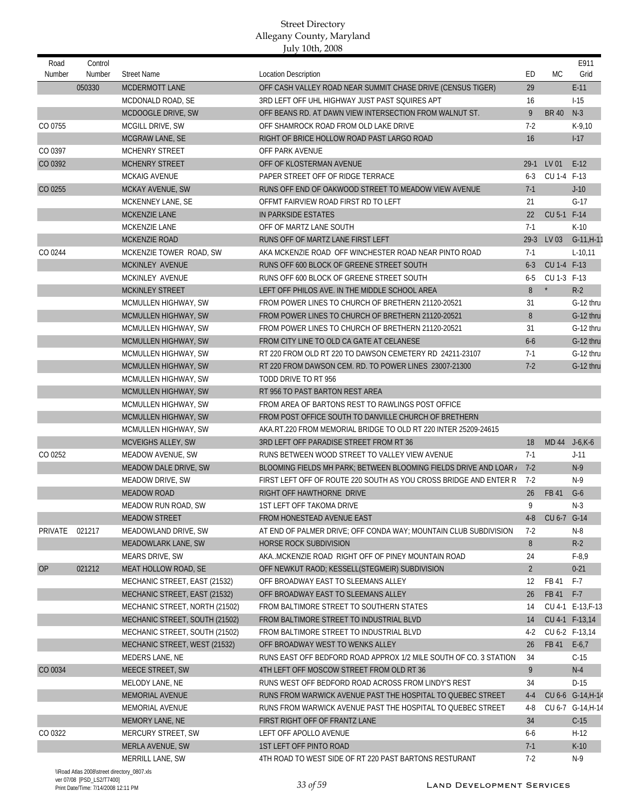| Road<br>Number | Control<br>Number                           | <b>Street Name</b>             | <b>Location Description</b>                                          | ED             | <b>MC</b>               | E911<br>Grid      |
|----------------|---------------------------------------------|--------------------------------|----------------------------------------------------------------------|----------------|-------------------------|-------------------|
|                | 050330                                      | MCDERMOTT LANE                 | OFF CASH VALLEY ROAD NEAR SUMMIT CHASE DRIVE (CENSUS TIGER)          | 29             |                         | $E-11$            |
|                |                                             | MCDONALD ROAD, SE              | 3RD LEFT OFF UHL HIGHWAY JUST PAST SQUIRES APT                       | 16             |                         | $1-15$            |
|                |                                             | MCDOOGLE DRIVE, SW             | OFF BEANS RD. AT DAWN VIEW INTERSECTION FROM WALNUT ST.              | 9              | <b>BR 40</b>            | $N-3$             |
| CO 0755        |                                             | MCGILL DRIVE, SW               | OFF SHAMROCK ROAD FROM OLD LAKE DRIVE                                | $7-2$          |                         | $K-9,10$          |
|                |                                             | <b>MCGRAW LANE, SE</b>         | RIGHT OF BRICE HOLLOW ROAD PAST LARGO ROAD                           | 16             |                         | $I-17$            |
| CO 0397        |                                             | MCHENRY STREET                 | OFF PARK AVENUE                                                      |                |                         |                   |
| CO 0392        |                                             | <b>MCHENRY STREET</b>          | OFF OF KLOSTERMAN AVENUE                                             |                | 29-1 LV 01              | $E-12$            |
|                |                                             | <b>MCKAIG AVENUE</b>           | PAPER STREET OFF OF RIDGE TERRACE                                    | $6 - 3$        | CU 1-4 F-13             |                   |
| CO 0255        |                                             | MCKAY AVENUE, SW               | RUNS OFF END OF OAKWOOD STREET TO MEADOW VIEW AVENUE                 | $7-1$          |                         | $J-10$            |
|                |                                             | MCKENNEY LANE, SE              | OFFMT FAIRVIEW ROAD FIRST RD TO LEFT                                 | 21             |                         | $G-17$            |
|                |                                             | MCKENZIE LANE                  | IN PARKSIDE ESTATES                                                  | 22             | CU 5-1 F-14             |                   |
|                |                                             | MCKENZIE LANE                  | OFF OF MARTZ LANE SOUTH                                              | $7-1$          |                         | $K-10$            |
|                |                                             | MCKENZIE ROAD                  | RUNS OFF OF MARTZ LANE FIRST LEFT                                    | $29-3$         | LV 03                   | $G-11, H-11$      |
|                |                                             |                                |                                                                      | $7-1$          |                         |                   |
| CO 0244        |                                             | MCKENZIE TOWER ROAD, SW        | AKA MCKENZIE ROAD OFF WINCHESTER ROAD NEAR PINTO ROAD                |                |                         | $L-10,11$         |
|                |                                             | MCKINLEY AVENUE                | RUNS OFF 600 BLOCK OF GREENE STREET SOUTH                            | $6 - 3$        | CU 1-4 F-13             |                   |
|                |                                             | MCKINLEY AVENUE                | RUNS OFF 600 BLOCK OF GREENE STREET SOUTH                            | $6 - 5$        | CU 1-3 F-13<br>$^\star$ |                   |
|                |                                             | <b>MCKINLEY STREET</b>         | LEFT OFF PHILOS AVE. IN THE MIDDLE SCHOOL AREA                       | 8              |                         | $R-2$             |
|                |                                             | MCMULLEN HIGHWAY, SW           | FROM POWER LINES TO CHURCH OF BRETHERN 21120-20521                   | 31             |                         | G-12 thru         |
|                |                                             | MCMULLEN HIGHWAY, SW           | FROM POWER LINES TO CHURCH OF BRETHERN 21120-20521                   | 8              |                         | G-12 thru         |
|                |                                             | MCMULLEN HIGHWAY, SW           | FROM POWER LINES TO CHURCH OF BRETHERN 21120-20521                   | 31             |                         | G-12 thru         |
|                |                                             | MCMULLEN HIGHWAY, SW           | FROM CITY LINE TO OLD CA GATE AT CELANESE                            | $6-6$          |                         | G-12 thru         |
|                |                                             | MCMULLEN HIGHWAY, SW           | RT 220 FROM OLD RT 220 TO DAWSON CEMETERY RD 24211-23107             | $7-1$          |                         | G-12 thru         |
|                |                                             | MCMULLEN HIGHWAY, SW           | RT 220 FROM DAWSON CEM. RD. TO POWER LINES 23007-21300               | $7-2$          |                         | G-12 thru         |
|                |                                             | MCMULLEN HIGHWAY, SW           | TODD DRIVE TO RT 956                                                 |                |                         |                   |
|                |                                             | MCMULLEN HIGHWAY, SW           | RT 956 TO PAST BARTON REST AREA                                      |                |                         |                   |
|                |                                             | MCMULLEN HIGHWAY, SW           | FROM AREA OF BARTONS REST TO RAWLINGS POST OFFICE                    |                |                         |                   |
|                |                                             | MCMULLEN HIGHWAY, SW           | FROM POST OFFICE SOUTH TO DANVILLE CHURCH OF BRETHERN                |                |                         |                   |
|                |                                             | MCMULLEN HIGHWAY, SW           | AKA.RT.220 FROM MEMORIAL BRIDGE TO OLD RT 220 INTER 25209-24615      |                |                         |                   |
|                |                                             | <b>MCVEIGHS ALLEY, SW</b>      | 3RD LEFT OFF PARADISE STREET FROM RT 36                              | 18             | MD 44                   | $J - 6, K - 6$    |
| CO 0252        |                                             | MEADOW AVENUE, SW              | RUNS BETWEEN WOOD STREET TO VALLEY VIEW AVENUE                       | $7-1$          |                         | $J-11$            |
|                |                                             | MEADOW DALE DRIVE, SW          | BLOOMING FIELDS MH PARK; BETWEEN BLOOMING FIELDS DRIVE AND LOAR, 7-2 |                |                         | $N-9$             |
|                |                                             | MEADOW DRIVE, SW               | FIRST LEFT OFF OF ROUTE 220 SOUTH AS YOU CROSS BRIDGE AND ENTER R    | $7-2$          |                         | $N-9$             |
|                |                                             | <b>MEADOW ROAD</b>             | RIGHT OFF HAWTHORNE DRIVE                                            | 26             | FB 41                   | $G-6$             |
|                |                                             | MEADOW RUN ROAD, SW            | <b>1ST LEFT OFF TAKOMA DRIVE</b>                                     | 9              |                         | $N-3$             |
|                |                                             | <b>MEADOW STREET</b>           | FROM HONESTEAD AVENUE EAST                                           | $4-8$          | CU 6-7 G-14             |                   |
| PRIVATE        | 021217                                      | MEADOWLAND DRIVE, SW           | AT END OF PALMER DRIVE; OFF CONDA WAY; MOUNTAIN CLUB SUBDIVISION     | $7-2$          |                         | N-8               |
|                |                                             | MEADOWLARK LANE, SW            | <b>HORSE ROCK SUBDIVISION</b>                                        | 8              |                         | $R-2$             |
|                |                                             | MEARS DRIVE, SW                | AKAMCKENZIE ROAD RIGHT OFF OF PINEY MOUNTAIN ROAD                    | 24             |                         | $F-8,9$           |
| <b>OP</b>      | 021212                                      | MEAT HOLLOW ROAD, SE           | OFF NEWKUT RAOD; KESSELL(STEGMEIR) SUBDIVISION                       | $\overline{2}$ |                         | $0 - 21$          |
|                |                                             | MECHANIC STREET, EAST (21532)  | OFF BROADWAY EAST TO SLEEMANS ALLEY                                  | 12             | FB 41                   | F-7               |
|                |                                             | MECHANIC STREET, EAST (21532)  | OFF BROADWAY EAST TO SLEEMANS ALLEY                                  | 26             | FB 41 F-7               |                   |
|                |                                             | MECHANIC STREET, NORTH (21502) | FROM BALTIMORE STREET TO SOUTHERN STATES                             | 14             |                         | CU 4-1 E-13, F-13 |
|                |                                             | MECHANIC STREET, SOUTH (21502) | FROM BALTIMORE STREET TO INDUSTRIAL BLVD                             | 14             |                         | CU 4-1 F-13,14    |
|                |                                             | MECHANIC STREET, SOUTH (21502) | FROM BALTIMORE STREET TO INDUSTRIAL BLVD                             | 4-2            |                         | CU 6-2 F-13,14    |
|                |                                             | MECHANIC STREET, WEST (21532)  | OFF BROADWAY WEST TO WENKS ALLEY                                     | 26             | FB 41                   | $E-6,7$           |
|                |                                             | MEDERS LANE, NE                | RUNS EAST OFF BEDFORD ROAD APPROX 1/2 MILE SOUTH OF CO. 3 STATION    | 34             |                         | $C-15$            |
| CO 0034        |                                             | MEECE STREET, SW               | 4TH LEFT OFF MOSCOW STREET FROM OLD RT 36                            | 9              |                         | $N-4$             |
|                |                                             | MELODY LANE, NE                | RUNS WEST OFF BEDFORD ROAD ACROSS FROM LINDY'S REST                  | 34             |                         | $D-15$            |
|                |                                             | MEMORIAL AVENUE                | RUNS FROM WARWICK AVENUE PAST THE HOSPITAL TO QUEBEC STREET          | $4 - 4$        |                         | CU 6-6 G-14, H-14 |
|                |                                             | MEMORIAL AVENUE                | RUNS FROM WARWICK AVENUE PAST THE HOSPITAL TO QUEBEC STREET          | $4 - 8$        |                         | CU 6-7 G-14, H-14 |
|                |                                             | MEMORY LANE, NE                | FIRST RIGHT OFF OF FRANTZ LANE                                       | 34             |                         | $C-15$            |
| CO 0322        |                                             | MERCURY STREET, SW             | LEFT OFF APOLLO AVENUE                                               | 6-6            |                         | $H-12$            |
|                |                                             | MERLA AVENUE, SW               | 1ST LEFT OFF PINTO ROAD                                              | $7-1$          |                         | $K-10$            |
|                |                                             | MERRILL LANE, SW               | 4TH ROAD TO WEST SIDE OF RT 220 PAST BARTONS RESTURANT               | $7-2$          |                         | N-9               |
|                | \\Road Atlas 2008\street directory_0807.xls |                                |                                                                      |                |                         |                   |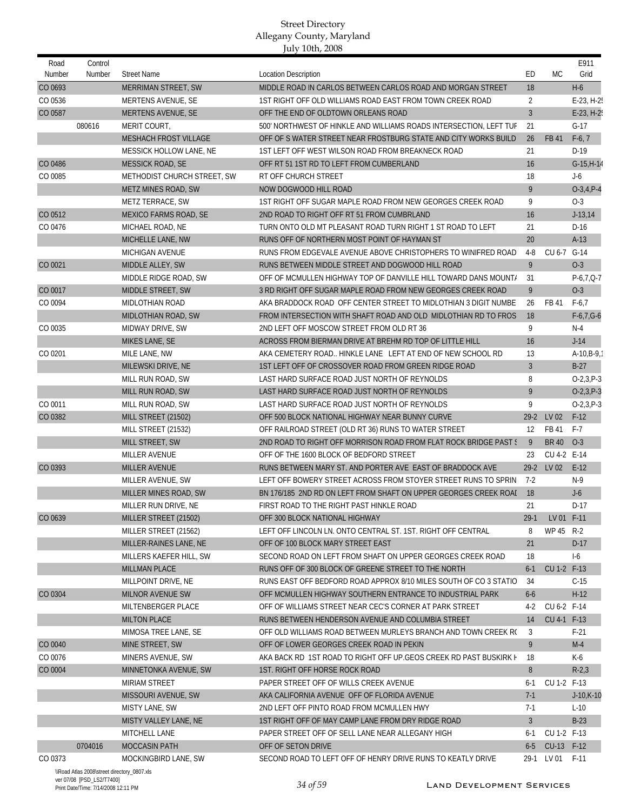| Road<br>Number | Control<br>Number | <b>Street Name</b>           | <b>Location Description</b>                                        | ED             | <b>MC</b>    | E911<br>Grid     |
|----------------|-------------------|------------------------------|--------------------------------------------------------------------|----------------|--------------|------------------|
| CO 0693        |                   | <b>MERRIMAN STREET, SW</b>   | MIDDLE ROAD IN CARLOS BETWEEN CARLOS ROAD AND MORGAN STREET        | 18             |              | $H-6$            |
| CO 0536        |                   | MERTENS AVENUE, SE           | 1ST RIGHT OFF OLD WILLIAMS ROAD EAST FROM TOWN CREEK ROAD          | $\overline{2}$ |              | E-23, H-2!       |
| CO 0587        |                   | MERTENS AVENUE, SE           | OFF THE END OF OLDTOWN ORLEANS ROAD                                | $\overline{3}$ |              | E-23, H-2        |
|                | 080616            | MERIT COURT,                 | 500' NORTHWEST OF HINKLE AND WILLIAMS ROADS INTERSECTION, LEFT TUF | 21             |              | $G-17$           |
|                |                   | <b>MESHACH FROST VILLAGE</b> | OFF OF SWATER STREET NEAR FROSTBURG STATE AND CITY WORKS BUILD     | 26             | FB 41        | $F-6, 7$         |
|                |                   | MESSICK HOLLOW LANE, NE      | 1ST LEFT OFF WEST WILSON ROAD FROM BREAKNECK ROAD                  | 21             |              | $D-19$           |
| CO 0486        |                   | MESSICK ROAD, SE             | OFF RT 51 1ST RD TO LEFT FROM CUMBERLAND                           | 16             |              | $G-15, H-14$     |
| CO 0085        |                   | METHODIST CHURCH STREET, SW  | RT OFF CHURCH STREET                                               | 18             |              | $J-6$            |
|                |                   | METZ MINES ROAD, SW          | NOW DOGWOOD HILL ROAD                                              | 9              |              | $O-3, 4, P-4$    |
|                |                   | METZ TERRACE, SW             | 1ST RIGHT OFF SUGAR MAPLE ROAD FROM NEW GEORGES CREEK ROAD         | 9              |              | $O-3$            |
| CO 0512        |                   | MEXICO FARMS ROAD, SE        | 2ND ROAD TO RIGHT OFF RT 51 FROM CUMBRLAND                         | 16             |              | $J-13,14$        |
| CO 0476        |                   | MICHAEL ROAD, NE             | TURN ONTO OLD MT PLEASANT ROAD TURN RIGHT 1 ST ROAD TO LEFT        | 21             |              | $D-16$           |
|                |                   | MICHELLE LANE, NW            | RUNS OFF OF NORTHERN MOST POINT OF HAYMAN ST                       | 20             |              | $A-13$           |
|                |                   | MICHIGAN AVENUE              | RUNS FROM EDGEVALE AVENUE ABOVE CHRISTOPHERS TO WINIFRED ROAD      | $4 - 8$        | CU 6-7       | $G-14$           |
| CO 0021        |                   | MIDDLE ALLEY, SW             | RUNS BETWEEN MIDDLE STREET AND DOGWOOD HILL ROAD                   | 9              |              | $O-3$            |
|                |                   | MIDDLE RIDGE ROAD, SW        | OFF OF MCMULLEN HIGHWAY TOP OF DANVILLE HILL TOWARD DANS MOUNT/    | 31             |              | $P-6.7.Q-7$      |
| CO 0017        |                   | MIDDLE STREET, SW            | 3 RD RIGHT OFF SUGAR MAPLE ROAD FROM NEW GEORGES CREEK ROAD        | 9              |              | $O-3$            |
| CO 0094        |                   | MIDLOTHIAN ROAD              | AKA BRADDOCK ROAD OFF CENTER STREET TO MIDLOTHIAN 3 DIGIT NUMBE    | 26             | FB 41        | $F-6,7$          |
|                |                   | MIDLOTHIAN ROAD, SW          | FROM INTERSECTION WITH SHAFT ROAD AND OLD MIDLOTHIAN RD TO FROS    | 18             |              | $F-6,7, G-6$     |
| CO 0035        |                   | MIDWAY DRIVE, SW             | 2ND LEFT OFF MOSCOW STREET FROM OLD RT 36                          | 9              |              | $N-4$            |
|                |                   | MIKES LANE, SE               | ACROSS FROM BIERMAN DRIVE AT BREHM RD TOP OF LITTLE HILL           | 16             |              | $J-14$           |
| CO 0201        |                   | MILE LANE, NW                | AKA CEMETERY ROAD HINKLE LANE LEFT AT END OF NEW SCHOOL RD         | 13             |              | $A-10,B-9$       |
|                |                   | MILEWSKI DRIVE, NE           | 1ST LEFT OFF OF CROSSOVER ROAD FROM GREEN RIDGE ROAD               | $\overline{3}$ |              | $B-27$           |
|                |                   | MILL RUN ROAD, SW            | LAST HARD SURFACE ROAD JUST NORTH OF REYNOLDS                      | 8              |              | $O-2,3,P-3$      |
|                |                   | MILL RUN ROAD, SW            | LAST HARD SURFACE ROAD JUST NORTH OF REYNOLDS                      | 9              |              | $O-2,3,P-3$      |
| CO 0011        |                   | MILL RUN ROAD, SW            | LAST HARD SURFACE ROAD JUST NORTH OF REYNOLDS                      | 9              |              | $O-2,3, P-3$     |
| CO 0382        |                   | MILL STREET (21502)          | OFF 500 BLOCK NATIONAL HIGHWAY NEAR BUNNY CURVE                    | $29 - 2$       | LV 02        | $F-12$           |
|                |                   | MILL STREET (21532)          | OFF RAILROAD STREET (OLD RT 36) RUNS TO WATER STREET               | 12             | FB 41        | $F-7$            |
|                |                   | MILL STREET, SW              | 2ND ROAD TO RIGHT OFF MORRISON ROAD FROM FLAT ROCK BRIDGE PAST !   | 9              | <b>BR 40</b> | $O-3$            |
|                |                   | MILLER AVENUE                | OFF OF THE 1600 BLOCK OF BEDFORD STREET                            | 23             | CU 4-2 E-14  |                  |
| CO 0393        |                   | <b>MILLER AVENUE</b>         | RUNS BETWEEN MARY ST. AND PORTER AVE EAST OF BRADDOCK AVE          | $29 - 2$       | LV 02        | $E-12$           |
|                |                   | MILLER AVENUE, SW            | LEFT OFF BOWERY STREET ACROSS FROM STOYER STREET RUNS TO SPRIN     | $7-2$          |              | $N-9$            |
|                |                   | MILLER MINES ROAD, SW        | BN 176/185 2ND RD ON LEFT FROM SHAFT ON UPPER GEORGES CREEK ROAL   | 18             |              | $J-6$            |
|                |                   | MILLER RUN DRIVE, NE         | FIRST ROAD TO THE RIGHT PAST HINKLE ROAD                           | 21             |              | $D-17$           |
| CO 0639        |                   | MILLER STREET (21502)        | OFF 300 BLOCK NATIONAL HIGHWAY                                     | $29-1$         | LV 01 F-11   |                  |
|                |                   | MILLER STREET (21562)        | LEFT OFF LINCOLN LN. ONTO CENTRAL ST. 1ST. RIGHT OFF CENTRAL       | 8              | WP 45 R-2    |                  |
|                |                   | MILLER-RAINES LANE, NE       | OFF OF 100 BLOCK MARY STREET EAST                                  | 21             |              | $D-17$           |
|                |                   | MILLERS KAEFER HILL, SW      | SECOND ROAD ON LEFT FROM SHAFT ON UPPER GEORGES CREEK ROAD         | 18             |              | $1-6$            |
|                |                   | MILLMAN PLACE                | RUNS OFF OF 300 BLOCK OF GREENE STREET TO THE NORTH                | $6-1$          | CU 1-2 F-13  |                  |
|                |                   | MILLPOINT DRIVE, NE          | RUNS EAST OFF BEDFORD ROAD APPROX 8/10 MILES SOUTH OF CO 3 STATIO  | 34             |              | $C-15$           |
| CO 0304        |                   | MILNOR AVENUE SW             | OFF MCMULLEN HIGHWAY SOUTHERN ENTRANCE TO INDUSTRIAL PARK          | $6-6$          |              | $H-12$           |
|                |                   | MILTENBERGER PLACE           | OFF OF WILLIAMS STREET NEAR CEC'S CORNER AT PARK STREET            | 4-2            | CU 6-2 F-14  |                  |
|                |                   | <b>MILTON PLACE</b>          | RUNS BETWEEN HENDERSON AVENUE AND COLUMBIA STREET                  | 14             | CU 4-1 F-13  |                  |
|                |                   | MIMOSA TREE LANE, SE         | OFF OLD WILLIAMS ROAD BETWEEN MURLEYS BRANCH AND TOWN CREEK RO     | 3              |              | $F-21$           |
| CO 0040        |                   | MINE STREET, SW              | OFF OF LOWER GEORGES CREEK ROAD IN PEKIN                           | 9              |              | $M-4$            |
| CO 0076        |                   | MINERS AVENUE, SW            | AKA BACK RD 1ST ROAD TO RIGHT OFF UP. GEOS CREEK RD PAST BUSKIRK H | 18             |              | $K-6$            |
| CO 0004        |                   | MINNETONKA AVENUE, SW        | 1ST. RIGHT OFF HORSE ROCK ROAD                                     | 8              |              | $R-2,3$          |
|                |                   | MIRIAM STREET                | PAPER STREET OFF OF WILLS CREEK AVENUE                             | $6-1$          | CU 1-2 F-13  |                  |
|                |                   | MISSOURI AVENUE, SW          | AKA CALIFORNIA AVENUE OFF OF FLORIDA AVENUE                        | $7-1$          |              | $J-10$ , K $-10$ |
|                |                   | MISTY LANE, SW               | 2ND LEFT OFF PINTO ROAD FROM MCMULLEN HWY                          | $7-1$          |              | $L-10$           |
|                |                   | MISTY VALLEY LANE, NE        | 1ST RIGHT OFF OF MAY CAMP LANE FROM DRY RIDGE ROAD                 | 3              |              | $B-23$           |
|                |                   | MITCHELL LANE                | PAPER STREET OFF OF SELL LANE NEAR ALLEGANY HIGH                   | $6-1$          | CU 1-2 F-13  |                  |
|                | 0704016           | MOCCASIN PATH                | OFF OF SETON DRIVE                                                 | $6-5$          | CU-13 F-12   |                  |
| CO 0373        |                   | MOCKINGBIRD LANE, SW         | SECOND ROAD TO LEFT OFF OF HENRY DRIVE RUNS TO KEATLY DRIVE        | 29-1           | LV 01 F-11   |                  |
|                |                   |                              |                                                                    |                |              |                  |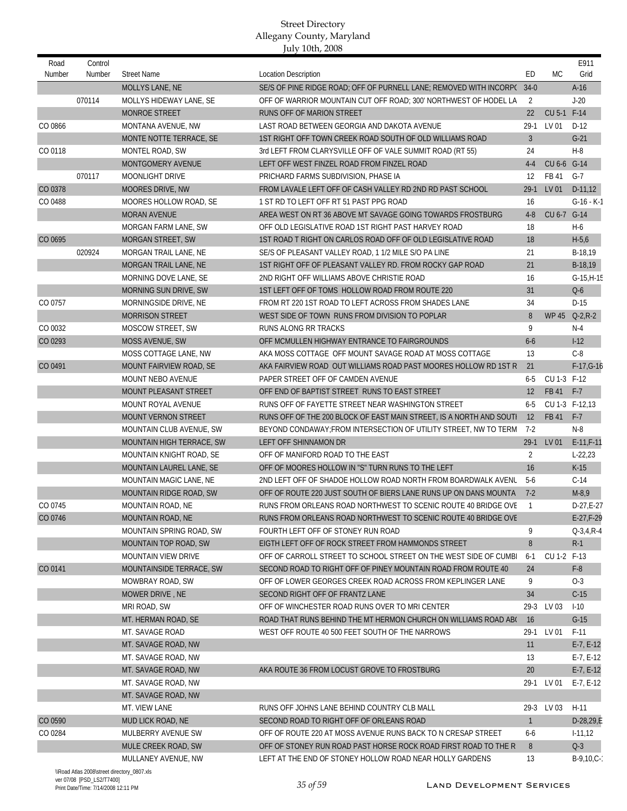| Road    | Control |                            |                                                                         |                |             | E911              |
|---------|---------|----------------------------|-------------------------------------------------------------------------|----------------|-------------|-------------------|
| Number  | Number  | <b>Street Name</b>         | <b>Location Description</b>                                             | ED             | МC          | Grid              |
|         |         | <b>MOLLYS LANE, NE</b>     | SE/S OF PINE RIDGE ROAD; OFF OF PURNELL LANE; REMOVED WITH INCORP( 34-0 |                |             | $A-16$            |
|         | 070114  | MOLLYS HIDEWAY LANE, SE    | OFF OF WARRIOR MOUNTAIN CUT OFF ROAD; 300' NORTHWEST OF HODEL LA        | 2              |             | $J-20$            |
|         |         | MONROE STREET              | RUNS OFF OF MARION STREET                                               | 22             | CU 5-1 F-14 |                   |
| CO 0866 |         | MONTANA AVENUE, NW         | LAST ROAD BETWEEN GEORGIA AND DAKOTA AVENUE                             | $29-1$         | LV 01       | $D-12$            |
|         |         | MONTE NOTTE TERRACE, SE    | 1ST RIGHT OFF TOWN CREEK ROAD SOUTH OF OLD WILLIAMS ROAD                | $\overline{3}$ |             | $G-21$            |
| CO 0118 |         | MONTEL ROAD, SW            | 3rd LEFT FROM CLARYSVILLE OFF OF VALE SUMMIT ROAD (RT 55)               | 24             |             | $H-8$             |
|         |         | <b>MONTGOMERY AVENUE</b>   | LEFT OFF WEST FINZEL ROAD FROM FINZEL ROAD                              | $4 - 4$        | CU 6-6 G-14 |                   |
|         | 070117  | <b>MOONLIGHT DRIVE</b>     | PRICHARD FARMS SUBDIVISION, PHASE IA                                    | 12             | FB 41       | $G-7$             |
| CO 0378 |         | MOORES DRIVE, NW           | FROM LAVALE LEFT OFF OF CASH VALLEY RD 2ND RD PAST SCHOOL               | $29-1$         | LV 01       | $D-11,12$         |
| CO 0488 |         | MOORES HOLLOW ROAD, SE     | 1 ST RD TO LEFT OFF RT 51 PAST PPG ROAD                                 | 16             |             | $G-16 - K-1$      |
|         |         | <b>MORAN AVENUE</b>        | AREA WEST ON RT 36 ABOVE MT SAVAGE GOING TOWARDS FROSTBURG              | $4 - 8$        | CU 6-7 G-14 |                   |
|         |         | MORGAN FARM LANE, SW       | OFF OLD LEGISLATIVE ROAD 1ST RIGHT PAST HARVEY ROAD                     | 18             |             | $H-6$             |
| CO 0695 |         | MORGAN STREET, SW          | 1ST ROAD T RIGHT ON CARLOS ROAD OFF OF OLD LEGISLATIVE ROAD             | 18             |             | $H-5,6$           |
|         | 020924  | MORGAN TRAIL LANE, NE      | SE/S OF PLEASANT VALLEY ROAD, 1 1/2 MILE S/O PA LINE                    | 21             |             | B-18,19           |
|         |         | MORGAN TRAIL LANE, NE      | 1ST RIGHT OFF OF PLEASANT VALLEY RD. FROM ROCKY GAP ROAD                | 21             |             | B-18,19           |
|         |         | MORNING DOVE LANE, SE      | 2ND RIGHT OFF WILLIAMS ABOVE CHRISTIE ROAD                              | 16             |             | $G-15, H-15$      |
|         |         | MORNING SUN DRIVE, SW      | 1ST LEFT OFF OF TOMS HOLLOW ROAD FROM ROUTE 220                         | 31             |             | $Q-6$             |
| CO 0757 |         | MORNINGSIDE DRIVE, NE      | FROM RT 220 1ST ROAD TO LEFT ACROSS FROM SHADES LANE                    | 34             |             | $D-15$            |
|         |         | <b>MORRISON STREET</b>     | WEST SIDE OF TOWN RUNS FROM DIVISION TO POPLAR                          | 8              | <b>WP45</b> | $Q - 2, R - 2$    |
| CO 0032 |         | MOSCOW STREET, SW          | RUNS ALONG RR TRACKS                                                    | 9              |             | $N-4$             |
| CO 0293 |         | <b>MOSS AVENUE, SW</b>     | OFF MCMULLEN HIGHWAY ENTRANCE TO FAIRGROUNDS                            | $6-6$          |             | $I-12$            |
|         |         | MOSS COTTAGE LANE, NW      | AKA MOSS COTTAGE OFF MOUNT SAVAGE ROAD AT MOSS COTTAGE                  | 13             |             | $C-8$             |
| CO 0491 |         | MOUNT FAIRVIEW ROAD, SE    | AKA FAIRVIEW ROAD OUT WILLIAMS ROAD PAST MOORES HOLLOW RD 1ST R         | 21             |             | $F-17, G-16$      |
|         |         | MOUNT NEBO AVENUE          | PAPER STREET OFF OF CAMDEN AVENUE                                       | 6-5            | CU 1-3 F-12 |                   |
|         |         | MOUNT PLEASANT STREET      | OFF END OF BAPTIST STREET RUNS TO EAST STREET                           | 12             | FB 41 F-7   |                   |
|         |         | MOUNT ROYAL AVENUE         | RUNS OFF OF FAYETTE STREET NEAR WASHINGTON STREET                       | $6 - 5$        |             | CU 1-3 F-12,13    |
|         |         | <b>MOUNT VERNON STREET</b> | RUNS OFF OF THE 200 BLOCK OF EAST MAIN STREET, IS A NORTH AND SOUTI     | 12             | FB 41       | $F-7$             |
|         |         | MOUNTAIN CLUB AVENUE, SW   | BEYOND CONDAWAY; FROM INTERSECTION OF UTILITY STREET, NW TO TERM        | $7-2$          |             | $N-8$             |
|         |         | MOUNTAIN HIGH TERRACE, SW  | LEFT OFF SHINNAMON DR                                                   | $29-1$         | LV 01       | $E-11, F-11$      |
|         |         | MOUNTAIN KNIGHT ROAD, SE   | OFF OF MANIFORD ROAD TO THE EAST                                        | $\overline{2}$ |             | $L-22,23$         |
|         |         | MOUNTAIN LAUREL LANE, SE   | OFF OF MOORES HOLLOW IN "S" TURN RUNS TO THE LEFT                       | 16             |             | $K-15$            |
|         |         | MOUNTAIN MAGIC LANE, NE    | 2ND LEFT OFF OF SHADOE HOLLOW ROAD NORTH FROM BOARDWALK AVENU           | $5-6$          |             | $C-14$            |
|         |         | MOUNTAIN RIDGE ROAD, SW    | OFF OF ROUTE 220 JUST SOUTH OF BIERS LANE RUNS UP ON DANS MOUNTA        | $7-2$          |             | $M-8,9$           |
| CO 0745 |         | <b>MOUNTAIN ROAD, NE</b>   | RUNS FROM ORLEANS ROAD NORTHWEST TO SCENIC ROUTE 40 BRIDGE OVE          | $\overline{1}$ |             | $D-27.E-27$       |
| CO 0746 |         | MOUNTAIN ROAD, NE          | RUNS FROM ORLEANS ROAD NORTHWEST TO SCENIC ROUTE 40 BRIDGE OVE          |                |             | $E-27, F-29$      |
|         |         | MOUNTAIN SPRING ROAD, SW   | FOURTH LEFT OFF OF STONEY RUN ROAD                                      | 9              |             | $Q - 3, 4, R - 4$ |
|         |         | MOUNTAIN TOP ROAD, SW      | EIGTH LEFT OFF OF ROCK STREET FROM HAMMONDS STREET                      | 8              |             | $R-1$             |
|         |         | <b>MOUNTAIN VIEW DRIVE</b> | OFF OF CARROLL STREET TO SCHOOL STREET ON THE WEST SIDE OF CUMB         | $6-1$          | CU 1-2 F-13 |                   |
| CO 0141 |         | MOUNTAINSIDE TERRACE, SW   | SECOND ROAD TO RIGHT OFF OF PINEY MOUNTAIN ROAD FROM ROUTE 40           | 24             |             | $F-8$             |
|         |         | MOWBRAY ROAD, SW           | OFF OF LOWER GEORGES CREEK ROAD ACROSS FROM KEPLINGER LANE              | 9              |             | $O-3$             |
|         |         | MOWER DRIVE, NE            | SECOND RIGHT OFF OF FRANTZ LANE                                         | 34             |             | $C-15$            |
|         |         | MRI ROAD, SW               | OFF OF WINCHESTER ROAD RUNS OVER TO MRI CENTER                          | $29-3$         | LV 03       | $1-10$            |
|         |         | MT. HERMAN ROAD, SE        | ROAD THAT RUNS BEHIND THE MT HERMON CHURCH ON WILLIAMS ROAD ABO         | <b>16</b>      |             | $G-15$            |
|         |         | MT. SAVAGE ROAD            | WEST OFF ROUTE 40 500 FEET SOUTH OF THE NARROWS                         | $29-1$         | LV 01       | $F-11$            |
|         |         | MT. SAVAGE ROAD, NW        |                                                                         | 11             |             | E-7, E-12         |
|         |         | MT. SAVAGE ROAD, NW        |                                                                         | 13             |             | $E-7, E-12$       |
|         |         | MT. SAVAGE ROAD, NW        | AKA ROUTE 36 FROM LOCUST GROVE TO FROSTBURG                             | 20             |             | E-7, E-12         |
|         |         | MT. SAVAGE ROAD, NW        |                                                                         |                | 29-1 LV 01  | $E-7, E-12$       |
|         |         | MT. SAVAGE ROAD, NW        |                                                                         |                |             |                   |
|         |         |                            |                                                                         |                |             |                   |
|         |         | MT. VIEW LANE              | RUNS OFF JOHNS LANE BEHIND COUNTRY CLB MALL                             |                | 29-3 LV 03  | $H-11$            |
| CO 0590 |         | MUD LICK ROAD, NE          | SECOND ROAD TO RIGHT OFF OF ORLEANS ROAD                                | 1              |             | $D-28,29,E$       |
| CO 0284 |         | MULBERRY AVENUE SW         | OFF OF ROUTE 220 AT MOSS AVENUE RUNS BACK TO N CRESAP STREET            | 6-6            |             | $1-11,12$         |
|         |         | MULE CREEK ROAD, SW        | OFF OF STONEY RUN ROAD PAST HORSE ROCK ROAD FIRST ROAD TO THE R         | 8              |             | $Q-3$             |
|         |         | MULLANEY AVENUE, NW        | LEFT AT THE END OF STONEY HOLLOW ROAD NEAR HOLLY GARDENS                | 13             |             | $B-9,10, C-$      |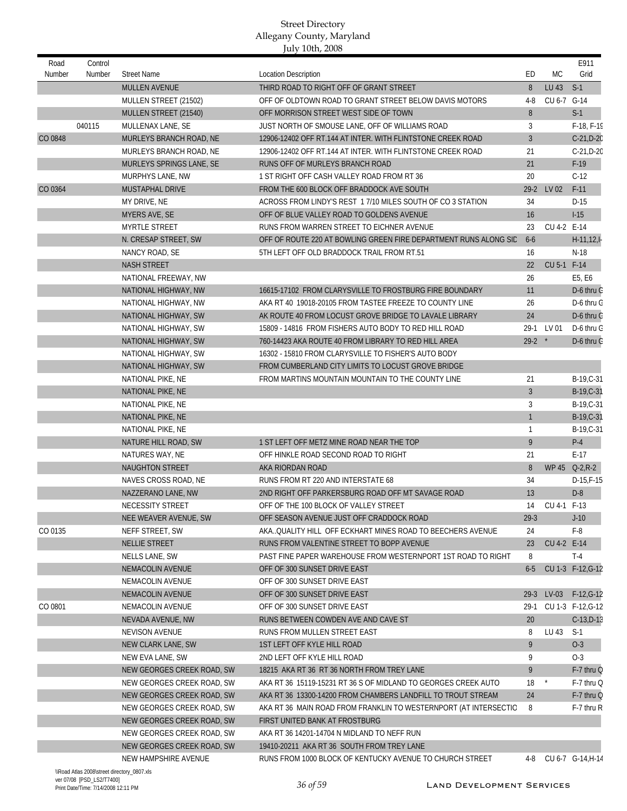| Road<br>Number | Control<br>Number | <b>Street Name</b>                                       | <b>Location Description</b>                                                                                                    | ED             | <b>MC</b>   | E911<br>Grid                 |
|----------------|-------------------|----------------------------------------------------------|--------------------------------------------------------------------------------------------------------------------------------|----------------|-------------|------------------------------|
|                |                   | <b>MULLEN AVENUE</b>                                     | THIRD ROAD TO RIGHT OFF OF GRANT STREET                                                                                        | 8              | LU 43       | $S-1$                        |
|                |                   | MULLEN STREET (21502)                                    | OFF OF OLDTOWN ROAD TO GRANT STREET BELOW DAVIS MOTORS                                                                         | $4 - 8$        | CU 6-7 G-14 |                              |
|                |                   | MULLEN STREET (21540)                                    | OFF MORRISON STREET WEST SIDE OF TOWN                                                                                          | 8              |             | $S-1$                        |
|                | 040115            | MULLENAX LANE, SE                                        | JUST NORTH OF SMOUSE LANE, OFF OF WILLIAMS ROAD                                                                                | 3              |             | $F-18, F-19$                 |
| CO 0848        |                   | MURLEYS BRANCH ROAD, NE                                  | 12906-12402 OFF RT.144 AT INTER. WITH FLINTSTONE CREEK ROAD                                                                    | $\overline{3}$ |             | $C-21,D-20$                  |
|                |                   | MURLEYS BRANCH ROAD, NE                                  | 12906-12402 OFF RT.144 AT INTER. WITH FLINTSTONE CREEK ROAD                                                                    | 21             |             | $C-21,D-20$                  |
|                |                   | MURLEYS SPRINGS LANE, SE                                 | RUNS OFF OF MURLEYS BRANCH ROAD                                                                                                | 21             |             | $F-19$                       |
|                |                   | MURPHYS LANE, NW                                         | 1 ST RIGHT OFF CASH VALLEY ROAD FROM RT 36                                                                                     | 20             |             | $C-12$                       |
| CO 0364        |                   | MUSTAPHAL DRIVE                                          | FROM THE 600 BLOCK OFF BRADDOCK AVE SOUTH                                                                                      | $29-2$         | LV 02       | $F-11$                       |
|                |                   | MY DRIVE, NE                                             | ACROSS FROM LINDY'S REST 17/10 MILES SOUTH OF CO 3 STATION                                                                     | 34             |             | $D-15$                       |
|                |                   | <b>MYERS AVE, SE</b>                                     | OFF OF BLUE VALLEY ROAD TO GOLDENS AVENUE                                                                                      | 16             |             | $I-15$                       |
|                |                   | <b>MYRTLE STREET</b>                                     | RUNS FROM WARREN STREET TO EICHNER AVENUE                                                                                      | 23             | CU 4-2 E-14 |                              |
|                |                   | N. CRESAP STREET, SW                                     | OFF OF ROUTE 220 AT BOWLING GREEN FIRE DEPARTMENT RUNS ALONG SID                                                               | $6-6$          |             | $H-11,12,1$                  |
|                |                   | NANCY ROAD, SE                                           | 5TH LEFT OFF OLD BRADDOCK TRAIL FROM RT.51                                                                                     | 16             |             | $N-18$                       |
|                |                   | <b>NASH STREET</b>                                       |                                                                                                                                | 22             | CU 5-1 F-14 |                              |
|                |                   | NATIONAL FREEWAY, NW                                     |                                                                                                                                | 26             |             | E5, E6                       |
|                |                   | NATIONAL HIGHWAY, NW                                     | 16615-17102 FROM CLARYSVILLE TO FROSTBURG FIRE BOUNDARY                                                                        | 11             |             | D-6 thru G                   |
|                |                   | NATIONAL HIGHWAY, NW                                     | AKA RT 40 19018-20105 FROM TASTEE FREEZE TO COUNTY LINE                                                                        | 26             |             | D-6 thru G                   |
|                |                   | NATIONAL HIGHWAY, SW                                     | AK ROUTE 40 FROM LOCUST GROVE BRIDGE TO LAVALE LIBRARY                                                                         | 24             |             | D-6 thru G                   |
|                |                   | NATIONAL HIGHWAY, SW                                     | 15809 - 14816 FROM FISHERS AUTO BODY TO RED HILL ROAD                                                                          | $29-1$         | LV 01       | D-6 thru G                   |
|                |                   | NATIONAL HIGHWAY, SW                                     | 760-14423 AKA ROUTE 40 FROM LIBRARY TO RED HILL AREA                                                                           | $29-2$ *       |             | D-6 thru G                   |
|                |                   | NATIONAL HIGHWAY, SW                                     | 16302 - 15810 FROM CLARYSVILLE TO FISHER'S AUTO BODY                                                                           |                |             |                              |
|                |                   | NATIONAL HIGHWAY, SW                                     | FROM CUMBERLAND CITY LIMITS TO LOCUST GROVE BRIDGE                                                                             |                |             |                              |
|                |                   | NATIONAL PIKE, NE                                        | FROM MARTINS MOUNTAIN MOUNTAIN TO THE COUNTY LINE                                                                              | 21             |             | B-19, C-31                   |
|                |                   | NATIONAL PIKE, NE                                        |                                                                                                                                | $\overline{3}$ |             | B-19, C-31                   |
|                |                   | NATIONAL PIKE, NE                                        |                                                                                                                                | 3              |             | B-19, C-31                   |
|                |                   | NATIONAL PIKE, NE                                        |                                                                                                                                | $\mathbf{1}$   |             | B-19, C-31                   |
|                |                   | NATIONAL PIKE, NE                                        |                                                                                                                                | 1              |             | B-19, C-31                   |
|                |                   | NATURE HILL ROAD, SW                                     | 1 ST LEFT OFF METZ MINE ROAD NEAR THE TOP                                                                                      | 9              |             | $P-4$                        |
|                |                   | NATURES WAY, NE                                          | OFF HINKLE ROAD SECOND ROAD TO RIGHT                                                                                           | 21             |             | $E-17$                       |
|                |                   | NAUGHTON STREET                                          | AKA RIORDAN ROAD                                                                                                               | 8              |             | WP 45 Q-2, R-2               |
|                |                   | NAVES CROSS ROAD, NE                                     | RUNS FROM RT 220 AND INTERSTATE 68                                                                                             | 34             |             | $D-15.F-15$                  |
|                |                   | NAZZERANO LANE, NW                                       | 2ND RIGHT OFF PARKERSBURG ROAD OFF MT SAVAGE ROAD                                                                              | 13             |             | $D-8$                        |
|                |                   | NECESSITY STREET                                         | OFF OF THE 100 BLOCK OF VALLEY STREET                                                                                          | 14             | CU 4-1 F-13 |                              |
|                |                   | NEE WEAVER AVENUE, SW                                    | OFF SEASON AVENUE JUST OFF CRADDOCK ROAD                                                                                       | $29-3$         |             | $J-10$                       |
| CO 0135        |                   | NEFF STREET, SW                                          | AKAQUALITY HILL OFF ECKHART MINES ROAD TO BEECHERS AVENUE                                                                      | 24             |             | $F-8$                        |
|                |                   | <b>NELLIE STREET</b>                                     | RUNS FROM VALENTINE STREET TO BOPP AVENUE                                                                                      | 23             | CU 4-2 E-14 |                              |
|                |                   | NELLS LANE, SW                                           | PAST FINE PAPER WAREHOUSE FROM WESTERNPORT 1ST ROAD TO RIGHT                                                                   | 8              |             | $T-4$                        |
|                |                   | NEMACOLIN AVENUE                                         | OFF OF 300 SUNSET DRIVE EAST                                                                                                   | $6-5$          |             | CU 1-3 F-12, G-12            |
|                |                   | NEMACOLIN AVENUE                                         | OFF OF 300 SUNSET DRIVE EAST                                                                                                   |                |             |                              |
|                |                   | NEMACOLIN AVENUE                                         | OFF OF 300 SUNSET DRIVE EAST                                                                                                   | $29-3$         |             | LV-03 F-12,G-12              |
| CO 0801        |                   | NEMACOLIN AVENUE                                         | OFF OF 300 SUNSET DRIVE EAST                                                                                                   | $29-1$         |             | CU 1-3 F-12, G-12            |
|                |                   | NEVADA AVENUE, NW                                        | RUNS BETWEEN COWDEN AVE AND CAVE ST                                                                                            | 20             |             | $C-13,D-13$                  |
|                |                   | <b>NEVISON AVENUE</b>                                    | RUNS FROM MULLEN STREET EAST                                                                                                   | 8              | LU 43       | $S-1$                        |
|                |                   | NEW CLARK LANE, SW                                       | <b>1ST LEFT OFF KYLE HILL ROAD</b>                                                                                             | 9              |             | $O-3$                        |
|                |                   | NEW EVA LANE, SW                                         | 2ND LEFT OFF KYLE HILL ROAD                                                                                                    | 9              |             | $O-3$                        |
|                |                   | NEW GEORGES CREEK ROAD, SW                               | 18215 AKA RT 36 RT 36 NORTH FROM TREY LANE                                                                                     | 9              |             | F-7 thru Q                   |
|                |                   |                                                          |                                                                                                                                |                |             |                              |
|                |                   | NEW GEORGES CREEK ROAD, SW<br>NEW GEORGES CREEK ROAD, SW | AKA RT 36 15119-15231 RT 36 S OF MIDLAND TO GEORGES CREEK AUTO<br>AKA RT 36 13300-14200 FROM CHAMBERS LANDFILL TO TROUT STREAM | 18<br>24       |             | $F-7$ thru $Q$<br>F-7 thru Q |
|                |                   | NEW GEORGES CREEK ROAD, SW                               | AKA RT 36 MAIN ROAD FROM FRANKLIN TO WESTERNPORT (AT INTERSECTIO                                                               | 8              |             |                              |
|                |                   | NEW GEORGES CREEK ROAD, SW                               | FIRST UNITED BANK AT FROSTBURG                                                                                                 |                |             | F-7 thru R                   |
|                |                   | NEW GEORGES CREEK ROAD, SW                               | AKA RT 36 14201-14704 N MIDLAND TO NEFF RUN                                                                                    |                |             |                              |
|                |                   | NEW GEORGES CREEK ROAD, SW                               | 19410-20211 AKA RT 36 SOUTH FROM TREY LANE                                                                                     |                |             |                              |
|                |                   | NEW HAMPSHIRE AVENUE                                     | RUNS FROM 1000 BLOCK OF KENTUCKY AVENUE TO CHURCH STREET                                                                       | 4-8            |             | CU 6-7 G-14, H-14            |
|                |                   |                                                          |                                                                                                                                |                |             |                              |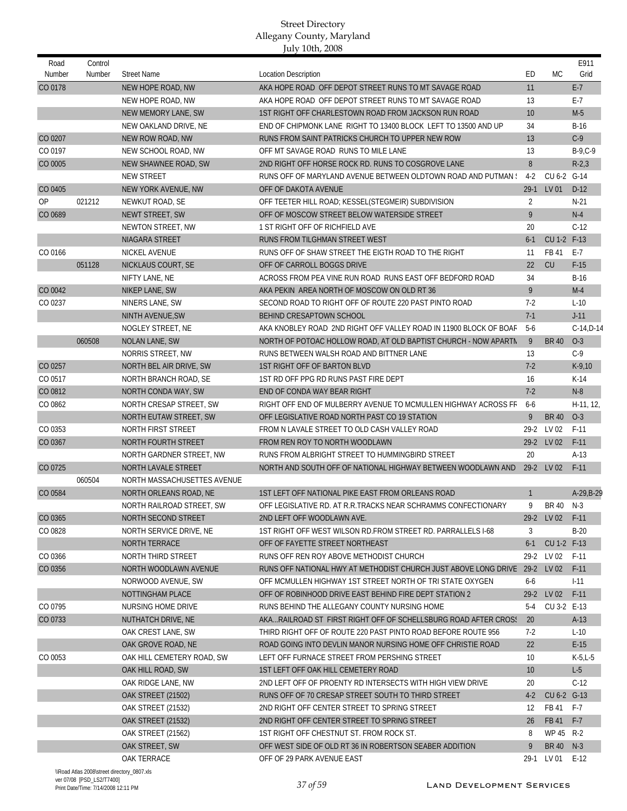| Road<br>Number | Control<br>Number                           | <b>Street Name</b>          | <b>Location Description</b>                                                | ED              | <b>MC</b>    | E911<br>Grid |
|----------------|---------------------------------------------|-----------------------------|----------------------------------------------------------------------------|-----------------|--------------|--------------|
| CO 0178        |                                             | NEW HOPE ROAD, NW           | AKA HOPE ROAD OFF DEPOT STREET RUNS TO MT SAVAGE ROAD                      | 11              |              | $E-7$        |
|                |                                             | NEW HOPE ROAD, NW           | AKA HOPE ROAD OFF DEPOT STREET RUNS TO MT SAVAGE ROAD                      | 13              |              | $E-7$        |
|                |                                             | NEW MEMORY LANE, SW         | 1ST RIGHT OFF CHARLESTOWN ROAD FROM JACKSON RUN ROAD                       | 10              |              | $M-5$        |
|                |                                             | NEW OAKLAND DRIVE, NE       | END OF CHIPMONK LANE RIGHT TO 13400 BLOCK LEFT TO 13500 AND UP             | 34              |              | $B-16$       |
| CO 0207        |                                             | NEW ROW ROAD, NW            | RUNS FROM SAINT PATRICKS CHURCH TO UPPER NEW ROW                           | 13              |              | $C-9$        |
| CO 0197        |                                             | NEW SCHOOL ROAD, NW         | OFF MT SAVAGE ROAD RUNS TO MILE LANE                                       | 13              |              | $B-9, C-9$   |
| CO 0005        |                                             | <b>NEW SHAWNEE ROAD, SW</b> | 2ND RIGHT OFF HORSE ROCK RD. RUNS TO COSGROVE LANE                         | 8               |              | $R-2,3$      |
|                |                                             | NEW STREET                  | RUNS OFF OF MARYLAND AVENUE BETWEEN OLDTOWN ROAD AND PUTMAN !              | $4-2$           | CU 6-2 G-14  |              |
| CO 0405        |                                             | NEW YORK AVENUE, NW         | OFF OF DAKOTA AVENUE                                                       |                 | 29-1 LV 01   | $D-12$       |
| 0P             | 021212                                      | NEWKUT ROAD, SE             | OFF TEETER HILL ROAD; KESSEL(STEGMEIR) SUBDIVISION                         | 2               |              | $N-21$       |
| CO 0689        |                                             | NEWT STREET, SW             | OFF OF MOSCOW STREET BELOW WATERSIDE STREET                                | 9               |              | $N-4$        |
|                |                                             | NEWTON STREET, NW           | 1 ST RIGHT OFF OF RICHFIELD AVE                                            | 20              |              | $C-12$       |
|                |                                             | NIAGARA STREET              | RUNS FROM TILGHMAN STREET WEST                                             | $6-1$           | CU 1-2 F-13  |              |
| CO 0166        |                                             | NICKEL AVENUE               | RUNS OFF OF SHAW STREET THE EIGTH ROAD TO THE RIGHT                        | 11              | FB 41        | E-7          |
|                | 051128                                      | NICKLAUS COURT, SE          | OFF OF CARROLL BOGGS DRIVE                                                 | 22              | <b>CU</b>    | $F-15$       |
|                |                                             | NIFTY LANE, NE              | ACROSS FROM PEA VINE RUN ROAD RUNS EAST OFF BEDFORD ROAD                   | 34              |              | $B-16$       |
| CO 0042        |                                             | NIKEP LANE, SW              | AKA PEKIN AREA NORTH OF MOSCOW ON OLD RT 36                                | 9               |              | $M-4$        |
| CO 0237        |                                             | NINERS LANE, SW             | SECOND ROAD TO RIGHT OFF OF ROUTE 220 PAST PINTO ROAD                      | $7-2$           |              | $L-10$       |
|                |                                             | NINTH AVENUE, SW            | BEHIND CRESAPTOWN SCHOOL                                                   | $7-1$           |              | $J-11$       |
|                |                                             | NOGLEY STREET, NE           | AKA KNOBLEY ROAD 2ND RIGHT OFF VALLEY ROAD IN 11900 BLOCK OF BOAR          | $5-6$           |              | $C-14, D-14$ |
|                | 060508                                      | NOLAN LANE, SW              | NORTH OF POTOAC HOLLOW ROAD, AT OLD BAPTIST CHURCH - NOW APARTM            | 9               | <b>BR 40</b> | $O-3$        |
|                |                                             | NORRIS STREET, NW           | RUNS BETWEEN WALSH ROAD AND BITTNER LANE                                   | 13              |              | $C-9$        |
| CO 0257        |                                             | NORTH BEL AIR DRIVE, SW     | 1ST RIGHT OFF OF BARTON BLVD                                               | $7-2$           |              | $K-9,10$     |
| CO 0517        |                                             | NORTH BRANCH ROAD, SE       | 1ST RD OFF PPG RD RUNS PAST FIRE DEPT                                      | 16              |              | $K-14$       |
| CO 0812        |                                             | NORTH CONDA WAY, SW         | END OF CONDA WAY BEAR RIGHT                                                | $7-2$           |              | $N-8$        |
| CO 0862        |                                             | NORTH CRESAP STREET, SW     | RIGHT OFF END OF MULBERRY AVENUE TO MCMULLEN HIGHWAY ACROSS FR             | $6 - 6$         |              | $H-11, 12,$  |
|                |                                             | NORTH EUTAW STREET, SW      | OFF LEGISLATIVE ROAD NORTH PAST CO 19 STATION                              | 9               | <b>BR 40</b> | $O-3$        |
| CO 0353        |                                             | NORTH FIRST STREET          | FROM N LAVALE STREET TO OLD CASH VALLEY ROAD                               |                 | 29-2 LV 02   | $F-11$       |
| CO 0367        |                                             | <b>NORTH FOURTH STREET</b>  | FROM REN ROY TO NORTH WOODLAWN                                             |                 | 29-2 LV 02   | $F-11$       |
|                |                                             | NORTH GARDNER STREET, NW    | RUNS FROM ALBRIGHT STREET TO HUMMINGBIRD STREET                            | 20              |              | $A-13$       |
| CO 0725        |                                             | NORTH LAVALE STREET         | NORTH AND SOUTH OFF OF NATIONAL HIGHWAY BETWEEN WOODLAWN AND               |                 | 29-2 LV 02   | $F-11$       |
|                | 060504                                      | NORTH MASSACHUSETTES AVENUE |                                                                            |                 |              |              |
| CO 0584        |                                             | NORTH ORLEANS ROAD, NE      | 1ST LEFT OFF NATIONAL PIKE EAST FROM ORLEANS ROAD                          | $\mathbf{1}$    |              | A-29, B-29   |
|                |                                             | NORTH RAILROAD STREET, SW   | OFF LEGISLATIVE RD. AT R.R.TRACKS NEAR SCHRAMMS CONFECTIONARY              | 9               | BR 40        | N-3          |
| CO 0365        |                                             | NORTH SECOND STREET         | 2ND LEFT OFF WOODLAWN AVE.                                                 |                 | 29-2 LV 02   | $F-11$       |
| CO 0828        |                                             | NORTH SERVICE DRIVE, NE     | 1ST RIGHT OFF WEST WILSON RD FROM STREET RD. PARRALLELS I-68               | 3               |              | $B-20$       |
|                |                                             | NORTH TERRACE               | OFF OF FAYETTE STREET NORTHEAST                                            | $6-1$           | CU 1-2 F-13  |              |
| CO 0366        |                                             | NORTH THIRD STREET          | RUNS OFF REN ROY ABOVE METHODIST CHURCH                                    |                 | 29-2 LV 02   | F-11         |
| CO 0356        |                                             | NORTH WOODLAWN AVENUE       | RUNS OFF NATIONAL HWY AT METHODIST CHURCH JUST ABOVE LONG DRIVE 29-2 LV 02 |                 |              | $F-11$       |
|                |                                             | NORWOOD AVENUE, SW          | OFF MCMULLEN HIGHWAY 1ST STREET NORTH OF TRI STATE OXYGEN                  | 6-6             |              | $1 - 11$     |
|                |                                             | NOTTINGHAM PLACE            | OFF OF ROBINHOOD DRIVE EAST BEHIND FIRE DEPT STATION 2                     |                 | 29-2 LV 02   | $F-11$       |
| CO 0795        |                                             | NURSING HOME DRIVE          | RUNS BEHIND THE ALLEGANY COUNTY NURSING HOME                               | $5-4$           | CU 3-2 E-13  |              |
| CO 0733        |                                             | NUTHATCH DRIVE, NE          | AKA RAILROAD ST FIRST RIGHT OFF OF SCHELLSBURG ROAD AFTER CROS!            | 20              |              | $A-13$       |
|                |                                             | OAK CREST LANE, SW          | THIRD RIGHT OFF OF ROUTE 220 PAST PINTO ROAD BEFORE ROUTE 956              | $7-2$           |              | $L-10$       |
|                |                                             | OAK GROVE ROAD, NE          | ROAD GOING INTO DEVLIN MANOR NURSING HOME OFF CHRISTIE ROAD                | 22              |              | $E-15$       |
| CO 0053        |                                             | OAK HILL CEMETERY ROAD, SW  | LEFT OFF FURNACE STREET FROM PERSHING STREET                               | 10              |              | $K-5,L-5$    |
|                |                                             | OAK HILL ROAD, SW           | 1ST LEFT OFF OAK HILL CEMETERY ROAD                                        | 10 <sup>°</sup> |              | $L-5$        |
|                |                                             | OAK RIDGE LANE, NW          | 2ND LEFT OFF OF PROENTY RD INTERSECTS WITH HIGH VIEW DRIVE                 | 20              |              | $C-12$       |
|                |                                             | <b>OAK STREET (21502)</b>   | RUNS OFF OF 70 CRESAP STREET SOUTH TO THIRD STREET                         | $4-2$           | CU 6-2 G-13  |              |
|                |                                             | <b>OAK STREET (21532)</b>   | 2ND RIGHT OFF CENTER STREET TO SPRING STREET                               | 12              | FB 41        | F-7          |
|                |                                             | OAK STREET (21532)          | 2ND RIGHT OFF CENTER STREET TO SPRING STREET                               | 26              | FB 41        | $F-7$        |
|                |                                             | OAK STREET (21562)          | 1ST RIGHT OFF CHESTNUT ST. FROM ROCK ST.                                   | 8               | WP 45 R-2    |              |
|                |                                             | OAK STREET, SW              | OFF WEST SIDE OF OLD RT 36 IN ROBERTSON SEABER ADDITION                    | 9               | BR 40        | $N-3$        |
|                |                                             | OAK TERRACE                 | OFF OF 29 PARK AVENUE EAST                                                 | 29-1            | LV 01        | $E-12$       |
|                | \\Road Atlas 2008\street directory_0807.xls |                             |                                                                            |                 |              |              |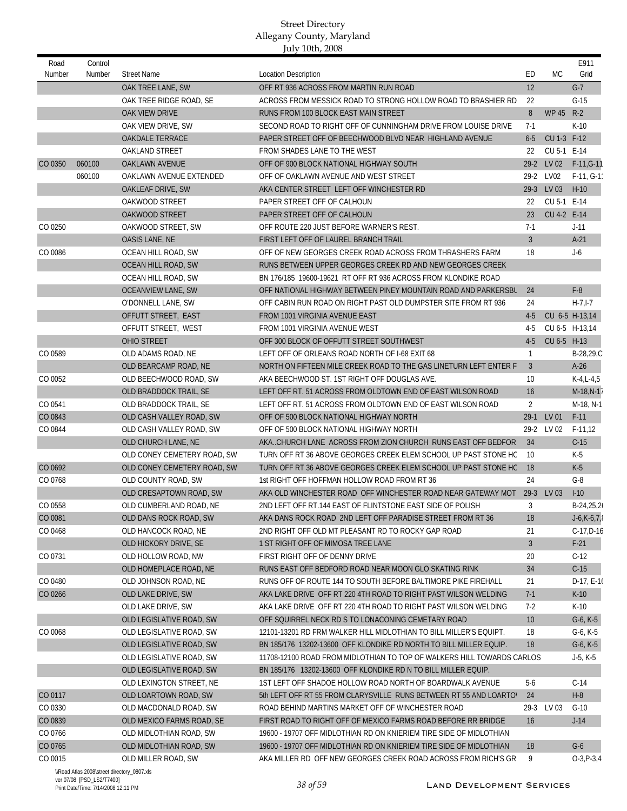| 12<br>$G-7$<br>OAK TREE LANE, SW<br>OFF RT 936 ACROSS FROM MARTIN RUN ROAD<br>$G-15$<br>OAK TREE RIDGE ROAD, SE<br>ACROSS FROM MESSICK ROAD TO STRONG HOLLOW ROAD TO BRASHIER RD<br>22<br>OAK VIEW DRIVE<br>8<br><b>WP 45</b><br>$R-2$<br>RUNS FROM 100 BLOCK EAST MAIN STREET<br>OAK VIEW DRIVE, SW<br>SECOND ROAD TO RIGHT OFF OF CUNNINGHAM DRIVE FROM LOUISE DRIVE<br>$7-1$<br>$K-10$<br><b>OAKDALE TERRACE</b><br>PAPER STREET OFF OF BEECHWOOD BLVD NEAR HIGHLAND AVENUE<br>$6-5$<br>CU 1-3 F-12<br>FROM SHADES LANE TO THE WEST<br>22<br>CU 5-1 E-14<br>OAKLAND STREET<br>29-2 LV 02 F-11, G-11<br>CO 0350<br>060100<br><b>OAKLAWN AVENUE</b><br>OFF OF 900 BLOCK NATIONAL HIGHWAY SOUTH<br>29-2 LV02<br>060100<br>OFF OF OAKLAWN AVENUE AND WEST STREET<br>$F-11, G-1'$<br>OAKLAWN AVENUE EXTENDED<br>LV 03<br>$H-10$<br>OAKLEAF DRIVE, SW<br>AKA CENTER STREET LEFT OFF WINCHESTER RD<br>$29-3$<br>CU 5-1 E-14<br>OAKWOOD STREET<br>PAPER STREET OFF OF CALHOUN<br>22<br>OAKWOOD STREET<br>PAPER STREET OFF OF CALHOUN<br>23<br>CU 4-2 E-14<br>CO 0250<br>OFF ROUTE 220 JUST BEFORE WARNER'S REST.<br>$7-1$<br>OAKWOOD STREET, SW<br>$J-11$<br>$A-21$<br>FIRST LEFT OFF OF LAUREL BRANCH TRAIL<br>$\overline{3}$<br>OASIS LANE, NE<br>OCEAN HILL ROAD, SW<br>OFF OF NEW GEORGES CREEK ROAD ACROSS FROM THRASHERS FARM<br>18<br>$J-6$<br>CO 0086<br>RUNS BETWEEN UPPER GEORGES CREEK RD AND NEW GEORGES CREEK<br>OCEAN HILL ROAD, SW<br>BN 176/185 19600-19621 RT OFF RT 936 ACROSS FROM KLONDIKE ROAD<br>OCEAN HILL ROAD, SW<br>$F-8$<br>OFF NATIONAL HIGHWAY BETWEEN PINEY MOUNTAIN ROAD AND PARKERSBU<br><b>OCEANVIEW LANE, SW</b><br>24<br><b>O'DONNELL LANE, SW</b><br>OFF CABIN RUN ROAD ON RIGHT PAST OLD DUMPSTER SITE FROM RT 936<br>24<br>$H - 7, I - 7$<br>OFFUTT STREET, EAST<br>FROM 1001 VIRGINIA AVENUE EAST<br>CU 6-5 H-13,14<br>$4 - 5$<br>FROM 1001 VIRGINIA AVENUE WEST<br>OFFUTT STREET, WEST<br>4-5<br>CU 6-5 H-13,14<br>OHIO STREET<br>OFF 300 BLOCK OF OFFUTT STREET SOUTHWEST<br>CU 6-5 H-13<br>$4 - 5$<br>CO 0589<br>OLD ADAMS ROAD, NE<br>LEFT OFF OF ORLEANS ROAD NORTH OF 1-68 EXIT 68<br>B-28,29,C<br>1<br>$\overline{3}$<br>$A-26$<br>OLD BEARCAMP ROAD, NE<br>NORTH ON FIFTEEN MILE CREEK ROAD TO THE GAS LINETURN LEFT ENTER F<br>$K-4,L-4,5$<br>OLD BEECHWOOD ROAD, SW<br>AKA BEECHWOOD ST. 1ST RIGHT OFF DOUGLAS AVE.<br>10<br>CO 0052<br>16<br>$M-18,N-1$<br>OLD BRADDOCK TRAIL, SE<br>LEFT OFF RT. 51 ACROSS FROM OLDTOWN END OF EAST WILSON ROAD<br>$\overline{2}$<br>OLD BRADDOCK TRAIL, SE<br>LEFT OFF RT. 51 ACROSS FROM OLDTOWN END OF EAST WILSON ROAD<br>M-18, N-1<br>CO 0541<br>LV 01<br>$F-11$<br>OLD CASH VALLEY ROAD, SW<br>OFF OF 500 BLOCK NATIONAL HIGHWAY NORTH<br>$29-1$<br>OLD CASH VALLEY ROAD, SW<br>OFF OF 500 BLOCK NATIONAL HIGHWAY NORTH<br>$29-2$<br>LV 02<br>$F-11,12$<br>OLD CHURCH LANE, NE<br>AKACHURCH LANE ACROSS FROM ZION CHURCH RUNS EAST OFF BEDFOR<br>$C-15$<br>34<br>TURN OFF RT 36 ABOVE GEORGES CREEK ELEM SCHOOL UP PAST STONE HO<br>10<br>K-5<br>OLD CONEY CEMETERY ROAD, SW<br>$K-5$<br>OLD CONEY CEMETERY ROAD, SW<br>TURN OFF RT 36 ABOVE GEORGES CREEK ELEM SCHOOL UP PAST STONE HO<br>18<br>$G-8$<br>OLD COUNTY ROAD, SW<br>1st RIGHT OFF HOFFMAN HOLLOW ROAD FROM RT 36<br>24<br>$I-10$<br>OLD CRESAPTOWN ROAD, SW<br>AKA OLD WINCHESTER ROAD OFF WINCHESTER ROAD NEAR GATEWAY MOT 29-3<br>LV 03<br>2ND LEFT OFF RT.144 EAST OF FLINTSTONE EAST SIDE OF POLISH<br>CO 0558<br>OLD CUMBERLAND ROAD, NE<br>3<br>$B-24,25,2$<br>CO 0081<br>OLD DANS ROCK ROAD, SW<br>AKA DANS ROCK ROAD 2ND LEFT OFF PARADISE STREET FROM RT 36<br>18<br>$J-6, K-6, 7,$<br>OLD HANCOCK ROAD, NE<br>2ND RIGHT OFF OLD MT PLEASANT RD TO ROCKY GAP ROAD<br>$C-17,D-16$<br>21<br>$\overline{3}$<br>OLD HICKORY DRIVE, SE<br>1 ST RIGHT OFF OF MIMOSA TREE LANE<br>$F-21$<br>FIRST RIGHT OFF OF DENNY DRIVE<br>20<br>$C-12$<br>OLD HOLLOW ROAD, NW<br>OLD HOMEPLACE ROAD, NE<br>RUNS EAST OFF BEDFORD ROAD NEAR MOON GLO SKATING RINK<br>34<br>$C-15$<br>OLD JOHNSON ROAD, NE<br>RUNS OFF OF ROUTE 144 TO SOUTH BEFORE BALTIMORE PIKE FIREHALL<br>CO 0480<br>21<br>$D-17, E-1$<br>CO 0266<br>OLD LAKE DRIVE, SW<br>AKA LAKE DRIVE OFF RT 220 4TH ROAD TO RIGHT PAST WILSON WELDING<br>$7-1$<br>$K-10$<br>$K-10$<br>OLD LAKE DRIVE, SW<br>AKA LAKE DRIVE OFF RT 220 4TH ROAD TO RIGHT PAST WILSON WELDING<br>$7-2$<br>OLD LEGISLATIVE ROAD, SW<br>$G-6, K-5$<br>OFF SQUIRREL NECK RD S TO LONACONING CEMETARY ROAD<br>10<br>CO 0068<br>OLD LEGISLATIVE ROAD, SW<br>12101-13201 RD FRM WALKER HILL MIDLOTHIAN TO BILL MILLER'S EQUIPT.<br>18<br>$G-6, K-5$<br>$G-6, K-5$<br>OLD LEGISLATIVE ROAD, SW<br>BN 185/176 13202-13600 OFF KLONDIKE RD NORTH TO BILL MILLER EQUIP.<br>18<br>OLD LEGISLATIVE ROAD, SW<br>11708-12100 ROAD FROM MIDLOTHIAN TO TOP OF WALKERS HILL TOWARDS CARLOS<br>$J-5, K-5$<br>OLD LEGISLATIVE ROAD, SW<br>BN 185/176 13202-13600 OFF KLONDIKE RD N TO BILL MILLER EQUIP.<br>OLD LEXINGTON STREET, NE<br>1ST LEFT OFF SHADOE HOLLOW ROAD NORTH OF BOARDWALK AVENUE<br>$C-14$<br>$5-6$<br>$H-8$<br>CO 0117<br>OLD LOARTOWN ROAD, SW<br>5th LEFT OFF RT 55 FROM CLARYSVILLE RUNS BETWEEN RT 55 AND LOARTO'<br>24<br>CO 0330<br>OLD MACDONALD ROAD, SW<br>ROAD BEHIND MARTINS MARKET OFF OF WINCHESTER ROAD<br>LV 03<br>$G-10$<br>29-3<br>CO 0839<br>OLD MEXICO FARMS ROAD, SE<br>FIRST ROAD TO RIGHT OFF OF MEXICO FARMS ROAD BEFORE RR BRIDGE<br>$J-14$<br>16<br>CO 0766<br>OLD MIDLOTHIAN ROAD, SW<br>19600 - 19707 OFF MIDLOTHIAN RD ON KNIERIEM TIRE SIDE OF MIDLOTHIAN<br>CO 0765<br>OLD MIDLOTHIAN ROAD, SW<br>19600 - 19707 OFF MIDLOTHIAN RD ON KNIERIEM TIRE SIDE OF MIDLOTHIAN<br>18<br>$G-6$ | Road    | Control |                     |                                                                |    |    | E911          |
|------------------------------------------------------------------------------------------------------------------------------------------------------------------------------------------------------------------------------------------------------------------------------------------------------------------------------------------------------------------------------------------------------------------------------------------------------------------------------------------------------------------------------------------------------------------------------------------------------------------------------------------------------------------------------------------------------------------------------------------------------------------------------------------------------------------------------------------------------------------------------------------------------------------------------------------------------------------------------------------------------------------------------------------------------------------------------------------------------------------------------------------------------------------------------------------------------------------------------------------------------------------------------------------------------------------------------------------------------------------------------------------------------------------------------------------------------------------------------------------------------------------------------------------------------------------------------------------------------------------------------------------------------------------------------------------------------------------------------------------------------------------------------------------------------------------------------------------------------------------------------------------------------------------------------------------------------------------------------------------------------------------------------------------------------------------------------------------------------------------------------------------------------------------------------------------------------------------------------------------------------------------------------------------------------------------------------------------------------------------------------------------------------------------------------------------------------------------------------------------------------------------------------------------------------------------------------------------------------------------------------------------------------------------------------------------------------------------------------------------------------------------------------------------------------------------------------------------------------------------------------------------------------------------------------------------------------------------------------------------------------------------------------------------------------------------------------------------------------------------------------------------------------------------------------------------------------------------------------------------------------------------------------------------------------------------------------------------------------------------------------------------------------------------------------------------------------------------------------------------------------------------------------------------------------------------------------------------------------------------------------------------------------------------------------------------------------------------------------------------------------------------------------------------------------------------------------------------------------------------------------------------------------------------------------------------------------------------------------------------------------------------------------------------------------------------------------------------------------------------------------------------------------------------------------------------------------------------------------------------------------------------------------------------------------------------------------------------------------------------------------------------------------------------------------------------------------------------------------------------------------------------------------------------------------------------------------------------------------------------------------------------------------------------------------------------------------------------------------------------------------------------------------------------------------------------------------------------------------------------------------------------------------------------------------------------------------------------------------------------------------------------------------------------------------------------------------------------------------------------------------------------------------------------------------------------------------------------------------------------------------------------------------------------------------------------------------------------------------------------------------------------------------------------------------------------------------------------------------------------------------------------------------------------------------------------------------------------------------------------------------------------------------------------------------------------------|---------|---------|---------------------|----------------------------------------------------------------|----|----|---------------|
|                                                                                                                                                                                                                                                                                                                                                                                                                                                                                                                                                                                                                                                                                                                                                                                                                                                                                                                                                                                                                                                                                                                                                                                                                                                                                                                                                                                                                                                                                                                                                                                                                                                                                                                                                                                                                                                                                                                                                                                                                                                                                                                                                                                                                                                                                                                                                                                                                                                                                                                                                                                                                                                                                                                                                                                                                                                                                                                                                                                                                                                                                                                                                                                                                                                                                                                                                                                                                                                                                                                                                                                                                                                                                                                                                                                                                                                                                                                                                                                                                                                                                                                                                                                                                                                                                                                                                                                                                                                                                                                                                                                                                                                                                                                                                                                                                                                                                                                                                                                                                                                                                                                                                                                                                                                                                                                                                                                                                                                                                                                                                                                                                                                                                                | Number  | Number  | <b>Street Name</b>  | <b>Location Description</b>                                    | ED | МC | Grid          |
|                                                                                                                                                                                                                                                                                                                                                                                                                                                                                                                                                                                                                                                                                                                                                                                                                                                                                                                                                                                                                                                                                                                                                                                                                                                                                                                                                                                                                                                                                                                                                                                                                                                                                                                                                                                                                                                                                                                                                                                                                                                                                                                                                                                                                                                                                                                                                                                                                                                                                                                                                                                                                                                                                                                                                                                                                                                                                                                                                                                                                                                                                                                                                                                                                                                                                                                                                                                                                                                                                                                                                                                                                                                                                                                                                                                                                                                                                                                                                                                                                                                                                                                                                                                                                                                                                                                                                                                                                                                                                                                                                                                                                                                                                                                                                                                                                                                                                                                                                                                                                                                                                                                                                                                                                                                                                                                                                                                                                                                                                                                                                                                                                                                                                                |         |         |                     |                                                                |    |    |               |
|                                                                                                                                                                                                                                                                                                                                                                                                                                                                                                                                                                                                                                                                                                                                                                                                                                                                                                                                                                                                                                                                                                                                                                                                                                                                                                                                                                                                                                                                                                                                                                                                                                                                                                                                                                                                                                                                                                                                                                                                                                                                                                                                                                                                                                                                                                                                                                                                                                                                                                                                                                                                                                                                                                                                                                                                                                                                                                                                                                                                                                                                                                                                                                                                                                                                                                                                                                                                                                                                                                                                                                                                                                                                                                                                                                                                                                                                                                                                                                                                                                                                                                                                                                                                                                                                                                                                                                                                                                                                                                                                                                                                                                                                                                                                                                                                                                                                                                                                                                                                                                                                                                                                                                                                                                                                                                                                                                                                                                                                                                                                                                                                                                                                                                |         |         |                     |                                                                |    |    |               |
|                                                                                                                                                                                                                                                                                                                                                                                                                                                                                                                                                                                                                                                                                                                                                                                                                                                                                                                                                                                                                                                                                                                                                                                                                                                                                                                                                                                                                                                                                                                                                                                                                                                                                                                                                                                                                                                                                                                                                                                                                                                                                                                                                                                                                                                                                                                                                                                                                                                                                                                                                                                                                                                                                                                                                                                                                                                                                                                                                                                                                                                                                                                                                                                                                                                                                                                                                                                                                                                                                                                                                                                                                                                                                                                                                                                                                                                                                                                                                                                                                                                                                                                                                                                                                                                                                                                                                                                                                                                                                                                                                                                                                                                                                                                                                                                                                                                                                                                                                                                                                                                                                                                                                                                                                                                                                                                                                                                                                                                                                                                                                                                                                                                                                                |         |         |                     |                                                                |    |    |               |
|                                                                                                                                                                                                                                                                                                                                                                                                                                                                                                                                                                                                                                                                                                                                                                                                                                                                                                                                                                                                                                                                                                                                                                                                                                                                                                                                                                                                                                                                                                                                                                                                                                                                                                                                                                                                                                                                                                                                                                                                                                                                                                                                                                                                                                                                                                                                                                                                                                                                                                                                                                                                                                                                                                                                                                                                                                                                                                                                                                                                                                                                                                                                                                                                                                                                                                                                                                                                                                                                                                                                                                                                                                                                                                                                                                                                                                                                                                                                                                                                                                                                                                                                                                                                                                                                                                                                                                                                                                                                                                                                                                                                                                                                                                                                                                                                                                                                                                                                                                                                                                                                                                                                                                                                                                                                                                                                                                                                                                                                                                                                                                                                                                                                                                |         |         |                     |                                                                |    |    |               |
|                                                                                                                                                                                                                                                                                                                                                                                                                                                                                                                                                                                                                                                                                                                                                                                                                                                                                                                                                                                                                                                                                                                                                                                                                                                                                                                                                                                                                                                                                                                                                                                                                                                                                                                                                                                                                                                                                                                                                                                                                                                                                                                                                                                                                                                                                                                                                                                                                                                                                                                                                                                                                                                                                                                                                                                                                                                                                                                                                                                                                                                                                                                                                                                                                                                                                                                                                                                                                                                                                                                                                                                                                                                                                                                                                                                                                                                                                                                                                                                                                                                                                                                                                                                                                                                                                                                                                                                                                                                                                                                                                                                                                                                                                                                                                                                                                                                                                                                                                                                                                                                                                                                                                                                                                                                                                                                                                                                                                                                                                                                                                                                                                                                                                                |         |         |                     |                                                                |    |    |               |
|                                                                                                                                                                                                                                                                                                                                                                                                                                                                                                                                                                                                                                                                                                                                                                                                                                                                                                                                                                                                                                                                                                                                                                                                                                                                                                                                                                                                                                                                                                                                                                                                                                                                                                                                                                                                                                                                                                                                                                                                                                                                                                                                                                                                                                                                                                                                                                                                                                                                                                                                                                                                                                                                                                                                                                                                                                                                                                                                                                                                                                                                                                                                                                                                                                                                                                                                                                                                                                                                                                                                                                                                                                                                                                                                                                                                                                                                                                                                                                                                                                                                                                                                                                                                                                                                                                                                                                                                                                                                                                                                                                                                                                                                                                                                                                                                                                                                                                                                                                                                                                                                                                                                                                                                                                                                                                                                                                                                                                                                                                                                                                                                                                                                                                |         |         |                     |                                                                |    |    |               |
|                                                                                                                                                                                                                                                                                                                                                                                                                                                                                                                                                                                                                                                                                                                                                                                                                                                                                                                                                                                                                                                                                                                                                                                                                                                                                                                                                                                                                                                                                                                                                                                                                                                                                                                                                                                                                                                                                                                                                                                                                                                                                                                                                                                                                                                                                                                                                                                                                                                                                                                                                                                                                                                                                                                                                                                                                                                                                                                                                                                                                                                                                                                                                                                                                                                                                                                                                                                                                                                                                                                                                                                                                                                                                                                                                                                                                                                                                                                                                                                                                                                                                                                                                                                                                                                                                                                                                                                                                                                                                                                                                                                                                                                                                                                                                                                                                                                                                                                                                                                                                                                                                                                                                                                                                                                                                                                                                                                                                                                                                                                                                                                                                                                                                                |         |         |                     |                                                                |    |    |               |
|                                                                                                                                                                                                                                                                                                                                                                                                                                                                                                                                                                                                                                                                                                                                                                                                                                                                                                                                                                                                                                                                                                                                                                                                                                                                                                                                                                                                                                                                                                                                                                                                                                                                                                                                                                                                                                                                                                                                                                                                                                                                                                                                                                                                                                                                                                                                                                                                                                                                                                                                                                                                                                                                                                                                                                                                                                                                                                                                                                                                                                                                                                                                                                                                                                                                                                                                                                                                                                                                                                                                                                                                                                                                                                                                                                                                                                                                                                                                                                                                                                                                                                                                                                                                                                                                                                                                                                                                                                                                                                                                                                                                                                                                                                                                                                                                                                                                                                                                                                                                                                                                                                                                                                                                                                                                                                                                                                                                                                                                                                                                                                                                                                                                                                |         |         |                     |                                                                |    |    |               |
|                                                                                                                                                                                                                                                                                                                                                                                                                                                                                                                                                                                                                                                                                                                                                                                                                                                                                                                                                                                                                                                                                                                                                                                                                                                                                                                                                                                                                                                                                                                                                                                                                                                                                                                                                                                                                                                                                                                                                                                                                                                                                                                                                                                                                                                                                                                                                                                                                                                                                                                                                                                                                                                                                                                                                                                                                                                                                                                                                                                                                                                                                                                                                                                                                                                                                                                                                                                                                                                                                                                                                                                                                                                                                                                                                                                                                                                                                                                                                                                                                                                                                                                                                                                                                                                                                                                                                                                                                                                                                                                                                                                                                                                                                                                                                                                                                                                                                                                                                                                                                                                                                                                                                                                                                                                                                                                                                                                                                                                                                                                                                                                                                                                                                                |         |         |                     |                                                                |    |    |               |
|                                                                                                                                                                                                                                                                                                                                                                                                                                                                                                                                                                                                                                                                                                                                                                                                                                                                                                                                                                                                                                                                                                                                                                                                                                                                                                                                                                                                                                                                                                                                                                                                                                                                                                                                                                                                                                                                                                                                                                                                                                                                                                                                                                                                                                                                                                                                                                                                                                                                                                                                                                                                                                                                                                                                                                                                                                                                                                                                                                                                                                                                                                                                                                                                                                                                                                                                                                                                                                                                                                                                                                                                                                                                                                                                                                                                                                                                                                                                                                                                                                                                                                                                                                                                                                                                                                                                                                                                                                                                                                                                                                                                                                                                                                                                                                                                                                                                                                                                                                                                                                                                                                                                                                                                                                                                                                                                                                                                                                                                                                                                                                                                                                                                                                |         |         |                     |                                                                |    |    |               |
|                                                                                                                                                                                                                                                                                                                                                                                                                                                                                                                                                                                                                                                                                                                                                                                                                                                                                                                                                                                                                                                                                                                                                                                                                                                                                                                                                                                                                                                                                                                                                                                                                                                                                                                                                                                                                                                                                                                                                                                                                                                                                                                                                                                                                                                                                                                                                                                                                                                                                                                                                                                                                                                                                                                                                                                                                                                                                                                                                                                                                                                                                                                                                                                                                                                                                                                                                                                                                                                                                                                                                                                                                                                                                                                                                                                                                                                                                                                                                                                                                                                                                                                                                                                                                                                                                                                                                                                                                                                                                                                                                                                                                                                                                                                                                                                                                                                                                                                                                                                                                                                                                                                                                                                                                                                                                                                                                                                                                                                                                                                                                                                                                                                                                                |         |         |                     |                                                                |    |    |               |
|                                                                                                                                                                                                                                                                                                                                                                                                                                                                                                                                                                                                                                                                                                                                                                                                                                                                                                                                                                                                                                                                                                                                                                                                                                                                                                                                                                                                                                                                                                                                                                                                                                                                                                                                                                                                                                                                                                                                                                                                                                                                                                                                                                                                                                                                                                                                                                                                                                                                                                                                                                                                                                                                                                                                                                                                                                                                                                                                                                                                                                                                                                                                                                                                                                                                                                                                                                                                                                                                                                                                                                                                                                                                                                                                                                                                                                                                                                                                                                                                                                                                                                                                                                                                                                                                                                                                                                                                                                                                                                                                                                                                                                                                                                                                                                                                                                                                                                                                                                                                                                                                                                                                                                                                                                                                                                                                                                                                                                                                                                                                                                                                                                                                                                |         |         |                     |                                                                |    |    |               |
|                                                                                                                                                                                                                                                                                                                                                                                                                                                                                                                                                                                                                                                                                                                                                                                                                                                                                                                                                                                                                                                                                                                                                                                                                                                                                                                                                                                                                                                                                                                                                                                                                                                                                                                                                                                                                                                                                                                                                                                                                                                                                                                                                                                                                                                                                                                                                                                                                                                                                                                                                                                                                                                                                                                                                                                                                                                                                                                                                                                                                                                                                                                                                                                                                                                                                                                                                                                                                                                                                                                                                                                                                                                                                                                                                                                                                                                                                                                                                                                                                                                                                                                                                                                                                                                                                                                                                                                                                                                                                                                                                                                                                                                                                                                                                                                                                                                                                                                                                                                                                                                                                                                                                                                                                                                                                                                                                                                                                                                                                                                                                                                                                                                                                                |         |         |                     |                                                                |    |    |               |
|                                                                                                                                                                                                                                                                                                                                                                                                                                                                                                                                                                                                                                                                                                                                                                                                                                                                                                                                                                                                                                                                                                                                                                                                                                                                                                                                                                                                                                                                                                                                                                                                                                                                                                                                                                                                                                                                                                                                                                                                                                                                                                                                                                                                                                                                                                                                                                                                                                                                                                                                                                                                                                                                                                                                                                                                                                                                                                                                                                                                                                                                                                                                                                                                                                                                                                                                                                                                                                                                                                                                                                                                                                                                                                                                                                                                                                                                                                                                                                                                                                                                                                                                                                                                                                                                                                                                                                                                                                                                                                                                                                                                                                                                                                                                                                                                                                                                                                                                                                                                                                                                                                                                                                                                                                                                                                                                                                                                                                                                                                                                                                                                                                                                                                |         |         |                     |                                                                |    |    |               |
|                                                                                                                                                                                                                                                                                                                                                                                                                                                                                                                                                                                                                                                                                                                                                                                                                                                                                                                                                                                                                                                                                                                                                                                                                                                                                                                                                                                                                                                                                                                                                                                                                                                                                                                                                                                                                                                                                                                                                                                                                                                                                                                                                                                                                                                                                                                                                                                                                                                                                                                                                                                                                                                                                                                                                                                                                                                                                                                                                                                                                                                                                                                                                                                                                                                                                                                                                                                                                                                                                                                                                                                                                                                                                                                                                                                                                                                                                                                                                                                                                                                                                                                                                                                                                                                                                                                                                                                                                                                                                                                                                                                                                                                                                                                                                                                                                                                                                                                                                                                                                                                                                                                                                                                                                                                                                                                                                                                                                                                                                                                                                                                                                                                                                                |         |         |                     |                                                                |    |    |               |
|                                                                                                                                                                                                                                                                                                                                                                                                                                                                                                                                                                                                                                                                                                                                                                                                                                                                                                                                                                                                                                                                                                                                                                                                                                                                                                                                                                                                                                                                                                                                                                                                                                                                                                                                                                                                                                                                                                                                                                                                                                                                                                                                                                                                                                                                                                                                                                                                                                                                                                                                                                                                                                                                                                                                                                                                                                                                                                                                                                                                                                                                                                                                                                                                                                                                                                                                                                                                                                                                                                                                                                                                                                                                                                                                                                                                                                                                                                                                                                                                                                                                                                                                                                                                                                                                                                                                                                                                                                                                                                                                                                                                                                                                                                                                                                                                                                                                                                                                                                                                                                                                                                                                                                                                                                                                                                                                                                                                                                                                                                                                                                                                                                                                                                |         |         |                     |                                                                |    |    |               |
|                                                                                                                                                                                                                                                                                                                                                                                                                                                                                                                                                                                                                                                                                                                                                                                                                                                                                                                                                                                                                                                                                                                                                                                                                                                                                                                                                                                                                                                                                                                                                                                                                                                                                                                                                                                                                                                                                                                                                                                                                                                                                                                                                                                                                                                                                                                                                                                                                                                                                                                                                                                                                                                                                                                                                                                                                                                                                                                                                                                                                                                                                                                                                                                                                                                                                                                                                                                                                                                                                                                                                                                                                                                                                                                                                                                                                                                                                                                                                                                                                                                                                                                                                                                                                                                                                                                                                                                                                                                                                                                                                                                                                                                                                                                                                                                                                                                                                                                                                                                                                                                                                                                                                                                                                                                                                                                                                                                                                                                                                                                                                                                                                                                                                                |         |         |                     |                                                                |    |    |               |
|                                                                                                                                                                                                                                                                                                                                                                                                                                                                                                                                                                                                                                                                                                                                                                                                                                                                                                                                                                                                                                                                                                                                                                                                                                                                                                                                                                                                                                                                                                                                                                                                                                                                                                                                                                                                                                                                                                                                                                                                                                                                                                                                                                                                                                                                                                                                                                                                                                                                                                                                                                                                                                                                                                                                                                                                                                                                                                                                                                                                                                                                                                                                                                                                                                                                                                                                                                                                                                                                                                                                                                                                                                                                                                                                                                                                                                                                                                                                                                                                                                                                                                                                                                                                                                                                                                                                                                                                                                                                                                                                                                                                                                                                                                                                                                                                                                                                                                                                                                                                                                                                                                                                                                                                                                                                                                                                                                                                                                                                                                                                                                                                                                                                                                |         |         |                     |                                                                |    |    |               |
|                                                                                                                                                                                                                                                                                                                                                                                                                                                                                                                                                                                                                                                                                                                                                                                                                                                                                                                                                                                                                                                                                                                                                                                                                                                                                                                                                                                                                                                                                                                                                                                                                                                                                                                                                                                                                                                                                                                                                                                                                                                                                                                                                                                                                                                                                                                                                                                                                                                                                                                                                                                                                                                                                                                                                                                                                                                                                                                                                                                                                                                                                                                                                                                                                                                                                                                                                                                                                                                                                                                                                                                                                                                                                                                                                                                                                                                                                                                                                                                                                                                                                                                                                                                                                                                                                                                                                                                                                                                                                                                                                                                                                                                                                                                                                                                                                                                                                                                                                                                                                                                                                                                                                                                                                                                                                                                                                                                                                                                                                                                                                                                                                                                                                                |         |         |                     |                                                                |    |    |               |
|                                                                                                                                                                                                                                                                                                                                                                                                                                                                                                                                                                                                                                                                                                                                                                                                                                                                                                                                                                                                                                                                                                                                                                                                                                                                                                                                                                                                                                                                                                                                                                                                                                                                                                                                                                                                                                                                                                                                                                                                                                                                                                                                                                                                                                                                                                                                                                                                                                                                                                                                                                                                                                                                                                                                                                                                                                                                                                                                                                                                                                                                                                                                                                                                                                                                                                                                                                                                                                                                                                                                                                                                                                                                                                                                                                                                                                                                                                                                                                                                                                                                                                                                                                                                                                                                                                                                                                                                                                                                                                                                                                                                                                                                                                                                                                                                                                                                                                                                                                                                                                                                                                                                                                                                                                                                                                                                                                                                                                                                                                                                                                                                                                                                                                |         |         |                     |                                                                |    |    |               |
|                                                                                                                                                                                                                                                                                                                                                                                                                                                                                                                                                                                                                                                                                                                                                                                                                                                                                                                                                                                                                                                                                                                                                                                                                                                                                                                                                                                                                                                                                                                                                                                                                                                                                                                                                                                                                                                                                                                                                                                                                                                                                                                                                                                                                                                                                                                                                                                                                                                                                                                                                                                                                                                                                                                                                                                                                                                                                                                                                                                                                                                                                                                                                                                                                                                                                                                                                                                                                                                                                                                                                                                                                                                                                                                                                                                                                                                                                                                                                                                                                                                                                                                                                                                                                                                                                                                                                                                                                                                                                                                                                                                                                                                                                                                                                                                                                                                                                                                                                                                                                                                                                                                                                                                                                                                                                                                                                                                                                                                                                                                                                                                                                                                                                                |         |         |                     |                                                                |    |    |               |
|                                                                                                                                                                                                                                                                                                                                                                                                                                                                                                                                                                                                                                                                                                                                                                                                                                                                                                                                                                                                                                                                                                                                                                                                                                                                                                                                                                                                                                                                                                                                                                                                                                                                                                                                                                                                                                                                                                                                                                                                                                                                                                                                                                                                                                                                                                                                                                                                                                                                                                                                                                                                                                                                                                                                                                                                                                                                                                                                                                                                                                                                                                                                                                                                                                                                                                                                                                                                                                                                                                                                                                                                                                                                                                                                                                                                                                                                                                                                                                                                                                                                                                                                                                                                                                                                                                                                                                                                                                                                                                                                                                                                                                                                                                                                                                                                                                                                                                                                                                                                                                                                                                                                                                                                                                                                                                                                                                                                                                                                                                                                                                                                                                                                                                |         |         |                     |                                                                |    |    |               |
|                                                                                                                                                                                                                                                                                                                                                                                                                                                                                                                                                                                                                                                                                                                                                                                                                                                                                                                                                                                                                                                                                                                                                                                                                                                                                                                                                                                                                                                                                                                                                                                                                                                                                                                                                                                                                                                                                                                                                                                                                                                                                                                                                                                                                                                                                                                                                                                                                                                                                                                                                                                                                                                                                                                                                                                                                                                                                                                                                                                                                                                                                                                                                                                                                                                                                                                                                                                                                                                                                                                                                                                                                                                                                                                                                                                                                                                                                                                                                                                                                                                                                                                                                                                                                                                                                                                                                                                                                                                                                                                                                                                                                                                                                                                                                                                                                                                                                                                                                                                                                                                                                                                                                                                                                                                                                                                                                                                                                                                                                                                                                                                                                                                                                                |         |         |                     |                                                                |    |    |               |
|                                                                                                                                                                                                                                                                                                                                                                                                                                                                                                                                                                                                                                                                                                                                                                                                                                                                                                                                                                                                                                                                                                                                                                                                                                                                                                                                                                                                                                                                                                                                                                                                                                                                                                                                                                                                                                                                                                                                                                                                                                                                                                                                                                                                                                                                                                                                                                                                                                                                                                                                                                                                                                                                                                                                                                                                                                                                                                                                                                                                                                                                                                                                                                                                                                                                                                                                                                                                                                                                                                                                                                                                                                                                                                                                                                                                                                                                                                                                                                                                                                                                                                                                                                                                                                                                                                                                                                                                                                                                                                                                                                                                                                                                                                                                                                                                                                                                                                                                                                                                                                                                                                                                                                                                                                                                                                                                                                                                                                                                                                                                                                                                                                                                                                |         |         |                     |                                                                |    |    |               |
|                                                                                                                                                                                                                                                                                                                                                                                                                                                                                                                                                                                                                                                                                                                                                                                                                                                                                                                                                                                                                                                                                                                                                                                                                                                                                                                                                                                                                                                                                                                                                                                                                                                                                                                                                                                                                                                                                                                                                                                                                                                                                                                                                                                                                                                                                                                                                                                                                                                                                                                                                                                                                                                                                                                                                                                                                                                                                                                                                                                                                                                                                                                                                                                                                                                                                                                                                                                                                                                                                                                                                                                                                                                                                                                                                                                                                                                                                                                                                                                                                                                                                                                                                                                                                                                                                                                                                                                                                                                                                                                                                                                                                                                                                                                                                                                                                                                                                                                                                                                                                                                                                                                                                                                                                                                                                                                                                                                                                                                                                                                                                                                                                                                                                                |         |         |                     |                                                                |    |    |               |
|                                                                                                                                                                                                                                                                                                                                                                                                                                                                                                                                                                                                                                                                                                                                                                                                                                                                                                                                                                                                                                                                                                                                                                                                                                                                                                                                                                                                                                                                                                                                                                                                                                                                                                                                                                                                                                                                                                                                                                                                                                                                                                                                                                                                                                                                                                                                                                                                                                                                                                                                                                                                                                                                                                                                                                                                                                                                                                                                                                                                                                                                                                                                                                                                                                                                                                                                                                                                                                                                                                                                                                                                                                                                                                                                                                                                                                                                                                                                                                                                                                                                                                                                                                                                                                                                                                                                                                                                                                                                                                                                                                                                                                                                                                                                                                                                                                                                                                                                                                                                                                                                                                                                                                                                                                                                                                                                                                                                                                                                                                                                                                                                                                                                                                |         |         |                     |                                                                |    |    |               |
|                                                                                                                                                                                                                                                                                                                                                                                                                                                                                                                                                                                                                                                                                                                                                                                                                                                                                                                                                                                                                                                                                                                                                                                                                                                                                                                                                                                                                                                                                                                                                                                                                                                                                                                                                                                                                                                                                                                                                                                                                                                                                                                                                                                                                                                                                                                                                                                                                                                                                                                                                                                                                                                                                                                                                                                                                                                                                                                                                                                                                                                                                                                                                                                                                                                                                                                                                                                                                                                                                                                                                                                                                                                                                                                                                                                                                                                                                                                                                                                                                                                                                                                                                                                                                                                                                                                                                                                                                                                                                                                                                                                                                                                                                                                                                                                                                                                                                                                                                                                                                                                                                                                                                                                                                                                                                                                                                                                                                                                                                                                                                                                                                                                                                                | CO 0843 |         |                     |                                                                |    |    |               |
|                                                                                                                                                                                                                                                                                                                                                                                                                                                                                                                                                                                                                                                                                                                                                                                                                                                                                                                                                                                                                                                                                                                                                                                                                                                                                                                                                                                                                                                                                                                                                                                                                                                                                                                                                                                                                                                                                                                                                                                                                                                                                                                                                                                                                                                                                                                                                                                                                                                                                                                                                                                                                                                                                                                                                                                                                                                                                                                                                                                                                                                                                                                                                                                                                                                                                                                                                                                                                                                                                                                                                                                                                                                                                                                                                                                                                                                                                                                                                                                                                                                                                                                                                                                                                                                                                                                                                                                                                                                                                                                                                                                                                                                                                                                                                                                                                                                                                                                                                                                                                                                                                                                                                                                                                                                                                                                                                                                                                                                                                                                                                                                                                                                                                                | CO 0844 |         |                     |                                                                |    |    |               |
|                                                                                                                                                                                                                                                                                                                                                                                                                                                                                                                                                                                                                                                                                                                                                                                                                                                                                                                                                                                                                                                                                                                                                                                                                                                                                                                                                                                                                                                                                                                                                                                                                                                                                                                                                                                                                                                                                                                                                                                                                                                                                                                                                                                                                                                                                                                                                                                                                                                                                                                                                                                                                                                                                                                                                                                                                                                                                                                                                                                                                                                                                                                                                                                                                                                                                                                                                                                                                                                                                                                                                                                                                                                                                                                                                                                                                                                                                                                                                                                                                                                                                                                                                                                                                                                                                                                                                                                                                                                                                                                                                                                                                                                                                                                                                                                                                                                                                                                                                                                                                                                                                                                                                                                                                                                                                                                                                                                                                                                                                                                                                                                                                                                                                                |         |         |                     |                                                                |    |    |               |
|                                                                                                                                                                                                                                                                                                                                                                                                                                                                                                                                                                                                                                                                                                                                                                                                                                                                                                                                                                                                                                                                                                                                                                                                                                                                                                                                                                                                                                                                                                                                                                                                                                                                                                                                                                                                                                                                                                                                                                                                                                                                                                                                                                                                                                                                                                                                                                                                                                                                                                                                                                                                                                                                                                                                                                                                                                                                                                                                                                                                                                                                                                                                                                                                                                                                                                                                                                                                                                                                                                                                                                                                                                                                                                                                                                                                                                                                                                                                                                                                                                                                                                                                                                                                                                                                                                                                                                                                                                                                                                                                                                                                                                                                                                                                                                                                                                                                                                                                                                                                                                                                                                                                                                                                                                                                                                                                                                                                                                                                                                                                                                                                                                                                                                |         |         |                     |                                                                |    |    |               |
|                                                                                                                                                                                                                                                                                                                                                                                                                                                                                                                                                                                                                                                                                                                                                                                                                                                                                                                                                                                                                                                                                                                                                                                                                                                                                                                                                                                                                                                                                                                                                                                                                                                                                                                                                                                                                                                                                                                                                                                                                                                                                                                                                                                                                                                                                                                                                                                                                                                                                                                                                                                                                                                                                                                                                                                                                                                                                                                                                                                                                                                                                                                                                                                                                                                                                                                                                                                                                                                                                                                                                                                                                                                                                                                                                                                                                                                                                                                                                                                                                                                                                                                                                                                                                                                                                                                                                                                                                                                                                                                                                                                                                                                                                                                                                                                                                                                                                                                                                                                                                                                                                                                                                                                                                                                                                                                                                                                                                                                                                                                                                                                                                                                                                                | CO 0692 |         |                     |                                                                |    |    |               |
|                                                                                                                                                                                                                                                                                                                                                                                                                                                                                                                                                                                                                                                                                                                                                                                                                                                                                                                                                                                                                                                                                                                                                                                                                                                                                                                                                                                                                                                                                                                                                                                                                                                                                                                                                                                                                                                                                                                                                                                                                                                                                                                                                                                                                                                                                                                                                                                                                                                                                                                                                                                                                                                                                                                                                                                                                                                                                                                                                                                                                                                                                                                                                                                                                                                                                                                                                                                                                                                                                                                                                                                                                                                                                                                                                                                                                                                                                                                                                                                                                                                                                                                                                                                                                                                                                                                                                                                                                                                                                                                                                                                                                                                                                                                                                                                                                                                                                                                                                                                                                                                                                                                                                                                                                                                                                                                                                                                                                                                                                                                                                                                                                                                                                                | CO 0768 |         |                     |                                                                |    |    |               |
|                                                                                                                                                                                                                                                                                                                                                                                                                                                                                                                                                                                                                                                                                                                                                                                                                                                                                                                                                                                                                                                                                                                                                                                                                                                                                                                                                                                                                                                                                                                                                                                                                                                                                                                                                                                                                                                                                                                                                                                                                                                                                                                                                                                                                                                                                                                                                                                                                                                                                                                                                                                                                                                                                                                                                                                                                                                                                                                                                                                                                                                                                                                                                                                                                                                                                                                                                                                                                                                                                                                                                                                                                                                                                                                                                                                                                                                                                                                                                                                                                                                                                                                                                                                                                                                                                                                                                                                                                                                                                                                                                                                                                                                                                                                                                                                                                                                                                                                                                                                                                                                                                                                                                                                                                                                                                                                                                                                                                                                                                                                                                                                                                                                                                                |         |         |                     |                                                                |    |    |               |
|                                                                                                                                                                                                                                                                                                                                                                                                                                                                                                                                                                                                                                                                                                                                                                                                                                                                                                                                                                                                                                                                                                                                                                                                                                                                                                                                                                                                                                                                                                                                                                                                                                                                                                                                                                                                                                                                                                                                                                                                                                                                                                                                                                                                                                                                                                                                                                                                                                                                                                                                                                                                                                                                                                                                                                                                                                                                                                                                                                                                                                                                                                                                                                                                                                                                                                                                                                                                                                                                                                                                                                                                                                                                                                                                                                                                                                                                                                                                                                                                                                                                                                                                                                                                                                                                                                                                                                                                                                                                                                                                                                                                                                                                                                                                                                                                                                                                                                                                                                                                                                                                                                                                                                                                                                                                                                                                                                                                                                                                                                                                                                                                                                                                                                |         |         |                     |                                                                |    |    |               |
|                                                                                                                                                                                                                                                                                                                                                                                                                                                                                                                                                                                                                                                                                                                                                                                                                                                                                                                                                                                                                                                                                                                                                                                                                                                                                                                                                                                                                                                                                                                                                                                                                                                                                                                                                                                                                                                                                                                                                                                                                                                                                                                                                                                                                                                                                                                                                                                                                                                                                                                                                                                                                                                                                                                                                                                                                                                                                                                                                                                                                                                                                                                                                                                                                                                                                                                                                                                                                                                                                                                                                                                                                                                                                                                                                                                                                                                                                                                                                                                                                                                                                                                                                                                                                                                                                                                                                                                                                                                                                                                                                                                                                                                                                                                                                                                                                                                                                                                                                                                                                                                                                                                                                                                                                                                                                                                                                                                                                                                                                                                                                                                                                                                                                                |         |         |                     |                                                                |    |    |               |
|                                                                                                                                                                                                                                                                                                                                                                                                                                                                                                                                                                                                                                                                                                                                                                                                                                                                                                                                                                                                                                                                                                                                                                                                                                                                                                                                                                                                                                                                                                                                                                                                                                                                                                                                                                                                                                                                                                                                                                                                                                                                                                                                                                                                                                                                                                                                                                                                                                                                                                                                                                                                                                                                                                                                                                                                                                                                                                                                                                                                                                                                                                                                                                                                                                                                                                                                                                                                                                                                                                                                                                                                                                                                                                                                                                                                                                                                                                                                                                                                                                                                                                                                                                                                                                                                                                                                                                                                                                                                                                                                                                                                                                                                                                                                                                                                                                                                                                                                                                                                                                                                                                                                                                                                                                                                                                                                                                                                                                                                                                                                                                                                                                                                                                | CO 0468 |         |                     |                                                                |    |    |               |
|                                                                                                                                                                                                                                                                                                                                                                                                                                                                                                                                                                                                                                                                                                                                                                                                                                                                                                                                                                                                                                                                                                                                                                                                                                                                                                                                                                                                                                                                                                                                                                                                                                                                                                                                                                                                                                                                                                                                                                                                                                                                                                                                                                                                                                                                                                                                                                                                                                                                                                                                                                                                                                                                                                                                                                                                                                                                                                                                                                                                                                                                                                                                                                                                                                                                                                                                                                                                                                                                                                                                                                                                                                                                                                                                                                                                                                                                                                                                                                                                                                                                                                                                                                                                                                                                                                                                                                                                                                                                                                                                                                                                                                                                                                                                                                                                                                                                                                                                                                                                                                                                                                                                                                                                                                                                                                                                                                                                                                                                                                                                                                                                                                                                                                |         |         |                     |                                                                |    |    |               |
|                                                                                                                                                                                                                                                                                                                                                                                                                                                                                                                                                                                                                                                                                                                                                                                                                                                                                                                                                                                                                                                                                                                                                                                                                                                                                                                                                                                                                                                                                                                                                                                                                                                                                                                                                                                                                                                                                                                                                                                                                                                                                                                                                                                                                                                                                                                                                                                                                                                                                                                                                                                                                                                                                                                                                                                                                                                                                                                                                                                                                                                                                                                                                                                                                                                                                                                                                                                                                                                                                                                                                                                                                                                                                                                                                                                                                                                                                                                                                                                                                                                                                                                                                                                                                                                                                                                                                                                                                                                                                                                                                                                                                                                                                                                                                                                                                                                                                                                                                                                                                                                                                                                                                                                                                                                                                                                                                                                                                                                                                                                                                                                                                                                                                                | CO 0731 |         |                     |                                                                |    |    |               |
|                                                                                                                                                                                                                                                                                                                                                                                                                                                                                                                                                                                                                                                                                                                                                                                                                                                                                                                                                                                                                                                                                                                                                                                                                                                                                                                                                                                                                                                                                                                                                                                                                                                                                                                                                                                                                                                                                                                                                                                                                                                                                                                                                                                                                                                                                                                                                                                                                                                                                                                                                                                                                                                                                                                                                                                                                                                                                                                                                                                                                                                                                                                                                                                                                                                                                                                                                                                                                                                                                                                                                                                                                                                                                                                                                                                                                                                                                                                                                                                                                                                                                                                                                                                                                                                                                                                                                                                                                                                                                                                                                                                                                                                                                                                                                                                                                                                                                                                                                                                                                                                                                                                                                                                                                                                                                                                                                                                                                                                                                                                                                                                                                                                                                                |         |         |                     |                                                                |    |    |               |
|                                                                                                                                                                                                                                                                                                                                                                                                                                                                                                                                                                                                                                                                                                                                                                                                                                                                                                                                                                                                                                                                                                                                                                                                                                                                                                                                                                                                                                                                                                                                                                                                                                                                                                                                                                                                                                                                                                                                                                                                                                                                                                                                                                                                                                                                                                                                                                                                                                                                                                                                                                                                                                                                                                                                                                                                                                                                                                                                                                                                                                                                                                                                                                                                                                                                                                                                                                                                                                                                                                                                                                                                                                                                                                                                                                                                                                                                                                                                                                                                                                                                                                                                                                                                                                                                                                                                                                                                                                                                                                                                                                                                                                                                                                                                                                                                                                                                                                                                                                                                                                                                                                                                                                                                                                                                                                                                                                                                                                                                                                                                                                                                                                                                                                |         |         |                     |                                                                |    |    |               |
|                                                                                                                                                                                                                                                                                                                                                                                                                                                                                                                                                                                                                                                                                                                                                                                                                                                                                                                                                                                                                                                                                                                                                                                                                                                                                                                                                                                                                                                                                                                                                                                                                                                                                                                                                                                                                                                                                                                                                                                                                                                                                                                                                                                                                                                                                                                                                                                                                                                                                                                                                                                                                                                                                                                                                                                                                                                                                                                                                                                                                                                                                                                                                                                                                                                                                                                                                                                                                                                                                                                                                                                                                                                                                                                                                                                                                                                                                                                                                                                                                                                                                                                                                                                                                                                                                                                                                                                                                                                                                                                                                                                                                                                                                                                                                                                                                                                                                                                                                                                                                                                                                                                                                                                                                                                                                                                                                                                                                                                                                                                                                                                                                                                                                                |         |         |                     |                                                                |    |    |               |
|                                                                                                                                                                                                                                                                                                                                                                                                                                                                                                                                                                                                                                                                                                                                                                                                                                                                                                                                                                                                                                                                                                                                                                                                                                                                                                                                                                                                                                                                                                                                                                                                                                                                                                                                                                                                                                                                                                                                                                                                                                                                                                                                                                                                                                                                                                                                                                                                                                                                                                                                                                                                                                                                                                                                                                                                                                                                                                                                                                                                                                                                                                                                                                                                                                                                                                                                                                                                                                                                                                                                                                                                                                                                                                                                                                                                                                                                                                                                                                                                                                                                                                                                                                                                                                                                                                                                                                                                                                                                                                                                                                                                                                                                                                                                                                                                                                                                                                                                                                                                                                                                                                                                                                                                                                                                                                                                                                                                                                                                                                                                                                                                                                                                                                |         |         |                     |                                                                |    |    |               |
|                                                                                                                                                                                                                                                                                                                                                                                                                                                                                                                                                                                                                                                                                                                                                                                                                                                                                                                                                                                                                                                                                                                                                                                                                                                                                                                                                                                                                                                                                                                                                                                                                                                                                                                                                                                                                                                                                                                                                                                                                                                                                                                                                                                                                                                                                                                                                                                                                                                                                                                                                                                                                                                                                                                                                                                                                                                                                                                                                                                                                                                                                                                                                                                                                                                                                                                                                                                                                                                                                                                                                                                                                                                                                                                                                                                                                                                                                                                                                                                                                                                                                                                                                                                                                                                                                                                                                                                                                                                                                                                                                                                                                                                                                                                                                                                                                                                                                                                                                                                                                                                                                                                                                                                                                                                                                                                                                                                                                                                                                                                                                                                                                                                                                                |         |         |                     |                                                                |    |    |               |
|                                                                                                                                                                                                                                                                                                                                                                                                                                                                                                                                                                                                                                                                                                                                                                                                                                                                                                                                                                                                                                                                                                                                                                                                                                                                                                                                                                                                                                                                                                                                                                                                                                                                                                                                                                                                                                                                                                                                                                                                                                                                                                                                                                                                                                                                                                                                                                                                                                                                                                                                                                                                                                                                                                                                                                                                                                                                                                                                                                                                                                                                                                                                                                                                                                                                                                                                                                                                                                                                                                                                                                                                                                                                                                                                                                                                                                                                                                                                                                                                                                                                                                                                                                                                                                                                                                                                                                                                                                                                                                                                                                                                                                                                                                                                                                                                                                                                                                                                                                                                                                                                                                                                                                                                                                                                                                                                                                                                                                                                                                                                                                                                                                                                                                |         |         |                     |                                                                |    |    |               |
|                                                                                                                                                                                                                                                                                                                                                                                                                                                                                                                                                                                                                                                                                                                                                                                                                                                                                                                                                                                                                                                                                                                                                                                                                                                                                                                                                                                                                                                                                                                                                                                                                                                                                                                                                                                                                                                                                                                                                                                                                                                                                                                                                                                                                                                                                                                                                                                                                                                                                                                                                                                                                                                                                                                                                                                                                                                                                                                                                                                                                                                                                                                                                                                                                                                                                                                                                                                                                                                                                                                                                                                                                                                                                                                                                                                                                                                                                                                                                                                                                                                                                                                                                                                                                                                                                                                                                                                                                                                                                                                                                                                                                                                                                                                                                                                                                                                                                                                                                                                                                                                                                                                                                                                                                                                                                                                                                                                                                                                                                                                                                                                                                                                                                                |         |         |                     |                                                                |    |    |               |
|                                                                                                                                                                                                                                                                                                                                                                                                                                                                                                                                                                                                                                                                                                                                                                                                                                                                                                                                                                                                                                                                                                                                                                                                                                                                                                                                                                                                                                                                                                                                                                                                                                                                                                                                                                                                                                                                                                                                                                                                                                                                                                                                                                                                                                                                                                                                                                                                                                                                                                                                                                                                                                                                                                                                                                                                                                                                                                                                                                                                                                                                                                                                                                                                                                                                                                                                                                                                                                                                                                                                                                                                                                                                                                                                                                                                                                                                                                                                                                                                                                                                                                                                                                                                                                                                                                                                                                                                                                                                                                                                                                                                                                                                                                                                                                                                                                                                                                                                                                                                                                                                                                                                                                                                                                                                                                                                                                                                                                                                                                                                                                                                                                                                                                |         |         |                     |                                                                |    |    |               |
|                                                                                                                                                                                                                                                                                                                                                                                                                                                                                                                                                                                                                                                                                                                                                                                                                                                                                                                                                                                                                                                                                                                                                                                                                                                                                                                                                                                                                                                                                                                                                                                                                                                                                                                                                                                                                                                                                                                                                                                                                                                                                                                                                                                                                                                                                                                                                                                                                                                                                                                                                                                                                                                                                                                                                                                                                                                                                                                                                                                                                                                                                                                                                                                                                                                                                                                                                                                                                                                                                                                                                                                                                                                                                                                                                                                                                                                                                                                                                                                                                                                                                                                                                                                                                                                                                                                                                                                                                                                                                                                                                                                                                                                                                                                                                                                                                                                                                                                                                                                                                                                                                                                                                                                                                                                                                                                                                                                                                                                                                                                                                                                                                                                                                                |         |         |                     |                                                                |    |    |               |
|                                                                                                                                                                                                                                                                                                                                                                                                                                                                                                                                                                                                                                                                                                                                                                                                                                                                                                                                                                                                                                                                                                                                                                                                                                                                                                                                                                                                                                                                                                                                                                                                                                                                                                                                                                                                                                                                                                                                                                                                                                                                                                                                                                                                                                                                                                                                                                                                                                                                                                                                                                                                                                                                                                                                                                                                                                                                                                                                                                                                                                                                                                                                                                                                                                                                                                                                                                                                                                                                                                                                                                                                                                                                                                                                                                                                                                                                                                                                                                                                                                                                                                                                                                                                                                                                                                                                                                                                                                                                                                                                                                                                                                                                                                                                                                                                                                                                                                                                                                                                                                                                                                                                                                                                                                                                                                                                                                                                                                                                                                                                                                                                                                                                                                |         |         |                     |                                                                |    |    |               |
|                                                                                                                                                                                                                                                                                                                                                                                                                                                                                                                                                                                                                                                                                                                                                                                                                                                                                                                                                                                                                                                                                                                                                                                                                                                                                                                                                                                                                                                                                                                                                                                                                                                                                                                                                                                                                                                                                                                                                                                                                                                                                                                                                                                                                                                                                                                                                                                                                                                                                                                                                                                                                                                                                                                                                                                                                                                                                                                                                                                                                                                                                                                                                                                                                                                                                                                                                                                                                                                                                                                                                                                                                                                                                                                                                                                                                                                                                                                                                                                                                                                                                                                                                                                                                                                                                                                                                                                                                                                                                                                                                                                                                                                                                                                                                                                                                                                                                                                                                                                                                                                                                                                                                                                                                                                                                                                                                                                                                                                                                                                                                                                                                                                                                                |         |         |                     |                                                                |    |    |               |
|                                                                                                                                                                                                                                                                                                                                                                                                                                                                                                                                                                                                                                                                                                                                                                                                                                                                                                                                                                                                                                                                                                                                                                                                                                                                                                                                                                                                                                                                                                                                                                                                                                                                                                                                                                                                                                                                                                                                                                                                                                                                                                                                                                                                                                                                                                                                                                                                                                                                                                                                                                                                                                                                                                                                                                                                                                                                                                                                                                                                                                                                                                                                                                                                                                                                                                                                                                                                                                                                                                                                                                                                                                                                                                                                                                                                                                                                                                                                                                                                                                                                                                                                                                                                                                                                                                                                                                                                                                                                                                                                                                                                                                                                                                                                                                                                                                                                                                                                                                                                                                                                                                                                                                                                                                                                                                                                                                                                                                                                                                                                                                                                                                                                                                |         |         |                     |                                                                |    |    |               |
|                                                                                                                                                                                                                                                                                                                                                                                                                                                                                                                                                                                                                                                                                                                                                                                                                                                                                                                                                                                                                                                                                                                                                                                                                                                                                                                                                                                                                                                                                                                                                                                                                                                                                                                                                                                                                                                                                                                                                                                                                                                                                                                                                                                                                                                                                                                                                                                                                                                                                                                                                                                                                                                                                                                                                                                                                                                                                                                                                                                                                                                                                                                                                                                                                                                                                                                                                                                                                                                                                                                                                                                                                                                                                                                                                                                                                                                                                                                                                                                                                                                                                                                                                                                                                                                                                                                                                                                                                                                                                                                                                                                                                                                                                                                                                                                                                                                                                                                                                                                                                                                                                                                                                                                                                                                                                                                                                                                                                                                                                                                                                                                                                                                                                                |         |         |                     |                                                                |    |    |               |
|                                                                                                                                                                                                                                                                                                                                                                                                                                                                                                                                                                                                                                                                                                                                                                                                                                                                                                                                                                                                                                                                                                                                                                                                                                                                                                                                                                                                                                                                                                                                                                                                                                                                                                                                                                                                                                                                                                                                                                                                                                                                                                                                                                                                                                                                                                                                                                                                                                                                                                                                                                                                                                                                                                                                                                                                                                                                                                                                                                                                                                                                                                                                                                                                                                                                                                                                                                                                                                                                                                                                                                                                                                                                                                                                                                                                                                                                                                                                                                                                                                                                                                                                                                                                                                                                                                                                                                                                                                                                                                                                                                                                                                                                                                                                                                                                                                                                                                                                                                                                                                                                                                                                                                                                                                                                                                                                                                                                                                                                                                                                                                                                                                                                                                |         |         |                     |                                                                |    |    |               |
|                                                                                                                                                                                                                                                                                                                                                                                                                                                                                                                                                                                                                                                                                                                                                                                                                                                                                                                                                                                                                                                                                                                                                                                                                                                                                                                                                                                                                                                                                                                                                                                                                                                                                                                                                                                                                                                                                                                                                                                                                                                                                                                                                                                                                                                                                                                                                                                                                                                                                                                                                                                                                                                                                                                                                                                                                                                                                                                                                                                                                                                                                                                                                                                                                                                                                                                                                                                                                                                                                                                                                                                                                                                                                                                                                                                                                                                                                                                                                                                                                                                                                                                                                                                                                                                                                                                                                                                                                                                                                                                                                                                                                                                                                                                                                                                                                                                                                                                                                                                                                                                                                                                                                                                                                                                                                                                                                                                                                                                                                                                                                                                                                                                                                                |         |         |                     |                                                                |    |    |               |
|                                                                                                                                                                                                                                                                                                                                                                                                                                                                                                                                                                                                                                                                                                                                                                                                                                                                                                                                                                                                                                                                                                                                                                                                                                                                                                                                                                                                                                                                                                                                                                                                                                                                                                                                                                                                                                                                                                                                                                                                                                                                                                                                                                                                                                                                                                                                                                                                                                                                                                                                                                                                                                                                                                                                                                                                                                                                                                                                                                                                                                                                                                                                                                                                                                                                                                                                                                                                                                                                                                                                                                                                                                                                                                                                                                                                                                                                                                                                                                                                                                                                                                                                                                                                                                                                                                                                                                                                                                                                                                                                                                                                                                                                                                                                                                                                                                                                                                                                                                                                                                                                                                                                                                                                                                                                                                                                                                                                                                                                                                                                                                                                                                                                                                | CO 0015 |         | OLD MILLER ROAD, SW | AKA MILLER RD OFF NEW GEORGES CREEK ROAD ACROSS FROM RICH'S GR | 9  |    | $O-3, P-3, 4$ |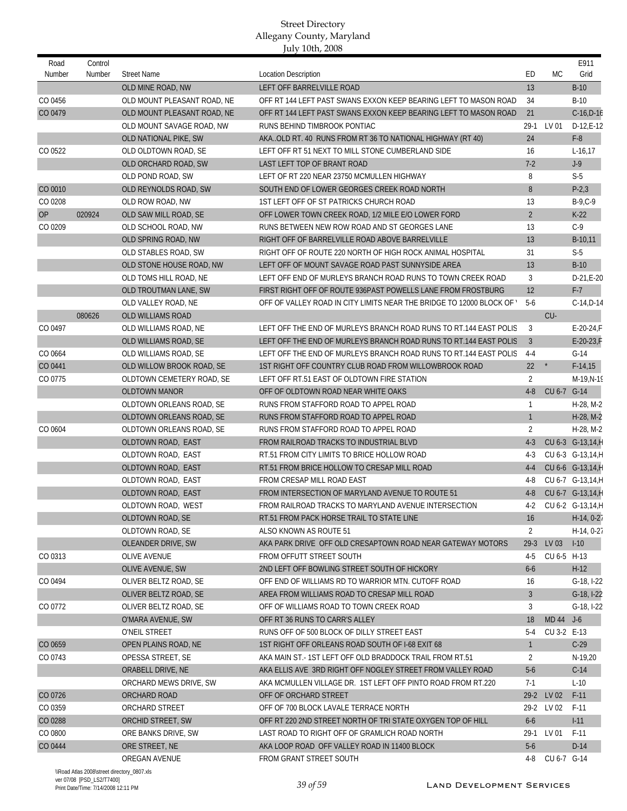| Road<br>Number | Control<br>Number | <b>Street Name</b>          | <b>Location Description</b>                                         | ED             | <b>MC</b>   | E911<br>Grid     |
|----------------|-------------------|-----------------------------|---------------------------------------------------------------------|----------------|-------------|------------------|
|                |                   | OLD MINE ROAD, NW           | LEFT OFF BARRELVILLE ROAD                                           | 13             |             | $B-10$           |
| CO 0456        |                   | OLD MOUNT PLEASANT ROAD, NE | OFF RT 144 LEFT PAST SWANS EXXON KEEP BEARING LEFT TO MASON ROAD    | 34             |             | $B-10$           |
| CO 0479        |                   | OLD MOUNT PLEASANT ROAD, NE | OFF RT 144 LEFT PAST SWANS EXXON KEEP BEARING LEFT TO MASON ROAD    | 21             |             | $C-16, D-16$     |
|                |                   | OLD MOUNT SAVAGE ROAD, NW   | RUNS BEHIND TIMBROOK PONTIAC                                        | $29-1$         | LV 01       | $D-12,E-12$      |
|                |                   | OLD NATIONAL PIKE, SW       | AKAOLD RT. 40 RUNS FROM RT 36 TO NATIONAL HIGHWAY (RT 40)           | 24             |             | $F-8$            |
| CO 0522        |                   | OLD OLDTOWN ROAD, SE        | LEFT OFF RT 51 NEXT TO MILL STONE CUMBERLAND SIDE                   | 16             |             | $L-16,17$        |
|                |                   | OLD ORCHARD ROAD, SW        | LAST LEFT TOP OF BRANT ROAD                                         | $7-2$          |             | $J-9$            |
|                |                   | OLD POND ROAD, SW           | LEFT OF RT 220 NEAR 23750 MCMULLEN HIGHWAY                          | 8              |             | $S-5$            |
| CO 0010        |                   | OLD REYNOLDS ROAD, SW       | SOUTH END OF LOWER GEORGES CREEK ROAD NORTH                         | 8              |             | $P-2,3$          |
| CO 0208        |                   | OLD ROW ROAD, NW            | 1ST LEFT OFF OF ST PATRICKS CHURCH ROAD                             | 13             |             | $B-9, C-9$       |
| OP             | 020924            | OLD SAW MILL ROAD, SE       | OFF LOWER TOWN CREEK ROAD, 1/2 MILE E/O LOWER FORD                  | $\overline{2}$ |             | $K-22$           |
| CO 0209        |                   | OLD SCHOOL ROAD, NW         | RUNS BETWEEN NEW ROW ROAD AND ST GEORGES LANE                       | 13             |             | $C-9$            |
|                |                   | OLD SPRING ROAD, NW         | RIGHT OFF OF BARRELVILLE ROAD ABOVE BARRELVILLE                     | 13             |             | B-10,11          |
|                |                   | OLD STABLES ROAD, SW        | RIGHT OFF OF ROUTE 220 NORTH OF HIGH ROCK ANIMAL HOSPITAL           | 31             |             | $S-5$            |
|                |                   | OLD STONE HOUSE ROAD, NW    | LEFT OFF OF MOUNT SAVAGE ROAD PAST SUNNYSIDE AREA                   | 13             |             | $B-10$           |
|                |                   | OLD TOMS HILL ROAD. NE      | LEFT OFF END OF MURLEYS BRANCH ROAD RUNS TO TOWN CREEK ROAD         | 3              |             | $D-21,E-20$      |
|                |                   | OLD TROUTMAN LANE, SW       | FIRST RIGHT OFF OF ROUTE 936PAST POWELLS LANE FROM FROSTBURG        | 12             |             | $F-7$            |
|                |                   | OLD VALLEY ROAD, NE         | OFF OF VALLEY ROAD IN CITY LIMITS NEAR THE BRIDGE TO 12000 BLOCK OF | $5-6$          |             | C-14, D-14       |
|                | 080626            | OLD WILLIAMS ROAD           |                                                                     |                | CU-         |                  |
| CO 0497        |                   | OLD WILLIAMS ROAD, NE       | LEFT OFF THE END OF MURLEYS BRANCH ROAD RUNS TO RT.144 EAST POLIS   | 3              |             | E-20-24,F        |
|                |                   | OLD WILLIAMS ROAD, SE       | LEFT OFF THE END OF MURLEYS BRANCH ROAD RUNS TO RT.144 EAST POLIS   | $\overline{3}$ |             | E-20-23,F        |
| CO 0664        |                   | OLD WILLIAMS ROAD, SE       | LEFT OFF THE END OF MURLEYS BRANCH ROAD RUNS TO RT.144 EAST POLIS   | $4 - 4$        |             | $G-14$           |
| CO 0441        |                   | OLD WILLOW BROOK ROAD, SE   | 1ST RIGHT OFF COUNTRY CLUB ROAD FROM WILLOWBROOK ROAD               | 22             | $^\star$    | $F-14,15$        |
| CO 0775        |                   | OLDTOWN CEMETERY ROAD, SE   | LEFT OFF RT.51 EAST OF OLDTOWN FIRE STATION                         | $\overline{2}$ |             | $M-19,N-19$      |
|                |                   | <b>OLDTOWN MANOR</b>        | OFF OF OLDTOWN ROAD NEAR WHITE OAKS                                 | $4 - 8$        | CU 6-7 G-14 |                  |
|                |                   | OLDTOWN ORLEANS ROAD, SE    | RUNS FROM STAFFORD ROAD TO APPEL ROAD                               | 1              |             | H-28, M-2        |
|                |                   | OLDTOWN ORLEANS ROAD, SE    | RUNS FROM STAFFORD ROAD TO APPEL ROAD                               | $\mathbf{1}$   |             | H-28, M-2        |
| CO 0604        |                   | OLDTOWN ORLEANS ROAD, SE    | RUNS FROM STAFFORD ROAD TO APPEL ROAD                               | 2              |             | H-28, M-2        |
|                |                   | OLDTOWN ROAD, EAST          | FROM RAILROAD TRACKS TO INDUSTRIAL BLVD                             | $4-3$          |             | CU 6-3 G-13,14,H |
|                |                   | OLDTOWN ROAD, EAST          | RT.51 FROM CITY LIMITS TO BRICE HOLLOW ROAD                         | $4-3$          |             | CU 6-3 G-13,14,H |
|                |                   | OLDTOWN ROAD, EAST          | RT.51 FROM BRICE HOLLOW TO CRESAP MILL ROAD                         | $4 - 4$        |             | CU 6-6 G-13,14,H |
|                |                   | OLDTOWN ROAD, EAST          | FROM CRESAP MILL ROAD EAST                                          | 4-8            |             | CU 6-7 G-13,14,H |
|                |                   | OLDTOWN ROAD, EAST          | FROM INTERSECTION OF MARYLAND AVENUE TO ROUTE 51                    | $4 - 8$        |             | CU 6-7 G-13,14,H |
|                |                   | OLDTOWN ROAD, WEST          | FROM RAILROAD TRACKS TO MARYLAND AVENUE INTERSECTION                | $4-2$          |             | CU 6-2 G-13,14,H |
|                |                   | OLDTOWN ROAD, SE            | RT.51 FROM PACK HORSE TRAIL TO STATE LINE                           | 16             |             | $H-14, 0-2$      |
|                |                   | OLDTOWN ROAD, SE            | ALSO KNOWN AS ROUTE 51                                              | 2              |             | $H-14, 0-27$     |
|                |                   | OLEANDER DRIVE, SW          | AKA PARK DRIVE OFF OLD CRESAPTOWN ROAD NEAR GATEWAY MOTORS          | $29-3$         | LV 03       | $I-10$           |
| CO 0313        |                   | <b>OLIVE AVENUE</b>         | FROM OFFUTT STREET SOUTH                                            | $4 - 5$        | CU 6-5 H-13 |                  |
|                |                   | OLIVE AVENUE, SW            | 2ND LEFT OFF BOWLING STREET SOUTH OF HICKORY                        | $6-6$          |             | $H-12$           |
| CO 0494        |                   | OLIVER BELTZ ROAD, SE       | OFF END OF WILLIAMS RD TO WARRIOR MTN. CUTOFF ROAD                  | 16             |             | $G-18, I-22$     |
|                |                   | OLIVER BELTZ ROAD, SE       | AREA FROM WILLIAMS ROAD TO CRESAP MILL ROAD                         | $\overline{3}$ |             | G-18, I-22       |
| CO 0772        |                   | OLIVER BELTZ ROAD, SE       | OFF OF WILLIAMS ROAD TO TOWN CREEK ROAD                             | 3              |             | $G-18, I-22$     |
|                |                   | O'MARA AVENUE, SW           | OFF RT 36 RUNS TO CARR'S ALLEY                                      | 18             | MD 44 J-6   |                  |
|                |                   | O'NEIL STREET               | RUNS OFF OF 500 BLOCK OF DILLY STREET EAST                          | $5-4$          | CU 3-2 E-13 |                  |
| CO 0659        |                   | OPEN PLAINS ROAD, NE        | 1ST RIGHT OFF ORLEANS ROAD SOUTH OF I-68 EXIT 68                    | $\mathbf{1}$   |             | $C-29$           |
| CO 0743        |                   | OPESSA STREET, SE           | AKA MAIN ST. - 1ST LEFT OFF OLD BRADDOCK TRAIL FROM RT.51           | 2              |             | N-19,20          |
|                |                   | ORABELL DRIVE, NE           | AKA ELLIS AVE 3RD RIGHT OFF NOGLEY STREET FROM VALLEY ROAD          | $5-6$          |             | $C-14$           |
|                |                   | ORCHARD MEWS DRIVE, SW      | AKA MCMULLEN VILLAGE DR. 1ST LEFT OFF PINTO ROAD FROM RT.220        | $7-1$          |             | $L-10$           |
| CO 0726        |                   | ORCHARD ROAD                | OFF OF ORCHARD STREET                                               |                | 29-2 LV 02  | $F-11$           |
| CO 0359        |                   | ORCHARD STREET              | OFF OF 700 BLOCK LAVALE TERRACE NORTH                               |                | 29-2 LV 02  | F-11             |
| CO 0288        |                   | ORCHID STREET, SW           | OFF RT 220 2ND STREET NORTH OF TRI STATE OXYGEN TOP OF HILL         | $6-6$          |             | $1-11$           |
| CO 0800        |                   | ORE BANKS DRIVE, SW         | LAST ROAD TO RIGHT OFF OF GRAMLICH ROAD NORTH                       | $29-1$         | LV 01       | $F-11$           |
| CO 0444        |                   | ORE STREET, NE              | AKA LOOP ROAD OFF VALLEY ROAD IN 11400 BLOCK                        | $5-6$          |             | $D-14$           |
|                |                   | OREGAN AVENUE               | FROM GRANT STREET SOUTH                                             | 4-8            | CU 6-7 G-14 |                  |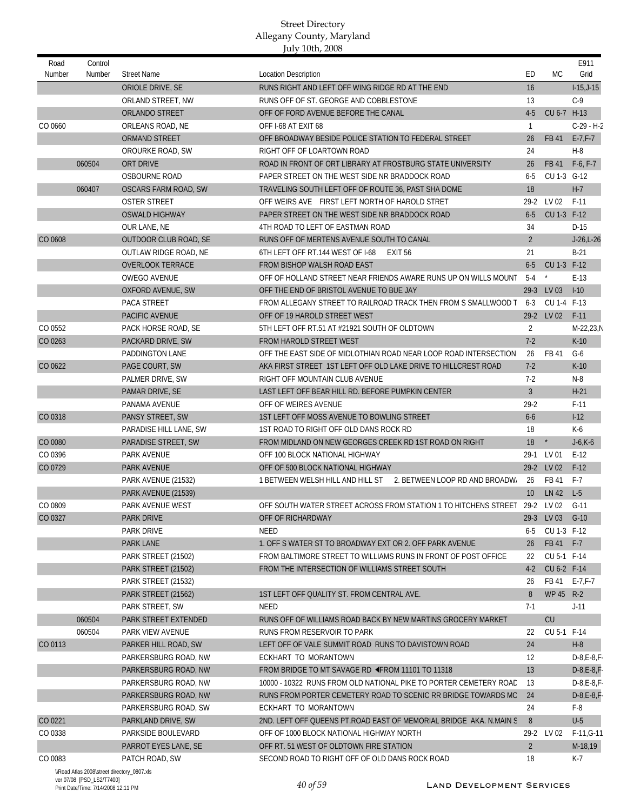| Road<br>Number | Control<br>Number                           | <b>Street Name</b>      | <b>Location Description</b>                                                                                                   | ED              | МC          | E911<br>Grid   |
|----------------|---------------------------------------------|-------------------------|-------------------------------------------------------------------------------------------------------------------------------|-----------------|-------------|----------------|
|                |                                             | ORIOLE DRIVE, SE        | RUNS RIGHT AND LEFT OFF WING RIDGE RD AT THE END                                                                              | 16              |             | $1-15, J-15$   |
|                |                                             | ORLAND STREET, NW       | RUNS OFF OF ST. GEORGE AND COBBLESTONE                                                                                        | 13              |             | $C-9$          |
|                |                                             | <b>ORLANDO STREET</b>   | OFF OF FORD AVENUE BEFORE THE CANAL                                                                                           | $4-5$           | CU 6-7 H-13 |                |
| CO 0660        |                                             | ORLEANS ROAD, NE        | OFF I-68 AT EXIT 68                                                                                                           | $\mathbf{1}$    |             | $C-29 - H-2$   |
|                |                                             | <b>ORMAND STREET</b>    | OFF BROADWAY BESIDE POLICE STATION TO FEDERAL STREET                                                                          | 26              | <b>FB41</b> | $E - 7, F - 7$ |
|                |                                             | OROURKE ROAD, SW        | RIGHT OFF OF LOARTOWN ROAD                                                                                                    | 24              |             | $H-8$          |
|                | 060504                                      | ORT DRIVE               | ROAD IN FRONT OF ORT LIBRARY AT FROSTBURG STATE UNIVERSITY                                                                    | 26              | FB 41       | $F-6, F-7$     |
|                |                                             | <b>OSBOURNE ROAD</b>    | PAPER STREET ON THE WEST SIDE NR BRADDOCK ROAD                                                                                | $6 - 5$         | CU 1-3 G-12 |                |
|                | 060407                                      | OSCARS FARM ROAD, SW    | TRAVELING SOUTH LEFT OFF OF ROUTE 36, PAST SHA DOME                                                                           | 18              |             | $H-7$          |
|                |                                             | <b>OSTER STREET</b>     | OFF WEIRS AVE FIRST LEFT NORTH OF HAROLD STRET                                                                                | $29-2$          | LV 02       | $F-11$         |
|                |                                             | <b>OSWALD HIGHWAY</b>   | PAPER STREET ON THE WEST SIDE NR BRADDOCK ROAD                                                                                | $6 - 5$         | CU 1-3 F-12 |                |
|                |                                             | OUR LANE, NE            | 4TH ROAD TO LEFT OF EASTMAN ROAD                                                                                              | 34              |             | $D-15$         |
| CO 0608        |                                             | OUTDOOR CLUB ROAD, SE   | RUNS OFF OF MERTENS AVENUE SOUTH TO CANAL                                                                                     | $\overline{2}$  |             | $J-26,L-26$    |
|                |                                             | OUTLAW RIDGE ROAD, NE   | 6TH LEFT OFF RT.144 WEST OF I-68<br>EXIT <sub>56</sub>                                                                        | 21              |             | $B-21$         |
|                |                                             | <b>OVERLOOK TERRACE</b> | FROM BISHOP WALSH ROAD EAST                                                                                                   | $6 - 5$         | CU 1-3 F-12 |                |
|                |                                             | <b>OWEGO AVENUE</b>     | OFF OF HOLLAND STREET NEAR FRIENDS AWARE RUNS UP ON WILLS MOUNT                                                               | $5-4$           | $^\star$    | $E-13$         |
|                |                                             | OXFORD AVENUE, SW       | OFF THE END OF BRISTOL AVENUE TO BUE JAY                                                                                      | $29-3$          | LV 03       | $I-10$         |
|                |                                             | <b>PACA STREET</b>      | FROM ALLEGANY STREET TO RAILROAD TRACK THEN FROM S SMALLWOOD T                                                                | $6 - 3$         | CU 1-4 F-13 |                |
|                |                                             | PACIFIC AVENUE          | OFF OF 19 HAROLD STREET WEST                                                                                                  |                 | 29-2 LV 02  | $F-11$         |
| CO 0552        |                                             | PACK HORSE ROAD, SE     | 5TH LEFT OFF RT.51 AT #21921 SOUTH OF OLDTOWN                                                                                 | $\overline{2}$  |             | M-22.23.N      |
| CO 0263        |                                             | PACKARD DRIVE, SW       | FROM HAROLD STREET WEST                                                                                                       | $7-2$           |             | $K-10$         |
|                |                                             | PADDINGTON LANE         | OFF THE EAST SIDE OF MIDLOTHIAN ROAD NEAR LOOP ROAD INTERSECTION                                                              | 26              | FB 41       | $G-6$          |
| CO 0622        |                                             | PAGE COURT, SW          | AKA FIRST STREET 1ST LEFT OFF OLD LAKE DRIVE TO HILLCREST ROAD                                                                | $7-2$           |             | $K-10$         |
|                |                                             | PALMER DRIVE, SW        | RIGHT OFF MOUNTAIN CLUB AVENUE                                                                                                | $7-2$           |             | N-8            |
|                |                                             | PAMAR DRIVE, SE         | LAST LEFT OFF BEAR HILL RD. BEFORE PUMPKIN CENTER                                                                             | $\overline{3}$  |             | $H-21$         |
|                |                                             | PANAMA AVENUE           | OFF OF WEIRES AVENUE                                                                                                          | $29-2$          |             | $F-11$         |
| CO 0318        |                                             | PANSY STREET, SW        | 1ST LEFT OFF MOSS AVENUE TO BOWLING STREET                                                                                    | $6-6$           |             | $I-12$         |
|                |                                             | PARADISE HILL LANE, SW  | 1ST ROAD TO RIGHT OFF OLD DANS ROCK RD                                                                                        | 18              |             | $K-6$          |
| CO 0080        |                                             | PARADISE STREET, SW     | FROM MIDLAND ON NEW GEORGES CREEK RD 1ST ROAD ON RIGHT                                                                        | 18              | $^\star$    | $J-6, K-6$     |
| CO 0396        |                                             | PARK AVENUE             | OFF 100 BLOCK NATIONAL HIGHWAY                                                                                                |                 | 29-1 LV 01  | $E-12$         |
| CO 0729        |                                             | <b>PARK AVENUE</b>      | OFF OF 500 BLOCK NATIONAL HIGHWAY                                                                                             |                 | 29-2 LV 02  | $F-12$         |
|                |                                             | PARK AVENUE (21532)     | 1 BETWEEN WELSH HILL AND HILL ST<br>2. BETWEEN LOOP RD AND BROADW.                                                            | 26              | FB 41       | $F-7$          |
|                |                                             | PARK AVENUE (21539)     |                                                                                                                               | 10 <sup>°</sup> | LN 42       | $L-5$          |
| CO 0809        |                                             | PARK AVENUE WEST        | OFF SOUTH WATER STREET ACROSS FROM STATION 1 TO HITCHENS STREET 29-2 LV 02                                                    |                 |             | $G-11$         |
| CO 0327        |                                             | PARK DRIVE              | OFF OF RICHARDWAY                                                                                                             |                 | 29-3 LV 03  | $G-10$         |
|                |                                             | PARK DRIVE              | NEED                                                                                                                          | 6-5             | CU 1-3 F-12 |                |
|                |                                             | PARK LANE               | 1. OFF S WATER ST TO BROADWAY EXT OR 2. OFF PARK AVENUE                                                                       | 26              | FB 41       | $F-7$          |
|                |                                             | PARK STREET (21502)     | FROM BALTIMORE STREET TO WILLIAMS RUNS IN FRONT OF POST OFFICE                                                                | 22              | CU 5-1 F-14 |                |
|                |                                             | PARK STREET (21502)     | FROM THE INTERSECTION OF WILLIAMS STREET SOUTH                                                                                | $4-2$           | CU 6-2 F-14 |                |
|                |                                             | PARK STREET (21532)     |                                                                                                                               | 26              |             | FB 41 E-7.F-7  |
|                |                                             | PARK STREET (21562)     | 1ST LEFT OFF QUALITY ST. FROM CENTRAL AVE.                                                                                    | 8               | WP 45 R-2   |                |
|                |                                             | PARK STREET, SW         | <b>NEED</b>                                                                                                                   | $7-1$           |             | $J-11$         |
|                | 060504                                      | PARK STREET EXTENDED    | RUNS OFF OF WILLIAMS ROAD BACK BY NEW MARTINS GROCERY MARKET                                                                  |                 | CU          |                |
|                | 060504                                      | PARK VIEW AVENUE        | RUNS FROM RESERVOIR TO PARK                                                                                                   | 22              | CU 5-1 F-14 |                |
| CO 0113        |                                             | PARKER HILL ROAD, SW    | LEFT OFF OF VALE SUMMIT ROAD RUNS TO DAVISTOWN ROAD                                                                           | 24              |             | $H-8$          |
|                |                                             | PARKERSBURG ROAD, NW    | ECKHART TO MORANTOWN                                                                                                          | 12              |             | $D-8, E-8, F$  |
|                |                                             | PARKERSBURG ROAD, NW    | FROM BRIDGE TO MT SAVAGE RD <from 11101="" 11318<="" td="" to=""><td>13</td><td></td><td><math>D-8, E-8, F</math></td></from> | 13              |             | $D-8, E-8, F$  |
|                |                                             | PARKERSBURG ROAD, NW    | 10000 - 10322 RUNS FROM OLD NATIONAL PIKE TO PORTER CEMETERY ROAD                                                             | 13              |             | $D-8, E-8, F-$ |
|                |                                             | PARKERSBURG ROAD, NW    | RUNS FROM PORTER CEMETERY ROAD TO SCENIC RR BRIDGE TOWARDS MO                                                                 | 24              |             | $D-8, E-8, F-$ |
|                |                                             | PARKERSBURG ROAD, SW    | ECKHART TO MORANTOWN                                                                                                          | 24              |             | $F-8$          |
| CO 0221        |                                             | PARKLAND DRIVE, SW      | 2ND. LEFT OFF QUEENS PT.ROAD EAST OF MEMORIAL BRIDGE AKA. N.MAIN S                                                            | 8               |             | $U-5$          |
| CO 0338        |                                             | PARKSIDE BOULEVARD      | OFF OF 1000 BLOCK NATIONAL HIGHWAY NORTH                                                                                      | $29-2$          | LV 02       | $F-11, G-11$   |
|                |                                             | PARROT EYES LANE, SE    | OFF RT. 51 WEST OF OLDTOWN FIRE STATION                                                                                       | $\overline{2}$  |             | M-18,19        |
| CO 0083        |                                             | PATCH ROAD, SW          | SECOND ROAD TO RIGHT OFF OF OLD DANS ROCK ROAD                                                                                | 18              |             | K-7            |
|                | \\Road Atlas 2008\street directory_0807.xls |                         |                                                                                                                               |                 |             |                |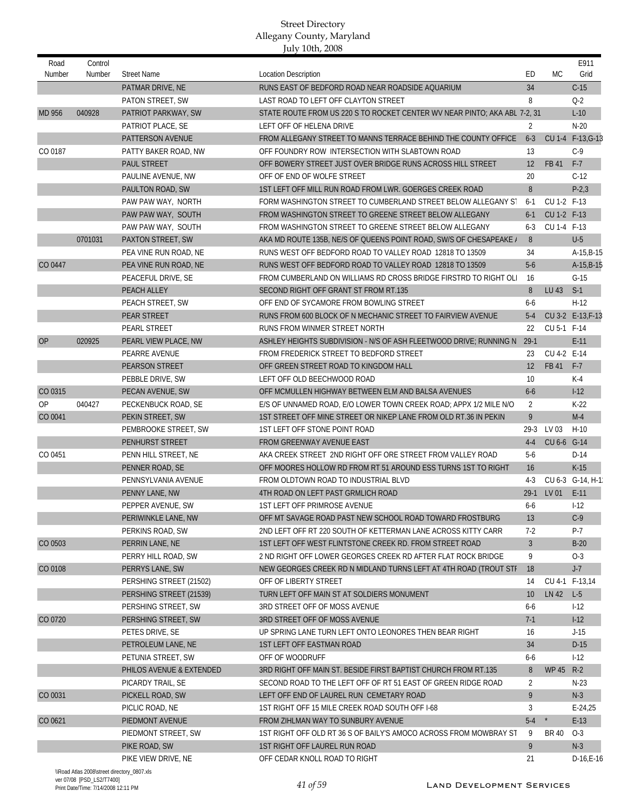| Road      | Control |                          |                                                                           |                |               | E911              |
|-----------|---------|--------------------------|---------------------------------------------------------------------------|----------------|---------------|-------------------|
| Number    | Number  | <b>Street Name</b>       | <b>Location Description</b>                                               | ED             | <b>MC</b>     | Grid              |
|           |         | PATMAR DRIVE, NE         | RUNS EAST OF BEDFORD ROAD NEAR ROADSIDE AQUARIUM                          | 34             |               | $C-15$            |
|           |         | PATON STREET, SW         | LAST ROAD TO LEFT OFF CLAYTON STREET                                      | 8              |               | $Q-2$             |
| MD 956    | 040928  | PATRIOT PARKWAY, SW      | STATE ROUTE FROM US 220 S TO ROCKET CENTER WV NEAR PINTO; AKA ABL 7-2, 31 |                |               | $L-10$            |
|           |         | PATRIOT PLACE, SE        | LEFT OFF OF HELENA DRIVE                                                  | 2              |               | $N-20$            |
|           |         | PATTERSON AVENUE         | FROM ALLEGANY STREET TO MANNS TERRACE BEHIND THE COUNTY OFFICE            | $6 - 3$        |               | CU 1-4 F-13, G-13 |
| CO 0187   |         | PATTY BAKER ROAD, NW     | OFF FOUNDRY ROW INTERSECTION WITH SLABTOWN ROAD                           | 13             |               | $C-9$             |
|           |         | <b>PAUL STREET</b>       | OFF BOWERY STREET JUST OVER BRIDGE RUNS ACROSS HILL STREET                | 12             | FB 41         | $F-7$             |
|           |         | PAULINE AVENUE, NW       | OFF OF END OF WOLFE STREET                                                | 20             |               | $C-12$            |
|           |         | PAULTON ROAD, SW         | 1ST LEFT OFF MILL RUN ROAD FROM LWR. GOERGES CREEK ROAD                   | 8              |               | $P-2,3$           |
|           |         | PAW PAW WAY, NORTH       | FORM WASHINGTON STREET TO CUMBERLAND STREET BELOW ALLEGANY ST             | $6-1$          | CU 1-2 F-13   |                   |
|           |         | PAW PAW WAY, SOUTH       | FROM WASHINGTON STREET TO GREENE STREET BELOW ALLEGANY                    | $6-1$          | CU 1-2 F-13   |                   |
|           |         | PAW PAW WAY, SOUTH       | FROM WASHINGTON STREET TO GREENE STREET BELOW ALLEGANY                    | $6 - 3$        | CU 1-4 F-13   |                   |
|           | 0701031 | PAXTON STREET, SW        | AKA MD ROUTE 135B, NE/S OF QUEENS POINT ROAD, SW/S OF CHESAPEAKE /        | 8              |               | $U-5$             |
|           |         | PEA VINE RUN ROAD, NE    | RUNS WEST OFF BEDFORD ROAD TO VALLEY ROAD 12818 TO 13509                  | 34             |               | $A-15,B-15$       |
| CO 0447   |         | PEA VINE RUN ROAD, NE    | RUNS WEST OFF BEDFORD ROAD TO VALLEY ROAD 12818 TO 13509                  | $5-6$          |               | A-15.B-15         |
|           |         | PEACEFUL DRIVE, SE       | FROM CUMBERLAND ON WILLIAMS RD CROSS BRIDGE FIRSTRD TO RIGHT OL           | 16             |               | $G-15$            |
|           |         | PEACH ALLEY              | SECOND RIGHT OFF GRANT ST FROM RT.135                                     | 8              | LU 43         | $S-1$             |
|           |         | PEACH STREET, SW         | OFF END OF SYCAMORE FROM BOWLING STREET                                   | 6-6            |               | $H-12$            |
|           |         | PEAR STREET              | RUNS FROM 600 BLOCK OF N MECHANIC STREET TO FAIRVIEW AVENUE               | $5-4$          |               | CU 3-2 E-13, F-13 |
|           |         | PEARL STREET             | RUNS FROM WINMER STREET NORTH                                             | 22             | CU 5-1 F-14   |                   |
| <b>OP</b> | 020925  | PEARL VIEW PLACE, NW     | ASHLEY HEIGHTS SUBDIVISION - N/S OF ASH FLEETWOOD DRIVE; RUNNING N        | $29-1$         |               | $E-11$            |
|           |         | PEARRE AVENUE            | FROM FREDERICK STREET TO BEDFORD STREET                                   | 23             | CU 4-2 E-14   |                   |
|           |         | <b>PEARSON STREET</b>    | OFF GREEN STREET ROAD TO KINGDOM HALL                                     | 12             | FB 41         | $F-7$             |
|           |         | PEBBLE DRIVE, SW         | LEFT OFF OLD BEECHWOOD ROAD                                               | 10             |               | $K-4$             |
| CO 0315   |         | PECAN AVENUE, SW         | OFF MCMULLEN HIGHWAY BETWEEN ELM AND BALSA AVENUES                        | $6-6$          |               | $I-12$            |
| 0P        | 040427  | PECKENBUCK ROAD, SE      | E/S OF UNNAMED ROAD, E/O LOWER TOWN CREEK ROAD; APPX 1/2 MILE N/O         | $\overline{2}$ |               | $K-22$            |
| CO 0041   |         | PEKIN STREET, SW         | 1ST STREET OFF MINE STREET OR NIKEP LANE FROM OLD RT.36 IN PEKIN          | 9              |               | $M-4$             |
|           |         | PEMBROOKE STREET, SW     | 1ST LEFT OFF STONE POINT ROAD                                             | $29-3$         | LV 03         | $H-10$            |
|           |         | PENHURST STREET          | FROM GREENWAY AVENUE EAST                                                 | $4 - 4$        | CU 6-6 G-14   |                   |
| CO 0451   |         | PENN HILL STREET, NE     | AKA CREEK STREET 2ND RIGHT OFF ORE STREET FROM VALLEY ROAD                | $5-6$          |               | $D-14$            |
|           |         | PENNER ROAD, SE          | OFF MOORES HOLLOW RD FROM RT 51 AROUND ESS TURNS 1ST TO RIGHT             | 16             |               | $K-15$            |
|           |         | PENNSYLVANIA AVENUE      | FROM OLDTOWN ROAD TO INDUSTRIAL BLVD                                      | 4-3            |               | CU 6-3 G-14, H-1  |
|           |         | PENNY LANE, NW           | 4TH ROAD ON LEFT PAST GRMLICH ROAD                                        | $29-1$         | LV 01         | $E-11$            |
|           |         | PEPPER AVENUE, SW        | 1ST LEFT OFF PRIMROSE AVENUE                                              | $6-6$          |               | $1-12$            |
|           |         | PERIWINKLE LANE, NW      | OFF MT SAVAGE ROAD PAST NEW SCHOOL ROAD TOWARD FROSTBURG                  | 13             |               | $C-9$             |
|           |         | PERKINS ROAD, SW         | 2ND LEFT OFF RT 220 SOUTH OF KETTERMAN LANE ACROSS KITTY CARR             | $7-2$          |               | $P-7$             |
| CO 0503   |         | PERRIN LANE, NE          | 1ST LEFT OFF WEST FLINTSTONE CREEK RD. FROM STREET ROAD                   | $\overline{3}$ |               | $B-20$            |
|           |         | PERRY HILL ROAD, SW      | 2 ND RIGHT OFF LOWER GEORGES CREEK RD AFTER FLAT ROCK BRIDGE              | 9              |               | $O-3$             |
| CO 0108   |         | PERRYS LANE, SW          | NEW GEORGES CREEK RD N MIDLAND TURNS LEFT AT 4TH ROAD (TROUT STI          | 18             |               | $J-7$             |
|           |         | PERSHING STREET (21502)  | OFF OF LIBERTY STREET                                                     | 14             |               | CU 4-1 F-13,14    |
|           |         | PERSHING STREET (21539)  | TURN LEFT OFF MAIN ST AT SOLDIERS MONUMENT                                | 10             | $LN 42$ $L-5$ |                   |
|           |         | PERSHING STREET, SW      | 3RD STREET OFF OF MOSS AVENUE                                             | 6-6            |               | $1-12$            |
| CO 0720   |         | PERSHING STREET, SW      | 3RD STREET OFF OF MOSS AVENUE                                             | $7-1$          |               | $I-12$            |
|           |         | PETES DRIVE, SE          | UP SPRING LANE TURN LEFT ONTO LEONORES THEN BEAR RIGHT                    | 16             |               | $J-15$            |
|           |         | PETROLEUM LANE, NE       | 1ST LEFT OFF EASTMAN ROAD                                                 | 34             |               | $D-15$            |
|           |         | PETUNIA STREET, SW       | OFF OF WOODRUFF                                                           | 6-6            |               | $1-12$            |
|           |         | PHILOS AVENUE & EXTENDED | 3RD RIGHT OFF MAIN ST. BESIDE FIRST BAPTIST CHURCH FROM RT.135            | 8              | <b>WP 45</b>  | $R-2$             |
|           |         | PICARDY TRAIL, SE        | SECOND ROAD TO THE LEFT OFF OF RT 51 EAST OF GREEN RIDGE ROAD             | 2              |               | $N-23$            |
| CO 0031   |         | PICKELL ROAD, SW         | LEFT OFF END OF LAUREL RUN CEMETARY ROAD                                  | 9              |               | $N-3$             |
|           |         | PICLIC ROAD, NE          | 1ST RIGHT OFF 15 MILE CREEK ROAD SOUTH OFF I-68                           | 3              |               | $E-24,25$         |
| CO 0621   |         | PIEDMONT AVENUE          | FROM ZIHLMAN WAY TO SUNBURY AVENUE                                        | $5-4$          |               | $E-13$            |
|           |         | PIEDMONT STREET, SW      | 1ST RIGHT OFF OLD RT 36 S OF BAILY'S AMOCO ACROSS FROM MOWBRAY ST         | 9              | BR 40         | $O-3$             |
|           |         | PIKE ROAD, SW            | 1ST RIGHT OFF LAUREL RUN ROAD                                             | 9              |               | $N-3$             |
|           |         | PIKE VIEW DRIVE, NE      | OFF CEDAR KNOLL ROAD TO RIGHT                                             | 21             |               | $D-16, E-16$      |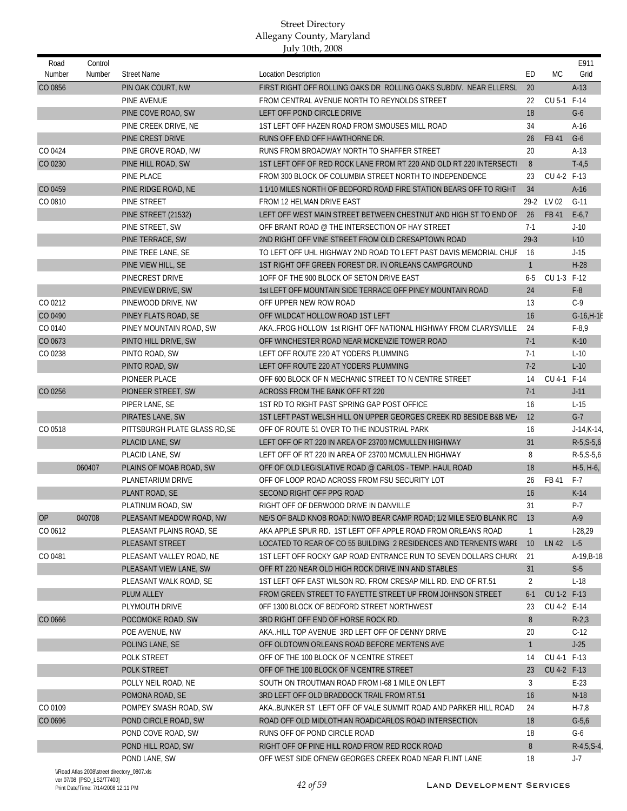| Road<br>Number | Control<br>Number | <b>Street Name</b>                       | <b>Location Description</b>                                                                   | ED              | <b>MC</b>   | E911<br>Grid    |
|----------------|-------------------|------------------------------------------|-----------------------------------------------------------------------------------------------|-----------------|-------------|-----------------|
|                |                   |                                          |                                                                                               |                 |             |                 |
| CO 0856        |                   | PIN OAK COURT, NW                        | FIRST RIGHT OFF ROLLING OAKS DR ROLLING OAKS SUBDIV. NEAR ELLERSL                             | 20              |             | $A-13$          |
|                |                   | PINE AVENUE                              | FROM CENTRAL AVENUE NORTH TO REYNOLDS STREET                                                  | 22              | CU 5-1 F-14 | $G-6$           |
|                |                   | PINE COVE ROAD, SW                       | LEFT OFF POND CIRCLE DRIVE                                                                    | 18<br>34        |             |                 |
|                |                   | PINE CREEK DRIVE, NE<br>PINE CREST DRIVE | 1ST LEFT OFF HAZEN ROAD FROM SMOUSES MILL ROAD<br>RUNS OFF END OFF HAWTHORNE DR.              |                 | FB 41       | $A-16$<br>$G-6$ |
| CO 0424        |                   | PINE GROVE ROAD, NW                      | RUNS FROM BROADWAY NORTH TO SHAFFER STREET                                                    | 26<br>20        |             | $A-13$          |
| CO 0230        |                   | PINE HILL ROAD, SW                       | 1ST LEFT OFF OF RED ROCK LANE FROM RT 220 AND OLD RT 220 INTERSECTI                           | 8               |             | $T-4,5$         |
|                |                   | PINE PLACE                               | FROM 300 BLOCK OF COLUMBIA STREET NORTH TO INDEPENDENCE                                       | 23              | CU 4-2 F-13 |                 |
| CO 0459        |                   | PINE RIDGE ROAD, NE                      | 1 1/10 MILES NORTH OF BEDFORD ROAD FIRE STATION BEARS OFF TO RIGHT                            | 34              |             | $A-16$          |
| CO 0810        |                   | PINE STREET                              |                                                                                               | $29-2$          | LV 02       | $G-11$          |
|                |                   | PINE STREET (21532)                      | FROM 12 HELMAN DRIVE EAST<br>LEFT OFF WEST MAIN STREET BETWEEN CHESTNUT AND HIGH ST TO END OF | 26              | FB 41       | $E-6,7$         |
|                |                   |                                          |                                                                                               |                 |             |                 |
|                |                   | PINE STREET, SW                          | OFF BRANT ROAD @ THE INTERSECTION OF HAY STREET                                               | $7-1$           |             | $J-10$          |
|                |                   | PINE TERRACE, SW                         | 2ND RIGHT OFF VINE STREET FROM OLD CRESAPTOWN ROAD                                            | $29-3$          |             | $I-10$          |
|                |                   | PINE TREE LANE, SE                       | TO LEFT OFF UHL HIGHWAY 2ND ROAD TO LEFT PAST DAVIS MEMORIAL CHUI                             | 16              |             | $J-15$          |
|                |                   | PINE VIEW HILL, SE                       | 1ST RIGHT OFF GREEN FOREST DR. IN ORLEANS CAMPGROUND                                          | $\mathbf{1}$    |             | $H-28$          |
|                |                   | PINECREST DRIVE                          | 10FF OF THE 900 BLOCK OF SETON DRIVE EAST                                                     | $6 - 5$         | CU 1-3 F-12 |                 |
|                |                   | PINEVIEW DRIVE, SW                       | 1st LEFT OFF MOUNTAIN SIDE TERRACE OFF PINEY MOUNTAIN ROAD                                    | 24              |             | $F-8$           |
| CO 0212        |                   | PINEWOOD DRIVE, NW                       | OFF UPPER NEW ROW ROAD                                                                        | 13              |             | $C-9$           |
| CO 0490        |                   | PINEY FLATS ROAD, SE                     | OFF WILDCAT HOLLOW ROAD 1ST LEFT                                                              | 16              |             | $G-16, H-16$    |
| CO 0140        |                   | PINEY MOUNTAIN ROAD, SW                  | AKAFROG HOLLOW 1st RIGHT OFF NATIONAL HIGHWAY FROM CLARYSVILLE                                | 24              |             | $F-8,9$         |
| CO 0673        |                   | PINTO HILL DRIVE, SW                     | OFF WINCHESTER ROAD NEAR MCKENZIE TOWER ROAD                                                  | $7-1$           |             | $K-10$          |
| CO 0238        |                   | PINTO ROAD, SW                           | LEFT OFF ROUTE 220 AT YODERS PLUMMING                                                         | $7-1$           |             | $L-10$          |
|                |                   | PINTO ROAD, SW                           | LEFT OFF ROUTE 220 AT YODERS PLUMMING                                                         | $7-2$           |             | $L-10$          |
|                |                   | PIONEER PLACE                            | OFF 600 BLOCK OF N MECHANIC STREET TO N CENTRE STREET                                         | 14              | CU 4-1 F-14 |                 |
| CO 0256        |                   | PIONEER STREET, SW                       | ACROSS FROM THE BANK OFF RT 220                                                               | $7-1$           |             | $J-11$          |
|                |                   | PIPER LANE, SE                           | 1ST RD TO RIGHT PAST SPRING GAP POST OFFICE                                                   | 16              |             | $L-15$          |
|                |                   | PIRATES LANE, SW                         | 1ST LEFT PAST WELSH HILL ON UPPER GEORGES CREEK RD BESIDE B&B ME.                             | 12              |             | $G-7$           |
| CO 0518        |                   | PITTSBURGH PLATE GLASS RD, SE            | OFF OF ROUTE 51 OVER TO THE INDUSTRIAL PARK                                                   | 16              |             | $J-14$ , K-14   |
|                |                   | PLACID LANE, SW                          | LEFT OFF OF RT 220 IN AREA OF 23700 MCMULLEN HIGHWAY                                          | 31              |             | $R-5, S-5, 6$   |
|                |                   | PLACID LANE, SW                          | LEFT OFF OF RT 220 IN AREA OF 23700 MCMULLEN HIGHWAY                                          | 8               |             | $R-5, S-5, 6$   |
|                | 060407            | PLAINS OF MOAB ROAD, SW                  | OFF OF OLD LEGISLATIVE ROAD @ CARLOS - TEMP. HAUL ROAD                                        | 18              |             | H-5, H-6,       |
|                |                   | PLANETARIUM DRIVE                        | OFF OF LOOP ROAD ACROSS FROM FSU SECURITY LOT                                                 | 26              | FB 41       | $F-7$           |
|                |                   | PLANT ROAD, SE                           | SECOND RIGHT OFF PPG ROAD                                                                     | 16              |             | $K-14$          |
|                |                   | PLATINUM ROAD, SW                        | RIGHT OFF OF DERWOOD DRIVE IN DANVILLE                                                        | 31              |             | $P-7$           |
| OP             | 040708            | PLEASANT MEADOW ROAD, NW                 | NE/S OF BALD KNOB ROAD; NW/O BEAR CAMP ROAD; 1/2 MILE SE/O BLANK RO                           | -13             |             | $A-9$           |
| CO 0612        |                   | PLEASANT PLAINS ROAD, SE                 | AKA APPLE SPUR RD. 1ST LEFT OFF APPLE ROAD FROM ORLEANS ROAD                                  | $\mathbf{1}$    |             | $1-28,29$       |
|                |                   | PLEASANT STREET                          | LOCATED TO REAR OF CO 55 BUILDING 2 RESIDENCES AND TERNENTS WARI                              | 10 <sup>°</sup> | LN 42       | $L-5$           |
| CO 0481        |                   | PLEASANT VALLEY ROAD, NE                 | 1ST LEFT OFF ROCKY GAP ROAD ENTRANCE RUN TO SEVEN DOLLARS CHUR(                               | 21              |             | A-19, B-18      |
|                |                   | PLEASANT VIEW LANE, SW                   | OFF RT 220 NEAR OLD HIGH ROCK DRIVE INN AND STABLES                                           | 31              |             | $S-5$           |
|                |                   | PLEASANT WALK ROAD, SE                   | 1ST LEFT OFF EAST WILSON RD. FROM CRESAP MILL RD. END OF RT.51                                | $\overline{2}$  |             | $L-18$          |
|                |                   | PLUM ALLEY                               | FROM GREEN STREET TO FAYETTE STREET UP FROM JOHNSON STREET                                    | $6-1$           | CU 1-2 F-13 |                 |
|                |                   | PLYMOUTH DRIVE                           | OFF 1300 BLOCK OF BEDFORD STREET NORTHWEST                                                    | 23              | CU 4-2 E-14 |                 |
| CO 0666        |                   | POCOMOKE ROAD, SW                        | 3RD RIGHT OFF END OF HORSE ROCK RD.                                                           | 8               |             | $R-2,3$         |
|                |                   | POE AVENUE, NW                           | AKAHILL TOP AVENUE 3RD LEFT OFF OF DENNY DRIVE                                                | 20              |             | $C-12$          |
|                |                   | POLING LANE, SE                          | OFF OLDTOWN ORLEANS ROAD BEFORE MERTENS AVE                                                   | $\mathbf{1}$    |             | $J-25$          |
|                |                   | POLK STREET                              | OFF OF THE 100 BLOCK OF N CENTRE STREET                                                       | 14              | CU 4-1 F-13 |                 |
|                |                   | POLK STREET                              | OFF OF THE 100 BLOCK OF N CENTRE STREET                                                       | 23              | CU 4-2 F-13 |                 |
|                |                   | POLLY NEIL ROAD, NE                      | SOUTH ON TROUTMAN ROAD FROM 1-68 1 MILE ON LEFT                                               | 3               |             | $E-23$          |
|                |                   | POMONA ROAD, SE                          | 3RD LEFT OFF OLD BRADDOCK TRAIL FROM RT.51                                                    | 16              |             | $N-18$          |
| CO 0109        |                   | POMPEY SMASH ROAD, SW                    | AKABUNKER ST LEFT OFF OF VALE SUMMIT ROAD AND PARKER HILL ROAD                                | 24              |             | $H - 7,8$       |
| CO 0696        |                   | POND CIRCLE ROAD, SW                     | ROAD OFF OLD MIDLOTHIAN ROAD/CARLOS ROAD INTERSECTION                                         | 18              |             | $G-5,6$         |
|                |                   | POND COVE ROAD, SW                       | RUNS OFF OF POND CIRCLE ROAD                                                                  | 18              |             | $G-6$           |
|                |                   | POND HILL ROAD, SW                       | RIGHT OFF OF PINE HILL ROAD FROM RED ROCK ROAD                                                | 8               |             | $R-4, 5, S-4$   |
|                |                   | POND LANE, SW                            | OFF WEST SIDE OFNEW GEORGES CREEK ROAD NEAR FLINT LANE                                        | 18              |             | J-7             |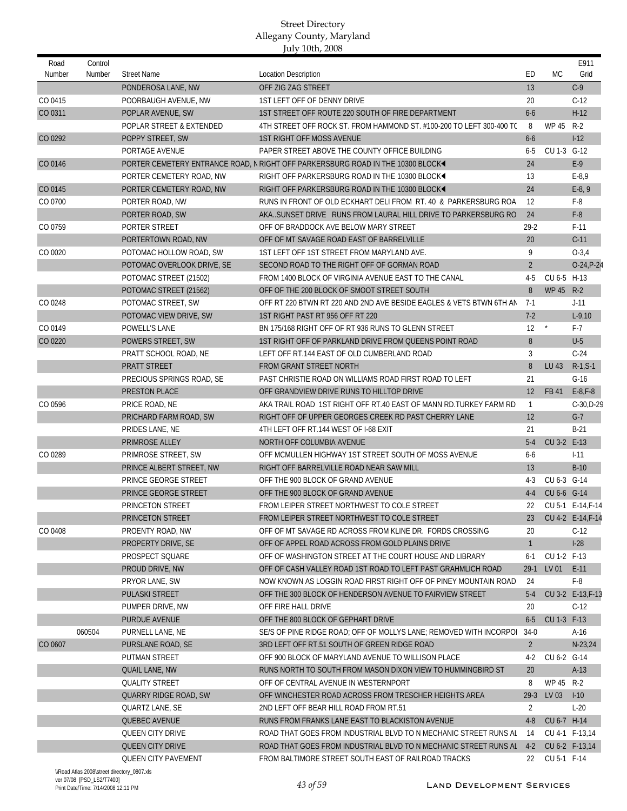| Road<br>Number | Control<br>Number | <b>Street Name</b>           | <b>Location Description</b>                                                   | ED             | <b>MC</b>    | E911<br>Grid      |
|----------------|-------------------|------------------------------|-------------------------------------------------------------------------------|----------------|--------------|-------------------|
|                |                   | PONDEROSA LANE, NW           | OFF ZIG ZAG STREET                                                            | 13             |              | $C-9$             |
| CO 0415        |                   | POORBAUGH AVENUE, NW         | 1ST LEFT OFF OF DENNY DRIVE                                                   | 20             |              | $C-12$            |
| CO 0311        |                   | POPLAR AVENUE, SW            | 1ST STREET OFF ROUTE 220 SOUTH OF FIRE DEPARTMENT                             | $6-6$          |              | $H-12$            |
|                |                   | POPLAR STREET & EXTENDED     | 4TH STREET OFF ROCK ST. FROM HAMMOND ST. #100-200 TO LEFT 300-400 TO          | 8              | <b>WP 45</b> | $R-2$             |
| CO 0292        |                   | POPPY STREET, SW             | <b>1ST RIGHT OFF MOSS AVENUE</b>                                              | $6-6$          |              | $1-12$            |
|                |                   | PORTAGE AVENUE               | PAPER STREET ABOVE THE COUNTY OFFICE BUILDING                                 | $6 - 5$        | CU 1-3 G-12  |                   |
| CO 0146        |                   |                              | PORTER CEMETERY ENTRANCE ROAD, NRIGHT OFF PARKERSBURG ROAD IN THE 10300 BLOCK | 24             |              | $E-9$             |
|                |                   | PORTER CEMETERY ROAD, NW     | RIGHT OFF PARKERSBURG ROAD IN THE 10300 BLOCK                                 | 13             |              | $E-8,9$           |
| CO 0145        |                   | PORTER CEMETERY ROAD, NW     | RIGHT OFF PARKERSBURG ROAD IN THE 10300 BLOCK                                 | 24             |              | $E-8, 9$          |
| CO 0700        |                   | PORTER ROAD, NW              | RUNS IN FRONT OF OLD ECKHART DELI FROM RT. 40 & PARKERSBURG ROA               | 12             |              | $F-8$             |
|                |                   | PORTER ROAD, SW              | AKASUNSET DRIVE RUNS FROM LAURAL HILL DRIVE TO PARKERSBURG RO                 | 24             |              | $F-8$             |
| CO 0759        |                   | PORTER STREET                | OFF OF BRADDOCK AVE BELOW MARY STREET                                         | $29-2$         |              | $F-11$            |
|                |                   | PORTERTOWN ROAD, NW          | OFF OF MT SAVAGE ROAD EAST OF BARRELVILLE                                     | 20             |              | $C-11$            |
| CO 0020        |                   | POTOMAC HOLLOW ROAD, SW      | 1ST LEFT OFF 1ST STREET FROM MARYLAND AVE.                                    | 9              |              | $O-3,4$           |
|                |                   | POTOMAC OVERLOOK DRIVE, SE   | SECOND ROAD TO THE RIGHT OFF OF GORMAN ROAD                                   | $\overline{2}$ |              | $O-24, P-24$      |
|                |                   | POTOMAC STREET (21502)       | FROM 1400 BLOCK OF VIRGINIA AVENUE EAST TO THE CANAL                          | $4-5$          | CU 6-5 H-13  |                   |
|                |                   | POTOMAC STREET (21562)       | OFF OF THE 200 BLOCK OF SMOOT STREET SOUTH                                    | 8              | WP 45 R-2    |                   |
| CO 0248        |                   | POTOMAC STREET, SW           | OFF RT 220 BTWN RT 220 AND 2ND AVE BESIDE EAGLES & VETS BTWN 6TH AN           | $7-1$          |              | $J-11$            |
|                |                   | POTOMAC VIEW DRIVE, SW       | 1ST RIGHT PAST RT 956 OFF RT 220                                              | $7-2$          |              | $L-9,10$          |
| CO 0149        |                   | POWELL'S LANE                | BN 175/168 RIGHT OFF OF RT 936 RUNS TO GLENN STREET                           | 12             | $^\star$     | $F-7$             |
| CO 0220        |                   | POWERS STREET, SW            | 1ST RIGHT OFF OF PARKLAND DRIVE FROM QUEENS POINT ROAD                        | $8\phantom{1}$ |              | $U-5$             |
|                |                   | PRATT SCHOOL ROAD, NE        | LEFT OFF RT.144 EAST OF OLD CUMBERLAND ROAD                                   | 3              |              | $C-24$            |
|                |                   | PRATT STREET                 | FROM GRANT STREET NORTH                                                       | 8              | LU 43        | $R-1, S-1$        |
|                |                   | PRECIOUS SPRINGS ROAD, SE    | PAST CHRISTIE ROAD ON WILLIAMS ROAD FIRST ROAD TO LEFT                        | 21             |              | $G-16$            |
|                |                   | PRESTON PLACE                | OFF GRANDVIEW DRIVE RUNS TO HILLTOP DRIVE                                     | 12             | FB 41        | $E-8, F-8$        |
| CO 0596        |                   | PRICE ROAD, NE               | AKA TRAIL ROAD 1ST RIGHT OFF RT.40 EAST OF MANN RD.TURKEY FARM RD             | $\mathbf{1}$   |              | $C-30, D-29$      |
|                |                   | PRICHARD FARM ROAD, SW       | RIGHT OFF OF UPPER GEORGES CREEK RD PAST CHERRY LANE                          | 12             |              | $G-7$             |
|                |                   | PRIDES LANE, NE              | 4TH LEFT OFF RT.144 WEST OF I-68 EXIT                                         | 21             |              | $B-21$            |
|                |                   | PRIMROSE ALLEY               | NORTH OFF COLUMBIA AVENUE                                                     | $5-4$          | CU 3-2 E-13  |                   |
| CO 0289        |                   | PRIMROSE STREET, SW          | OFF MCMULLEN HIGHWAY 1ST STREET SOUTH OF MOSS AVENUE                          | $6-6$          |              | $1 - 11$          |
|                |                   | PRINCE ALBERT STREET, NW     | RIGHT OFF BARRELVILLE ROAD NEAR SAW MILL                                      | 13             |              | $B-10$            |
|                |                   | PRINCE GEORGE STREET         | OFF THE 900 BLOCK OF GRAND AVENUE                                             |                | CU 6-3 G-14  |                   |
|                |                   | PRINCE GEORGE STREET         | OFF THE 900 BLOCK OF GRAND AVENUE                                             | 4-3            | CU 6-6 G-14  |                   |
|                |                   |                              |                                                                               | $4 - 4$        |              |                   |
|                |                   | PRINCETON STREET             | FROM LEIPER STREET NORTHWEST TO COLE STREET                                   | 22             |              | CU 5-1 E-14, F-14 |
|                |                   | PRINCETON STREET             | FROM LEIPER STREET NORTHWEST TO COLE STREET                                   | 23             |              | CU 4-2 E-14, F-14 |
| CO 0408        |                   | PROENTY ROAD, NW             | OFF OF MT SAVAGE RD ACROSS FROM KLINE DR. FORDS CROSSING                      | 20             |              | $C-12$            |
|                |                   | PROPERTY DRIVE, SE           | OFF OF APPEL ROAD ACROSS FROM GOLD PLAINS DRIVE                               | $\mathbf{1}$   |              | $1-28$            |
|                |                   | PROSPECT SQUARE              | OFF OF WASHINGTON STREET AT THE COURT HOUSE AND LIBRARY                       | $6-1$          | CU 1-2 F-13  |                   |
|                |                   | PROUD DRIVE, NW              | OFF OF CASH VALLEY ROAD 1ST ROAD TO LEFT PAST GRAHMLICH ROAD                  | $29-1$         | LV 01        | $E-11$            |
|                |                   | PRYOR LANE, SW               | NOW KNOWN AS LOGGIN ROAD FIRST RIGHT OFF OF PINEY MOUNTAIN ROAD               | 24             |              | $F-8$             |
|                |                   | PULASKI STREET               | OFF THE 300 BLOCK OF HENDERSON AVENUE TO FAIRVIEW STREET                      | $5 - 4$        |              | CU 3-2 E-13, F-13 |
|                |                   | PUMPER DRIVE, NW             | OFF FIRE HALL DRIVE                                                           | 20             |              | $C-12$            |
|                |                   | PURDUE AVENUE                | OFF THE 800 BLOCK OF GEPHART DRIVE                                            | $6 - 5$        | CU 1-3 F-13  |                   |
|                | 060504            | PURNELL LANE, NE             | SE/S OF PINE RIDGE ROAD; OFF OF MOLLYS LANE; REMOVED WITH INCORPO             | $34-0$         |              | $A-16$            |
| CO 0607        |                   | PURSLANE ROAD, SE            | 3RD LEFT OFF RT.51 SOUTH OF GREEN RIDGE ROAD                                  | $\overline{2}$ |              | $N-23,24$         |
|                |                   | PUTMAN STREET                | OFF 900 BLOCK OF MARYLAND AVENUE TO WILLISON PLACE                            | 4-2            | CU 6-2 G-14  |                   |
|                |                   | QUAIL LANE, NW               | RUNS NORTH TO SOUTH FROM MASON DIXON VIEW TO HUMMINGBIRD ST                   | 20             |              | $A-13$            |
|                |                   | <b>QUALITY STREET</b>        | OFF OF CENTRAL AVENUE IN WESTERNPORT                                          | 8              | WP 45 R-2    |                   |
|                |                   | <b>QUARRY RIDGE ROAD, SW</b> | OFF WINCHESTER ROAD ACROSS FROM TRESCHER HEIGHTS AREA                         | $29-3$         | LV 03        | $I-10$            |
|                |                   | QUARTZ LANE, SE              | 2ND LEFT OFF BEAR HILL ROAD FROM RT.51                                        | 2              |              | $L-20$            |
|                |                   | <b>QUEBEC AVENUE</b>         | RUNS FROM FRANKS LANE EAST TO BLACKISTON AVENUE                               | $4 - 8$        | CU 6-7 H-14  |                   |
|                |                   | <b>QUEEN CITY DRIVE</b>      | ROAD THAT GOES FROM INDUSTRIAL BLVD TO N MECHANIC STREET RUNS AL 14           |                |              | CU 4-1 F-13,14    |
|                |                   | QUEEN CITY DRIVE             | ROAD THAT GOES FROM INDUSTRIAL BLVD TO N MECHANIC STREET RUNS AL 4-2          |                |              | CU 6-2 F-13,14    |
|                |                   | <b>QUEEN CITY PAVEMENT</b>   | FROM BALTIMORE STREET SOUTH EAST OF RAILROAD TRACKS                           | 22             | CU 5-1 F-14  |                   |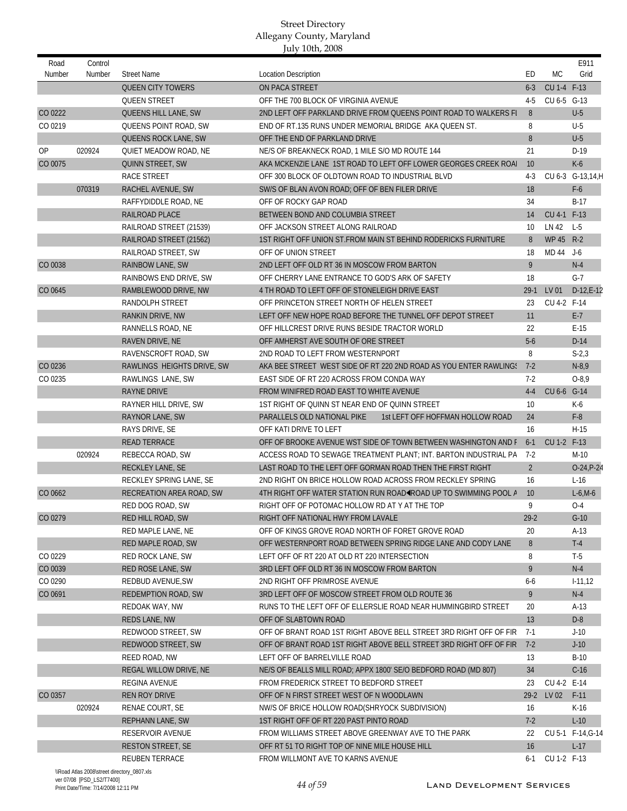| Road<br>Number | Control<br>Number | <b>Street Name</b>         | <b>Location Description</b>                                            | ED              | <b>MC</b>     | E911<br>Grid      |
|----------------|-------------------|----------------------------|------------------------------------------------------------------------|-----------------|---------------|-------------------|
|                |                   | <b>QUEEN CITY TOWERS</b>   | ON PACA STREET                                                         | $6 - 3$         | CU 1-4 F-13   |                   |
|                |                   | <b>QUEEN STREET</b>        | OFF THE 700 BLOCK OF VIRGINIA AVENUE                                   | $4-5$           | CU 6-5 G-13   |                   |
| CO 0222        |                   | QUEENS HILL LANE, SW       | 2ND LEFT OFF PARKLAND DRIVE FROM QUEENS POINT ROAD TO WALKERS FI       | 8               |               | $U-5$             |
| CO 0219        |                   | QUEENS POINT ROAD, SW      | END OF RT.135 RUNS UNDER MEMORIAL BRIDGE AKA QUEEN ST.                 | 8               |               | $U-5$             |
|                |                   | QUEENS ROCK LANE, SW       | OFF THE END OF PARKLAND DRIVE                                          | 8               |               | $U-5$             |
| OP             | 020924            | QUIET MEADOW ROAD, NE      | NE/S OF BREAKNECK ROAD, 1 MILE S/O MD ROUTE 144                        | 21              |               | $D-19$            |
| CO 0075        |                   | QUINN STREET, SW           | AKA MCKENZIE LANE 1ST ROAD TO LEFT OFF LOWER GEORGES CREEK ROA         | 10              |               | $K-6$             |
|                |                   | RACE STREET                | OFF 300 BLOCK OF OLDTOWN ROAD TO INDUSTRIAL BLVD                       | $4-3$           |               | CU 6-3 G-13,14,H  |
|                | 070319            | <b>RACHEL AVENUE, SW</b>   | SW/S OF BLAN AVON ROAD; OFF OF BEN FILER DRIVE                         | 18              |               | $F-6$             |
|                |                   | RAFFYDIDDLE ROAD, NE       | OFF OF ROCKY GAP ROAD                                                  | 34              |               | $B-17$            |
|                |                   | RAILROAD PLACE             | BETWEEN BOND AND COLUMBIA STREET                                       | 14              | CU 4-1 F-13   |                   |
|                |                   | RAILROAD STREET (21539)    | OFF JACKSON STREET ALONG RAILROAD                                      | 10              | $LN 42$ $L-5$ |                   |
|                |                   | RAILROAD STREET (21562)    | 1ST RIGHT OFF UNION ST.FROM MAIN ST BEHIND RODERICKS FURNITURE         | 8               | WP 45 R-2     |                   |
|                |                   | RAILROAD STREET, SW        | OFF OF UNION STREET                                                    | 18              | MD 44 J-6     |                   |
| CO 0038        |                   | RAINBOW LANE, SW           | 2ND LEFT OFF OLD RT 36 IN MOSCOW FROM BARTON                           | 9               |               | $N-4$             |
|                |                   | RAINBOWS END DRIVE, SW     | OFF CHERRY LANE ENTRANCE TO GOD'S ARK OF SAFETY                        | 18              |               | $G-7$             |
| CO 0645        |                   | RAMBLEWOOD DRIVE, NW       | 4 TH ROAD TO LEFT OFF OF STONELEIGH DRIVE EAST                         | $29-1$          | LV 01         | $D-12,E-12$       |
|                |                   | RANDOLPH STREET            | OFF PRINCETON STREET NORTH OF HELEN STREET                             | 23              | CU 4-2 F-14   |                   |
|                |                   | RANKIN DRIVE, NW           | LEFT OFF NEW HOPE ROAD BEFORE THE TUNNEL OFF DEPOT STREET              | 11              |               | $E-7$             |
|                |                   | RANNELLS ROAD, NE          | OFF HILLCREST DRIVE RUNS BESIDE TRACTOR WORLD                          | 22              |               | $E-15$            |
|                |                   | RAVEN DRIVE, NE            | OFF AMHERST AVE SOUTH OF ORE STREET                                    | $5-6$           |               | $D-14$            |
|                |                   | RAVENSCROFT ROAD, SW       | 2ND ROAD TO LEFT FROM WESTERNPORT                                      | 8               |               | $S-2,3$           |
| CO 0236        |                   | RAWLINGS HEIGHTS DRIVE, SW | AKA BEE STREET WEST SIDE OF RT 220 2ND ROAD AS YOU ENTER RAWLING!      | $7-2$           |               | $N-8,9$           |
| CO 0235        |                   | RAWLINGS LANE, SW          | EAST SIDE OF RT 220 ACROSS FROM CONDA WAY                              | $7-2$           |               | $O-8,9$           |
|                |                   | <b>RAYNE DRIVE</b>         | FROM WINIFRED ROAD EAST TO WHITE AVENUE                                | $4 - 4$         | CU 6-6 G-14   |                   |
|                |                   | RAYNER HILL DRIVE, SW      | 1ST RIGHT OF QUINN ST NEAR END OF QUINN STREET                         | 10              |               | K-6               |
|                |                   | RAYNOR LANE, SW            | PARALLELS OLD NATIONAL PIKE<br>1st LEFT OFF HOFFMAN HOLLOW ROAD        | 24              |               | $F-8$             |
|                |                   | RAYS DRIVE, SE             | OFF KATI DRIVE TO LEFT                                                 | 16              |               | $H-15$            |
|                |                   | <b>READ TERRACE</b>        | OFF OF BROOKE AVENUE WST SIDE OF TOWN BETWEEN WASHINGTON AND F         | $6-1$           | CU 1-2 F-13   |                   |
|                | 020924            | REBECCA ROAD, SW           | ACCESS ROAD TO SEWAGE TREATMENT PLANT; INT. BARTON INDUSTRIAL PA       | $7-2$           |               | $M-10$            |
|                |                   | RECKLEY LANE, SE           | LAST ROAD TO THE LEFT OFF GORMAN ROAD THEN THE FIRST RIGHT             | $\overline{2}$  |               | $O-24, P-24$      |
|                |                   | RECKLEY SPRING LANE, SE    | 2ND RIGHT ON BRICE HOLLOW ROAD ACROSS FROM RECKLEY SPRING              | 16              |               | $L-16$            |
| CO 0662        |                   | RECREATION AREA ROAD, SW   | 4TH RIGHT OFF WATER STATION RUN ROAD (ROAD UP TO SWIMMING POOL A       | 10 <sup>°</sup> |               | $L-6,M-6$         |
|                |                   | RED DOG ROAD, SW           | RIGHT OFF OF POTOMAC HOLLOW RD AT Y AT THE TOP                         | 9               |               | $O-4$             |
| CO 0279        |                   | RED HILL ROAD, SW          | RIGHT OFF NATIONAL HWY FROM LAVALE                                     | $29 - 2$        |               | $G-10$            |
|                |                   | RED MAPLE LANE, NE         | OFF OF KINGS GROVE ROAD NORTH OF FORET GROVE ROAD                      | 20              |               | $A-13$            |
|                |                   | RED MAPLE ROAD, SW         | OFF WESTERNPORT ROAD BETWEEN SPRING RIDGE LANE AND CODY LANE           | 8               |               | $T-4$             |
| CO 0229        |                   | <b>RED ROCK LANE, SW</b>   | LEFT OFF OF RT 220 AT OLD RT 220 INTERSECTION                          | 8               |               | $T-5$             |
| CO 0039        |                   | RED ROSE LANE, SW          | 3RD LEFT OFF OLD RT 36 IN MOSCOW FROM BARTON                           | 9               |               | $N-4$             |
| CO 0290        |                   | <b>REDBUD AVENUE.SW</b>    | 2ND RIGHT OFF PRIMROSE AVENUE                                          | $6-6$           |               | $1-11,12$         |
| CO 0691        |                   | <b>REDEMPTION ROAD, SW</b> | 3RD LEFT OFF OF MOSCOW STREET FROM OLD ROUTE 36                        | 9               |               | $N-4$             |
|                |                   | REDOAK WAY, NW             | RUNS TO THE LEFT OFF OF ELLERSLIE ROAD NEAR HUMMINGBIRD STREET         | 20              |               | $A-13$            |
|                |                   | REDS LANE, NW              | OFF OF SLABTOWN ROAD                                                   | 13              |               | $D-8$             |
|                |                   | REDWOOD STREET, SW         | OFF OF BRANT ROAD 1ST RIGHT ABOVE BELL STREET 3RD RIGHT OFF OF FIR     | 7-1             |               | $J-10$            |
|                |                   | REDWOOD STREET, SW         | OFF OF BRANT ROAD 1ST RIGHT ABOVE BELL STREET 3RD RIGHT OFF OF FIR 7-2 |                 |               | $J-10$            |
|                |                   | REED ROAD, NW              | LEFT OFF OF BARRELVILLE ROAD                                           | 13              |               | $B-10$            |
|                |                   | REGAL WILLOW DRIVE, NE     | NE/S OF BEALLS MILL ROAD; APPX 1800' SE/O BEDFORD ROAD (MD 807)        | 34              |               | $C-16$            |
|                |                   | REGINA AVENUE              | FROM FREDERICK STREET TO BEDFORD STREET                                | 23              | CU 4-2 E-14   |                   |
| CO 0357        |                   | REN ROY DRIVE              | OFF OF N FIRST STREET WEST OF N WOODLAWN                               | $29-2$          | LV 02         | $F-11$            |
|                | 020924            | RENAE COURT, SE            | NW/S OF BRICE HOLLOW ROAD(SHRYOCK SUBDIVISION)                         | 16              |               | $K-16$            |
|                |                   | REPHANN LANE, SW           | 1ST RIGHT OFF OF RT 220 PAST PINTO ROAD                                | $7-2$           |               | $L-10$            |
|                |                   | RESERVOIR AVENUE           | FROM WILLIAMS STREET ABOVE GREENWAY AVE TO THE PARK                    | 22              |               | CU 5-1 F-14, G-14 |
|                |                   | <b>RESTON STREET, SE</b>   | OFF RT 51 TO RIGHT TOP OF NINE MILE HOUSE HILL                         | 16              |               | $L-17$            |
|                |                   | <b>REUBEN TERRACE</b>      | FROM WILLMONT AVE TO KARNS AVENUE                                      | $6-1$           | CU 1-2 F-13   |                   |
|                |                   |                            |                                                                        |                 |               |                   |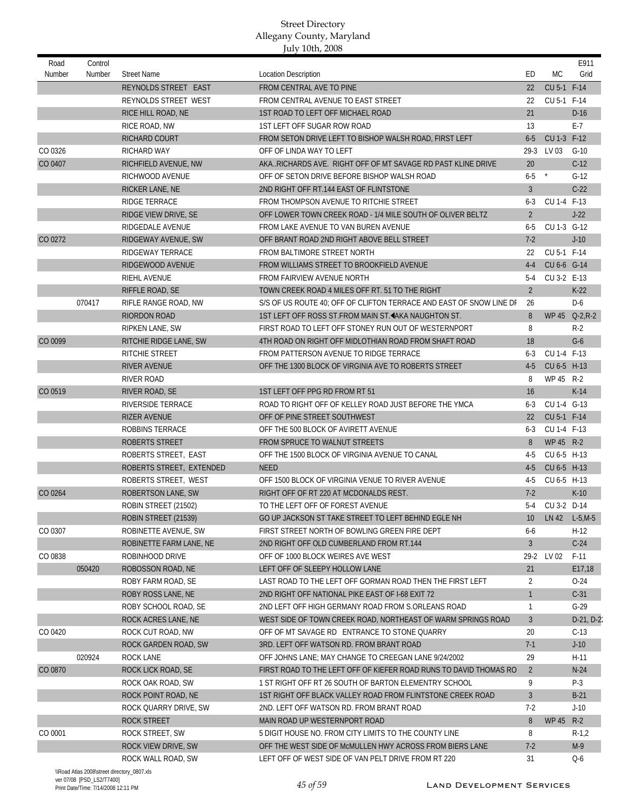| Road<br>Number | Control<br>Number | <b>Street Name</b>        | <b>Location Description</b>                                         | ED             | <b>MC</b>       | E911<br>Grid   |
|----------------|-------------------|---------------------------|---------------------------------------------------------------------|----------------|-----------------|----------------|
|                |                   | REYNOLDS STREET EAST      | FROM CENTRAL AVE TO PINE                                            | 22             | CU 5-1 F-14     |                |
|                |                   | REYNOLDS STREET WEST      | FROM CENTRAL AVENUE TO EAST STREET                                  | 22             | CU 5-1 F-14     |                |
|                |                   | RICE HILL ROAD, NE        | 1ST ROAD TO LEFT OFF MICHAEL ROAD                                   | 21             |                 | $D-16$         |
|                |                   | RICE ROAD, NW             | 1ST LEFT OFF SUGAR ROW ROAD                                         | 13             |                 | $E-7$          |
|                |                   | RICHARD COURT             | FROM SETON DRIVE LEFT TO BISHOP WALSH ROAD, FIRST LEFT              | $6-5$          | CU 1-3 F-12     |                |
| CO 0326        |                   | RICHARD WAY               | OFF OF LINDA WAY TO LEFT                                            | $29-3$         | LV 03           | $G-10$         |
| CO 0407        |                   | RICHFIELD AVENUE, NW      | AKARICHARDS AVE. RIGHT OFF OF MT SAVAGE RD PAST KLINE DRIVE         | 20             |                 | $C-12$         |
|                |                   | RICHWOOD AVENUE           | OFF OF SETON DRIVE BEFORE BISHOP WALSH ROAD                         | $6-5$          | $^\star$        | $G-12$         |
|                |                   | RICKER LANE, NE           | 2ND RIGHT OFF RT.144 EAST OF FLINTSTONE                             | $\mathbf{3}$   |                 | $C-22$         |
|                |                   | RIDGE TERRACE             | FROM THOMPSON AVENUE TO RITCHIE STREET                              | $6 - 3$        | CU 1-4 F-13     |                |
|                |                   | RIDGE VIEW DRIVE, SE      | OFF LOWER TOWN CREEK ROAD - 1/4 MILE SOUTH OF OLIVER BELTZ          | $\overline{2}$ |                 | $J-22$         |
|                |                   | RIDGEDALE AVENUE          | FROM LAKE AVENUE TO VAN BUREN AVENUE                                | $6 - 5$        | CU 1-3 G-12     |                |
| CO 0272        |                   | RIDGEWAY AVENUE, SW       | OFF BRANT ROAD 2ND RIGHT ABOVE BELL STREET                          | $7-2$          |                 | $J-10$         |
|                |                   | RIDGEWAY TERRACE          | FROM BALTIMORE STREET NORTH                                         | 22             | CU 5-1 F-14     |                |
|                |                   | RIDGEWOOD AVENUE          | FROM WILLIAMS STREET TO BROOKFIELD AVENUE                           | $4 - 4$        | CU 6-6 G-14     |                |
|                |                   | RIEHL AVENUE              | <b>FROM FAIRVIEW AVENUE NORTH</b>                                   | $5-4$          | CU 3-2 E-13     |                |
|                |                   | RIFFLE ROAD, SE           | TOWN CREEK ROAD 4 MILES OFF RT. 51 TO THE RIGHT                     | $\overline{2}$ |                 | $K-22$         |
|                | 070417            | RIFLE RANGE ROAD, NW      | S/S OF US ROUTE 40: OFF OF CLIFTON TERRACE AND EAST OF SNOW LINE DF | 26             |                 | $D-6$          |
|                |                   | RIORDON ROAD              | 1ST LEFT OFF ROSS ST.FROM MAIN ST. AKA NAUGHTON ST.                 | 8              | <b>WP 45</b>    | $Q - 2, R - 2$ |
|                |                   | <b>RIPKEN LANE, SW</b>    | FIRST ROAD TO LEFT OFF STONEY RUN OUT OF WESTERNPORT                | 8              |                 | $R-2$          |
| CO 0099        |                   | RITCHIE RIDGE LANE, SW    | 4TH ROAD ON RIGHT OFF MIDLOTHIAN ROAD FROM SHAFT ROAD               | 18             |                 | $G-6$          |
|                |                   | RITCHIE STREET            | FROM PATTERSON AVENUE TO RIDGE TERRACE                              | 6-3            | CU 1-4 F-13     |                |
|                |                   | RIVER AVENUE              | OFF THE 1300 BLOCK OF VIRGINIA AVE TO ROBERTS STREET                | $4 - 5$        | CU 6-5 H-13     |                |
|                |                   | RIVER ROAD                |                                                                     | 8              | WP 45 R-2       |                |
| CO 0519        |                   | RIVER ROAD, SE            | 1ST LEFT OFF PPG RD FROM RT 51                                      | 16             |                 | $K-14$         |
|                |                   | RIVERSIDE TERRACE         | ROAD TO RIGHT OFF OF KELLEY ROAD JUST BEFORE THE YMCA               | $6 - 3$        | CU 1-4 G-13     |                |
|                |                   | <b>RIZER AVENUE</b>       | OFF OF PINE STREET SOUTHWEST                                        | 22             | CU 5-1 F-14     |                |
|                |                   | ROBBINS TERRACE           | OFF THE 500 BLOCK OF AVIRETT AVENUE                                 | $6 - 3$        | CU 1-4 F-13     |                |
|                |                   | ROBERTS STREET            | FROM SPRUCE TO WALNUT STREETS                                       | 8              | WP 45 R-2       |                |
|                |                   | ROBERTS STREET, EAST      | OFF THE 1500 BLOCK OF VIRGINIA AVENUE TO CANAL                      | 4-5            | CU 6-5 H-13     |                |
|                |                   | ROBERTS STREET, EXTENDED  | <b>NEED</b>                                                         | $4-5$          | CU 6-5 H-13     |                |
|                |                   | ROBERTS STREET, WEST      | OFF 1500 BLOCK OF VIRGINIA VENUE TO RIVER AVENUE                    | 4-5            | CU 6-5 H-13     |                |
| CO 0264        |                   | ROBERTSON LANE, SW        | RIGHT OFF OF RT 220 AT MCDONALDS REST.                              | $7-2$          |                 | $K-10$         |
|                |                   | ROBIN STREET (21502)      | TO THE LEFT OFF OF FOREST AVENUE                                    |                | 5-4 CU 3-2 D-14 |                |
|                |                   | ROBIN STREET (21539)      | GO UP JACKSON ST TAKE STREET TO LEFT BEHIND EGLE NH                 | 10             | LN 42           | $L-5,M-5$      |
| CO 0307        |                   | ROBINETTE AVENUE, SW      | FIRST STREET NORTH OF BOWLING GREEN FIRE DEPT                       | $6-6$          |                 | $H-12$         |
|                |                   | ROBINETTE FARM LANE, NE   | 2ND RIGHT OFF OLD CUMBERLAND FROM RT.144                            | $\mathbf{3}$   |                 | $C-24$         |
| CO 0838        |                   | ROBINHOOD DRIVE           | OFF OF 1000 BLOCK WEIRES AVE WEST                                   | 29-2           | LV 02           | $F-11$         |
|                | 050420            | ROBOSSON ROAD, NE         | LEFT OFF OF SLEEPY HOLLOW LANE                                      | 21             |                 | E17,18         |
|                |                   | ROBY FARM ROAD, SE        | LAST ROAD TO THE LEFT OFF GORMAN ROAD THEN THE FIRST LEFT           | 2              |                 | $O-24$         |
|                |                   | <b>ROBY ROSS LANE, NE</b> | 2ND RIGHT OFF NATIONAL PIKE EAST OF I-68 EXIT 72                    | $\mathbf{1}$   |                 | $C-31$         |
|                |                   | ROBY SCHOOL ROAD, SE      | 2ND LEFT OFF HIGH GERMANY ROAD FROM S.ORLEANS ROAD                  | 1              |                 | $G-29$         |
|                |                   | ROCK ACRES LANE, NE       | WEST SIDE OF TOWN CREEK ROAD, NORTHEAST OF WARM SPRINGS ROAD        | $\mathbf{3}$   |                 | $D-21, D-2$    |
| CO 0420        |                   | ROCK CUT ROAD, NW         | OFF OF MT SAVAGE RD ENTRANCE TO STONE QUARRY                        | 20             |                 | $C-13$         |
|                |                   | ROCK GARDEN ROAD, SW      | 3RD. LEFT OFF WATSON RD. FROM BRANT ROAD                            | $7-1$          |                 | $J-10$         |
|                | 020924            | ROCK LANE                 | OFF JOHNS LANE; MAY CHANGE TO CREEGAN LANE 9/24/2002                | 29             |                 | $H-11$         |
| CO 0870        |                   | ROCK LICK ROAD, SE        | FIRST ROAD TO THE LEFT OFF OF KIEFER ROAD RUNS TO DAVID THOMAS RO   | $\overline{2}$ |                 | $N-24$         |
|                |                   | ROCK OAK ROAD, SW         | 1 ST RIGHT OFF RT 26 SOUTH OF BARTON ELEMENTRY SCHOOL               | 9              |                 | $P-3$          |
|                |                   | ROCK POINT ROAD, NE       | 1ST RIGHT OFF BLACK VALLEY ROAD FROM FLINTSTONE CREEK ROAD          | 3              |                 | $B-21$         |
|                |                   | ROCK QUARRY DRIVE, SW     | 2ND. LEFT OFF WATSON RD. FROM BRANT ROAD                            | $7-2$          |                 | $J-10$         |
|                |                   | ROCK STREET               | MAIN ROAD UP WESTERNPORT ROAD                                       | 8              | WP 45 R-2       |                |
| CO 0001        |                   | ROCK STREET, SW           | 5 DIGIT HOUSE NO. FROM CITY LIMITS TO THE COUNTY LINE               | 8              |                 | $R-1,2$        |
|                |                   | ROCK VIEW DRIVE, SW       | OFF THE WEST SIDE OF MCMULLEN HWY ACROSS FROM BIERS LANE            | $7-2$          |                 | $M-9$          |
|                |                   | ROCK WALL ROAD, SW        | LEFT OFF OF WEST SIDE OF VAN PELT DRIVE FROM RT 220                 | 31             |                 | Q-6            |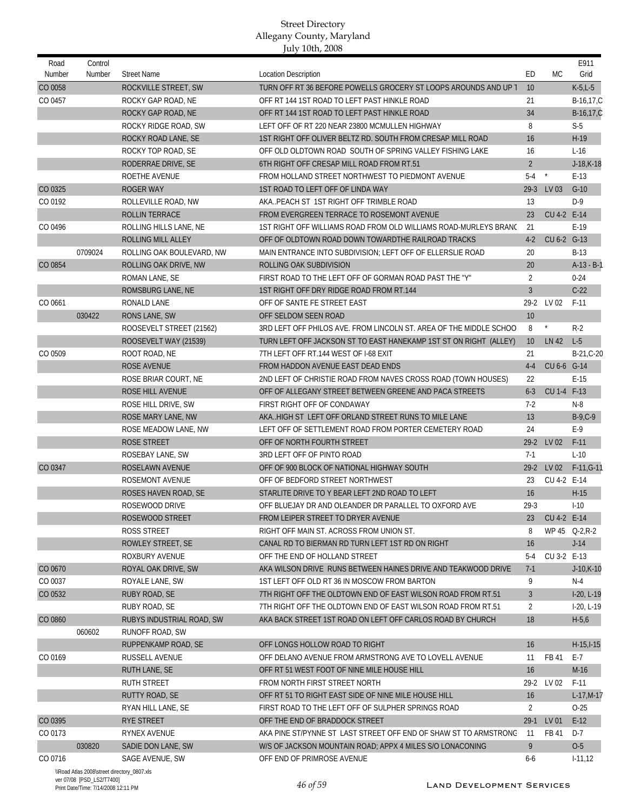| Road<br>Number | Control<br>Number                           | <b>Street Name</b>        | <b>Location Description</b>                                        | ED              | МC          | E911<br>Grid          |
|----------------|---------------------------------------------|---------------------------|--------------------------------------------------------------------|-----------------|-------------|-----------------------|
| CO 0058        |                                             | ROCKVILLE STREET, SW      | TURN OFF RT 36 BEFORE POWELLS GROCERY ST LOOPS AROUNDS AND UP T    | 10              |             | $K-5,L-5$             |
| CO 0457        |                                             | ROCKY GAP ROAD, NE        | OFF RT 144 1ST ROAD TO LEFT PAST HINKLE ROAD                       | 21              |             | B-16,17,C             |
|                |                                             | ROCKY GAP ROAD, NE        | OFF RT 144 1ST ROAD TO LEFT PAST HINKLE ROAD                       | 34              |             | B-16,17,C             |
|                |                                             | ROCKY RIDGE ROAD, SW      | LEFT OFF OF RT 220 NEAR 23800 MCMULLEN HIGHWAY                     | 8               |             | $S-5$                 |
|                |                                             | ROCKY ROAD LANE, SE       | 1ST RIGHT OFF OLIVER BELTZ RD. SOUTH FROM CRESAP MILL ROAD         | 16              |             | $H-19$                |
|                |                                             | ROCKY TOP ROAD, SE        | OFF OLD OLDTOWN ROAD SOUTH OF SPRING VALLEY FISHING LAKE           | 16              |             | $L-16$                |
|                |                                             | RODERRAE DRIVE, SE        | 6TH RIGHT OFF CRESAP MILL ROAD FROM RT.51                          | $\overline{2}$  |             | $J-18$ , K $-18$      |
|                |                                             | ROETHE AVENUE             | FROM HOLLAND STREET NORTHWEST TO PIEDMONT AVENUE                   | $5-4$           | $^\star$    | $E-13$                |
| CO 0325        |                                             | <b>ROGER WAY</b>          | 1ST ROAD TO LEFT OFF OF LINDA WAY                                  | $29-3$          | LV 03       | $G-10$                |
| CO 0192        |                                             | ROLLEVILLE ROAD, NW       | AKA PEACH ST 1ST RIGHT OFF TRIMBLE ROAD                            | 13              |             | $D-9$                 |
|                |                                             | ROLLIN TERRACE            | FROM EVERGREEN TERRACE TO ROSEMONT AVENUE                          | 23              | CU 4-2 E-14 |                       |
| CO 0496        |                                             | ROLLING HILLS LANE, NE    | 1ST RIGHT OFF WILLIAMS ROAD FROM OLD WILLIAMS ROAD-MURLEYS BRANC   | 21              |             | $E-19$                |
|                |                                             | ROLLING MILL ALLEY        | OFF OF OLDTOWN ROAD DOWN TOWARDTHE RAILROAD TRACKS                 | $4-2$           | CU 6-2 G-13 |                       |
|                | 0709024                                     | ROLLING OAK BOULEVARD, NW | MAIN ENTRANCE INTO SUBDIVISION; LEFT OFF OF ELLERSLIE ROAD         | 20              |             | $B-13$                |
| CO 0854        |                                             | ROLLING OAK DRIVE, NW     | ROLLING OAK SUBDIVISION                                            | 20              |             | $A-13 - B-1$          |
|                |                                             | ROMAN LANE, SE            | FIRST ROAD TO THE LEFT OFF OF GORMAN ROAD PAST THE "Y"             | $\overline{2}$  |             | $0 - 24$              |
|                |                                             | ROMSBURG LANE, NE         | 1ST RIGHT OFF DRY RIDGE ROAD FROM RT.144                           | $\overline{3}$  |             | $C-22$                |
|                |                                             |                           | OFF OF SANTE FE STREET EAST                                        | $29-2$          | LV 02       | $F-11$                |
| CO 0661        |                                             | RONALD LANE               |                                                                    |                 |             |                       |
|                | 030422                                      | RONS LANE, SW             | OFF SELDOM SEEN ROAD                                               | 10              | $^\star$    |                       |
|                |                                             | ROOSEVELT STREET (21562)  | 3RD LEFT OFF PHILOS AVE. FROM LINCOLN ST. AREA OF THE MIDDLE SCHOO | 8               |             | $R-2$                 |
|                |                                             | ROOSEVELT WAY (21539)     | TURN LEFT OFF JACKSON ST TO EAST HANEKAMP 1ST ST ON RIGHT (ALLEY)  | 10 <sup>°</sup> | LN 42       | $L-5$                 |
| CO 0509        |                                             | ROOT ROAD, NE             | 7TH LEFT OFF RT.144 WEST OF I-68 EXIT                              | 21              |             | B-21, C-20            |
|                |                                             | <b>ROSE AVENUE</b>        | FROM HADDON AVENUE EAST DEAD ENDS                                  | $4 - 4$         | CU 6-6 G-14 |                       |
|                |                                             | ROSE BRIAR COURT, NE      | 2ND LEFT OF CHRISTIE ROAD FROM NAVES CROSS ROAD (TOWN HOUSES)      | 22              |             | $E-15$                |
|                |                                             | ROSE HILL AVENUE          | OFF OF ALLEGANY STREET BETWEEN GREENE AND PACA STREETS             | $6 - 3$         | CU 1-4 F-13 |                       |
|                |                                             | ROSE HILL DRIVE, SW       | FIRST RIGHT OFF OF CONDAWAY                                        | $7-2$           |             | $N-8$                 |
|                |                                             | ROSE MARY LANE, NW        | AKAHIGH ST LEFT OFF ORLAND STREET RUNS TO MILE LANE                | 13              |             | $B-9, C-9$            |
|                |                                             | ROSE MEADOW LANE, NW      | LEFT OFF OF SETTLEMENT ROAD FROM PORTER CEMETERY ROAD              | 24              |             | E-9                   |
|                |                                             | ROSE STREET               | OFF OF NORTH FOURTH STREET                                         | $29 - 2$        | LV 02       | $F-11$                |
|                |                                             | ROSEBAY LANE, SW          | 3RD LEFT OFF OF PINTO ROAD                                         | $7-1$           |             | $L-10$                |
| CO 0347        |                                             | ROSELAWN AVENUE           | OFF OF 900 BLOCK OF NATIONAL HIGHWAY SOUTH                         |                 |             | 29-2 LV 02 F-11, G-11 |
|                |                                             | <b>ROSEMONT AVENUE</b>    | OFF OF BEDFORD STREET NORTHWEST                                    | 23              | CU 4-2 E-14 |                       |
|                |                                             | ROSES HAVEN ROAD, SE      | STARLITE DRIVE TO Y BEAR LEFT 2ND ROAD TO LEFT                     | 16              |             | $H-15$                |
|                |                                             | ROSEWOOD DRIVE            | OFF BLUEJAY DR AND OLEANDER DR PARALLEL TO OXFORD AVE              | $29-3$          |             | $1-10$                |
|                |                                             | ROSEWOOD STREET           | FROM LEIPER STREET TO DRYER AVENUE                                 | 23              | CU 4-2 E-14 |                       |
|                |                                             | ROSS STREET               | RIGHT OFF MAIN ST. ACROSS FROM UNION ST.                           | 8               |             | WP 45 Q-2, R-2        |
|                |                                             | ROWLEY STREET, SE         | CANAL RD TO BIERMAN RD TURN LEFT 1ST RD ON RIGHT                   | 16              |             | $J-14$                |
|                |                                             | ROXBURY AVENUE            | OFF THE END OF HOLLAND STREET                                      | $5-4$           | CU 3-2 E-13 |                       |
| CO 0670        |                                             | ROYAL OAK DRIVE, SW       | AKA WILSON DRIVE RUNS BETWEEN HAINES DRIVE AND TEAKWOOD DRIVE      | $7-1$           |             | $J-10$ , K $-10$      |
| CO 0037        |                                             | ROYALE LANE, SW           | 1ST LEFT OFF OLD RT 36 IN MOSCOW FROM BARTON                       | 9               |             | $N-4$                 |
| CO 0532        |                                             | RUBY ROAD, SE             | 7TH RIGHT OFF THE OLDTOWN END OF EAST WILSON ROAD FROM RT.51       | $\overline{3}$  |             | $I-20, L-19$          |
|                |                                             | RUBY ROAD, SE             | 7TH RIGHT OFF THE OLDTOWN END OF EAST WILSON ROAD FROM RT.51       | $\overline{2}$  |             | $1-20, L-19$          |
| CO 0860        |                                             | RUBYS INDUSTRIAL ROAD, SW | AKA BACK STREET 1ST ROAD ON LEFT OFF CARLOS ROAD BY CHURCH         | 18              |             | $H-5,6$               |
|                | 060602                                      | RUNOFF ROAD, SW           |                                                                    |                 |             |                       |
|                |                                             | RUPPENKAMP ROAD, SE       | OFF LONGS HOLLOW ROAD TO RIGHT                                     | 16              |             | $H-15, I-15$          |
| CO 0169        |                                             | RUSSELL AVENUE            | OFF DELANO AVENUE FROM ARMSTRONG AVE TO LOVELL AVENUE              | 11              | FB 41       | $E-7$                 |
|                |                                             | RUTH LANE, SE             | OFF RT 51 WEST FOOT OF NINE MILE HOUSE HILL                        | 16              |             | $M-16$                |
|                |                                             | RUTH STREET               | FROM NORTH FIRST STREET NORTH                                      | $29-2$          | LV 02       | $F-11$                |
|                |                                             | RUTTY ROAD, SE            | OFF RT 51 TO RIGHT EAST SIDE OF NINE MILE HOUSE HILL               | 16              |             | $L-17,M-17$           |
|                |                                             | RYAN HILL LANE, SE        | FIRST ROAD TO THE LEFT OFF OF SULPHER SPRINGS ROAD                 | $\overline{2}$  |             | $O-25$                |
| CO 0395        |                                             | RYE STREET                | OFF THE END OF BRADDOCK STREET                                     | $29-1$          | LV 01       | $E-12$                |
| CO 0173        |                                             | RYNEX AVENUE              | AKA PINE ST/PYNNE ST LAST STREET OFF END OF SHAW ST TO ARMSTRONG   | 11              | FB 41       | $D-7$                 |
|                | 030820                                      | SADIE DON LANE, SW        | W/S OF JACKSON MOUNTAIN ROAD; APPX 4 MILES S/O LONACONING          | 9               |             | $O-5$                 |
| CO 0716        |                                             | SAGE AVENUE, SW           | OFF END OF PRIMROSE AVENUE                                         | 6-6             |             | $1-11,12$             |
|                | \\Road Atlas 2008\street directory_0807.xls |                           |                                                                    |                 |             |                       |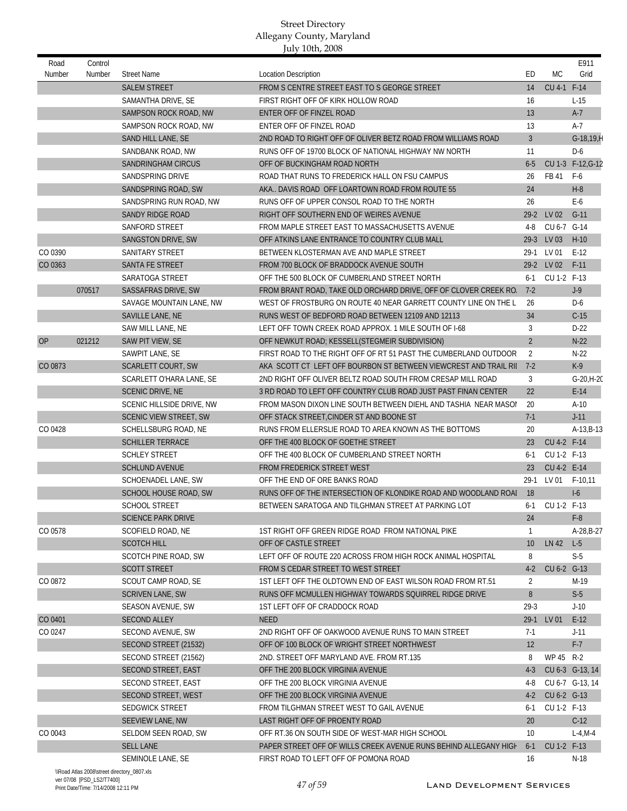| Road      | Control |                               |                                                                      |                 |               | E911              |
|-----------|---------|-------------------------------|----------------------------------------------------------------------|-----------------|---------------|-------------------|
| Number    | Number  | <b>Street Name</b>            | <b>Location Description</b>                                          | ED              | МC            | Grid              |
|           |         | <b>SALEM STREET</b>           | FROM S CENTRE STREET EAST TO S GEORGE STREET                         | 14              | <b>CU 4-1</b> | $F-14$            |
|           |         | SAMANTHA DRIVE, SE            | FIRST RIGHT OFF OF KIRK HOLLOW ROAD                                  | 16              |               | $L-15$            |
|           |         | SAMPSON ROCK ROAD, NW         | ENTER OFF OF FINZEL ROAD                                             | 13              |               | $A-7$             |
|           |         | SAMPSON ROCK ROAD, NW         | ENTER OFF OF FINZEL ROAD                                             | 13              |               | $A-7$             |
|           |         | SAND HILL LANE, SE            | 2ND ROAD TO RIGHT OFF OF OLIVER BETZ ROAD FROM WILLIAMS ROAD         | $\mathbf{3}$    |               | G-18,19,H         |
|           |         | SANDBANK ROAD, NW             | RUNS OFF OF 19700 BLOCK OF NATIONAL HIGHWAY NW NORTH                 | 11              |               | $D-6$             |
|           |         | SANDRINGHAM CIRCUS            | OFF OF BUCKINGHAM ROAD NORTH                                         | $6-5$           |               | CU 1-3 F-12, G-12 |
|           |         | SANDSPRING DRIVE              | ROAD THAT RUNS TO FREDERICK HALL ON FSU CAMPUS                       | 26              | FB 41         | F-6               |
|           |         | SANDSPRING ROAD, SW           | AKA DAVIS ROAD OFF LOARTOWN ROAD FROM ROUTE 55                       | 24              |               | $H-8$             |
|           |         | SANDSPRING RUN ROAD, NW       | RUNS OFF OF UPPER CONSOL ROAD TO THE NORTH                           | 26              |               | E-6               |
|           |         | SANDY RIDGE ROAD              | RIGHT OFF SOUTHERN END OF WEIRES AVENUE                              |                 | 29-2 LV 02    | $G-11$            |
|           |         | SANFORD STREET                | FROM MAPLE STREET EAST TO MASSACHUSETTS AVENUE                       | $4-8$           | CU 6-7 G-14   |                   |
|           |         | SANGSTON DRIVE, SW            | OFF ATKINS LANE ENTRANCE TO COUNTRY CLUB MALL                        |                 | 29-3 LV 03    | $H-10$            |
| CO 0390   |         | SANITARY STREET               | BETWEEN KLOSTERMAN AVE AND MAPLE STREET                              | $29-1$          | LV 01         | $E-12$            |
| CO 0363   |         | SANTA FE STREET               | FROM 700 BLOCK OF BRADDOCK AVENUE SOUTH                              |                 | 29-2 LV 02    | $F-11$            |
|           |         | SARATOGA STREET               | OFF THE 500 BLOCK OF CUMBERLAND STREET NORTH                         | $6-1$           | CU 1-2 F-13   |                   |
|           | 070517  | SASSAFRAS DRIVE, SW           | FROM BRANT ROAD. TAKE OLD ORCHARD DRIVE. OFF OF CLOVER CREEK RO.     | $7-2$           |               | $J-9$             |
|           |         | SAVAGE MOUNTAIN LANE, NW      | WEST OF FROSTBURG ON ROUTE 40 NEAR GARRETT COUNTY LINE ON THE L      | 26              |               | D-6               |
|           |         | SAVILLE LANE, NE              | RUNS WEST OF BEDFORD ROAD BETWEEN 12109 AND 12113                    | 34              |               | $C-15$            |
|           |         | SAW MILL LANE, NE             | LEFT OFF TOWN CREEK ROAD APPROX. 1 MILE SOUTH OF 1-68                | 3               |               | $D-22$            |
| <b>OP</b> | 021212  | SAW PIT VIEW, SE              | OFF NEWKUT ROAD; KESSELL(STEGMEIR SUBDIVISION)                       | $\overline{2}$  |               | $N-22$            |
|           |         | SAWPIT LANE, SE               | FIRST ROAD TO THE RIGHT OFF OF RT 51 PAST THE CUMBERLAND OUTDOOR     | 2               |               | $N-22$            |
| CO 0873   |         | <b>SCARLETT COURT, SW</b>     | AKA SCOTT CT LEFT OFF BOURBON ST BETWEEN VIEWCREST AND TRAIL RII     | $7-2$           |               | $K-9$             |
|           |         | SCARLETT O'HARA LANE, SE      | 2ND RIGHT OFF OLIVER BELTZ ROAD SOUTH FROM CRESAP MILL ROAD          | 3               |               | $G-20, H-20$      |
|           |         | <b>SCENIC DRIVE, NE</b>       | 3 RD ROAD TO LEFT OFF COUNTRY CLUB ROAD JUST PAST FINAN CENTER       | 22              |               | $E-14$            |
|           |         | SCENIC HILLSIDE DRIVE, NW     | FROM MASON DIXON LINE SOUTH BETWEEN DIEHL AND TASHIA NEAR MASOI      | 20              |               | $A-10$            |
|           |         | <b>SCENIC VIEW STREET, SW</b> | OFF STACK STREET, CINDER ST AND BOONE ST                             | $7-1$           |               | $J-11$            |
| CO 0428   |         | SCHELLSBURG ROAD, NE          | RUNS FROM ELLERSLIE ROAD TO AREA KNOWN AS THE BOTTOMS                | 20              |               | A-13, B-13        |
|           |         | <b>SCHILLER TERRACE</b>       | OFF THE 400 BLOCK OF GOETHE STREET                                   | 23              | CU 4-2 F-14   |                   |
|           |         | <b>SCHLEY STREET</b>          | OFF THE 400 BLOCK OF CUMBERLAND STREET NORTH                         | $6-1$           | CU 1-2 F-13   |                   |
|           |         | <b>SCHLUND AVENUE</b>         | FROM FREDERICK STREET WEST                                           | 23              | CU 4-2 E-14   |                   |
|           |         | SCHOENADEL LANE, SW           | OFF THE END OF ORE BANKS ROAD                                        | $29-1$          | LV 01         | $F-10,11$         |
|           |         | SCHOOL HOUSE ROAD, SW         | RUNS OFF OF THE INTERSECTION OF KLONDIKE ROAD AND WOODLAND ROAI      | 18              |               | $I-6$             |
|           |         | <b>SCHOOL STREET</b>          | BETWEEN SARATOGA AND TILGHMAN STREET AT PARKING LOT                  | $6-1$           | CU 1-2 F-13   |                   |
|           |         | <b>SCIENCE PARK DRIVE</b>     |                                                                      | 24              |               | $F-8$             |
| CO 0578   |         | SCOFIELD ROAD, NE             | 1ST RIGHT OFF GREEN RIDGE ROAD FROM NATIONAL PIKE                    | $\mathbf{1}$    |               | A-28, B-27        |
|           |         | <b>SCOTCH HILL</b>            | OFF OF CASTLE STREET                                                 | 10 <sup>°</sup> | LN 42 L-5     |                   |
|           |         | SCOTCH PINE ROAD, SW          | LEFT OFF OF ROUTE 220 ACROSS FROM HIGH ROCK ANIMAL HOSPITAL          | 8               |               | $S-5$             |
|           |         | <b>SCOTT STREET</b>           | FROM S CEDAR STREET TO WEST STREET                                   | $4-2$           | CU 6-2 G-13   |                   |
| CO 0872   |         | SCOUT CAMP ROAD, SE           | 1ST LEFT OFF THE OLDTOWN END OF EAST WILSON ROAD FROM RT.51          | $\overline{2}$  |               | M-19              |
|           |         | <b>SCRIVEN LANE, SW</b>       | RUNS OFF MCMULLEN HIGHWAY TOWARDS SQUIRREL RIDGE DRIVE               | 8               |               | $S-5$             |
|           |         | SEASON AVENUE, SW             | 1ST LEFT OFF OF CRADDOCK ROAD                                        | $29-3$          |               | $J-10$            |
| CO 0401   |         | <b>SECOND ALLEY</b>           | <b>NEED</b>                                                          |                 | 29-1 LV 01    | $E-12$            |
| CO 0247   |         | SECOND AVENUE, SW             | 2ND RIGHT OFF OF OAKWOOD AVENUE RUNS TO MAIN STREET                  | $7-1$           |               | $J-11$            |
|           |         | SECOND STREET (21532)         | OFF OF 100 BLOCK OF WRIGHT STREET NORTHWEST                          | 12              |               | $F-7$             |
|           |         | SECOND STREET (21562)         | 2ND. STREET OFF MARYLAND AVE. FROM RT.135                            | 8               | WP 45 R-2     |                   |
|           |         | SECOND STREET, EAST           | OFF THE 200 BLOCK VIRGINIA AVENUE                                    | $4-3$           |               | CU 6-3 G-13, 14   |
|           |         | SECOND STREET, EAST           | OFF THE 200 BLOCK VIRGINIA AVENUE                                    | 4-8             |               | CU 6-7 G-13, 14   |
|           |         | SECOND STREET, WEST           | OFF THE 200 BLOCK VIRGINIA AVENUE                                    | $4-2$           | CU 6-2 G-13   |                   |
|           |         | SEDGWICK STREET               | FROM TILGHMAN STREET WEST TO GAIL AVENUE                             | $6-1$           | CU 1-2 F-13   |                   |
|           |         | SEEVIEW LANE, NW              | LAST RIGHT OFF OF PROENTY ROAD                                       | 20              |               | $C-12$            |
| CO 0043   |         | SELDOM SEEN ROAD, SW          | OFF RT.36 ON SOUTH SIDE OF WEST-MAR HIGH SCHOOL                      | 10              |               | L-4,M-4           |
|           |         | <b>SELL LANE</b>              | PAPER STREET OFF OF WILLS CREEK AVENUE RUNS BEHIND ALLEGANY HIGH 6-1 |                 | CU 1-2 F-13   |                   |
|           |         |                               | FIRST ROAD TO LEFT OFF OF POMONA ROAD                                |                 |               | N-18              |
|           |         | SEMINOLE LANE, SE             |                                                                      | 16              |               |                   |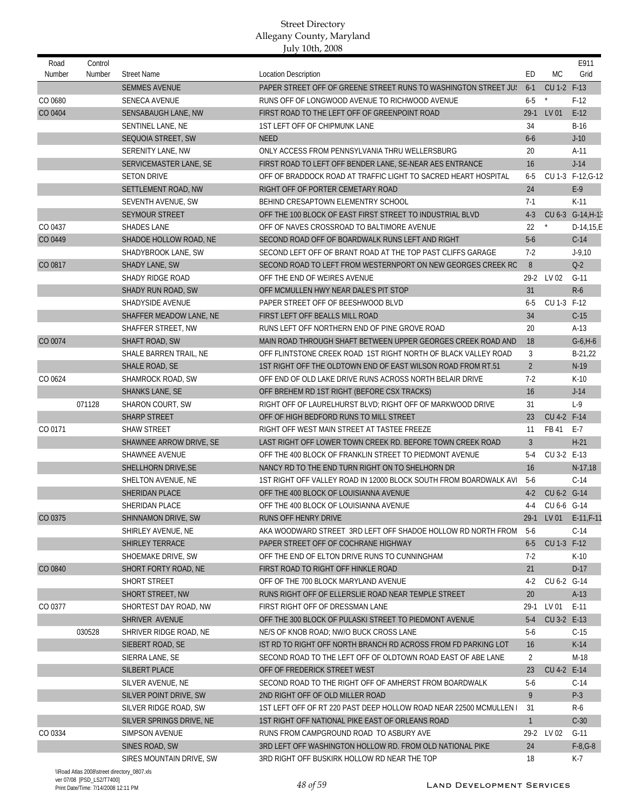| Road    | Control |                          |                                                                  |                |             | E911              |
|---------|---------|--------------------------|------------------------------------------------------------------|----------------|-------------|-------------------|
| Number  | Number  | <b>Street Name</b>       | <b>Location Description</b>                                      | ED             | МC          | Grid              |
|         |         | <b>SEMMES AVENUE</b>     | PAPER STREET OFF OF GREENE STREET RUNS TO WASHINGTON STREET JU!  | $6-1$          | CU 1-2 F-13 |                   |
| CO 0680 |         | <b>SENECA AVENUE</b>     | RUNS OFF OF LONGWOOD AVENUE TO RICHWOOD AVENUE                   | $6 - 5$        | $^\star$    | $F-12$            |
| CO 0404 |         | SENSABAUGH LANE, NW      | FIRST ROAD TO THE LEFT OFF OF GREENPOINT ROAD                    | $29-1$         | LV 01       | $E-12$            |
|         |         | SENTINEL LANE, NE        | 1ST LEFT OFF OF CHIPMUNK LANE                                    | 34             |             | $B-16$            |
|         |         | SEQUOIA STREET, SW       | <b>NEED</b>                                                      | $6-6$          |             | $J-10$            |
|         |         | SERENITY LANE, NW        | ONLY ACCESS FROM PENNSYLVANIA THRU WELLERSBURG                   | 20             |             | $A-11$            |
|         |         | SERVICEMASTER LANE, SE   | FIRST ROAD TO LEFT OFF BENDER LANE, SE-NEAR AES ENTRANCE         | 16             |             | $J-14$            |
|         |         | <b>SETON DRIVE</b>       | OFF OF BRADDOCK ROAD AT TRAFFIC LIGHT TO SACRED HEART HOSPITAL   | $6 - 5$        |             | CU 1-3 F-12.G-12  |
|         |         | SETTLEMENT ROAD, NW      | RIGHT OFF OF PORTER CEMETARY ROAD                                | 24             |             | $E-9$             |
|         |         | SEVENTH AVENUE, SW       | BEHIND CRESAPTOWN ELEMENTRY SCHOOL                               | $7-1$          |             | $K-11$            |
|         |         | SEYMOUR STREET           | OFF THE 100 BLOCK OF EAST FIRST STREET TO INDUSTRIAL BLVD        | $4-3$          |             | CU 6-3 G-14, H-13 |
| CO 0437 |         | <b>SHADES LANE</b>       | OFF OF NAVES CROSSROAD TO BALTIMORE AVENUE                       | 22             |             | $D-14, 15, E$     |
| CO 0449 |         | SHADOE HOLLOW ROAD, NE   | SECOND ROAD OFF OF BOARDWALK RUNS LEFT AND RIGHT                 | $5-6$          |             | $C-14$            |
|         |         | SHADYBROOK LANE, SW      | SECOND LEFT OFF OF BRANT ROAD AT THE TOP PAST CLIFFS GARAGE      | $7-2$          |             | $J - 9,10$        |
| CO 0817 |         | SHADY LANE, SW           | SECOND ROAD TO LEFT FROM WESTERNPORT ON NEW GEORGES CREEK RO     | 8              |             | $Q-2$             |
|         |         | SHADY RIDGE ROAD         | OFF THE END OF WEIRES AVENUE                                     |                | 29-2 LV 02  | $G-11$            |
|         |         | SHADY RUN ROAD, SW       | OFF MCMULLEN HWY NEAR DALE'S PIT STOP                            | 31             |             | $R-6$             |
|         |         | <b>SHADYSIDE AVENUE</b>  | PAPER STREET OFF OF BEESHWOOD BLVD                               | $6 - 5$        | CU 1-3 F-12 |                   |
|         |         | SHAFFER MEADOW LANE, NE  | FIRST LEFT OFF BEALLS MILL ROAD                                  | 34             |             | $C-15$            |
|         |         | SHAFFER STREET, NW       | RUNS LEFT OFF NORTHERN END OF PINE GROVE ROAD                    | 20             |             | $A-13$            |
| CO 0074 |         | <b>SHAFT ROAD, SW</b>    | MAIN ROAD THROUGH SHAFT BETWEEN UPPER GEORGES CREEK ROAD AND     | 18             |             | $G-6, H-6$        |
|         |         | SHALE BARREN TRAIL, NE   | OFF FLINTSTONE CREEK ROAD 1ST RIGHT NORTH OF BLACK VALLEY ROAD   | 3              |             | $B-21,22$         |
|         |         | SHALE ROAD, SE           | 1ST RIGHT OFF THE OLDTOWN END OF EAST WILSON ROAD FROM RT.51     | $\overline{2}$ |             | $N-19$            |
| CO 0624 |         | SHAMROCK ROAD, SW        | OFF END OF OLD LAKE DRIVE RUNS ACROSS NORTH BELAIR DRIVE         | $7-2$          |             | $K-10$            |
|         |         | <b>SHANKS LANE, SE</b>   | OFF BREHEM RD 1ST RIGHT (BEFORE CSX TRACKS)                      | 16             |             | $J-14$            |
|         | 071128  | SHARON COURT, SW         | RIGHT OFF OF LAURELHURST BLVD; RIGHT OFF OF MARKWOOD DRIVE       | 31             |             | $L-9$             |
|         |         | <b>SHARP STREET</b>      | OFF OF HIGH BEDFORD RUNS TO MILL STREET                          | 23             | CU 4-2 F-14 |                   |
| CO 0171 |         | <b>SHAW STREET</b>       | RIGHT OFF WEST MAIN STREET AT TASTEE FREEZE                      | 11             | FB 41       | E-7               |
|         |         | SHAWNEE ARROW DRIVE, SE  | LAST RIGHT OFF LOWER TOWN CREEK RD. BEFORE TOWN CREEK ROAD       | $\overline{3}$ |             | $H-21$            |
|         |         | SHAWNEE AVENUE           | OFF THE 400 BLOCK OF FRANKLIN STREET TO PIEDMONT AVENUE          | $5-4$          | CU 3-2 E-13 |                   |
|         |         | SHELLHORN DRIVE, SE      | NANCY RD TO THE END TURN RIGHT ON TO SHELHORN DR                 | 16             |             | $N-17,18$         |
|         |         | SHELTON AVENUE, NE       | 1ST RIGHT OFF VALLEY ROAD IN 12000 BLOCK SOUTH FROM BOARDWALK AV | $5-6$          |             | $C-14$            |
|         |         | SHERIDAN PLACE           | OFF THE 400 BLOCK OF LOUISIANNA AVENUE                           | $4-2$          | CU 6-2 G-14 |                   |
|         |         | <b>SHERIDAN PLACE</b>    | OFF THE 400 BLOCK OF LOUISIANNA AVENUE                           | $4 - 4$        | CU 6-6 G-14 |                   |
| CO 0375 |         | SHINNAMON DRIVE, SW      | RUNS OFF HENRY DRIVE                                             |                | 29-1 LV 01  | $E-11, F-11$      |
|         |         | SHIRLEY AVENUE, NE       | AKA WOODWARD STREET 3RD LEFT OFF SHADOE HOLLOW RD NORTH FROM     | $5-6$          |             | $C-14$            |
|         |         | <b>SHIRLEY TERRACE</b>   | PAPER STREET OFF OF COCHRANE HIGHWAY                             | $6-5$          | CU 1-3 F-12 |                   |
|         |         | SHOEMAKE DRIVE, SW       | OFF THE END OF ELTON DRIVE RUNS TO CUNNINGHAM                    | $7-2$          |             | $K-10$            |
| CO 0840 |         | SHORT FORTY ROAD, NE     | FIRST ROAD TO RIGHT OFF HINKLE ROAD                              | 21             |             | $D-17$            |
|         |         | <b>SHORT STREET</b>      | OFF OF THE 700 BLOCK MARYLAND AVENUE                             | 4-2            | CU 6-2 G-14 |                   |
|         |         | SHORT STREET, NW         | RUNS RIGHT OFF OF ELLERSLIE ROAD NEAR TEMPLE STREET              | 20             |             | $A-13$            |
| CO 0377 |         | SHORTEST DAY ROAD, NW    | FIRST RIGHT OFF OF DRESSMAN LANE                                 | 29-1           | LV 01       | E-11              |
|         |         | SHRIVER AVENUE           | OFF THE 300 BLOCK OF PULASKI STREET TO PIEDMONT AVENUE           | $5-4$          | CU 3-2 E-13 |                   |
|         | 030528  | SHRIVER RIDGE ROAD, NE   | NE/S OF KNOB ROAD; NW/O BUCK CROSS LANE                          | $5-6$          |             | $C-15$            |
|         |         | SIEBERT ROAD, SE         | IST RD TO RIGHT OFF NORTH BRANCH RD ACROSS FROM FD PARKING LOT   | 16             |             | $K-14$            |
|         |         | SIERRA LANE, SE          | SECOND ROAD TO THE LEFT OFF OF OLDTOWN ROAD EAST OF ABE LANE     | 2              |             | M-18              |
|         |         | SILBERT PLACE            | OFF OF FREDERICK STREET WEST                                     | 23             | CU 4-2 E-14 |                   |
|         |         | SILVER AVENUE, NE        | SECOND ROAD TO THE RIGHT OFF OF AMHERST FROM BOARDWALK           | $5-6$          |             | $C-14$            |
|         |         | SILVER POINT DRIVE, SW   | 2ND RIGHT OFF OF OLD MILLER ROAD                                 | 9              |             | $P-3$             |
|         |         | SILVER RIDGE ROAD, SW    | 1ST LEFT OFF OF RT 220 PAST DEEP HOLLOW ROAD NEAR 22500 MCMULLEN | 31             |             | R-6               |
|         |         | SILVER SPRINGS DRIVE, NE | 1ST RIGHT OFF NATIONAL PIKE EAST OF ORLEANS ROAD                 | $\mathbf{1}$   |             | $C-30$            |
| CO 0334 |         | SIMPSON AVENUE           | RUNS FROM CAMPGROUND ROAD TO ASBURY AVE                          | $29-2$         | LV 02       | $G-11$            |
|         |         | SINES ROAD, SW           | 3RD LEFT OFF WASHINGTON HOLLOW RD. FROM OLD NATIONAL PIKE        | 24             |             | $F-8, G-8$        |
|         |         | SIRES MOUNTAIN DRIVE, SW | 3RD RIGHT OFF BUSKIRK HOLLOW RD NEAR THE TOP                     | 18             |             | K-7               |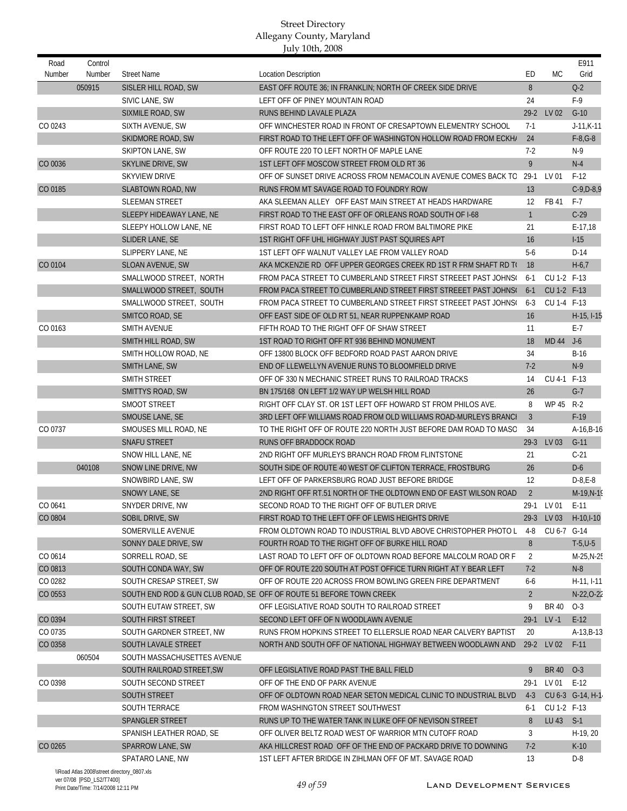| Road<br>Number | Control<br>Number                           | <b>Street Name</b>          | <b>Location Description</b>                                         | ED             | MC.          | E911<br>Grid     |
|----------------|---------------------------------------------|-----------------------------|---------------------------------------------------------------------|----------------|--------------|------------------|
|                | 050915                                      | SISLER HILL ROAD, SW        | EAST OFF ROUTE 36; IN FRANKLIN; NORTH OF CREEK SIDE DRIVE           | 8              |              | $Q-2$            |
|                |                                             | SIVIC LANE, SW              | LEFT OFF OF PINEY MOUNTAIN ROAD                                     | 24             |              | $F-9$            |
|                |                                             | SIXMILE ROAD, SW            | RUNS BEHIND LAVALE PLAZA                                            | $29-2$         | LV 02        | $G-10$           |
| CO 0243        |                                             | SIXTH AVENUE, SW            | OFF WINCHESTER ROAD IN FRONT OF CRESAPTOWN ELEMENTRY SCHOOL         | $7-1$          |              | $J-11,K-11$      |
|                |                                             | SKIDMORE ROAD, SW           | FIRST ROAD TO THE LEFT OFF OF WASHINGTON HOLLOW ROAD FROM ECKH      | 24             |              | $F-8, G-8$       |
|                |                                             | SKIPTON LANE, SW            | OFF ROUTE 220 TO LEFT NORTH OF MAPLE LANE                           | $7-2$          |              | $N-9$            |
| CO 0036        |                                             | SKYLINE DRIVE, SW           | 1ST LEFT OFF MOSCOW STREET FROM OLD RT 36                           | 9              |              | $N-4$            |
|                |                                             | <b>SKYVIEW DRIVE</b>        | OFF OF SUNSET DRIVE ACROSS FROM NEMACOLIN AVENUE COMES BACK TO 29-1 |                | LV 01        | $F-12$           |
| CO 0185        |                                             | SLABTOWN ROAD, NW           | RUNS FROM MT SAVAGE ROAD TO FOUNDRY ROW                             | 13             |              | $C-9, D-8, 9$    |
|                |                                             | <b>SLEEMAN STREET</b>       | AKA SLEEMAN ALLEY OFF EAST MAIN STREET AT HEADS HARDWARE            | 12             | FB 41        | F-7              |
|                |                                             | SLEEPY HIDEAWAY LANE, NE    | FIRST ROAD TO THE EAST OFF OF ORLEANS ROAD SOUTH OF I-68            | $\mathbf{1}$   |              | $C-29$           |
|                |                                             | SLEEPY HOLLOW LANE, NE      | FIRST ROAD TO LEFT OFF HINKLE ROAD FROM BALTIMORE PIKE              | 21             |              | E-17,18          |
|                |                                             | SLIDER LANE, SE             | 1ST RIGHT OFF UHL HIGHWAY JUST PAST SQUIRES APT                     | 16             |              | $I-15$           |
|                |                                             | SLIPPERY LANE, NE           | 1ST LEFT OFF WALNUT VALLEY LAE FROM VALLEY ROAD                     | $5-6$          |              | $D-14$           |
| CO 0104        |                                             | SLOAN AVENUE, SW            | AKA MCKENZIE RD OFF UPPER GEORGES CREEK RD 1ST R FRM SHAFT RD TO    | 18             |              | $H-6,7$          |
|                |                                             | SMALLWOOD STREET, NORTH     | FROM PACA STREET TO CUMBERLAND STREET FIRST STREEET PAST JOHNS      | $6-1$          | CU 1-2 F-13  |                  |
|                |                                             | SMALLWOOD STREET, SOUTH     | FROM PACA STREET TO CUMBERLAND STREET FIRST STREEET PAST JOHNS      | $6-1$          | CU 1-2 F-13  |                  |
|                |                                             | SMALLWOOD STREET. SOUTH     | FROM PACA STREET TO CUMBERLAND STREET FIRST STREEET PAST JOHNS      | $6 - 3$        | CU 1-4 F-13  |                  |
|                |                                             | SMITCO ROAD, SE             | OFF EAST SIDE OF OLD RT 51, NEAR RUPPENKAMP ROAD                    | 16             |              | H-15, I-15       |
| CO 0163        |                                             | <b>SMITH AVENUE</b>         | FIFTH ROAD TO THE RIGHT OFF OF SHAW STREET                          | 11             |              | $E-7$            |
|                |                                             | SMITH HILL ROAD, SW         | 1ST ROAD TO RIGHT OFF RT 936 BEHIND MONUMENT                        | 18             | <b>MD 44</b> | $J-6$            |
|                |                                             | SMITH HOLLOW ROAD, NE       | OFF 13800 BLOCK OFF BEDFORD ROAD PAST AARON DRIVE                   | 34             |              | $B-16$           |
|                |                                             | SMITH LANE, SW              | END OF LLEWELLYN AVENUE RUNS TO BLOOMFIELD DRIVE                    | $7-2$          |              | $N-9$            |
|                |                                             | SMITH STREET                | OFF OF 330 N MECHANIC STREET RUNS TO RAILROAD TRACKS                | 14             | CU 4-1 F-13  |                  |
|                |                                             | SMITTYS ROAD, SW            | BN 175/168 ON LEFT 1/2 WAY UP WELSH HILL ROAD                       | 26             |              | $G-7$            |
|                |                                             | SMOOT STREET                | RIGHT OFF CLAY ST. OR 1ST LEFT OFF HOWARD ST FROM PHILOS AVE.       | 8              | WP 45 R-2    |                  |
|                |                                             | SMOUSE LANE, SE             | 3RD LEFT OFF WILLIAMS ROAD FROM OLD WILLIAMS ROAD-MURLEYS BRANCI    | $\mathbf{3}$   |              | $F-19$           |
| CO 0737        |                                             | SMOUSES MILL ROAD, NE       | TO THE RIGHT OFF OF ROUTE 220 NORTH JUST BEFORE DAM ROAD TO MASO    | 34             |              | $A-16,B-16$      |
|                |                                             | <b>SNAFU STREET</b>         | RUNS OFF BRADDOCK ROAD                                              | $29-3$         | LV 03        | $G-11$           |
|                |                                             | SNOW HILL LANE, NE          | 2ND RIGHT OFF MURLEYS BRANCH ROAD FROM FLINTSTONE                   | 21             |              | $C-21$           |
|                | 040108                                      | SNOW LINE DRIVE, NW         | SOUTH SIDE OF ROUTE 40 WEST OF CLIFTON TERRACE, FROSTBURG           | 26             |              | $D-6$            |
|                |                                             | SNOWBIRD LANE, SW           | LEFT OFF OF PARKERSBURG ROAD JUST BEFORE BRIDGE                     | 12             |              | $D-8, E-8$       |
|                |                                             | SNOWY LANE, SE              | 2ND RIGHT OFF RT.51 NORTH OF THE OLDTOWN END OF EAST WILSON ROAD    | $\overline{2}$ |              | M-19, N-19       |
| CO 0641        |                                             | <b>SNYDER DRIVE, NW</b>     | SECOND ROAD TO THE RIGHT OFF OF BUTLER DRIVE                        |                | 29-1 LV 01   | $E-11$           |
| CO 0804        |                                             | SOBIL DRIVE, SW             | FIRST ROAD TO THE LEFT OFF OF LEWIS HEIGHTS DRIVE                   |                | 29-3 LV 03   | $H-10, I-10$     |
|                |                                             | SOMERVILLE AVENUE           | FROM OLDTOWN ROAD TO INDUSTRIAL BLVD ABOVE CHRISTOPHER PHOTO L      | 4-8            | CU 6-7 G-14  |                  |
|                |                                             | SONNY DALE DRIVE, SW        | FOURTH ROAD TO THE RIGHT OFF OF BURKE HILL ROAD                     | 8              |              | $T-5, U-5$       |
| CO 0614        |                                             | SORRELL ROAD, SE            | LAST ROAD TO LEFT OFF OF OLDTOWN ROAD BEFORE MALCOLM ROAD OR F      | 2              |              | $M-25,N-25$      |
| CO 0813        |                                             | SOUTH CONDA WAY, SW         | OFF OF ROUTE 220 SOUTH AT POST OFFICE TURN RIGHT AT Y BEAR LEFT     | $7-2$          |              | $N-8$            |
| CO 0282        |                                             | SOUTH CRESAP STREET, SW     | OFF OF ROUTE 220 ACROSS FROM BOWLING GREEN FIRE DEPARTMENT          | 6-6            |              | $H-11, I-11$     |
| CO 0553        |                                             |                             | SOUTH END ROD & GUN CLUB ROAD, SE OFF OF ROUTE 51 BEFORE TOWN CREEK | $\overline{2}$ |              | $N-22, O-22$     |
|                |                                             | SOUTH EUTAW STREET, SW      | OFF LEGISLATIVE ROAD SOUTH TO RAILROAD STREET                       | 9              | BR 40 0-3    |                  |
| CO 0394        |                                             | SOUTH FIRST STREET          | SECOND LEFT OFF OF N WOODLAWN AVENUE                                | $29-1$         | $LV-1$       | $E-12$           |
| CO 0735        |                                             | SOUTH GARDNER STREET, NW    | RUNS FROM HOPKINS STREET TO ELLERSLIE ROAD NEAR CALVERY BAPTIST     | 20             |              | $A-13,B-13$      |
| CO 0358        |                                             | SOUTH LAVALE STREET         | NORTH AND SOUTH OFF OF NATIONAL HIGHWAY BETWEEN WOODLAWN AND        | $29-2$         | LV 02        | $F-11$           |
|                | 060504                                      | SOUTH MASSACHUSETTES AVENUE |                                                                     |                |              |                  |
|                |                                             | SOUTH RAILROAD STREET, SW   | OFF LEGISLATIVE ROAD PAST THE BALL FIELD                            | 9              | BR 40 0-3    |                  |
| CO 0398        |                                             | SOUTH SECOND STREET         | OFF OF THE END OF PARK AVENUE                                       | $29-1$         | LV 01 E-12   |                  |
|                |                                             | SOUTH STREET                | OFF OF OLDTOWN ROAD NEAR SETON MEDICAL CLINIC TO INDUSTRIAL BLVD    | $4-3$          |              | CU 6-3 G-14, H-1 |
|                |                                             | SOUTH TERRACE               | FROM WASHINGTON STREET SOUTHWEST                                    | $6-1$          | CU 1-2 F-13  |                  |
|                |                                             | SPANGLER STREET             | RUNS UP TO THE WATER TANK IN LUKE OFF OF NEVISON STREET             | 8              | LU 43 S-1    |                  |
|                |                                             | SPANISH LEATHER ROAD, SE    | OFF OLIVER BELTZ ROAD WEST OF WARRIOR MTN CUTOFF ROAD               | 3              |              | H-19, 20         |
| CO 0265        |                                             | SPARROW LANE, SW            | AKA HILLCREST ROAD OFF OF THE END OF PACKARD DRIVE TO DOWNING       | $7-2$          |              | $K-10$           |
|                |                                             | SPATARO LANE, NW            | 1ST LEFT AFTER BRIDGE IN ZIHLMAN OFF OF MT. SAVAGE ROAD             | 13             |              | D-8              |
|                | \\Road Atlas 2008\street directory_0807.xls |                             |                                                                     |                |              |                  |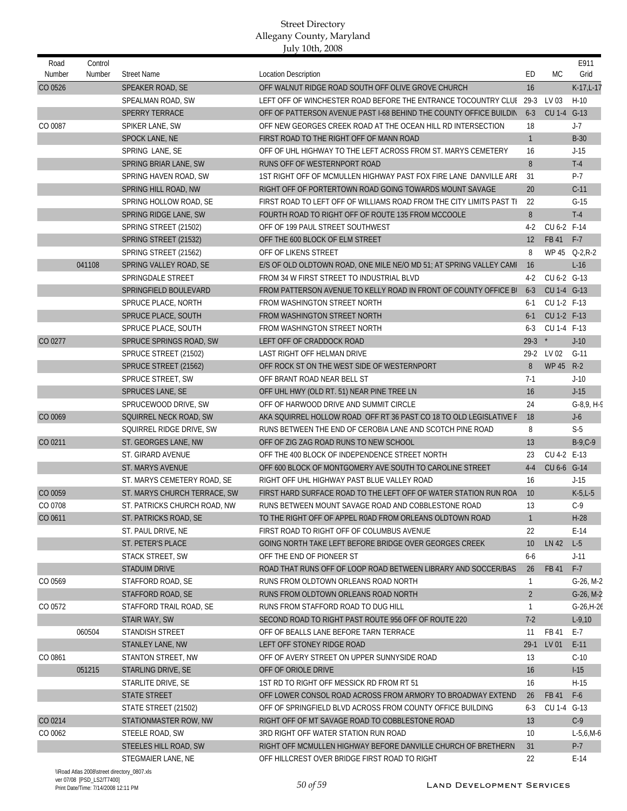| Road<br>Number | Control<br>Number | <b>Street Name</b>           | <b>Location Description</b>                                                                                                  | ED                 | <b>MC</b>     | E911<br>Grid    |
|----------------|-------------------|------------------------------|------------------------------------------------------------------------------------------------------------------------------|--------------------|---------------|-----------------|
|                |                   |                              |                                                                                                                              |                    |               |                 |
| CO 0526        |                   | SPEAKER ROAD, SE             | OFF WALNUT RIDGE ROAD SOUTH OFF OLIVE GROVE CHURCH                                                                           | 16                 |               | K-17, L-17      |
|                |                   | SPEALMAN ROAD, SW            | LEFT OFF OF WINCHESTER ROAD BEFORE THE ENTRANCE TOCOUNTRY CLUI 29-3                                                          |                    | LV 03         | $H-10$          |
|                |                   | <b>SPERRY TERRACE</b>        | OFF OF PATTERSON AVENUE PAST I-68 BEHIND THE COUNTY OFFICE BUILDIN                                                           | $6 - 3$            | <b>CU 1-4</b> | $G-13$          |
| CO 0087        |                   | SPIKER LANE, SW              | OFF NEW GEORGES CREEK ROAD AT THE OCEAN HILL RD INTERSECTION                                                                 | 18<br>$\mathbf{1}$ |               | $J-7$           |
|                |                   | SPOCK LANE, NE               | FIRST ROAD TO THE RIGHT OFF OF MANN ROAD                                                                                     |                    |               | $B-30$          |
|                |                   | SPRING LANE, SE              | OFF OF UHL HIGHWAY TO THE LEFT ACROSS FROM ST. MARYS CEMETERY                                                                | 16<br>8            |               | $J-15$<br>$T-4$ |
|                |                   | SPRING BRIAR LANE, SW        | RUNS OFF OF WESTERNPORT ROAD                                                                                                 |                    |               | $P-7$           |
|                |                   | SPRING HAVEN ROAD, SW        | 1ST RIGHT OFF OF MCMULLEN HIGHWAY PAST FOX FIRE LANE DANVILLE ARE<br>RIGHT OFF OF PORTERTOWN ROAD GOING TOWARDS MOUNT SAVAGE | 31<br>20           |               | $C-11$          |
|                |                   | SPRING HILL ROAD, NW         | FIRST ROAD TO LEFT OFF OF WILLIAMS ROAD FROM THE CITY LIMITS PAST TI                                                         |                    |               |                 |
|                |                   | SPRING HOLLOW ROAD, SE       |                                                                                                                              | 22                 |               | $G-15$          |
|                |                   | SPRING RIDGE LANE, SW        | FOURTH ROAD TO RIGHT OFF OF ROUTE 135 FROM MCCOOLE                                                                           | 8                  |               | $T-4$           |
|                |                   | SPRING STREET (21502)        | OFF OF 199 PAUL STREET SOUTHWEST                                                                                             | $4-2$              | CU 6-2 F-14   |                 |
|                |                   | SPRING STREET (21532)        | OFF THE 600 BLOCK OF ELM STREET                                                                                              | 12                 | FB 41         | $F-7$           |
|                |                   | SPRING STREET (21562)        | OFF OF LIKENS STREET                                                                                                         | 8                  |               | WP 45 Q-2, R-2  |
|                | 041108            | SPRING VALLEY ROAD, SE       | E/S OF OLD OLDTOWN ROAD, ONE MILE NE/O MD 51; AT SPRING VALLEY CAMI                                                          | 16                 |               | $L-16$          |
|                |                   | SPRINGDALE STREET            | FROM 34 W FIRST STREET TO INDUSTRIAL BLVD                                                                                    | $4-2$              | CU 6-2 G-13   |                 |
|                |                   | SPRINGFIELD BOULEVARD        | FROM PATTERSON AVENUE TO KELLY ROAD IN FRONT OF COUNTY OFFICE B                                                              | $6 - 3$            | CU 1-4 G-13   |                 |
|                |                   | SPRUCE PLACE, NORTH          | FROM WASHINGTON STREET NORTH                                                                                                 | $6-1$              | CU 1-2 F-13   |                 |
|                |                   | SPRUCE PLACE, SOUTH          | FROM WASHINGTON STREET NORTH                                                                                                 | $6-1$              | CU 1-2 F-13   |                 |
|                |                   | SPRUCE PLACE, SOUTH          | FROM WASHINGTON STREET NORTH                                                                                                 | $6 - 3$            | CU 1-4 F-13   |                 |
| CO 0277        |                   | SPRUCE SPRINGS ROAD, SW      | LEFT OFF OF CRADDOCK ROAD                                                                                                    | $29-3$             | $^{\star}$    | $J-10$          |
|                |                   | SPRUCE STREET (21502)        | LAST RIGHT OFF HELMAN DRIVE                                                                                                  |                    | 29-2 LV 02    | $G-11$          |
|                |                   | SPRUCE STREET (21562)        | OFF ROCK ST ON THE WEST SIDE OF WESTERNPORT                                                                                  | 8                  | <b>WP45</b>   | $R-2$           |
|                |                   | SPRUCE STREET, SW            | OFF BRANT ROAD NEAR BELL ST                                                                                                  | $7-1$              |               | $J-10$          |
|                |                   | SPRUCES LANE, SE             | OFF UHL HWY (OLD RT. 51) NEAR PINE TREE LN                                                                                   | 16                 |               | $J-15$          |
|                |                   | SPRUCEWOOD DRIVE, SW         | OFF OF HARWOOD DRIVE AND SUMMIT CIRCLE                                                                                       | 24                 |               | $G-8,9, H-9$    |
| CO 0069        |                   | SQUIRREL NECK ROAD, SW       | AKA SQUIRREL HOLLOW ROAD OFF RT 36 PAST CO 18 TO OLD LEGISLATIVE F                                                           | 18                 |               | $J-6$           |
|                |                   | SQUIRREL RIDGE DRIVE, SW     | RUNS BETWEEN THE END OF CEROBIA LANE AND SCOTCH PINE ROAD                                                                    | 8                  |               | $S-5$           |
| CO 0211        |                   | ST. GEORGES LANE, NW         | OFF OF ZIG ZAG ROAD RUNS TO NEW SCHOOL                                                                                       | 13                 |               | $B-9, C-9$      |
|                |                   | <b>ST. GIRARD AVENUE</b>     | OFF THE 400 BLOCK OF INDEPENDENCE STREET NORTH                                                                               | 23                 | CU 4-2 E-13   |                 |
|                |                   | ST. MARYS AVENUE             | OFF 600 BLOCK OF MONTGOMERY AVE SOUTH TO CAROLINE STREET                                                                     | $4 - 4$            | CU 6-6 G-14   |                 |
|                |                   | ST. MARYS CEMETERY ROAD, SE  | RIGHT OFF UHL HIGHWAY PAST BLUE VALLEY ROAD                                                                                  | 16                 |               | $J-15$          |
| CO 0059        |                   | ST. MARYS CHURCH TERRACE, SW | FIRST HARD SURFACE ROAD TO THE LEFT OFF OF WATER STATION RUN ROA                                                             | 10                 |               | $K-5,L-5$       |
| CO 0708        |                   | ST. PATRICKS CHURCH ROAD, NW | RUNS BETWEEN MOUNT SAVAGE ROAD AND COBBLESTONE ROAD                                                                          | 13                 |               | $C-9$           |
| CO 0611        |                   | ST. PATRICKS ROAD, SE        | TO THE RIGHT OFF OF APPEL R0AD FROM ORLEANS OLDTOWN ROAD                                                                     | $\mathbf{1}$       |               | $H-28$          |
|                |                   | ST. PAUL DRIVE, NE           | FIRST ROAD TO RIGHT OFF OF COLUMBUS AVENUE                                                                                   | 22                 |               | $E-14$          |
|                |                   | ST. PETER'S PLACE            | GOING NORTH TAKE LEFT BEFORE BRIDGE OVER GEORGES CREEK                                                                       | 10                 | LN 42         | $L-5$           |
|                |                   | STACK STREET, SW             | OFF THE END OF PIONEER ST                                                                                                    | $6-6$              |               | $J-11$          |
|                |                   | <b>STADUIM DRIVE</b>         | ROAD THAT RUNS OFF OF LOOP ROAD BETWEEN LIBRARY AND SOCCER/BAS                                                               | 26                 | FB 41         | $F-7$           |
| CO 0569        |                   | STAFFORD ROAD, SE            | RUNS FROM OLDTOWN ORLEANS ROAD NORTH                                                                                         | 1                  |               | $G-26$ , M-2    |
|                |                   | STAFFORD ROAD, SE            | RUNS FROM OLDTOWN ORLEANS ROAD NORTH                                                                                         | $\overline{2}$     |               | $G-26$ , M-2    |
| CO 0572        |                   | STAFFORD TRAIL ROAD, SE      | RUNS FROM STAFFORD ROAD TO DUG HILL                                                                                          | 1                  |               | $G-26, H-26$    |
|                |                   | STAIR WAY, SW                | SECOND ROAD TO RIGHT PAST ROUTE 956 OFF OF ROUTE 220                                                                         | $7-2$              |               | $L - 9,10$      |
|                | 060504            | STANDISH STREET              | OFF OF BEALLS LANE BEFORE TARN TERRACE                                                                                       | 11                 | FB 41         | $E-7$           |
|                |                   | <b>STANLEY LANE, NW</b>      | LEFT OFF STONEY RIDGE ROAD                                                                                                   | $29-1$             | LV 01         | $E-11$          |
| CO 0861        |                   | STANTON STREET, NW           | OFF OF AVERY STREET ON UPPER SUNNYSIDE ROAD                                                                                  | 13                 |               | $C-10$          |
|                | 051215            | STARLING DRIVE, SE           | OFF OF ORIOLE DRIVE                                                                                                          | 16                 |               | $I-15$          |
|                |                   | STARLITE DRIVE, SE           | 1ST RD TO RIGHT OFF MESSICK RD FROM RT 51                                                                                    | 16                 |               | $H-15$          |
|                |                   | <b>STATE STREET</b>          | OFF LOWER CONSOL ROAD ACROSS FROM ARMORY TO BROADWAY EXTEND                                                                  | 26                 | FB 41         | $F-6$           |
|                |                   | STATE STREET (21502)         | OFF OF SPRINGFIELD BLVD ACROSS FROM COUNTY OFFICE BUILDING                                                                   | $6 - 3$            | CU 1-4 G-13   |                 |
| CO 0214        |                   | STATIONMASTER ROW, NW        | RIGHT OFF OF MT SAVAGE ROAD TO COBBLESTONE ROAD                                                                              | 13                 |               | $C-9$           |
| CO 0062        |                   | STEELE ROAD, SW              | 3RD RIGHT OFF WATER STATION RUN ROAD                                                                                         | 10                 |               | $L-5,6,M-6$     |
|                |                   | STEELES HILL ROAD, SW        | RIGHT OFF MCMULLEN HIGHWAY BEFORE DANVILLE CHURCH OF BRETHERN                                                                | 31                 |               | $P-7$           |
|                |                   | STEGMAIER LANE, NE           | OFF HILLCREST OVER BRIDGE FIRST ROAD TO RIGHT                                                                                | 22                 |               | $E-14$          |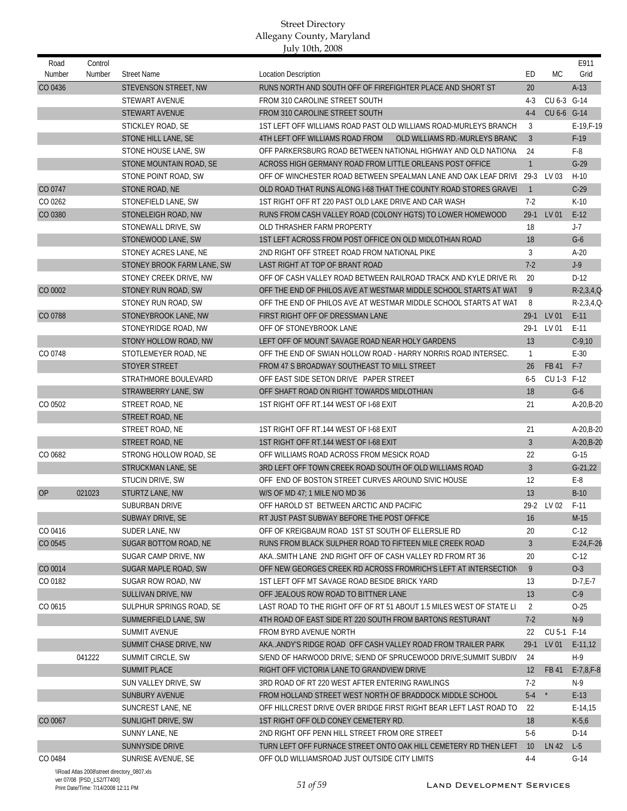| Road<br>Number | Control<br>Number                           | <b>Street Name</b>         | <b>Location Description</b>                                          | ED                | <b>MC</b>   | E911<br>Grid        |
|----------------|---------------------------------------------|----------------------------|----------------------------------------------------------------------|-------------------|-------------|---------------------|
| CO 0436        |                                             | STEVENSON STREET, NW       | RUNS NORTH AND SOUTH OFF OF FIREFIGHTER PLACE AND SHORT ST           | 20                |             | $A-13$              |
|                |                                             | STEWART AVENUE             | FROM 310 CAROLINE STREET SOUTH                                       | $4-3$             | CU 6-3 G-14 |                     |
|                |                                             | STEWART AVENUE             | FROM 310 CAROLINE STREET SOUTH                                       | $4 - 4$           | CU 6-6 G-14 |                     |
|                |                                             | STICKLEY ROAD, SE          | 1ST LEFT OFF WILLIAMS ROAD PAST OLD WILLIAMS ROAD-MURLEYS BRANCH     | 3                 |             | E-19, F-19          |
|                |                                             | <b>STONE HILL LANE, SE</b> | 4TH LEFT OFF WILLIAMS ROAD FROM<br>OLD WILLIAMS RD.-MURLEYS BRANC    | 3                 |             | $F-19$              |
|                |                                             | STONE HOUSE LANE, SW       | OFF PARKERSBURG ROAD BETWEEN NATIONAL HIGHWAY AND OLD NATIONA        | 24                |             | $F-8$               |
|                |                                             | STONE MOUNTAIN ROAD, SE    | ACROSS HIGH GERMANY ROAD FROM LITTLE ORLEANS POST OFFICE             | $\mathbf{1}$      |             | $G-29$              |
|                |                                             | STONE POINT ROAD, SW       | OFF OF WINCHESTER ROAD BETWEEN SPEALMAN LANE AND OAK LEAF DRIVI 29-3 |                   | LV 03       | $H-10$              |
| CO 0747        |                                             | STONE ROAD, NE             | OLD ROAD THAT RUNS ALONG 1-68 THAT THE COUNTY ROAD STORES GRAVEL     | $\overline{1}$    |             | $C-29$              |
| CO 0262        |                                             | STONEFIELD LANE, SW        | 1ST RIGHT OFF RT 220 PAST OLD LAKE DRIVE AND CAR WASH                | $7-2$             |             | $K-10$              |
| CO 0380        |                                             | STONELEIGH ROAD, NW        | RUNS FROM CASH VALLEY ROAD (COLONY HGTS) TO LOWER HOMEWOOD           | $29-1$            | LV 01       | $E-12$              |
|                |                                             | STONEWALL DRIVE, SW        | OLD THRASHER FARM PROPERTY                                           | 18                |             | $J-7$               |
|                |                                             | STONEWOOD LANE, SW         | 1ST LEFT ACROSS FROM POST OFFICE ON OLD MIDLOTHIAN ROAD              | 18                |             | $G-6$               |
|                |                                             | STONEY ACRES LANE, NE      | 2ND RIGHT OFF STREET ROAD FROM NATIONAL PIKE                         | 3                 |             | $A-20$              |
|                |                                             | STONEY BROOK FARM LANE, SW | LAST RIGHT AT TOP OF BRANT ROAD                                      | $7-2$             |             | $J-9$               |
|                |                                             | STONEY CREEK DRIVE, NW     | OFF OF CASH VALLEY ROAD BETWEEN RAILROAD TRACK AND KYLE DRIVE RU     | 20                |             | $D-12$              |
| CO 0002        |                                             | STONEY RUN ROAD, SW        | OFF THE END OF PHILOS AVE AT WESTMAR MIDDLE SCHOOL STARTS AT WAT     | 9                 |             | $R-2,3,4,0$         |
|                |                                             | STONEY RUN ROAD, SW        | OFF THE END OF PHILOS AVE AT WESTMAR MIDDLE SCHOOL STARTS AT WAT     | 8                 |             | $R-2,3,4,0$         |
| CO 0788        |                                             | STONEYBROOK LANE, NW       | FIRST RIGHT OFF OF DRESSMAN LANE                                     | $29-1$            | LV 01       | $E-11$              |
|                |                                             | STONEYRIDGE ROAD, NW       | OFF OF STONEYBROOK LANE                                              | $29-1$            | LV 01       | $E-11$              |
|                |                                             | STONY HOLLOW ROAD, NW      | LEFT OFF OF MOUNT SAVAGE ROAD NEAR HOLY GARDENS                      | 13                |             | $C-9,10$            |
| CO 0748        |                                             | STOTLEMEYER ROAD, NE       | OFF THE END OF SWIAN HOLLOW ROAD - HARRY NORRIS ROAD INTERSEC.       | $\mathbf{1}$      |             | $E-30$              |
|                |                                             | STOYER STREET              | FROM 47 S BROADWAY SOUTHEAST TO MILL STREET                          | 26                | FB 41       | $F-7$               |
|                |                                             | STRATHMORE BOULEVARD       | OFF EAST SIDE SETON DRIVE PAPER STREET                               | $6-5$             | CU 1-3 F-12 |                     |
|                |                                             | STRAWBERRY LANE, SW        | OFF SHAFT ROAD ON RIGHT TOWARDS MIDLOTHIAN                           | 18                |             | $G-6$               |
| CO 0502        |                                             | STREET ROAD, NE            | 1ST RIGHT OFF RT.144 WEST OF I-68 EXIT                               | 21                |             | A-20, B-20          |
|                |                                             | STREET ROAD, NE            |                                                                      |                   |             |                     |
|                |                                             | STREET ROAD, NE            | 1ST RIGHT OFF RT.144 WEST OF I-68 EXIT                               | 21                |             | $A-20,B-20$         |
|                |                                             | STREET ROAD, NE            | 1ST RIGHT OFF RT.144 WEST OF I-68 EXIT                               | $\overline{3}$    |             | A-20, B-20          |
|                |                                             |                            |                                                                      | 22                |             |                     |
| CO 0682        |                                             | STRONG HOLLOW ROAD, SE     | OFF WILLIAMS ROAD ACROSS FROM MESICK ROAD                            | $\overline{3}$    |             | $G-15$<br>$G-21,22$ |
|                |                                             | STRUCKMAN LANE, SE         | 3RD LEFT OFF TOWN CREEK ROAD SOUTH OF OLD WILLIAMS ROAD              |                   |             |                     |
|                |                                             | STUCIN DRIVE, SW           | OFF END OF BOSTON STREET CURVES AROUND SIVIC HOUSE                   | 12                |             | $E-8$               |
| <b>OP</b>      | 021023                                      | STURTZ LANE, NW            | W/S OF MD 47: 1 MILE N/O MD 36                                       | 13                |             | $B-10$              |
|                |                                             | <b>SUBURBAN DRIVE</b>      | OFF HAROLD ST BETWEEN ARCTIC AND PACIFIC                             |                   | 29-2 LV 02  | $F-11$              |
|                |                                             | SUBWAY DRIVE, SE           | RT JUST PAST SUBWAY BEFORE THE POST OFFICE                           | 16                |             | $M-15$              |
| CO 0416        |                                             | SUDER LANE, NW             | OFF OF KREIGBAUM ROAD 1ST ST SOUTH OF ELLERSLIE RD                   | 20                |             | $C-12$              |
| CO 0545        |                                             | SUGAR BOTTOM ROAD, NE      | RUNS FROM BLACK SULPHER ROAD TO FIFTEEN MILE CREEK ROAD              | $\overline{3}$    |             | $E-24,F-26$         |
|                |                                             | SUGAR CAMP DRIVE, NW       | AKASMITH LANE 2ND RIGHT OFF OF CASH VALLEY RD FROM RT 36             | 20                |             | $C-12$              |
| CO 0014        |                                             | SUGAR MAPLE ROAD, SW       | OFF NEW GEORGES CREEK RD ACROSS FROMRICH'S LEFT AT INTERSECTION      | 9                 |             | $O-3$               |
| CO 0182        |                                             | SUGAR ROW ROAD, NW         | 1ST LEFT OFF MT SAVAGE ROAD BESIDE BRICK YARD                        | 13                |             | $D-7,E-7$           |
|                |                                             | SULLIVAN DRIVE, NW         | OFF JEALOUS ROW ROAD TO BITTNER LANE                                 | 13                |             | $C-9$               |
| CO 0615        |                                             | SULPHUR SPRINGS ROAD, SE   | LAST ROAD TO THE RIGHT OFF OF RT 51 ABOUT 1.5 MILES WEST OF STATE LI | 2                 |             | $O-25$              |
|                |                                             | SUMMERFIELD LANE, SW       | 4TH ROAD OF EAST SIDE RT 220 SOUTH FROM BARTONS RESTURANT            | $7-2$             |             | $N-9$               |
|                |                                             | SUMMIT AVENUE              | FROM BYRD AVENUE NORTH                                               | 22                | CU 5-1 F-14 |                     |
|                |                                             | SUMMIT CHASE DRIVE, NW     | AKAANDY'S RIDGE ROAD OFF CASH VALLEY ROAD FROM TRAILER PARK          | $29-1$            | LV 01       | $E-11,12$           |
|                | 041222                                      | SUMMIT CIRCLE, SW          | S/END OF HARWOOD DRIVE; S/END OF SPRUCEWOOD DRIVE; SUMMIT SUBDIV     | 24                |             | H-9                 |
|                |                                             | <b>SUMMIT PLACE</b>        | RIGHT OFF VICTORIA LANE TO GRANDVIEW DRIVE                           | $12 \overline{ }$ | FB 41       | $E - 7, 8, F - 8$   |
|                |                                             | SUN VALLEY DRIVE, SW       | 3RD ROAD OF RT 220 WEST AFTER ENTERING RAWLINGS                      | 7-2               |             | $N-9$               |
|                |                                             | SUNBURY AVENUE             | FROM HOLLAND STREET WEST NORTH OF BRADDOCK MIDDLE SCHOOL             | $5-4$             | $^\star$    | $E-13$              |
|                |                                             | SUNCREST LANE, NE          | OFF HILLCREST DRIVE OVER BRIDGE FIRST RIGHT BEAR LEFT LAST ROAD TO   | 22                |             | $E-14,15$           |
| CO 0067        |                                             | SUNLIGHT DRIVE, SW         | 1ST RIGHT OFF OLD CONEY CEMETERY RD.                                 | 18                |             | $K-5,6$             |
|                |                                             | SUNNY LANE, NE             | 2ND RIGHT OFF PENN HILL STREET FROM ORE STREET                       | $5-6$             |             | $D-14$              |
|                |                                             | SUNNYSIDE DRIVE            | TURN LEFT OFF FURNACE STREET ONTO OAK HILL CEMETERY RD THEN LEFT     | 10                | LN 42       | $L-5$               |
| CO 0484        |                                             | SUNRISE AVENUE, SE         | OFF OLD WILLIAMSROAD JUST OUTSIDE CITY LIMITS                        | $4 - 4$           |             | G-14                |
|                | \\Road Atlas 2008\street directory_0807.xls |                            |                                                                      |                   |             |                     |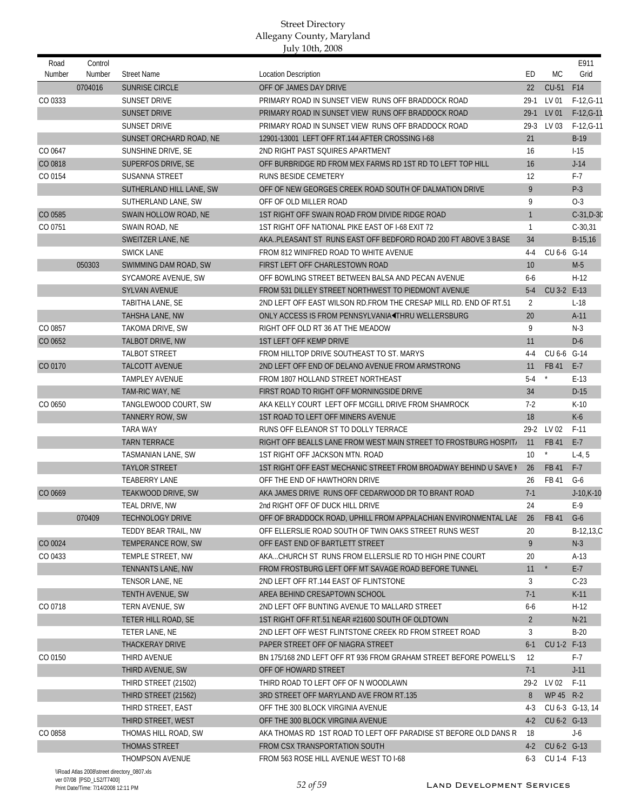| Road    | Control |                            |                                                                   |                 |                  | E911             |
|---------|---------|----------------------------|-------------------------------------------------------------------|-----------------|------------------|------------------|
| Number  | Number  | <b>Street Name</b>         | <b>Location Description</b>                                       | ED              | <b>MC</b>        | Grid             |
|         | 0704016 | SUNRISE CIRCLE             | OFF OF JAMES DAY DRIVE                                            | 22              | <b>CU-51</b>     | F14              |
| CO 0333 |         | <b>SUNSET DRIVE</b>        | PRIMARY ROAD IN SUNSET VIEW RUNS OFF BRADDOCK ROAD                | $29-1$          | LV 01            | $F-12, G-11$     |
|         |         | <b>SUNSET DRIVE</b>        | PRIMARY ROAD IN SUNSET VIEW RUNS OFF BRADDOCK ROAD                | $29-1$          | LV 01            | $F-12, G-11$     |
|         |         | <b>SUNSET DRIVE</b>        | PRIMARY ROAD IN SUNSET VIEW RUNS OFF BRADDOCK ROAD                | $29-3$          | LV 03            | $F-12, G-11$     |
|         |         | SUNSET ORCHARD ROAD, NE    | 12901-13001 LEFT OFF RT.144 AFTER CROSSING I-68                   | 21              |                  | $B-19$           |
| CO 0647 |         | SUNSHINE DRIVE, SE         | 2ND RIGHT PAST SQUIRES APARTMENT                                  | 16              |                  | $1-15$           |
| CO 0818 |         | SUPERFOS DRIVE, SE         | OFF BURBRIDGE RD FROM MEX FARMS RD 1ST RD TO LEFT TOP HILL        | 16              |                  | $J-14$           |
| CO 0154 |         | <b>SUSANNA STREET</b>      | RUNS BESIDE CEMETERY                                              | 12              |                  | $F-7$            |
|         |         | SUTHERLAND HILL LANE, SW   | OFF OF NEW GEORGES CREEK ROAD SOUTH OF DALMATION DRIVE            | 9               |                  | $P-3$            |
|         |         | SUTHERLAND LANE, SW        | OFF OF OLD MILLER ROAD                                            | 9               |                  | $O-3$            |
| CO 0585 |         | SWAIN HOLLOW ROAD, NE      | 1ST RIGHT OFF SWAIN ROAD FROM DIVIDE RIDGE ROAD                   | $\mathbf{1}$    |                  | $C-31, D-30$     |
| CO 0751 |         | SWAIN ROAD, NE             | 1ST RIGHT OFF NATIONAL PIKE EAST OF I-68 EXIT 72                  | 1               |                  | $C-30,31$        |
|         |         | <b>SWEITZER LANE, NE</b>   | AKAPLEASANT ST RUNS EAST OFF BEDFORD ROAD 200 FT ABOVE 3 BASE     | 34              |                  | $B-15,16$        |
|         |         | <b>SWICK LANE</b>          | FROM 812 WINIFRED ROAD TO WHITE AVENUE                            | $4 - 4$         | CU 6-6 G-14      |                  |
|         | 050303  | SWIMMING DAM ROAD, SW      | FIRST LEFT OFF CHARLESTOWN ROAD                                   | 10              |                  | $M-5$            |
|         |         | <b>SYCAMORE AVENUE, SW</b> | OFF BOWLING STREET BETWEEN BALSA AND PECAN AVENUE                 | $6-6$           |                  | $H-12$           |
|         |         | <b>SYLVAN AVENUE</b>       | FROM 531 DILLEY STREET NORTHWEST TO PIEDMONT AVENUE               | $5-4$           | CU 3-2 E-13      |                  |
|         |         | <b>TABITHA LANE, SE</b>    | 2ND LEFT OFF EAST WILSON RD.FROM THE CRESAP MILL RD. END OF RT.51 | $\overline{2}$  |                  | $L-18$           |
|         |         | TAHSHA LANE, NW            | ONLY ACCESS IS FROM PENNSYLVANIA THRU WELLERSBURG                 | 20              |                  | $A-11$           |
| CO 0857 |         | TAKOMA DRIVE, SW           | RIGHT OFF OLD RT 36 AT THE MEADOW                                 | 9               |                  | $N-3$            |
| CO 0652 |         | <b>TALBOT DRIVE, NW</b>    | <b>1ST LEFT OFF KEMP DRIVE</b>                                    | 11              |                  | $D-6$            |
|         |         | <b>TALBOT STREET</b>       | FROM HILLTOP DRIVE SOUTHEAST TO ST. MARYS                         | $4 - 4$         | CU 6-6 G-14      |                  |
| CO 0170 |         | <b>TALCOTT AVENUE</b>      | 2ND LEFT OFF END OF DELANO AVENUE FROM ARMSTRONG                  | 11              | FB 41            | $E-7$            |
|         |         | <b>TAMPLEY AVENUE</b>      | FROM 1807 HOLLAND STREET NORTHEAST                                | $5-4$           | $^\star$         | $E-13$           |
|         |         | TAM-RIC WAY, NE            | FIRST ROAD TO RIGHT OFF MORNINGSIDE DRIVE                         | 34              |                  | $D-15$           |
| CO 0650 |         | TANGLEWOOD COURT, SW       | AKA KELLY COURT LEFT OFF MCGILL DRIVE FROM SHAMROCK               | $7-2$           |                  | $K-10$           |
|         |         | TANNERY ROW, SW            | 1ST ROAD TO LEFT OFF MINERS AVENUE                                | 18              |                  | $K-6$            |
|         |         | <b>TARA WAY</b>            | RUNS OFF ELEANOR ST TO DOLLY TERRACE                              | $29-2$          | LV 02            | $F-11$           |
|         |         | <b>TARN TERRACE</b>        | RIGHT OFF BEALLS LANE FROM WEST MAIN STREET TO FROSTBURG HOSPIT.  | 11              | FB 41<br>$\star$ | $E-7$            |
|         |         | TASMANIAN LANE, SW         | 1ST RIGHT OFF JACKSON MTN. ROAD                                   | 10 <sup>°</sup> |                  | $L-4, 5$         |
|         |         | <b>TAYLOR STREET</b>       | 1ST RIGHT OFF EAST MECHANIC STREET FROM BROADWAY BEHIND U SAVE I  | 26              | FB 41            | $F-7$            |
|         |         | <b>TEABERRY LANE</b>       | OFF THE END OF HAWTHORN DRIVE                                     | 26              | FB 41            | $G-6$            |
| CO 0669 |         | TEAKWOOD DRIVE, SW         | AKA JAMES DRIVE RUNS OFF CEDARWOOD DR TO BRANT ROAD               | $7-1$           |                  | $J-10$ , K $-10$ |
|         |         | TEAL DRIVE, NW             | 2nd RIGHT OFF OF DUCK HILL DRIVE                                  | 24              |                  | $E-9$            |
|         | 070409  | <b>TECHNOLOGY DRIVE</b>    | OFF OF BRADDOCK ROAD, UPHILL FROM APPALACHIAN ENVIRONMENTAL LAB   | 26              | FB 41            | $G-6$            |
|         |         | TEDDY BEAR TRAIL, NW       | OFF ELLERSLIE ROAD SOUTH OF TWIN OAKS STREET RUNS WEST            | 20              |                  | B-12,13,C        |
| CO 0024 |         | <b>TEMPERANCE ROW, SW</b>  | OFF EAST END OF BARTLETT STREET                                   | 9               |                  | $N-3$            |
| CO 0433 |         | TEMPLE STREET, NW          | AKACHURCH ST RUNS FROM ELLERSLIE RD TO HIGH PINE COURT            | 20              | $^\star$         | $A-13$           |
|         |         | TENNANTS LANE, NW          | FROM FROSTBURG LEFT OFF MT SAVAGE ROAD BEFORE TUNNEL              | 11              |                  | $E-7$            |
|         |         | TENSOR LANE, NE            | 2ND LEFT OFF RT.144 EAST OF FLINTSTONE                            | 3               |                  | $C-23$           |
|         |         | TENTH AVENUE, SW           | AREA BEHIND CRESAPTOWN SCHOOL                                     | $7-1$           |                  | $K-11$           |
| CO 0718 |         | TERN AVENUE, SW            | 2ND LEFT OFF BUNTING AVENUE TO MALLARD STREET                     | $6-6$           |                  | $H-12$           |
|         |         | TETER HILL ROAD, SE        | 1ST RIGHT OFF RT.51 NEAR #21600 SOUTH OF OLDTOWN                  | $\overline{2}$  |                  | $N-21$           |
|         |         | TETER LANE, NE             | 2ND LEFT OFF WEST FLINTSTONE CREEK RD FROM STREET ROAD            | 3               |                  | $B-20$           |
|         |         | <b>THACKERAY DRIVE</b>     | PAPER STREET OFF OF NIAGRA STREET                                 | $6-1$           | CU 1-2 F-13      |                  |
| CO 0150 |         | THIRD AVENUE               | BN 175/168 2ND LEFT OFF RT 936 FROM GRAHAM STREET BEFORE POWELL'S | 12              |                  | F-7              |
|         |         | THIRD AVENUE, SW           | OFF OF HOWARD STREET                                              | $7-1$           |                  | $J-11$           |
|         |         | THIRD STREET (21502)       | THIRD ROAD TO LEFT OFF OF N WOODLAWN                              |                 | 29-2 LV 02       | F-11             |
|         |         | THIRD STREET (21562)       | 3RD STREET OFF MARYLAND AVE FROM RT.135                           | 8               | WP 45 R-2        |                  |
|         |         | THIRD STREET, EAST         | OFF THE 300 BLOCK VIRGINIA AVENUE                                 | 4-3             |                  | CU 6-3 G-13, 14  |
|         |         | THIRD STREET, WEST         | OFF THE 300 BLOCK VIRGINIA AVENUE                                 | $4-2$           | CU 6-2 G-13      |                  |
| CO 0858 |         | THOMAS HILL ROAD, SW       | AKA THOMAS RD 1ST ROAD TO LEFT OFF PARADISE ST BEFORE OLD DANS R  | 18              |                  | J-6              |
|         |         | THOMAS STREET              | FROM CSX TRANSPORTATION SOUTH                                     | $4-2$           | CU 6-2 G-13      |                  |
|         |         | THOMPSON AVENUE            | FROM 563 ROSE HILL AVENUE WEST TO I-68                            | 6-3             | CU 1-4 F-13      |                  |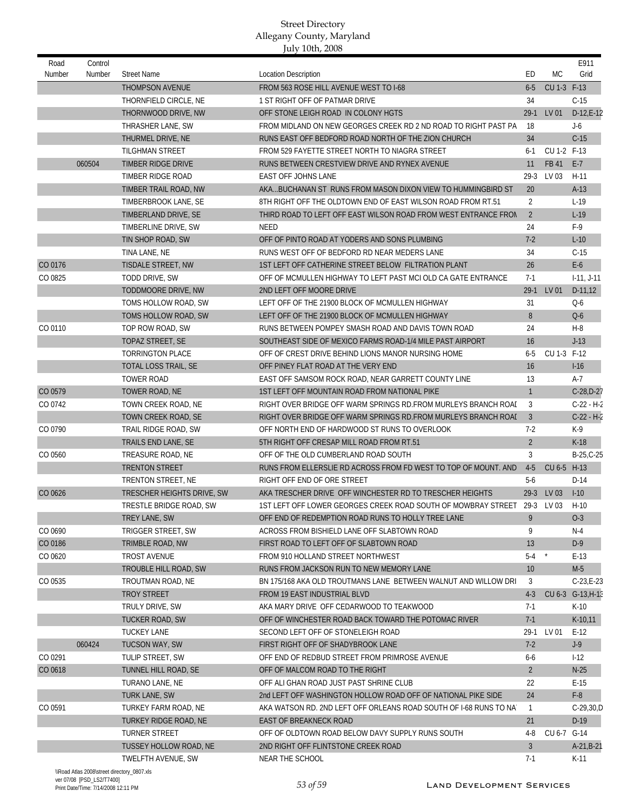| Road    | Control                                    |                            |                                                                          |                 |             | E911              |
|---------|--------------------------------------------|----------------------------|--------------------------------------------------------------------------|-----------------|-------------|-------------------|
| Number  | Number                                     | <b>Street Name</b>         | <b>Location Description</b>                                              | ED              | МC          | Grid              |
|         |                                            | THOMPSON AVENUE            | FROM 563 ROSE HILL AVENUE WEST TO I-68                                   | $6 - 5$         | CU 1-3 F-13 |                   |
|         |                                            | THORNFIELD CIRCLE, NE      | 1 ST RIGHT OFF OF PATMAR DRIVE                                           | 34              |             | $C-15$            |
|         |                                            | THORNWOOD DRIVE, NW        | OFF STONE LEIGH ROAD IN COLONY HGTS                                      | $29-1$          | LV 01       | $D-12,E-12$       |
|         |                                            | THRASHER LANE, SW          | FROM MIDLAND ON NEW GEORGES CREEK RD 2 ND ROAD TO RIGHT PAST PA          | 18              |             | $J-6$             |
|         |                                            | THURMEL DRIVE, NE          | RUNS EAST OFF BEDFORD ROAD NORTH OF THE ZION CHURCH                      | 34              |             | $C-15$            |
|         |                                            | <b>TILGHMAN STREET</b>     | FROM 529 FAYETTE STREET NORTH TO NIAGRA STREET                           | $6-1$           | CU 1-2 F-13 |                   |
|         | 060504                                     | TIMBER RIDGE DRIVE         | RUNS BETWEEN CRESTVIEW DRIVE AND RYNEX AVENUE                            | 11              | FB 41       | $E-7$             |
|         |                                            | TIMBER RIDGE ROAD          | EAST OFF JOHNS LANE                                                      | $29-3$          | LV 03       | $H-11$            |
|         |                                            | TIMBER TRAIL ROAD, NW      | AKABUCHANAN ST RUNS FROM MASON DIXON VIEW TO HUMMINGBIRD ST              | 20              |             | $A-13$            |
|         |                                            | TIMBERBROOK LANE, SE       | 8TH RIGHT OFF THE OLDTOWN END OF EAST WILSON ROAD FROM RT.51             | $\overline{2}$  |             | $L-19$            |
|         |                                            | TIMBERLAND DRIVE, SE       | THIRD ROAD TO LEFT OFF EAST WILSON ROAD FROM WEST ENTRANCE FROM          | $\overline{2}$  |             | $L-19$            |
|         |                                            | TIMBERLINE DRIVE, SW       | NEED                                                                     | 24              |             | $F-9$             |
|         |                                            | TIN SHOP ROAD, SW          | OFF OF PINTO ROAD AT YODERS AND SONS PLUMBING                            | $7-2$           |             | $L-10$            |
|         |                                            | TINA LANE, NE              | RUNS WEST OFF OF BEDFORD RD NEAR MEDERS LANE                             | 34              |             | $C-15$            |
| CO 0176 |                                            | TISDALE STREET, NW         | 1ST LEFT OFF CATHERINE STREET BELOW FILTRATION PLANT                     | 26              |             | $E-6$             |
| CO 0825 |                                            | TODD DRIVE, SW             | OFF OF MCMULLEN HIGHWAY TO LEFT PAST MCI OLD CA GATE ENTRANCE            | $7-1$           |             | $1-11, J-11$      |
|         |                                            | TODDMOORE DRIVE, NW        | 2ND LEFT OFF MOORE DRIVE                                                 | $29-1$          | LV 01       | $D-11,12$         |
|         |                                            | TOMS HOLLOW ROAD, SW       | LEFT OFF OF THE 21900 BLOCK OF MCMULLEN HIGHWAY                          | 31              |             | $Q-6$             |
|         |                                            | TOMS HOLLOW ROAD, SW       | LEFT OFF OF THE 21900 BLOCK OF MCMULLEN HIGHWAY                          | 8               |             | $Q-6$             |
| CO 0110 |                                            | TOP ROW ROAD, SW           | RUNS BETWEEN POMPEY SMASH ROAD AND DAVIS TOWN ROAD                       | 24              |             | $H-8$             |
|         |                                            | TOPAZ STREET, SE           | SOUTHEAST SIDE OF MEXICO FARMS ROAD-1/4 MILE PAST AIRPORT                | 16              |             | $J-13$            |
|         |                                            | <b>TORRINGTON PLACE</b>    | OFF OF CREST DRIVE BEHIND LIONS MANOR NURSING HOME                       | $6 - 5$         | CU 1-3 F-12 |                   |
|         |                                            | TOTAL LOSS TRAIL, SE       | OFF PINEY FLAT ROAD AT THE VERY END                                      | 16              |             | $I-16$            |
|         |                                            | <b>TOWER ROAD</b>          | EAST OFF SAMSOM ROCK ROAD, NEAR GARRETT COUNTY LINE                      | 13              |             | A-7               |
| CO 0579 |                                            | TOWER ROAD, NE             | 1ST LEFT OFF MOUNTAIN ROAD FROM NATIONAL PIKE                            | $\mathbf{1}$    |             | $C-28, D-27$      |
| CO 0742 |                                            | TOWN CREEK ROAD, NE        | RIGHT OVER BRIDGE OFF WARM SPRINGS RD. FROM MURLEYS BRANCH ROAI          | 3               |             | $C-22 - H-2$      |
|         |                                            | TOWN CREEK ROAD, SE        | RIGHT OVER BRIDGE OFF WARM SPRINGS RD. FROM MURLEYS BRANCH ROAI          | $\overline{3}$  |             | $C-22 - H-2$      |
| CO 0790 |                                            | TRAIL RIDGE ROAD, SW       | OFF NORTH END OF HARDWOOD ST RUNS TO OVERLOOK                            | $7-2$           |             | $K-9$             |
|         |                                            | TRAILS END LANE, SE        | 5TH RIGHT OFF CRESAP MILL ROAD FROM RT.51                                | $\overline{2}$  |             | $K-18$            |
| CO 0560 |                                            | TREASURE ROAD, NE          | OFF OF THE OLD CUMBERLAND ROAD SOUTH                                     | 3               |             | $B-25, C-25$      |
|         |                                            | TRENTON STREET             | RUNS FROM ELLERSLIE RD ACROSS FROM FD WEST TO TOP OF MOUNT. AND          | $4 - 5$         | CU 6-5 H-13 |                   |
|         |                                            | TRENTON STREET, NE         | RIGHT OFF END OF ORE STREET                                              | $5-6$           |             | $D-14$            |
| CO 0626 |                                            | TRESCHER HEIGHTS DRIVE, SW | AKA TRESCHER DRIVE OFF WINCHESTER RD TO TRESCHER HEIGHTS                 | $29-3$          | LV 03       | $I-10$            |
|         |                                            | TRESTLE BRIDGE ROAD, SW    | 1ST LEFT OFF LOWER GEORGES CREEK ROAD SOUTH OF MOWBRAY STREET 29-3 LV 03 |                 |             | $H-10$            |
|         |                                            | TREY LANE, SW              | OFF END OF REDEMPTION ROAD RUNS TO HOLLY TREE LANE                       | 9               |             | $O-3$             |
| CO 0690 |                                            | TRIGGER STREET, SW         | ACROSS FROM BISHIELD LANE OFF SLABTOWN ROAD                              | 9               |             | $N-4$             |
| CO 0186 |                                            | TRIMBLE ROAD, NW           | FIRST ROAD TO LEFT OFF OF SLABTOWN ROAD                                  | 13              |             | $D-9$             |
| CO 0620 |                                            | <b>TROST AVENUE</b>        | FROM 910 HOLLAND STREET NORTHWEST                                        | $5-4$           | $^\star$    | $E-13$            |
|         |                                            | TROUBLE HILL ROAD, SW      | RUNS FROM JACKSON RUN TO NEW MEMORY LANE                                 | 10 <sup>°</sup> |             | $M-5$             |
| CO 0535 |                                            | TROUTMAN ROAD, NE          | BN 175/168 AKA OLD TROUTMANS LANE BETWEEN WALNUT AND WILLOW DRI          | 3               |             | $C-23,E-23$       |
|         |                                            | TROY STREET                | FROM 19 EAST INDUSTRIAL BLVD                                             | $4-3$           |             | CU 6-3 G-13, H-13 |
|         |                                            | TRULY DRIVE, SW            | AKA MARY DRIVE OFF CEDARWOOD TO TEAKWOOD                                 | $7-1$           |             | $K-10$            |
|         |                                            | <b>TUCKER ROAD, SW</b>     | OFF OF WINCHESTER ROAD BACK TOWARD THE POTOMAC RIVER                     | $7-1$           |             | $K-10,11$         |
|         |                                            | <b>TUCKEY LANE</b>         | SECOND LEFT OFF OF STONELEIGH ROAD                                       | $29-1$          | LV 01       | $E-12$            |
|         | 060424                                     | TUCSON WAY, SW             | FIRST RIGHT OFF OF SHADYBROOK LANE                                       | $7-2$           |             | $J-9$             |
| CO 0291 |                                            | TULIP STREET, SW           | OFF END OF REDBUD STREET FROM PRIMROSE AVENUE                            | $6-6$           |             | $1-12$            |
| CO 0618 |                                            | TUNNEL HILL ROAD, SE       | OFF OF MALCOM ROAD TO THE RIGHT                                          | $\overline{2}$  |             | $N-25$            |
|         |                                            | TURANO LANE, NE            | OFF ALI GHAN ROAD JUST PAST SHRINE CLUB                                  | 22              |             | $E-15$            |
|         |                                            | TURK LANE, SW              | 2nd LEFT OFF WASHINGTON HOLLOW ROAD OFF OF NATIONAL PIKE SIDE            | 24              |             | $F-8$             |
| CO 0591 |                                            | TURKEY FARM ROAD, NE       | AKA WATSON RD. 2ND LEFT OFF ORLEANS ROAD SOUTH OF I-68 RUNS TO NA        | 1               |             | $C-29,30,D$       |
|         |                                            | TURKEY RIDGE ROAD, NE      | EAST OF BREAKNECK ROAD                                                   | 21              |             | $D-19$            |
|         |                                            | TURNER STREET              | OFF OF OLDTOWN ROAD BELOW DAVY SUPPLY RUNS SOUTH                         | 4-8             | CU 6-7 G-14 |                   |
|         |                                            | TUSSEY HOLLOW ROAD, NE     | 2ND RIGHT OFF FLINTSTONE CREEK ROAD                                      | $\overline{3}$  |             | $A-21,B-21$       |
|         | Il Doad Atlas 2000 stroot directory 0007 v | TWELFTH AVENUE, SW         | NEAR THE SCHOOL                                                          | $7-1$           |             | K-11              |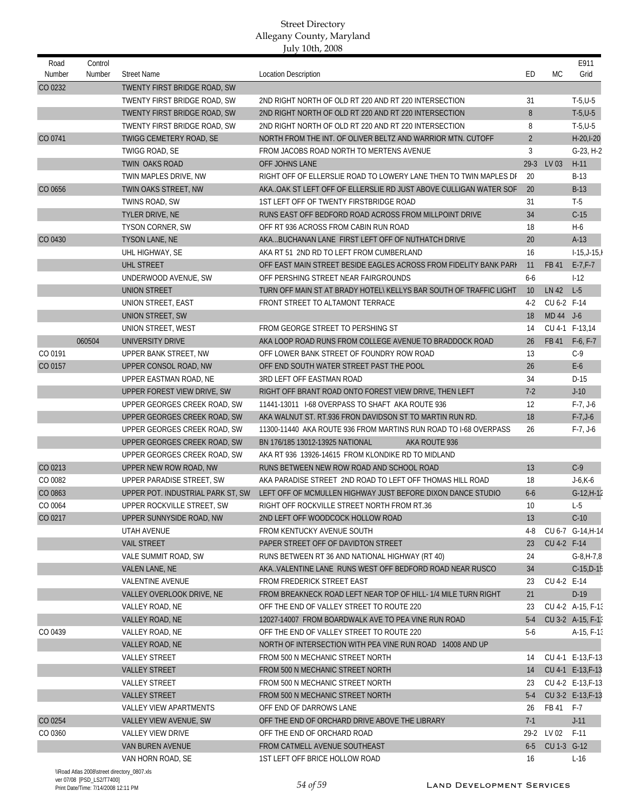| Road<br>Number | Control<br>Number | <b>Street Name</b>                | <b>Location Description</b>                                        | ED             | <b>MC</b>   | E911<br>Grid      |
|----------------|-------------------|-----------------------------------|--------------------------------------------------------------------|----------------|-------------|-------------------|
| CO 0232        |                   | TWENTY FIRST BRIDGE ROAD, SW      |                                                                    |                |             |                   |
|                |                   | TWENTY FIRST BRIDGE ROAD, SW      | 2ND RIGHT NORTH OF OLD RT 220 AND RT 220 INTERSECTION              | 31             |             | $T-5, U-5$        |
|                |                   | TWENTY FIRST BRIDGE ROAD, SW      | 2ND RIGHT NORTH OF OLD RT 220 AND RT 220 INTERSECTION              | 8              |             | $T-5, U-5$        |
|                |                   | TWENTY FIRST BRIDGE ROAD, SW      | 2ND RIGHT NORTH OF OLD RT 220 AND RT 220 INTERSECTION              | 8              |             | $T-5, U-5$        |
| CO 0741        |                   | TWIGG CEMETERY ROAD, SE           | NORTH FROM THE INT. OF OLIVER BELTZ AND WARRIOR MTN. CUTOFF        | $\overline{2}$ |             | $H-20, I-20$      |
|                |                   | TWIGG ROAD, SE                    | FROM JACOBS ROAD NORTH TO MERTENS AVENUE                           | 3              |             | G-23, H-2         |
|                |                   | <b>TWIN OAKS ROAD</b>             | OFF JOHNS LANE                                                     | $29-3$         | LV 03       | $H-11$            |
|                |                   | TWIN MAPLES DRIVE, NW             | RIGHT OFF OF ELLERSLIE ROAD TO LOWERY LANE THEN TO TWIN MAPLES DF  | 20             |             | <b>B-13</b>       |
| CO 0656        |                   | TWIN OAKS STREET, NW              | AKAOAK ST LEFT OFF OF ELLERSLIE RD JUST ABOVE CULLIGAN WATER SOF   | 20             |             | $B-13$            |
|                |                   | <b>TWINS ROAD, SW</b>             | 1ST LEFT OFF OF TWENTY FIRSTBRIDGE ROAD                            | 31             |             | $T-5$             |
|                |                   | TYLER DRIVE, NE                   | RUNS EAST OFF BEDFORD ROAD ACROSS FROM MILLPOINT DRIVE             | 34             |             | $C-15$            |
|                |                   | TYSON CORNER, SW                  | OFF RT 936 ACROSS FROM CABIN RUN ROAD                              | 18             |             | $H-6$             |
| CO 0430        |                   | <b>TYSON LANE, NE</b>             | AKA BUCHANAN LANE FIRST LEFT OFF OF NUTHATCH DRIVE                 | 20             |             | $A-13$            |
|                |                   | UHL HIGHWAY, SE                   | AKA RT 51 2ND RD TO LEFT FROM CUMBERLAND                           | 16             |             | $1-15, J-15, l$   |
|                |                   | UHL STREET                        | OFF EAST MAIN STREET BESIDE EAGLES ACROSS FROM FIDELITY BANK PARI  | 11             | FB 41       | $E-7, F-7$        |
|                |                   | UNDERWOOD AVENUE, SW              | OFF PERSHING STREET NEAR FAIRGROUNDS                               | 6-6            |             | $1-12$            |
|                |                   | <b>UNION STREET</b>               | TURN OFF MAIN ST AT BRADY HOTEL\ KELLYS BAR SOUTH OF TRAFFIC LIGHT | 10             | LN 42 L-5   |                   |
|                |                   | UNION STREET, EAST                | FRONT STREET TO ALTAMONT TERRACE                                   | $4-2$          | CU 6-2 F-14 |                   |
|                |                   | UNION STREET, SW                  |                                                                    | 18             | MD 44 J-6   |                   |
|                |                   | UNION STREET, WEST                | FROM GEORGE STREET TO PERSHING ST                                  | 14             |             | CU 4-1 F-13,14    |
|                | 060504            | UNIVERSITY DRIVE                  | AKA LOOP ROAD RUNS FROM COLLEGE AVENUE TO BRADDOCK ROAD            | 26             | FB 41       | $F-6, F-7$        |
| CO 0191        |                   | UPPER BANK STREET, NW             | OFF LOWER BANK STREET OF FOUNDRY ROW ROAD                          | 13             |             | $C-9$             |
| CO 0157        |                   | UPPER CONSOL ROAD, NW             | OFF END SOUTH WATER STREET PAST THE POOL                           | 26             |             | $E-6$             |
|                |                   | UPPER EASTMAN ROAD, NE            | 3RD LEFT OFF EASTMAN ROAD                                          | 34             |             | $D-15$            |
|                |                   | UPPER FOREST VIEW DRIVE, SW       | RIGHT OFF BRANT ROAD ONTO FOREST VIEW DRIVE, THEN LEFT             | $7-2$          |             | $J-10$            |
|                |                   | UPPER GEORGES CREEK ROAD, SW      | 11441-13011 I-68 OVERPASS TO SHAFT AKA ROUTE 936                   | 12             |             | $F-7, J-6$        |
|                |                   | UPPER GEORGES CREEK ROAD, SW      | AKA WALNUT ST. RT.936 FRON DAVIDSON ST TO MARTIN RUN RD.           | 18             |             | $F - 7, J - 6$    |
|                |                   | UPPER GEORGES CREEK ROAD, SW      | 11300-11440 AKA ROUTE 936 FROM MARTINS RUN ROAD TO I-68 OVERPASS   | 26             |             | $F-7, J-6$        |
|                |                   | UPPER GEORGES CREEK ROAD, SW      | BN 176/185 13012-13925 NATIONAL<br>AKA ROUTE 936                   |                |             |                   |
|                |                   | UPPER GEORGES CREEK ROAD, SW      | AKA RT 936 13926-14615 FROM KLONDIKE RD TO MIDLAND                 |                |             |                   |
| CO 0213        |                   | UPPER NEW ROW ROAD, NW            | RUNS BETWEEN NEW ROW ROAD AND SCHOOL ROAD                          | 13             |             | $C-9$             |
| CO 0082        |                   | UPPER PARADISE STREET, SW         | AKA PARADISE STREET 2ND ROAD TO LEFT OFF THOMAS HILL ROAD          | 18             |             | $J-6, K-6$        |
| CO 0863        |                   | UPPER POT. INDUSTRIAL PARK ST, SW | LEFT OFF OF MCMULLEN HIGHWAY JUST BEFORE DIXON DANCE STUDIO        | $6-6$          |             | $G-12, H-12$      |
| CO 0064        |                   | UPPER ROCKVILLE STREET, SW        | RIGHT OFF ROCKVILLE STREET NORTH FROM RT.36                        | 10             |             | $L-5$             |
| CO 0217        |                   | UPPER SUNNYSIDE ROAD, NW          | 2ND LEFT OFF WOODCOCK HOLLOW ROAD                                  | 13             |             | $C-10$            |
|                |                   | UTAH AVENUE                       | FROM KENTUCKY AVENUE SOUTH                                         | 4-8            |             | CU 6-7 G-14, H-14 |
|                |                   | <b>VAIL STREET</b>                | PAPER STREET OFF OF DAVIDTON STREET                                | 23             | CU 4-2 F-14 |                   |
|                |                   | VALE SUMMIT ROAD, SW              | RUNS BETWEEN RT 36 AND NATIONAL HIGHWAY (RT 40)                    | 24             |             | $G-8, H-7, 8$     |
|                |                   | VALEN LANE, NE                    | AKA. VALENTINE LANE RUNS WEST OFF BEDFORD ROAD NEAR RUSCO          | 34             |             | $C-15,D-15$       |
|                |                   | <b>VALENTINE AVENUE</b>           | FROM FREDERICK STREET EAST                                         | 23             | CU 4-2 E-14 |                   |
|                |                   | VALLEY OVERLOOK DRIVE, NE         | FROM BREAKNECK ROAD LEFT NEAR TOP OF HILL-1/4 MILE TURN RIGHT      | 21             |             | $D-19$            |
|                |                   | VALLEY ROAD, NE                   | OFF THE END OF VALLEY STREET TO ROUTE 220                          | 23             |             | CU 4-2 A-15, F-13 |
|                |                   | VALLEY ROAD, NE                   | 12027-14007 FROM BOARDWALK AVE TO PEA VINE RUN ROAD                | $5-4$          |             | CU 3-2 A-15, F-1: |
| CO 0439        |                   | VALLEY ROAD, NE                   | OFF THE END OF VALLEY STREET TO ROUTE 220                          | $5-6$          |             | $A-15, F-1.3$     |
|                |                   | VALLEY ROAD, NE                   | NORTH OF INTERSECTION WITH PEA VINE RUN ROAD 14008 AND UP          |                |             |                   |
|                |                   | <b>VALLEY STREET</b>              | FROM 500 N MECHANIC STREET NORTH                                   | 14             |             | CU 4-1 E-13, F-13 |
|                |                   | <b>VALLEY STREET</b>              | FROM 500 N MECHANIC STREET NORTH                                   | 14             |             | CU 4-1 E-13, F-13 |
|                |                   | VALLEY STREET                     | FROM 500 N MECHANIC STREET NORTH                                   | 23             |             | CU 4-2 E-13, F-13 |
|                |                   | <b>VALLEY STREET</b>              | FROM 500 N MECHANIC STREET NORTH                                   | $5-4$          |             | CU 3-2 E-13, F-13 |
|                |                   | <b>VALLEY VIEW APARTMENTS</b>     | OFF END OF DARROWS LANE                                            | 26             | FB 41 F-7   |                   |
| CO 0254        |                   | VALLEY VIEW AVENUE, SW            | OFF THE END OF ORCHARD DRIVE ABOVE THE LIBRARY                     | $7-1$          |             | $J-11$            |
| CO 0360        |                   | <b>VALLEY VIEW DRIVE</b>          | OFF THE END OF ORCHARD ROAD                                        | 29-2           | LV 02       | F-11              |
|                |                   | <b>VAN BUREN AVENUE</b>           | FROM CATMELL AVENUE SOUTHEAST                                      | $6-5$          | CU 1-3 G-12 |                   |
|                |                   | VAN HORN ROAD, SE                 | 1ST LEFT OFF BRICE HOLLOW ROAD                                     | 16             |             | $L-16$            |
|                |                   |                                   |                                                                    |                |             |                   |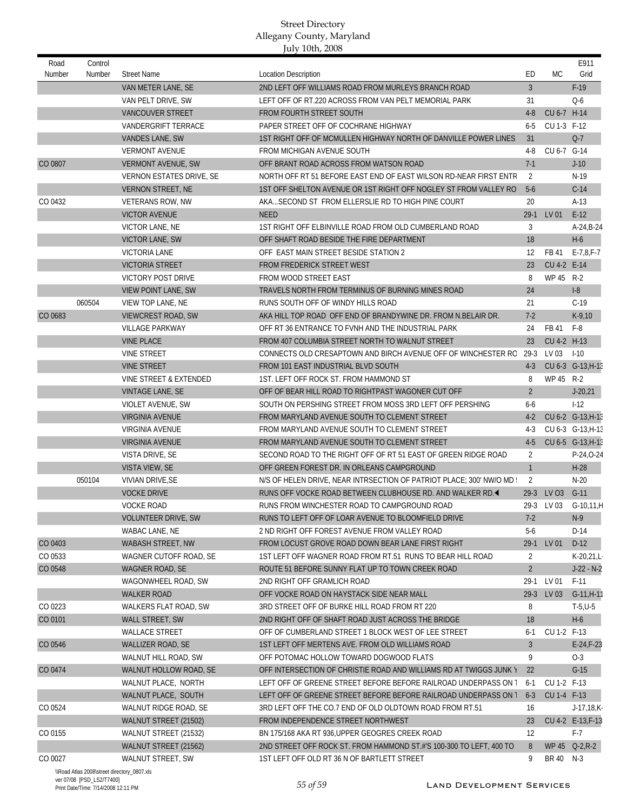| Road    | Control |                                 |                                                                     |                |             | E911              |
|---------|---------|---------------------------------|---------------------------------------------------------------------|----------------|-------------|-------------------|
| Number  | Number  | <b>Street Name</b>              | <b>Location Description</b>                                         | ED             | MC.         | Grid              |
|         |         | VAN METER LANE, SE              | 2ND LEFT OFF WILLIAMS ROAD FROM MURLEYS BRANCH ROAD                 | $\overline{3}$ |             | $F-19$            |
|         |         | VAN PELT DRIVE, SW              | LEFT OFF OF RT.220 ACROSS FROM VAN PELT MEMORIAL PARK               | 31             |             | $Q-6$             |
|         |         | <b>VANCOUVER STREET</b>         | FROM FOURTH STREET SOUTH                                            | $4 - 8$        | CU 6-7 H-14 |                   |
|         |         | <b>VANDERGRIFT TERRACE</b>      | PAPER STREET OFF OF COCHRANE HIGHWAY                                | $6 - 5$        | CU 1-3 F-12 |                   |
|         |         | VANDES LANE, SW                 | 1ST RIGHT OFF OF MCMULLEN HIGHWAY NORTH OF DANVILLE POWER LINES     | 31             |             | $Q-7$             |
|         |         | <b>VERMONT AVENUE</b>           | FROM MICHIGAN AVENUE SOUTH                                          | $4 - 8$        | CU 6-7 G-14 |                   |
| CO 0807 |         | <b>VERMONT AVENUE, SW</b>       | OFF BRANT ROAD ACROSS FROM WATSON ROAD                              | $7-1$          |             | $J-10$            |
|         |         | <b>VERNON ESTATES DRIVE, SE</b> | NORTH OFF RT 51 BEFORE EAST END OF EAST WILSON RD-NEAR FIRST ENTR   | 2              |             | $N-19$            |
|         |         | <b>VERNON STREET, NE</b>        | 1ST OFF SHELTON AVENUE OR 1ST RIGHT OFF NOGLEY ST FROM VALLEY RO    | $5-6$          |             | $C-14$            |
| CO 0432 |         | <b>VETERANS ROW, NW</b>         | AKASECOND ST FROM ELLERSLIE RD TO HIGH PINE COURT                   | 20             |             | $A-13$            |
|         |         | <b>VICTOR AVENUE</b>            | <b>NEED</b>                                                         | $29-1$         | LV 01       | $E-12$            |
|         |         | VICTOR LANE, NE                 | 1ST RIGHT OFF ELBINVILLE ROAD FROM OLD CUMBERLAND ROAD              | 3              |             | A-24, B-24        |
|         |         | <b>VICTOR LANE, SW</b>          | OFF SHAFT ROAD BESIDE THE FIRE DEPARTMENT                           | 18             |             | $H-6$             |
|         |         | <b>VICTORIA LANE</b>            | OFF EAST MAIN STREET BESIDE STATION 2                               | 12             | FB 41       | $E - 7, 8, F - 7$ |
|         |         | <b>VICTORIA STREET</b>          | FROM FREDERICK STREET WEST                                          | 23             | CU 4-2 E-14 |                   |
|         |         | VICTORY POST DRIVE              | FROM WOOD STREET EAST                                               | 8              | WP 45 R-2   |                   |
|         |         | <b>VIEW POINT LANE, SW</b>      | TRAVELS NORTH FROM TERMINUS OF BURNING MINES ROAD                   | 24             |             | $1-8$             |
|         | 060504  | VIEW TOP LANE, NE               | RUNS SOUTH OFF OF WINDY HILLS ROAD                                  | 21             |             | $C-19$            |
| CO 0683 |         | <b>VIEWCREST ROAD, SW</b>       | AKA HILL TOP ROAD OFF END OF BRANDYWINE DR. FROM N.BELAIR DR.       | $7-2$          |             | $K-9,10$          |
|         |         | <b>VILLAGE PARKWAY</b>          | OFF RT 36 ENTRANCE TO FVNH AND THE INDUSTRIAL PARK                  | 24             | FB 41       | $F-8$             |
|         |         | <b>VINE PLACE</b>               | FROM 407 COLUMBIA STREET NORTH TO WALNUT STREET                     | 23             | CU 4-2 H-13 |                   |
|         |         | <b>VINE STREET</b>              | CONNECTS OLD CRESAPTOWN AND BIRCH AVENUE OFF OF WINCHESTER RO 29-3  |                | LV 03       | $1 - 10$          |
|         |         | <b>VINE STREET</b>              | FROM 101 EAST INDUSTRIAL BLVD SOUTH                                 | $4-3$          |             | CU 6-3 G-13, H-13 |
|         |         | VINE STREET & EXTENDED          | 1ST. LEFT OFF ROCK ST. FROM HAMMOND ST                              | 8              | WP 45 R-2   |                   |
|         |         | <b>VINTAGE LANE, SE</b>         | OFF OF BEAR HILL ROAD TO RIGHTPAST WAGONER CUT OFF                  | $\overline{2}$ |             | $J-20,21$         |
|         |         | VIOLET AVENUE, SW               | SOUTH ON PERSHING STREET FROM MOSS 3RD LEFT OFF PERSHING            | $6-6$          |             | $1-12$            |
|         |         | <b>VIRGINIA AVENUE</b>          | FROM MARYLAND AVENUE SOUTH TO CLEMENT STREET                        | $4-2$          |             | CU 6-2 G-13, H-13 |
|         |         | VIRGINIA AVENUE                 | FROM MARYLAND AVENUE SOUTH TO CLEMENT STREET                        | 4-3            |             | CU 6-3 G-13, H-13 |
|         |         | <b>VIRGINIA AVENUE</b>          | FROM MARYLAND AVENUE SOUTH TO CLEMENT STREET                        | $4-5$          |             | CU 6-5 G-13, H-13 |
|         |         | VISTA DRIVE, SE                 | SECOND ROAD TO THE RIGHT OFF OF RT 51 EAST OF GREEN RIDGE ROAD      | 2              |             | P-24, O-24        |
|         |         | VISTA VIEW, SE                  | OFF GREEN FOREST DR. IN ORLEANS CAMPGROUND                          | $\mathbf{1}$   |             | $H-28$            |
|         | 050104  | <b>VIVIAN DRIVE, SE</b>         | N/S OF HELEN DRIVE, NEAR INTRSECTION OF PATRIOT PLACE; 300' NW/O MD | 2              |             | $N-20$            |
|         |         | <b>VOCKE DRIVE</b>              | RUNS OFF VOCKE ROAD BETWEEN CLUBHOUSE RD. AND WALKER RD.            | $29-3$         | LV 03 G-11  |                   |
|         |         | <b>VOCKE ROAD</b>               | RUNS FROM WINCHESTER ROAD TO CAMPGROUND ROAD                        |                | 29-3 LV 03  | $G-10,11, H$      |
|         |         | <b>VOLUNTEER DRIVE, SW</b>      | RUNS TO LEFT OFF OF LOAR AVENUE TO BLOOMFIELD DRIVE                 | $7-2$          |             | $N-9$             |
|         |         | WABAC LANE, NE                  | 2 ND RIGHT OFF FOREST AVENUE FROM VALLEY ROAD                       | $5-6$          |             | D-14              |
| CO 0403 |         | WABASH STREET, NW               | FROM LOCUST GROVE ROAD DOWN BEAR LANE FIRST RIGHT                   | $29-1$         | LV 01       | $D-12$            |
| CO 0533 |         | WAGNER CUTOFF ROAD, SE          | 1ST LEFT OFF WAGNER ROAD FROM RT.51 RUNS TO BEAR HILL ROAD          | 2              |             | $K-20,21,L$       |
| CO 0548 |         | WAGNER ROAD, SE                 | ROUTE 51 BEFORE SUNNY FLAT UP TO TOWN CREEK ROAD                    | $\overline{2}$ |             | $J-22 - N-2$      |
|         |         | WAGONWHEEL ROAD, SW             | 2ND RIGHT OFF GRAMLICH ROAD                                         | $29-1$         | LV 01       | $F-11$            |
|         |         | <b>WALKER ROAD</b>              | OFF VOCKE ROAD ON HAYSTACK SIDE NEAR MALL                           | $29-3$         | LV 03       | $G-11, H-11$      |
| CO 0223 |         | WALKERS FLAT ROAD, SW           | 3RD STREET OFF OF BURKE HILL ROAD FROM RT 220                       | 8              |             | $T-5, U-5$        |
| CO 0101 |         | <b>WALL STREET, SW</b>          | 2ND RIGHT OFF OF SHAFT ROAD JUST ACROSS THE BRIDGE                  | 18             |             | $H-6$             |
|         |         | WALLACE STREET                  | OFF OF CUMBERLAND STREET 1 BLOCK WEST OF LEE STREET                 | $6-1$          | CU 1-2 F-13 |                   |
| CO 0546 |         | <b>WALLIZER ROAD, SE</b>        | 1ST LEFT OFF MERTENS AVE. FROM OLD WILLIAMS ROAD                    | $\overline{3}$ |             | $E-24, F-23$      |
|         |         | WALNUT HILL ROAD, SW            | OFF POTOMAC HOLLOW TOWARD DOGWOOD FLATS                             | 9              |             | $O-3$             |
| CO 0474 |         | WALNUT HOLLOW ROAD, SE          | OFF INTERSECTION OF CHRISTIE ROAD AND WILLIAMS RD AT TWIGGS JUNK Y  | 22             |             | $G-15$            |
|         |         | WALNUT PLACE, NORTH             | LEFT OFF OF GREENE STREET BEFORE BEFORE RAILROAD UNDERPASS ON 1     | $6-1$          | CU 1-2 F-13 |                   |
|         |         | WALNUT PLACE, SOUTH             | LEFT OFF OF GREENE STREET BEFORE BEFORE RAILROAD UNDERPASS ON 1     | $6 - 3$        | CU 1-4 F-13 |                   |
| CO 0524 |         | WALNUT RIDGE ROAD, SE           | 3RD LEFT OFF THE CO.7 END OF OLD OLDTOWN ROAD FROM RT.51            | 16             |             | $J-17,18,K$       |
|         |         | WALNUT STREET (21502)           | FROM INDEPENDENCE STREET NORTHWEST                                  | 23             |             | CU 4-2 E-13, F-13 |
| CO 0155 |         | WALNUT STREET (21532)           | BN 175/168 AKA RT 936, UPPER GEOGRES CREEK ROAD                     | 12             |             | $F-7$             |
|         |         | WALNUT STREET (21562)           | 2ND STREET OFF ROCK ST. FROM HAMMOND ST.#'S 100-300 TO LEFT, 400 TO | 8              |             | WP 45 Q-2, R-2    |
| CO 0027 |         | WALNUT STREET, SW               | 1ST LEFT OFF OLD RT 36 N OF BARTLETT STREET                         | 9              | BR 40 N-3   |                   |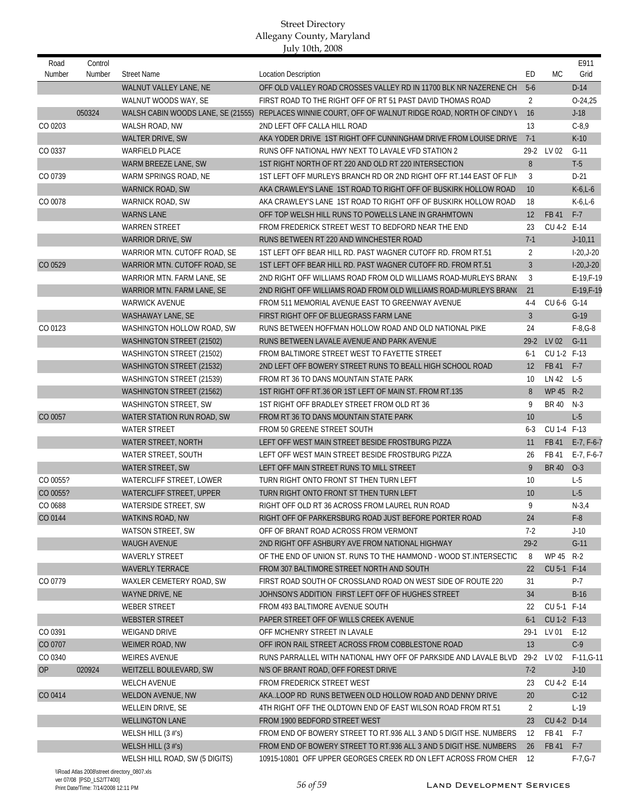| Road     | Control |                                |                                                                                                      |                 |              | E911          |
|----------|---------|--------------------------------|------------------------------------------------------------------------------------------------------|-----------------|--------------|---------------|
| Number   | Number  | <b>Street Name</b>             | <b>Location Description</b>                                                                          | ED              | <b>MC</b>    | Grid          |
|          |         | WALNUT VALLEY LANE, NE         | OFF OLD VALLEY ROAD CROSSES VALLEY RD IN 11700 BLK NR NAZERENE CH                                    | $5-6$           |              | $D-14$        |
|          |         | WALNUT WOODS WAY, SE           | FIRST ROAD TO THE RIGHT OFF OF RT 51 PAST DAVID THOMAS ROAD                                          | $\overline{2}$  |              | $O-24,25$     |
|          | 050324  |                                | WALSH CABIN WOODS LANE, SE (21555) REPLACES WINNIE COURT, OFF OF WALNUT RIDGE ROAD, NORTH OF CINDY \ | 16              |              | $J-18$        |
| CO 0203  |         | WALSH ROAD, NW                 | 2ND LEFT OFF CALLA HILL ROAD                                                                         | 13              |              | $C-8,9$       |
|          |         | WALTER DRIVE, SW               | AKA YODER DRIVE 1ST RIGHT OFF CUNNINGHAM DRIVE FROM LOUISE DRIVE                                     | $7-1$           |              | $K-10$        |
| CO 0337  |         | <b>WARFIELD PLACE</b>          | RUNS OFF NATIONAL HWY NEXT TO LAVALE VFD STATION 2                                                   |                 | 29-2 LV 02   | $G-11$        |
|          |         | WARM BREEZE LANE, SW           | 1ST RIGHT NORTH OF RT 220 AND OLD RT 220 INTERSECTION                                                | 8               |              | $T-5$         |
| CO 0739  |         | WARM SPRINGS ROAD, NE          | 1ST LEFT OFF MURLEYS BRANCH RD OR 2ND RIGHT OFF RT.144 EAST OF FLIN                                  | 3               |              | $D-21$        |
|          |         | WARNICK ROAD, SW               | AKA CRAWLEY'S LANE 1ST ROAD TO RIGHT OFF OF BUSKIRK HOLLOW ROAD                                      | 10 <sup>1</sup> |              | $K-6$ , $L-6$ |
| CO 0078  |         | <b>WARNICK ROAD, SW</b>        | AKA CRAWLEY'S LANE 1ST ROAD TO RIGHT OFF OF BUSKIRK HOLLOW ROAD                                      | 18              |              | $K-6, L-6$    |
|          |         | <b>WARNS LANE</b>              | OFF TOP WELSH HILL RUNS TO POWELLS LANE IN GRAHMTOWN                                                 | 12              | FB 41        | $F-7$         |
|          |         | <b>WARREN STREET</b>           | FROM FREDERICK STREET WEST TO BEDFORD NEAR THE END                                                   | 23              | CU 4-2 E-14  |               |
|          |         | WARRIOR DRIVE, SW              | RUNS BETWEEN RT 220 AND WINCHESTER ROAD                                                              | $7-1$           |              | $J-10,11$     |
|          |         | WARRIOR MTN. CUTOFF ROAD, SE   | 1ST LEFT OFF BEAR HILL RD. PAST WAGNER CUTOFF RD. FROM RT.51                                         | 2               |              | $1-20, J-20$  |
| CO 0529  |         | WARRIOR MTN. CUTOFF ROAD, SE   | 1ST LEFT OFF BEAR HILL RD. PAST WAGNER CUTOFF RD. FROM RT.51                                         | $\mathbf{3}$    |              | $I-20, J-20$  |
|          |         | WARRIOR MTN. FARM LANE, SE     | 2ND RIGHT OFF WILLIAMS ROAD FROM OLD WILLIAMS ROAD-MURLEYS BRANG                                     | 3               |              | E-19, F-19    |
|          |         | WARRIOR MTN. FARM LANE, SE     | 2ND RIGHT OFF WILLIAMS ROAD FROM OLD WILLIAMS ROAD-MURLEYS BRANG                                     | 21              |              | $E-19, F-19$  |
|          |         | <b>WARWICK AVENUE</b>          | FROM 511 MEMORIAL AVENUE EAST TO GREENWAY AVENUE                                                     | $4 - 4$         | CU 6-6 G-14  |               |
|          |         | WASHAWAY LANE, SE              | FIRST RIGHT OFF OF BLUEGRASS FARM LANE                                                               | $\mathbf{3}$    |              | $G-19$        |
| CO 0123  |         | WASHINGTON HOLLOW ROAD, SW     | RUNS BETWEEN HOFFMAN HOLLOW ROAD AND OLD NATIONAL PIKE                                               | 24              |              | $F-8.G-8$     |
|          |         | WASHINGTON STREET (21502)      | RUNS BETWEEN LAVALE AVENUE AND PARK AVENUE                                                           | $29-2$          | LV 02        | $G-11$        |
|          |         | WASHINGTON STREET (21502)      | FROM BALTIMORE STREET WEST TO FAYETTE STREET                                                         | $6-1$           | CU 1-2 F-13  |               |
|          |         | WASHINGTON STREET (21532)      | 2ND LEFT OFF BOWERY STREET RUNS TO BEALL HIGH SCHOOL ROAD                                            | 12              | FB 41        | $F-7$         |
|          |         | WASHINGTON STREET (21539)      | FROM RT 36 TO DANS MOUNTAIN STATE PARK                                                               | 10              | LN 42        | $L-5$         |
|          |         | WASHINGTON STREET (21562)      | 1ST RIGHT OFF RT.36 OR 1ST LEFT OF MAIN ST. FROM RT.135                                              | 8               | <b>WP45</b>  | $R-2$         |
|          |         | WASHINGTON STREET, SW          | 1ST RIGHT OFF BRADLEY STREET FROM OLD RT 36                                                          | 9               | <b>BR 40</b> | $N-3$         |
| CO 0057  |         | WATER STATION RUN ROAD, SW     | FROM RT 36 TO DANS MOUNTAIN STATE PARK                                                               | 10              |              | $L-5$         |
|          |         | <b>WATER STREET</b>            | FROM 50 GREENE STREET SOUTH                                                                          | $6 - 3$         | CU 1-4 F-13  |               |
|          |         | WATER STREET, NORTH            | LEFT OFF WEST MAIN STREET BESIDE FROSTBURG PIZZA                                                     | 11              | FB 41        | $E-7, F-6-7$  |
|          |         | WATER STREET, SOUTH            | LEFT OFF WEST MAIN STREET BESIDE FROSTBURG PIZZA                                                     | 26              | FB 41        | $E-7, F-6-7$  |
|          |         | WATER STREET, SW               | LEFT OFF MAIN STREET RUNS TO MILL STREET                                                             | 9               | <b>BR 40</b> | $O-3$         |
| CO 0055? |         | WATERCLIFF STREET, LOWER       | TURN RIGHT ONTO FRONT ST THEN TURN LEFT                                                              | 10              |              | $L-5$         |
| CO 0055? |         | WATERCLIFF STREET, UPPER       | TURN RIGHT ONTO FRONT ST THEN TURN LEFT                                                              | 10              |              | $L-5$         |
| CO 0688  |         | <b>WATERSIDE STREET, SW</b>    | RIGHT OFF OLD RT 36 ACROSS FROM LAUREL RUN ROAD                                                      | 9               |              | $N-3,4$       |
| CO 0144  |         | WATKINS ROAD, NW               | RIGHT OFF OF PARKERSBURG ROAD JUST BEFORE PORTER ROAD                                                | 24              |              | $F-8$         |
|          |         | WATSON STREET, SW              | OFF OF BRANT ROAD ACROSS FROM VERMONT                                                                | $7-2$           |              | $J-10$        |
|          |         | WAUGH AVENUE                   | 2ND RIGHT OFF ASHBURY AVE FROM NATIONAL HIGHWAY                                                      | $29-2$          |              | $G-11$        |
|          |         | <b>WAVERLY STREET</b>          | OF THE END OF UNION ST. RUNS TO THE HAMMOND - WOOD ST.INTERSECTIO                                    | 8               | WP 45        | $R-2$         |
|          |         | <b>WAVERLY TERRACE</b>         | FROM 307 BALTIMORE STREET NORTH AND SOUTH                                                            | 22              | CU 5-1 F-14  |               |
| CO 0779  |         | WAXLER CEMETERY ROAD, SW       | FIRST ROAD SOUTH OF CROSSLAND ROAD ON WEST SIDE OF ROUTE 220                                         | 31              |              | P-7           |
|          |         | WAYNE DRIVE, NE                | JOHNSON'S ADDITION FIRST LEFT OFF OF HUGHES STREET                                                   | 34              |              | $B-16$        |
|          |         | <b>WEBER STREET</b>            | FROM 493 BALTIMORE AVENUE SOUTH                                                                      | 22              | CU 5-1 F-14  |               |
|          |         | <b>WEBSTER STREET</b>          | PAPER STREET OFF OF WILLS CREEK AVENUE                                                               | $6-1$           | CU 1-2 F-13  |               |
| CO 0391  |         | <b>WEIGAND DRIVE</b>           | OFF MCHENRY STREET IN LAVALE                                                                         |                 | 29-1 LV 01   | E-12          |
| CO 0707  |         | WEIMER ROAD, NW                | OFF IRON RAIL STREET ACROSS FROM COBBLESTONE ROAD                                                    | 13              |              | $C-9$         |
| CO 0340  |         | <b>WEIRES AVENUE</b>           | RUNS PARRALLEL WITH NATIONAL HWY OFF OF PARKSIDE AND LAVALE BLVD 29-2                                |                 | LV 02        | $F-11, G-11$  |
| OP       | 020924  | WEITZELL BOULEVARD, SW         | N/S OF BRANT ROAD, OFF FOREST DRIVE                                                                  | $7-2$           |              | $J-10$        |
|          |         | <b>WELCH AVENUE</b>            | FROM FREDERICK STREET WEST                                                                           | 23              | CU 4-2 E-14  |               |
| CO 0414  |         | WELDON AVENUE, NW              | AKALOOP RD RUNS BETWEEN OLD HOLLOW ROAD AND DENNY DRIVE                                              | 20              |              | $C-12$        |
|          |         | WELLEIN DRIVE, SE              | 4TH RIGHT OFF THE OLDTOWN END OF EAST WILSON ROAD FROM RT.51                                         | 2               |              | $L-19$        |
|          |         | <b>WELLINGTON LANE</b>         | FROM 1900 BEDFORD STREET WEST                                                                        | 23              | CU 4-2 D-14  |               |
|          |         | WELSH HILL (3 #'s)             | FROM END OF BOWERY STREET TO RT.936 ALL 3 AND 5 DIGIT HSE. NUMBERS                                   | 12              | FB 41        | $F-7$         |
|          |         | WELSH HILL $(3 \#s)$           | FROM END OF BOWERY STREET TO RT.936 ALL 3 AND 5 DIGIT HSE. NUMBERS                                   | 26              | FB 41        | $F-7$         |
|          |         | WELSH HILL ROAD, SW (5 DIGITS) | 10915-10801 OFF UPPER GEORGES CREEK RD ON LEFT ACROSS FROM CHER                                      | -12             |              | $F-7, G-7$    |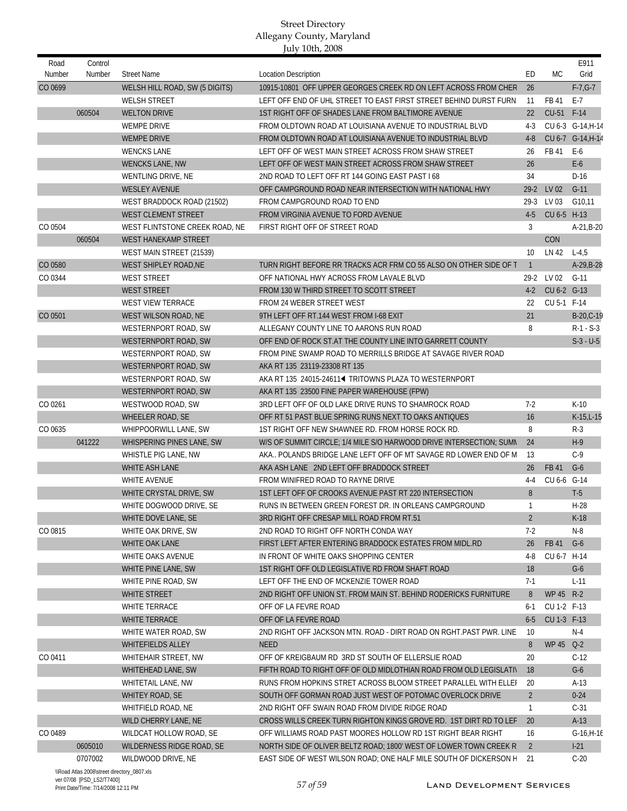| Road<br>Number | Control<br>Number | <b>Street Name</b>             | <b>Location Description</b>                                         | ED             | МC          | E911<br>Grid      |
|----------------|-------------------|--------------------------------|---------------------------------------------------------------------|----------------|-------------|-------------------|
| CO 0699        |                   | WELSH HILL ROAD, SW (5 DIGITS) | 10915-10801 OFF UPPER GEORGES CREEK RD ON LEFT ACROSS FROM CHER     | 26             |             | $F-7, G-7$        |
|                |                   | <b>WELSH STREET</b>            | LEFT OFF END OF UHL STREET TO EAST FIRST STREET BEHIND DURST FURN   | 11             | FB 41       | $E-7$             |
|                | 060504            | <b>WELTON DRIVE</b>            | 1ST RIGHT OFF OF SHADES LANE FROM BALTIMORE AVENUE                  | 22             | CU-51 F-14  |                   |
|                |                   | <b>WEMPE DRIVE</b>             | FROM OLDTOWN ROAD AT LOUISIANA AVENUE TO INDUSTRIAL BLVD            | $4-3$          |             | CU 6-3 G-14, H-14 |
|                |                   | <b>WEMPE DRIVE</b>             | FROM OLDTOWN ROAD AT LOUISIANA AVENUE TO INDUSTRIAL BLVD            | $4 - 8$        |             | CU 6-7 G-14, H-14 |
|                |                   | <b>WENCKS LANE</b>             | LEFT OFF OF WEST MAIN STREET ACROSS FROM SHAW STREET                | 26             | FB 41       | E-6               |
|                |                   | <b>WENCKS LANE, NW</b>         | LEFT OFF OF WEST MAIN STREET ACROSS FROM SHAW STREET                | 26             |             | $E-6$             |
|                |                   | <b>WENTLING DRIVE, NE</b>      | 2ND ROAD TO LEFT OFF RT 144 GOING EAST PAST 168                     | 34             |             | $D-16$            |
|                |                   | <b>WESLEY AVENUE</b>           | OFF CAMPGROUND ROAD NEAR INTERSECTION WITH NATIONAL HWY             | $29-2$         | LV 02       | $G-11$            |
|                |                   | WEST BRADDOCK ROAD (21502)     | FROM CAMPGROUND ROAD TO END                                         | $29-3$         | LV 03       | G10,11            |
|                |                   | <b>WEST CLEMENT STREET</b>     | FROM VIRGINIA AVENUE TO FORD AVENUE                                 | $4-5$          | CU 6-5 H-13 |                   |
| CO 0504        |                   | WEST FLINTSTONE CREEK ROAD, NE | FIRST RIGHT OFF OF STREET ROAD                                      | 3              |             | $A-21,B-20$       |
|                | 060504            | <b>WEST HANEKAMP STREET</b>    |                                                                     |                | CON         |                   |
|                |                   | WEST MAIN STREET (21539)       |                                                                     | 10             | LN 42       | $L - 4,5$         |
| CO 0580        |                   | WEST SHIPLEY ROAD, NE          | TURN RIGHT BEFORE RR TRACKS ACR FRM CO 55 ALSO ON OTHER SIDE OF T   | $\mathbf{1}$   |             | A-29, B-28        |
| CO 0344        |                   | <b>WEST STREET</b>             | OFF NATIONAL HWY ACROSS FROM LAVALE BLVD                            | $29-2$         | LV 02       | $G-11$            |
|                |                   | <b>WEST STREET</b>             | FROM 130 W THIRD STREET TO SCOTT STREET                             | $4-2$          | CU 6-2 G-13 |                   |
|                |                   | <b>WEST VIEW TERRACE</b>       | FROM 24 WEBER STREET WEST                                           | 22             | CU 5-1 F-14 |                   |
| CO 0501        |                   | WEST WILSON ROAD, NE           | 9TH LEFT OFF RT.144 WEST FROM I-68 EXIT                             | 21             |             | B-20, C-19        |
|                |                   | WESTERNPORT ROAD, SW           | ALLEGANY COUNTY LINE TO AARONS RUN ROAD                             | 8              |             | $R-1 - S-3$       |
|                |                   | WESTERNPORT ROAD, SW           | OFF END OF ROCK ST.AT THE COUNTY LINE INTO GARRETT COUNTY           |                |             | $S-3 - U-5$       |
|                |                   | WESTERNPORT ROAD, SW           | FROM PINE SWAMP ROAD TO MERRILLS BRIDGE AT SAVAGE RIVER ROAD        |                |             |                   |
|                |                   | WESTERNPORT ROAD, SW           | AKA RT 135 23119-23308 RT 135                                       |                |             |                   |
|                |                   | WESTERNPORT ROAD, SW           | AKA RT 135 24015-24611◀ TRITOWNS PLAZA TO WESTERNPORT               |                |             |                   |
|                |                   | WESTERNPORT ROAD, SW           | AKA RT 135 23500 FINE PAPER WAREHOUSE (FPW)                         |                |             |                   |
| CO 0261        |                   | WESTWOOD ROAD, SW              | 3RD LEFT OFF OF OLD LAKE DRIVE RUNS TO SHAMROCK ROAD                | $7-2$          |             | $K-10$            |
|                |                   | <b>WHEELER ROAD, SE</b>        | OFF RT 51 PAST BLUE SPRING RUNS NEXT TO OAKS ANTIQUES               | 16             |             | K-15, L-15        |
| CO 0635        |                   | WHIPPOORWILL LANE, SW          | 1ST RIGHT OFF NEW SHAWNEE RD. FROM HORSE ROCK RD.                   | 8              |             | $R-3$             |
|                | 041222            | WHISPERING PINES LANE, SW      | W/S OF SUMMIT CIRCLE; 1/4 MILE S/O HARWOOD DRIVE INTERSECTION; SUMM | 24             |             | $H-9$             |
|                |                   | WHISTLE PIG LANE, NW           | AKA POLANDS BRIDGE LANE LEFT OFF OF MT SAVAGE RD LOWER END OF M     | 13             |             | $C-9$             |
|                |                   | WHITE ASH LANE                 | AKA ASH LANE 2ND LEFT OFF BRADDOCK STREET                           | 26             | FB 41       | $G-6$             |
|                |                   | WHITE AVENUE                   | FROM WINIFRED ROAD TO RAYNE DRIVE                                   | $4 - 4$        | CU 6-6 G-14 |                   |
|                |                   | WHITE CRYSTAL DRIVE, SW        | 1ST LEFT OFF OF CROOKS AVENUE PAST RT 220 INTERSECTION              | 8              |             | $T-5$             |
|                |                   | WHITE DOGWOOD DRIVE, SE        | RUNS IN BETWEEN GREEN FOREST DR. IN ORLEANS CAMPGROUND              | $\mathbf{1}$   |             | $H-28$            |
|                |                   | WHITE DOVE LANE, SE            | 3RD RIGHT OFF CRESAP MILL ROAD FROM RT.51                           | $\overline{2}$ |             | $K-18$            |
| CO 0815        |                   | WHITE OAK DRIVE, SW            | 2ND ROAD TO RIGHT OFF NORTH CONDA WAY                               | 7-2            |             | $N-8$             |
|                |                   | WHITE OAK LANE                 | FIRST LEFT AFTER ENTERING BRADDOCK ESTATES FROM MIDL.RD             | 26             | FB 41       | $G-6$             |
|                |                   | WHITE OAKS AVENUE              | IN FRONT OF WHITE OAKS SHOPPING CENTER                              | $4 - 8$        | CU 6-7 H-14 |                   |
|                |                   | WHITE PINE LANE, SW            | 1ST RIGHT OFF OLD LEGISLATIVE RD FROM SHAFT ROAD                    | 18             |             | $G-6$             |
|                |                   | WHITE PINE ROAD, SW            | LEFT OFF THE END OF MCKENZIE TOWER ROAD                             | $7-1$          |             | $L-11$            |
|                |                   | <b>WHITE STREET</b>            | 2ND RIGHT OFF UNION ST. FROM MAIN ST. BEHIND RODERICKS FURNITURE    | 8              | WP 45 R-2   |                   |
|                |                   | <b>WHITE TERRACE</b>           | OFF OF LA FEVRE ROAD                                                | $6-1$          | CU 1-2 F-13 |                   |
|                |                   | <b>WHITE TERRACE</b>           | OFF OF LA FEVRE ROAD                                                | $6 - 5$        | CU 1-3 F-13 |                   |
|                |                   | WHITE WATER ROAD, SW           | 2ND RIGHT OFF JACKSON MTN. ROAD - DIRT ROAD ON RGHT PAST PWR. LINE  | 10             |             | N-4               |
|                |                   | <b>WHITEFIELDS ALLEY</b>       | <b>NEED</b>                                                         | 8              | WP 45 Q-2   |                   |
| CO 0411        |                   | WHITEHAIR STREET, NW           | OFF OF KREIGBAUM RD 3RD ST SOUTH OF ELLERSLIE ROAD                  | 20             |             | $C-12$            |
|                |                   | WHITEHEAD LANE, SW             | FIFTH ROAD TO RIGHT OFF OF OLD MIDLOTHIAN ROAD FROM OLD LEGISLATIV  | 18             |             | $G-6$             |
|                |                   | WHITETAIL LANE, NW             | RUNS FROM HOPKINS STRET ACROSS BLOOM STREET PARALLEL WITH ELLEI     | 20             |             | A-13              |
|                |                   | WHITEY ROAD, SE                | SOUTH OFF GORMAN ROAD JUST WEST OF POTOMAC OVERLOCK DRIVE           | $\overline{2}$ |             | $0 - 24$          |
|                |                   | WHITFIELD ROAD, NE             | 2ND RIGHT OFF SWAIN ROAD FROM DIVIDE RIDGE ROAD                     | $\mathbf{1}$   |             | $C-31$            |
|                |                   | WILD CHERRY LANE, NE           | CROSS WILLS CREEK TURN RIGHTON KINGS GROVE RD. 1ST DIRT RD TO LEF   | 20             |             | $A-13$            |
| CO 0489        |                   | WILDCAT HOLLOW ROAD, SE        | OFF WILLIAMS ROAD PAST MOORES HOLLOW RD 1ST RIGHT BEAR RIGHT        | 16             |             | $G-16, H-16$      |
|                | 0605010           | WILDERNESS RIDGE ROAD, SE      | NORTH SIDE OF OLIVER BELTZ ROAD; 1800' WEST OF LOWER TOWN CREEK R   | $\overline{2}$ |             | $1-21$            |
|                | 0707002           | WILDWOOD DRIVE, NE             | EAST SIDE OF WEST WILSON ROAD; ONE HALF MILE SOUTH OF DICKERSON H   | 21             |             | $C-20$            |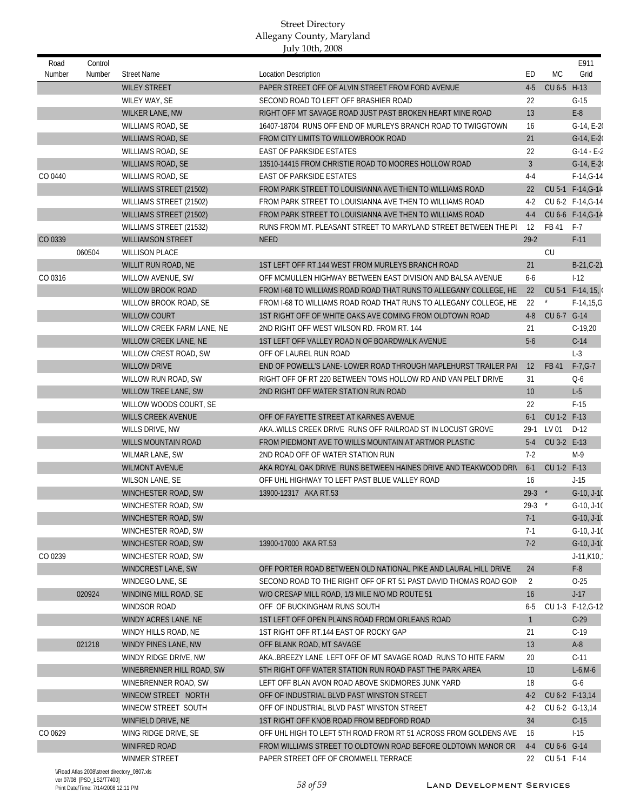| Road<br>Number | Control<br>Number | <b>Street Name</b>                            | <b>Location Description</b>                                                                                               | ED              | <b>MC</b>   | E911<br>Grid               |
|----------------|-------------------|-----------------------------------------------|---------------------------------------------------------------------------------------------------------------------------|-----------------|-------------|----------------------------|
|                |                   |                                               |                                                                                                                           |                 |             |                            |
|                |                   | <b>WILEY STREET</b>                           | PAPER STREET OFF OF ALVIN STREET FROM FORD AVENUE                                                                         | $4-5$           | CU 6-5 H-13 |                            |
|                |                   | WILEY WAY, SE                                 | SECOND ROAD TO LEFT OFF BRASHIER ROAD                                                                                     | 22              |             | $G-15$<br>$E-8$            |
|                |                   | WILKER LANE, NW                               | RIGHT OFF MT SAVAGE ROAD JUST PAST BROKEN HEART MINE ROAD<br>16407-18704 RUNS OFF END OF MURLEYS BRANCH ROAD TO TWIGGTOWN | 13              |             |                            |
|                |                   | WILLIAMS ROAD, SE<br><b>WILLIAMS ROAD, SE</b> | FROM CITY LIMITS TO WILLOWBROOK ROAD                                                                                      | 16<br>21        |             | $G-14, E-21$<br>G-14, E-2  |
|                |                   |                                               | <b>EAST OF PARKSIDE ESTATES</b>                                                                                           | 22              |             | $G-14 - E-2$               |
|                |                   | WILLIAMS ROAD, SE<br><b>WILLIAMS ROAD, SE</b> | 13510-14415 FROM CHRISTIE ROAD TO MOORES HOLLOW ROAD                                                                      | $\mathfrak{Z}$  |             | G-14, E-2                  |
| CO 0440        |                   | <b>WILLIAMS ROAD, SE</b>                      | <b>EAST OF PARKSIDE ESTATES</b>                                                                                           | $4 - 4$         |             | $F-14, G-14$               |
|                |                   | WILLIAMS STREET (21502)                       | FROM PARK STREET TO LOUISIANNA AVE THEN TO WILLIAMS ROAD                                                                  | 22              |             | CU 5-1 F-14, G-14          |
|                |                   | WILLIAMS STREET (21502)                       | FROM PARK STREET TO LOUISIANNA AVE THEN TO WILLIAMS ROAD                                                                  | $4-2$           |             | CU 6-2 F-14, G-14          |
|                |                   | WILLIAMS STREET (21502)                       | FROM PARK STREET TO LOUISIANNA AVE THEN TO WILLIAMS ROAD                                                                  | $4 - 4$         |             | CU 6-6 F-14, G-14          |
|                |                   |                                               |                                                                                                                           |                 | FB 41       |                            |
|                |                   | WILLIAMS STREET (21532)                       | RUNS FROM MT. PLEASANT STREET TO MARYLAND STREET BETWEEN THE PI                                                           | 12<br>$29-2$    |             | F-7<br>$F-11$              |
| CO 0339        | 060504            | <b>WILLIAMSON STREET</b>                      | <b>NEED</b>                                                                                                               |                 | CU          |                            |
|                |                   | <b>WILLISON PLACE</b>                         |                                                                                                                           | 21              |             | B-21, C-21                 |
|                |                   | WILLIT RUN ROAD, NE<br>WILLOW AVENUE, SW      | 1ST LEFT OFF RT.144 WEST FROM MURLEYS BRANCH ROAD<br>OFF MCMULLEN HIGHWAY BETWEEN EAST DIVISION AND BALSA AVENUE          |                 |             |                            |
| CO 0316        |                   |                                               | FROM I-68 TO WILLIAMS ROAD ROAD THAT RUNS TO ALLEGANY COLLEGE, HE                                                         | $6-6$           |             | $1-12$<br>CU 5-1 F-14, 15, |
|                |                   | WILLOW BROOK ROAD                             |                                                                                                                           | 22              |             |                            |
|                |                   | WILLOW BROOK ROAD, SE                         | FROM I-68 TO WILLIAMS ROAD ROAD THAT RUNS TO ALLEGANY COLLEGE, HE                                                         | 22              |             | $F-14, 15, G$              |
|                |                   | <b>WILLOW COURT</b>                           | 1ST RIGHT OFF OF WHITE OAKS AVE COMING FROM OLDTOWN ROAD                                                                  | $4 - 8$         | CU 6-7 G-14 |                            |
|                |                   | WILLOW CREEK FARM LANE, NE                    | 2ND RIGHT OFF WEST WILSON RD. FROM RT. 144                                                                                | 21              |             | $C-19,20$                  |
|                |                   | WILLOW CREEK LANE, NE                         | 1ST LEFT OFF VALLEY ROAD N OF BOARDWALK AVENUE                                                                            | $5-6$           |             | $C-14$                     |
|                |                   | WILLOW CREST ROAD, SW                         | OFF OF LAUREL RUN ROAD                                                                                                    |                 |             | $L-3$                      |
|                |                   | <b>WILLOW DRIVE</b>                           | END OF POWELL'S LANE-LOWER ROAD THROUGH MAPLEHURST TRAILER PAI                                                            | 12              | <b>FB41</b> | $F-7, G-7$                 |
|                |                   | WILLOW RUN ROAD, SW                           | RIGHT OFF OF RT 220 BETWEEN TOMS HOLLOW RD AND VAN PELT DRIVE                                                             | 31              |             | $Q-6$                      |
|                |                   | WILLOW TREE LANE, SW                          | 2ND RIGHT OFF WATER STATION RUN ROAD                                                                                      | 10 <sup>°</sup> |             | $L-5$<br>$F-15$            |
|                |                   | WILLOW WOODS COURT, SE                        |                                                                                                                           | 22              |             |                            |
|                |                   | <b>WILLS CREEK AVENUE</b>                     | OFF OF FAYETTE STREET AT KARNES AVENUE                                                                                    | $6-1$           | CU 1-2 F-13 |                            |
|                |                   | WILLS DRIVE, NW                               | AKAWILLS CREEK DRIVE RUNS OFF RAILROAD ST IN LOCUST GROVE                                                                 | $29-1$          | LV 01       | $D-12$                     |
|                |                   | <b>WILLS MOUNTAIN ROAD</b>                    | FROM PIEDMONT AVE TO WILLS MOUNTAIN AT ARTMOR PLASTIC                                                                     | $5-4$           | CU 3-2 E-13 |                            |
|                |                   | WILMAR LANE, SW                               | 2ND ROAD OFF OF WATER STATION RUN                                                                                         | $7-2$           |             | M-9                        |
|                |                   | <b>WILMONT AVENUE</b>                         | AKA ROYAL OAK DRIVE RUNS BETWEEN HAINES DRIVE AND TEAKWOOD DRIV                                                           | $6-1$           | CU 1-2 F-13 |                            |
|                |                   | WILSON LANE, SE                               | OFF UHL HIGHWAY TO LEFT PAST BLUE VALLEY ROAD                                                                             | 16              |             | $J-15$                     |
|                |                   | WINCHESTER ROAD, SW                           | 13900-12317 AKA RT.53                                                                                                     | $29-3$ *        |             | G-10, J-10                 |
|                |                   | WINCHESTER ROAD, SW                           |                                                                                                                           | $29-3$ *        |             | $G-10, J-10$               |
|                |                   | WINCHESTER ROAD, SW                           |                                                                                                                           | $7-1$           |             | G-10, J-10                 |
|                |                   | WINCHESTER ROAD, SW                           |                                                                                                                           | $7-1$           |             | $G-10, J-10$               |
|                |                   | WINCHESTER ROAD, SW                           | 13900-17000 AKA RT.53                                                                                                     | $7-2$           |             | G-10, J-10                 |
| CO 0239        |                   | WINCHESTER ROAD, SW                           |                                                                                                                           |                 |             | $J-11,K10,$                |
|                |                   | WINDCREST LANE, SW                            | OFF PORTER ROAD BETWEEN OLD NATIONAL PIKE AND LAURAL HILL DRIVE                                                           | 24              |             | $F-8$                      |
|                |                   | WINDEGO LANE, SE                              | SECOND ROAD TO THE RIGHT OFF OF RT 51 PAST DAVID THOMAS ROAD GOIN                                                         | 2               |             | $O-25$                     |
|                | 020924            | WINDING MILL ROAD, SE                         | W/O CRESAP MILL ROAD, 1/3 MILE N/O MD ROUTE 51                                                                            | 16              |             | $J-17$                     |
|                |                   | WINDSOR ROAD                                  | OFF OF BUCKINGHAM RUNS SOUTH                                                                                              | $6-5$           |             | CU 1-3 F-12, G-12          |
|                |                   | WINDY ACRES LANE, NE                          | 1ST LEFT OFF OPEN PLAINS ROAD FROM ORLEANS ROAD                                                                           | $\mathbf{1}$    |             | $C-29$                     |
|                |                   | WINDY HILLS ROAD, NE                          | 1ST RIGHT OFF RT.144 EAST OF ROCKY GAP                                                                                    | 21              |             | $C-19$                     |
|                | 021218            | WINDY PINES LANE, NW                          | OFF BLANK ROAD, MT SAVAGE                                                                                                 | 13              |             | $A-8$                      |
|                |                   | WINDY RIDGE DRIVE, NW                         | AKABREEZY LANE LEFT OFF OF MT SAVAGE ROAD RUNS TO HITE FARM                                                               | 20              |             | $C-11$                     |
|                |                   | WINEBRENNER HILL ROAD, SW                     | 5TH RIGHT OFF WATER STATION RUN ROAD PAST THE PARK AREA                                                                   | 10              |             | $L-6,M-6$                  |
|                |                   | WINEBRENNER ROAD, SW                          | LEFT OFF BLAN AVON ROAD ABOVE SKIDMORES JUNK YARD                                                                         | 18              |             | $G-6$                      |
|                |                   | WINEOW STREET NORTH                           | OFF OF INDUSTRIAL BLVD PAST WINSTON STREET                                                                                | $4-2$           |             | CU 6-2 F-13,14             |
|                |                   | WINEOW STREET SOUTH                           | OFF OF INDUSTRIAL BLVD PAST WINSTON STREET                                                                                | 4-2             |             | CU 6-2 G-13,14             |
|                |                   | WINFIELD DRIVE, NE                            | 1ST RIGHT OFF KNOB ROAD FROM BEDFORD ROAD                                                                                 | 34              |             | $C-15$                     |
| CO 0629        |                   | WING RIDGE DRIVE, SE                          | OFF UHL HIGH TO LEFT 5TH ROAD FROM RT 51 ACROSS FROM GOLDENS AVE                                                          | 16              |             | $1-15$                     |
|                |                   | WINIFRED ROAD                                 | FROM WILLIAMS STREET TO OLDTOWN ROAD BEFORE OLDTOWN MANOR OR                                                              | $4 - 4$         | CU 6-6 G-14 |                            |
|                |                   | WINMER STREET                                 | PAPER STREET OFF OF CROMWELL TERRACE                                                                                      | 22              | CU 5-1 F-14 |                            |